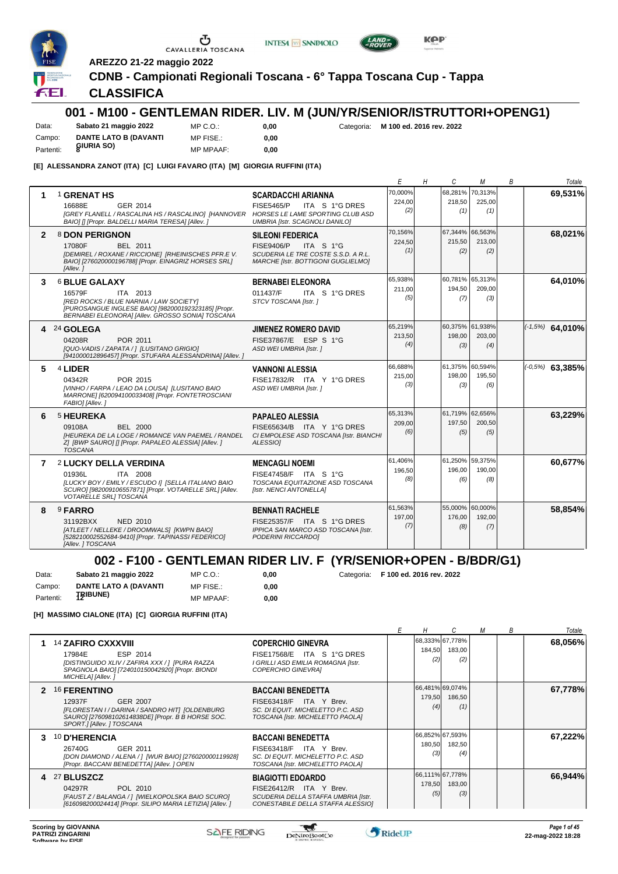





**AREZZO 21-22 maggio 2022**

#### **CDNB - Campionati Regionali Toscana - 6° Tappa Toscana Cup - Tappa**

#### **CLASSIFICA**

## **001 - M100 - GENTLEMAN RIDER. LIV. M (JUN/YR/SENIOR/ISTRUTTORI+OPENG1)**

Data: **Sabato 21 maggio 2022** Campo: **DANTE LATO B (DAVANTI** Partenti: **8IURIA SO**) MP C.O.: MP FISE.:

**0,00**

**0,00** Categoria: **M 100 ed. 2016 rev. 2022**

MP MPAAF: **0,00**

#### **[E] ALESSANDRA ZANOT (ITA) [C] LUIGI FAVARO (ITA) [M] GIORGIA RUFFINI (ITA)**

|              |                                                                                                                                                                                                       |                                                                                                                                               | E                        | H | C                                | м             | B | Totale            |
|--------------|-------------------------------------------------------------------------------------------------------------------------------------------------------------------------------------------------------|-----------------------------------------------------------------------------------------------------------------------------------------------|--------------------------|---|----------------------------------|---------------|---|-------------------|
|              | <b>1 GRENAT HS</b><br>16688E<br>GER 2014<br>[GREY FLANELL / RASCALINA HS / RASCALINO] [HANNOVER<br>BAIO] [] [Propr. BALDELLI MARIA TERESA] [Allev. ]                                                  | <b>SCARDACCHI ARIANNA</b><br><b>FISE5465/P</b><br>ITA S 1°G DRES<br>HORSES LE LAME SPORTING CLUB ASD<br><b>UMBRIA [Istr. SCAGNOLI DANILO]</b> | 70,000%<br>224,00<br>(2) |   | 68.281% 70.313%<br>218,50<br>(1) | 225,00<br>(1) |   | 69,531%           |
| $\mathbf{2}$ | 8 DON PERIGNON<br>17080F<br>BEL 2011<br>[DEMIREL / ROXANE / RICCIONE] [RHEINISCHES PFR.E V.<br>BAIO] [276020000196788] [Propr. EINAGRIZ HORSES SRL]<br>[Allev.]                                       | <b>SILEONI FEDERICA</b><br>FISE9406/P<br>ITA S 1°G<br>SCUDERIA LE TRE COSTE S.S.D. A R.L.<br><b>MARCHE [Istr. BOTTIGONI GUGLIELMO]</b>        | 70,156%<br>224,50<br>(1) |   | 67,344% 66,563%<br>215,50<br>(2) | 213,00<br>(2) |   | 68,021%           |
| 3            | <b>6 BLUE GALAXY</b><br>16579F<br>ITA 2013<br>[RED ROCKS / BLUE NARNIA / LAW SOCIETY]<br>[PUROSANGUE INGLESE BAIO] [982000192323185] [Propr.<br>BERNABEI ELEONORA] [Allev. GROSSO SONIA] TOSCANA      | <b>BERNABEI ELEONORA</b><br>011437/F<br>ITA S 1°G DRES<br>STCV TOSCANA [Istr.]                                                                | 65,938%<br>211,00<br>(5) |   | 60,781% 65,313%<br>194,50<br>(7) | 209,00<br>(3) |   | 64,010%           |
|              | 24 GOLEGA<br>04208R<br>POR 2011<br>[QUO-VADIS / ZAPATA / ] [LUSITANO GRIGIO]<br>[941000012896457] [Propr. STUFARA ALESSANDRINA] [Allev.]                                                              | <b>JIMENEZ ROMERO DAVID</b><br>FISE37867/E ESP S 1°G<br>ASD WEI UMBRIA [Istr. ]                                                               | 65,219%<br>213,50<br>(4) |   | 60,375% 61,938%<br>198,00<br>(3) | 203.00<br>(4) |   | $(-1,5%)$ 64,010% |
| 5            | 4 LIDER<br>POR 2015<br>04342R<br>[VINHO / FARPA / LEAO DA LOUSA] [LUSITANO BAIO<br>MARRONE] [620094100033408] [Propr. FONTETROSCIANI<br>FABIO] [Allev.]                                               | <b>VANNONI ALESSIA</b><br>FISE17832/R ITA Y 1°G DRES<br>ASD WEI UMBRIA [Istr. ]                                                               | 66,688%<br>215,00<br>(3) |   | 61,375% 60,594%<br>198,00<br>(3) | 195,50<br>(6) |   | $(-0.5%)$ 63,385% |
| 6            | 5 HEUREKA<br>09108A<br><b>BEL 2000</b><br><b>IHEUREKA DE LA LOGE / ROMANCE VAN PAEMEL / RANDEL</b><br>Z] [BWP SAURO] [] [Propr. PAPALEO ALESSIA] [Allev. ]<br><b>TOSCANA</b>                          | <b>PAPALEO ALESSIA</b><br>FISE65634/B ITA Y 1°G DRES<br>CI EMPOLESE ASD TOSCANA [Istr. BIANCHI<br>ALESSIO1                                    | 65.313%<br>209,00<br>(6) |   | 61,719% 62,656%<br>197,50<br>(5) | 200,50<br>(5) |   | 63,229%           |
| 7            | <b>2 LUCKY DELLA VERDINA</b><br>01936L<br><b>ITA 2008</b><br>[LUCKY BOY / EMILY / ESCUDO I] [SELLA ITALIANO BAIO<br>SCURO] [982009106557871] [Propr. VOTARELLE SRL] [Allev.<br>VOTARELLE SRL] TOSCANA | <b>MENCAGLI NOEMI</b><br>FISE47458/F ITA S 1°G<br>TOSCANA EQUITAZIONE ASD TOSCANA<br>[Istr. NENCI ANTONELLA]                                  | 61,406%<br>196,50<br>(8) |   | 61,250% 59,375%<br>196.00<br>(6) | 190.00<br>(8) |   | 60,677%           |
| 8            | <sup>9</sup> FARRO<br>31192BXX<br>NED 2010<br>[ATLEET / NELLEKE / DROOMWALS] [KWPN BAIO]<br>[528210002552684-9410] [Propr. TAPINASSI FEDERICO]<br>[Allev. ] TOSCANA                                   | <b>BENNATI RACHELE</b><br>FISE25357/F ITA S 1°G DRES<br>IPPICA SAN MARCO ASD TOSCANA [Istr.<br>PODERINI RICCARDOI                             | 61,563%<br>197,00<br>(7) |   | 55,000% 60,000%<br>176,00<br>(8) | 192,00<br>(7) |   | 58.854%           |

## **002 - F100 - GENTLEMAN RIDER LIV. F (YR/SENIOR+OPEN - B/BDR/G1)**

| Data:     | Sabato 21 maggio 2022        | MP C. O.         | 0.00 | Categoria: F 100 ed. 2016 rev. 2022 |
|-----------|------------------------------|------------------|------|-------------------------------------|
| Campo:    | <b>DANTE LATO A (DAVANTI</b> | MP FISE.:        | 0.00 |                                     |
| Partenti: | <b>TRIBUNE)</b>              | <b>MP MPAAF:</b> | 0.00 |                                     |

**[H] MASSIMO CIALONE (ITA) [C] GIORGIA RUFFINI (ITA)**

| 68,333% 67,778%<br><b>14 ZAFIRO CXXXVIII</b><br>1.<br><b>COPERCHIO GINEVRA</b><br>184,50<br>183,00<br>ESP 2014<br>FISE17568/E ITA S 1°G DRES<br>17984E<br>(2)<br>(2)<br>[DISTINGUIDO XLIV / ZAFIRA XXX / ] [PURA RAZZA<br>I GRILLI ASD EMILIA ROMAGNA [Istr.<br>SPAGNOLA BAIO] [724010150042920] [Propr. BIONDI<br><b>COPERCHIO GINEVRAI</b><br>MICHELA] [Allev.]<br>66,481% 69,074%<br><b>16 FERENTINO</b><br>2<br><b>BACCANI BENEDETTA</b><br>179,50<br>186,50<br>12937F<br>GER 2007<br>FISE63418/F ITA Y Brev.<br>(4)<br>(1)<br>[FLORESTAN I / DARINA / SANDRO HIT] [OLDENBURG<br>SC. DI EQUIT. MICHELETTO P.C. ASD<br>SAURO] [276098102614838DE] [Propr. B B HORSE SOC.<br>TOSCANA [Istr. MICHELETTO PAOLA]<br>SPORT.] [Allev. ] TOSCANA<br>66,852% 67,593%<br><b>10 D'HERENCIA</b><br>з.<br><b>BACCANI BENEDETTA</b><br>182,50<br>180,50<br>26740G<br>GER 2011<br>FISE63418/F ITA Y Brev.<br>(3)<br>(4)<br>SC. DI EQUIT. MICHELETTO P.C. ASD<br>[DON DIAMOND / ALENA / ] [WUR BAIO] [276020000119928]<br>[Propr. BACCANI BENEDETTA] [Allev. ] OPEN<br>TOSCANA [Istr. MICHELETTO PAOLA]<br>66,111% 67,778%<br>4 27 BLUSZCZ<br><b>BIAGIOTTI EDOARDO</b> |  |  |  | М | В | Totale  |
|------------------------------------------------------------------------------------------------------------------------------------------------------------------------------------------------------------------------------------------------------------------------------------------------------------------------------------------------------------------------------------------------------------------------------------------------------------------------------------------------------------------------------------------------------------------------------------------------------------------------------------------------------------------------------------------------------------------------------------------------------------------------------------------------------------------------------------------------------------------------------------------------------------------------------------------------------------------------------------------------------------------------------------------------------------------------------------------------------------------------------------------------------------|--|--|--|---|---|---------|
|                                                                                                                                                                                                                                                                                                                                                                                                                                                                                                                                                                                                                                                                                                                                                                                                                                                                                                                                                                                                                                                                                                                                                            |  |  |  |   |   | 68,056% |
|                                                                                                                                                                                                                                                                                                                                                                                                                                                                                                                                                                                                                                                                                                                                                                                                                                                                                                                                                                                                                                                                                                                                                            |  |  |  |   |   | 67,778% |
|                                                                                                                                                                                                                                                                                                                                                                                                                                                                                                                                                                                                                                                                                                                                                                                                                                                                                                                                                                                                                                                                                                                                                            |  |  |  |   |   | 67,222% |
| 178,50<br>183,00<br>04297R<br>POL 2010<br>FISE26412/R ITA Y Brev.<br>(5)<br>(3)<br>[FAUST Z / BALANGA / ] [WIELKOPOLSKA BAIO SCURO]<br>SCUDERIA DELLA STAFFA UMBRIA [Istr.<br>[616098200024414] [Propr. SILIPO MARIA LETIZIA] [Allev. ]<br>CONESTABILE DELLA STAFFA ALESSIOI                                                                                                                                                                                                                                                                                                                                                                                                                                                                                                                                                                                                                                                                                                                                                                                                                                                                               |  |  |  |   |   | 66,944% |

 $\mathcal{L}$ 

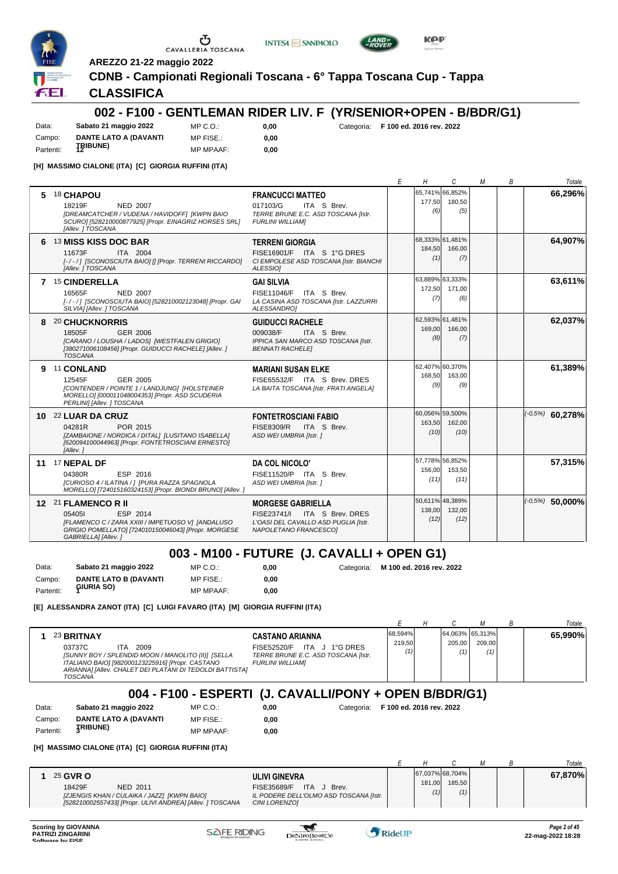

**AREZZO 21-22 maggio 2022**

#### **CDNB - Campionati Regionali Toscana - 6° Tappa Toscana Cup - Tappa**

**INTESA** M SANPAOLO

#### **CLASSIFICA**

#### **002 - F100 - GENTLEMAN RIDER LIV. F (YR/SENIOR+OPEN - B/BDR/G1)**

Data: **Sabato 21 maggio 2022** Campo: **DANTE LATO A (DAVANTI TRIBUNE)** Partenti: **<sup>12</sup>**

 $MP C. O.$ MP FISE.: MP MPAAF: **0,00**

**0,00**

**0,00** Categoria: **F 100 ed. 2016 rev. 2022**

**[H] MASSIMO CIALONE (ITA) [C] GIORGIA RUFFINI (ITA)**

|    |                                                                                                                                                                                 |                                                                                                                           | Е | Н              | C                                 | м | В | Totale            |
|----|---------------------------------------------------------------------------------------------------------------------------------------------------------------------------------|---------------------------------------------------------------------------------------------------------------------------|---|----------------|-----------------------------------|---|---|-------------------|
| 5  | <b>18 CHAPOU</b><br>18219F<br><b>NED 2007</b><br>[DREAMCATCHER / VUDENA / HAVIDOFF] [KWPN BAIO<br>SCURO] [528210000877925] [Propr. EINAGRIZ HORSES SRL]<br>[Allev. ] TOSCANA    | <b>FRANCUCCI MATTEO</b><br>017103/G<br>ITA S Brev.<br>TERRE BRUNE E.C. ASD TOSCANA [Istr.<br><b>FURLINI WILLIAMI</b>      |   | 177.50<br>(6)  | 65,741% 66,852%<br>180.50<br>(5)  |   |   | 66.296%           |
|    | 6 13 MISS KISS DOC BAR<br>11673F<br>ITA 2004<br>[-/-/] [SCONOSCIUTA BAIO] [] [Propr. TERRENI RICCARDO]<br>[Allev. ] TOSCANA                                                     | <b>TERRENI GIORGIA</b><br>FISE16901/F ITA S 1°G DRES<br>CI EMPOLESE ASD TOSCANA [Istr. BIANCHI<br>ALESSIO1                |   | 184,50<br>(1)  | 68,333% 61,481%<br>166,00<br>(7)  |   |   | 64,907%           |
|    | 7 15 CINDERELLA<br><b>NED 2007</b><br>16565F<br>[-/-/] [SCONOSCIUTA BAIO] [528210002123048] [Propr. GAI<br>SILVIA] [Allev. ] TOSCANA                                            | <b>GAI SILVIA</b><br>FISE11046/F ITA S Brev.<br>LA CASINA ASD TOSCANA [Istr. LAZZURRI<br><b>ALESSANDROI</b>               |   | 172,50<br>(7)  | 63,889% 63,333%<br>171,00<br>(6)  |   |   | 63,611%           |
|    | 8 20 CHUCKNORRIS<br>18505F<br>GER 2006<br>[CARANO / LOUSHA / LADOS] [WESTFALEN GRIGIO]<br>[380271006108456] [Propr. GUIDUCCI RACHELE] [Allev. ]<br><b>TOSCANA</b>               | <b>GUIDUCCI RACHELE</b><br>009038/F<br>ITA S Brev.<br>IPPICA SAN MARCO ASD TOSCANA [Istr.<br><b>BENNATI RACHELEI</b>      |   | 169.00<br>(8)  | 62,593% 61,481%<br>166.00<br>(7)  |   |   | 62,037%           |
|    | 9 <sup>11</sup> CONLAND<br>12545F<br>GER 2005<br>[CONTENDER / POINTE 1 / LANDJUNG] [HOLSTEINER<br>MORELLO] [000011048004353] [Propr. ASD SCUDERIA<br>PERLINI] [Allev. ] TOSCANA | <b>MARIANI SUSAN ELKE</b><br>FISE65532/F ITA S Brev. DRES<br>LA BAITA TOSCANA [Istr. FRATI ANGELA]                        |   | 168,50<br>(9)  | 62,407% 60,370%<br>163.00<br>(9)  |   |   | 61,389%           |
|    | 10 22 LUAR DA CRUZ<br>POR 2015<br>04281R<br>[ZAMBAIONE / NORDICA / DITAL] [LUSITANO ISABELLA]<br>[620094100044963] [Propr. FONTETROSCIANI ERNESTO]<br>[Allev.]                  | <b>FONTETROSCIANI FABIO</b><br>FISE8309/R<br>ITA S Brev.<br>ASD WEI UMBRIA [Istr. ]                                       |   | 163,50<br>(10) | 60,056% 59,500%<br>162.00<br>(10) |   |   | $(-0.5%)$ 60,278% |
| 11 | 17 NEPAL DF<br>04380R<br>ESP 2016<br>[CURIOSO 4 / ILATINA / ] [PURA RAZZA SPAGNOLA<br>MORELLO] [724015160324153] [Propr. BIONDI BRUNO] [Allev. ]                                | DA COL NICOLO'<br>FISE11520/P ITA S Brev.<br>ASD WEI UMBRIA [Istr. ]                                                      |   | 156,00<br>(11) | 57,778% 56,852%<br>153,50<br>(11) |   |   | 57,315%           |
|    | 12 21 FLAMENCO R II<br>ESP 2014<br>054051<br>[FLAMENCO C / ZARA XXIII / IMPETUOSO V] [ANDALUSO<br>GRIGIO POMELLATO] [724010150046043] [Propr. MORGESE<br>GABRIELLA] [Allev.]    | <b>MORGESE GABRIELLA</b><br>FISE23741/I ITA S Brev. DRES<br>L'OASI DEL CAVALLO ASD PUGLIA [Istr.<br>NAPOLETANO FRANCESCOI |   | 138,00<br>(12) | 50,611% 48,389%<br>132,00<br>(12) |   |   | $(-0.5%)$ 50,000% |

#### **003 - M100 - FUTURE (J. CAVALLI + OPEN G1)**

Data: **Sabato 21 maggio 2022** Campo: **DANTE LATO B (DAVANTI GIURIA SO)** Partenti: **<sup>1</sup>** MP C.O.: MP FISE.: MP MPAAF: **0,00 0,00 0,00** Categoria: **M 100 ed. 2016 rev. 2022**

**[E] ALESSANDRA ZANOT (ITA) [C] LUIGI FAVARO (ITA) [M] GIORGIA RUFFINI (ITA)**

|                                                        |                                                                                                                                                                                                                              |                                                                                                                           |                   |  |                                  |               |  | Totale  |  |  |
|--------------------------------------------------------|------------------------------------------------------------------------------------------------------------------------------------------------------------------------------------------------------------------------------|---------------------------------------------------------------------------------------------------------------------------|-------------------|--|----------------------------------|---------------|--|---------|--|--|
|                                                        | 23 BRITNAY<br>03737C<br>2009<br>ITA.<br>[SUNNY BOY / SPLENDID MOON / MANOLITO (II)] [SELLA<br>ITALIANO BAIO] [982000123225916] [Propr. CASTANO<br>ARIANNA] [Allev. CHALET DEI PLATANI DI TEDOLDI BATTISTA]<br><b>TOSCANA</b> | <b>CASTANO ARIANNA</b><br>FISE52520/F ITA<br>J 1°G DRES<br>TERRE BRUNE E.C. ASD TOSCANA [Istr.<br><b>FURLINI WILLIAMI</b> | 68,594%<br>219.50 |  | 64,063% 65,313%<br>205.00<br>(1) | 209.00<br>(1) |  | 65.990% |  |  |
| 004 - F100 - ESPERTI (J. CAVALLI/PONY + OPEN B/BDR/G1) |                                                                                                                                                                                                                              |                                                                                                                           |                   |  |                                  |               |  |         |  |  |

### **004 - F100 - ESPERTI (J. CAVALLI/PONY + OPEN B/BDR/G1)**

Data: **Sabato 21 maggio 2022** Campo: **DANTE LATO A (DAVANTI** MP C.O.: MP FISE.: MP MPAAF: **0,00**

**0,00**

**0,00** Categoria: **F 100 ed. 2016 rev. 2022**

**TRIBUNE)** Partenti: **<sup>3</sup>**

**[H] MASSIMO CIALONE (ITA) [C] GIORGIA RUFFINI (ITA)**

|                                                                                                                                                                                                                                                                            |               |                                  |  | Totale  |
|----------------------------------------------------------------------------------------------------------------------------------------------------------------------------------------------------------------------------------------------------------------------------|---------------|----------------------------------|--|---------|
| 25 GVR O<br><b>ULIVI GINEVRA</b><br>18429F<br><b>ITA</b><br>FISE35689/F<br>NED 2011<br>Brev.<br>IL PODERE DELL'OLMO ASD TOSCANA [Istr.<br>[ZJENGIS KHAN / CULAIKA / JAZZ] [KWPN BAIO]<br>[528210002557433] [Propr. ULIVI ANDREA] [Allev. ] TOSCANA<br><b>CINI LORENZO1</b> | 181,00<br>(1) | 67,037% 68,704%<br>185.50<br>(1) |  | 67,870% |

 $\mathcal{L}$ 



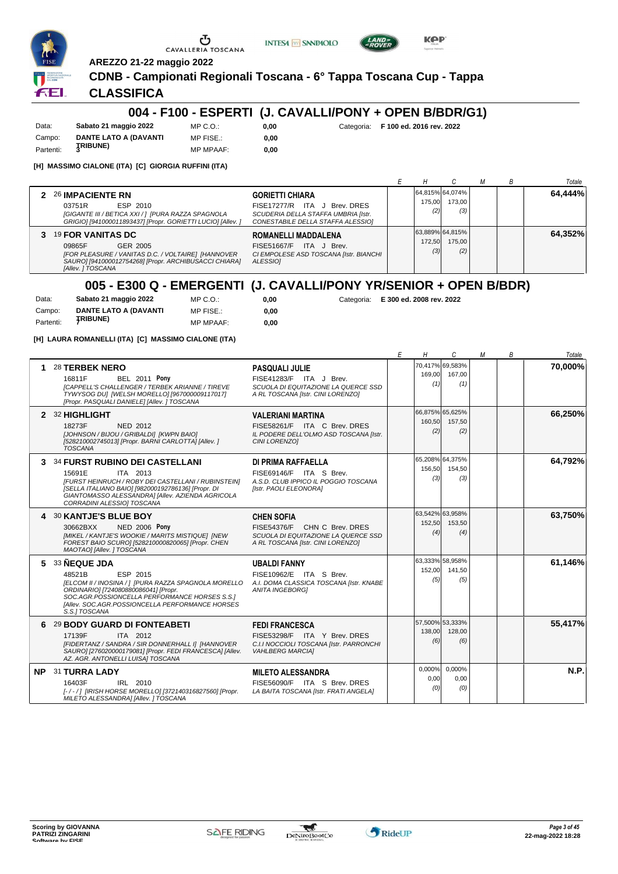





FEI.

### **AREZZO 21-22 maggio 2022 CDNB - Campionati Regionali Toscana - 6° Tappa Toscana Cup - Tappa**

U

### **CLASSIFICA**

#### **004 - F100 - ESPERTI (J. CAVALLI/PONY + OPEN B/BDR/G1)**

Data: **Sabato 21 maggio 2022** Campo: **DANTE LATO A (DAVANTI** Partenti: **3RIBUNE**) MP C.O.: MP FISE.:

MP MPAAF: **0,00 0,00**

**0,00** Categoria: **F 100 ed. 2016 rev. 2022**

**[H] MASSIMO CIALONE (ITA) [C] GIORGIA RUFFINI (ITA)**

|                                                                                                                                                                               |                                                                                                                                    |               |                                  |  | Totale  |
|-------------------------------------------------------------------------------------------------------------------------------------------------------------------------------|------------------------------------------------------------------------------------------------------------------------------------|---------------|----------------------------------|--|---------|
| 2 26 IMPACIENTE RN<br>ESP 2010<br>03751R<br>[GIGANTE III / BETICA XXI / ] [PURA RAZZA SPAGNOLA<br>GRIGIO] [941000011893437] [Propr. GORIETTI LUCIO] [Allev. ]                 | <b>GORIETTI CHIARA</b><br>FISE17277/R ITA J Brev. DRES<br>SCUDERIA DELLA STAFFA UMBRIA [Istr.<br>CONESTABILE DELLA STAFFA ALESSIOI | 175.00<br>(2) | 64,815% 64,074%<br>173.00<br>(3) |  | 64,444% |
| 3 19 FOR VANITAS DC<br>09865F<br>GER 2005<br>[FOR PLEASURE / VANITAS D.C. / VOLTAIRE] [HANNOVER<br>SAURO] [941000012754268] [Propr. ARCHIBUSACCI CHIARA]<br>[Allev. ] TOSCANA | ROMANELLI MADDALENA<br>FISE51667/F<br>ITA J Brev.<br>CI EMPOLESE ASD TOSCANA [Istr. BIANCHI<br>ALESSIO]                            | 172.50<br>(3) | 63,889% 64,815%<br>175.00<br>(2) |  | 64,352% |

## **005 - E300 Q - EMERGENTI (J. CAVALLI/PONY YR/SENIOR + OPEN B/BDR)**

 $0,00$ **0,00**

| Data:     | Sabato 21 maggio 2022        | MP C. O.         |
|-----------|------------------------------|------------------|
| Campo:    | <b>DANTE LATO A (DAVANTI</b> | MP FISE.:        |
| Partenti: | <b>ȚRIBUNE)</b>              | <b>MP MPAAF:</b> |

**0,00** Categoria: **E 300 ed. 2008 rev. 2022**

**[H] LAURA ROMANELLI (ITA) [C] MASSIMO CIALONE (ITA)**

|     |                                                                                                                                                                                                                                                            |                                                                                                                               | E | Н                                | C                                | М | В | Totale  |
|-----|------------------------------------------------------------------------------------------------------------------------------------------------------------------------------------------------------------------------------------------------------------|-------------------------------------------------------------------------------------------------------------------------------|---|----------------------------------|----------------------------------|---|---|---------|
|     | 28 TERBEK NERO<br><b>BEL 2011 Pony</b><br>16811F<br><b>[CAPPELL'S CHALLENGER / TERBEK ARIANNE / TIREVE</b><br>TYWYSOG DU] [WELSH MORELLO] [967000009117017]<br>[Propr. PASQUALI DANIELE] [Allev. ] TOSCANA                                                 | <b>PASQUALI JULIE</b><br>FISE41283/F ITA J Brev.<br>SCUOLA DI EQUITAZIONE LA QUERCE SSD<br>A RL TOSCANA [Istr. CINI LORENZO]  |   | 169,00<br>(1)                    | 70,417% 69,583%<br>167.00<br>(1) |   |   | 70,000% |
| 2   | 32 HIGHLIGHT<br>18273F<br>NED 2012<br>[JOHNSON / BIJOU / GRIBALDI] [KWPN BAIO]<br>[528210002745013] [Propr. BARNI CARLOTTA] [Allev. ]<br><b>TOSCANA</b>                                                                                                    | <b>VALERIANI MARTINA</b><br>FISE58261/F ITA C Brev. DRES<br>IL PODERE DELL'OLMO ASD TOSCANA [Istr.<br>CINI LORENZOI           |   | 66,875% 65,625%<br>160,50<br>(2) | 157,50<br>(2)                    |   |   | 66,250% |
| 3   | <b>34 FURST RUBINO DEI CASTELLANI</b><br>ITA 2013<br>15691E<br>[FURST HEINRUCH / ROBY DEI CASTELLANI / RUBINSTEIN]<br>[SELLA ITALIANO BAIO] [982000192786136] [Propr. DI<br>GIANTOMASSO ALESSANDRA] [Allev. AZIENDA AGRICOLA<br>CORRADINI ALESSIO] TOSCANA | DI PRIMA RAFFAELLA<br>FISE69146/F ITA S Brev.<br>A.S.D. CLUB IPPICO IL POGGIO TOSCANA<br>[Istr. PAOLI ELEONORA]               |   | 156,50<br>(3)                    | 65,208% 64,375%<br>154,50<br>(3) |   |   | 64,792% |
|     | 4 30 KANTJE'S BLUE BOY<br><b>NED 2006 Pony</b><br>30662BXX<br>[MIKEL / KANTJE'S WOOKIE / MARITS MISTIQUE] [NEW<br>FOREST BAIO SCURO] [528210000820065] [Propr. CHEN<br>MAOTAO] [Allev. ] TOSCANA                                                           | <b>CHEN SOFIA</b><br>FISE54376/F CHN C Brev. DRES<br>SCUOLA DI EQUITAZIONE LA QUERCE SSD<br>A RL TOSCANA [Istr. CINI LORENZO] |   | 63,542% 63,958%<br>152,50<br>(4) | 153,50<br>(4)                    |   |   | 63,750% |
| 5   | 33 NEQUE JDA<br>ESP 2015<br>48521B<br>[ELCOM II / INOSINA / ] [PURA RAZZA SPAGNOLA MORELLO<br>ORDINARIO] [724080880086041] [Propr.<br>SOC.AGR.POSSIONCELLA PERFORMANCE HORSES S.S.1<br>[Allev. SOC.AGR.POSSIONCELLA PERFORMANCE HORSES<br>S.S.I TOSCANA    | <b>UBALDI FANNY</b><br>FISE10962/E ITA S Brev.<br>A.I. DOMA CLASSICA TOSCANA [Istr. KNABE<br><b>ANITA INGEBORGI</b>           |   | 152,00<br>(5)                    | 63,333% 58,958%<br>141,50<br>(5) |   |   | 61,146% |
| 6   | 29 BODY GUARD DI FONTEABETI<br>17139F<br>ITA 2012<br>[FIDERTANZ / SANDRA / SIR DONNERHALL I] [HANNOVER<br>SAURO] [276020000179081] [Propr. FEDI FRANCESCA] [Allev.<br>AZ. AGR. ANTONELLI LUISA] TOSCANA                                                    | <b>FEDI FRANCESCA</b><br>FISE53298/F ITA Y Brev. DRES<br>C.I.I NOCCIOLI TOSCANA [Istr. PARRONCHI<br><b>VAHLBERG MARCIA1</b>   |   | 57,500% 53,333%<br>138,00<br>(6) | 128,00<br>(6)                    |   |   | 55,417% |
| NP. | 31 TURRA LADY<br>16403F<br>IRL 2010<br>[-/-/] [IRISH HORSE MORELLO] [372140316827560] [Propr.<br>MILETO ALESSANDRA] [Allev. ] TOSCANA                                                                                                                      | <b>MILETO ALESSANDRA</b><br>FISE56090/F ITA S Brev. DRES<br>LA BAITA TOSCANA [Istr. FRATI ANGELA]                             |   | $0.000\%$<br>0,00<br>(0)         | 0.000%<br>0,00<br>(0)            |   |   | N.P.    |

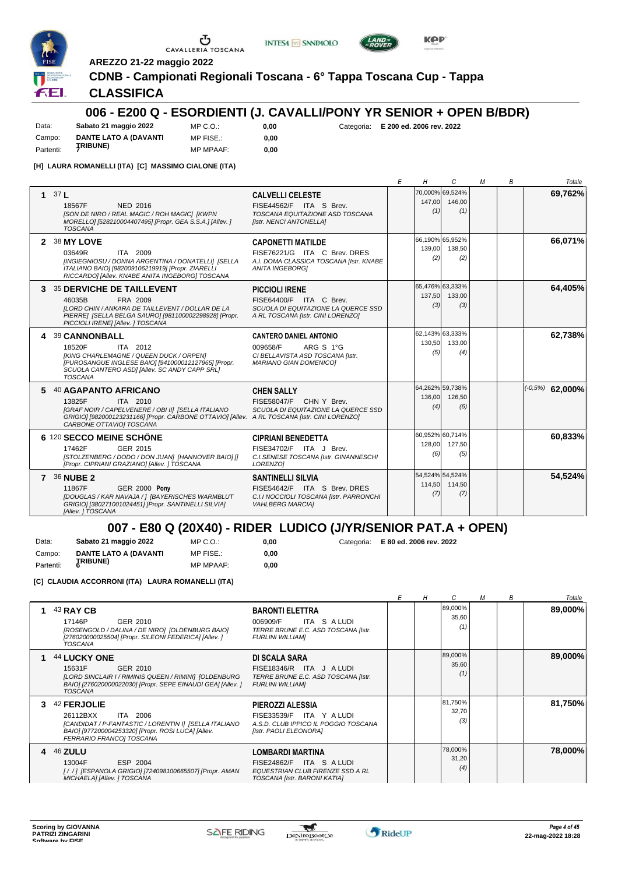





**INTESA M** SANPAOLO

#### **CLASSIFICA**

#### **006 - E200 Q - ESORDIENTI (J. CAVALLI/PONY YR SENIOR + OPEN B/BDR)**

Data: **Sabato 21 maggio 2022** Campo: **DANTE LATO A (DAVANTI TRIBUNE)** Partenti: **<sup>7</sup>**

MP C.O.: MP FISE.:

MP MPAAF: **0,00 0,00**

**0,00** Categoria: **E 200 ed. 2006 rev. 2022**

**KPP** 

**[H] LAURA ROMANELLI (ITA) [C] MASSIMO CIALONE (ITA)**

|             |                                                                                                                                                                                                                                |                                                                                                                                | F | Н             | C                                | М | B | Totale              |
|-------------|--------------------------------------------------------------------------------------------------------------------------------------------------------------------------------------------------------------------------------|--------------------------------------------------------------------------------------------------------------------------------|---|---------------|----------------------------------|---|---|---------------------|
| $\mathbf 1$ | 37L<br>NED 2016<br>18567F<br><b>ISON DE NIRO / REAL MAGIC / ROH MAGIC   [KWPN</b><br>MORELLO] [528210004407495] [Propr. GEA S.S.A.] [Allev. ]<br><b>TOSCANA</b>                                                                | <b>CALVELLI CELESTE</b><br>FISE44562/F ITA S Brev.<br>TOSCANA EQUITAZIONE ASD TOSCANA<br>[Istr. NENCI ANTONELLA]               |   | 147,00<br>(1) | 70,000% 69,524%<br>146,00<br>(1) |   |   | 69,762%             |
|             | 2 38 MY LOVE<br>ITA 2009<br>03649R<br>[INGIEGNIOSU / DONNA ARGENTINA / DONATELLI] [SELLA<br>ITALIANO BAIO] [982009106219919] [Propr. ZIARELLI<br>RICCARDO] [Allev. KNABE ANITA INGEBORG] TOSCANA                               | <b>CAPONETTI MATILDE</b><br>FISE76221/G ITA C Brev. DRES<br>A.I. DOMA CLASSICA TOSCANA [Istr. KNABE<br><b>ANITA INGEBORG1</b>  |   | 139,00<br>(2) | 66,190% 65,952%<br>138,50<br>(2) |   |   | 66,071%             |
|             | 3 35 DERVICHE DE TAILLEVENT<br>FRA 2009<br>46035B<br>ILORD CHIN / ANKARA DE TAILLEVENT / DOLLAR DE LA<br>PIERRE] [SELLA BELGA SAURO] [981100002298928] [Propr.<br>PICCIOLI IRENE] [Allev. ] TOSCANA                            | <b>PICCIOLI IRENE</b><br>FISE64400/F ITA C Brev.<br>SCUOLA DI EQUITAZIONE LA QUERCE SSD<br>A RL TOSCANA [Istr. CINI LORENZO]   |   | 137,50<br>(3) | 65,476% 63,333%<br>133.00<br>(3) |   |   | 64,405%             |
|             | 4 39 CANNONBALL<br>ITA 2012<br>18520F<br>[KING CHARLEMAGNE / QUEEN DUCK / ORPEN]<br>[PUROSANGUE INGLESE BAIO] [941000012127965] [Propr.<br>SCUOLA CANTERO ASDI [Allev. SC ANDY CAPP SRL]<br><b>TOSCANA</b>                     | <b>CANTERO DANIEL ANTONIO</b><br>009658/F<br>ARG S 1°G<br>CI BELLAVISTA ASD TOSCANA [Istr.<br><b>MARIANO GIAN DOMENICOI</b>    |   | 130,50<br>(5) | 62,143% 63,333%<br>133,00<br>(4) |   |   | 62,738%             |
|             | 5 40 AGAPANTO AFRICANO<br>13825F<br>ITA 2010<br>[GRAF NOIR / CAPELVENERE / OBI II] [SELLA ITALIANO<br>GRIGIO] [982000123231166] [Propr. CARBONE OTTAVIO] [Allev. A RL TOSCANA [Istr. CINI LORENZO]<br>CARBONE OTTAVIOI TOSCANA | <b>CHEN SALLY</b><br>FISE58047/F CHN Y Brev.<br>SCUOLA DI EQUITAZIONE LA QUERCE SSD                                            |   | 136,00<br>(4) | 64,262% 59,738%<br>126.50<br>(6) |   |   | $( -0.5\%)$ 62,000% |
|             | 6 120 SECCO MEINE SCHÖNE<br>GER 2015<br>17462F<br>[STOLZENBERG / DODO / DON JUAN] [HANNOVER BAIO] []<br>[Propr. CIPRIANI GRAZIANO] [Allev. ] TOSCANA                                                                           | <b>CIPRIANI BENEDETTA</b><br>FISE34702/F ITA J Brev.<br>C.I.SENESE TOSCANA [Istr. GINANNESCHI<br>LORENZO1                      |   | 128,00<br>(6) | 60,952% 60,714%<br>127,50<br>(5) |   |   | 60,833%             |
|             | 7 36 NUBE 2<br><b>GER 2000 Pony</b><br>11867F<br>[DOUGLAS / KAR NAVAJA / ] [BAYERISCHES WARMBLUT<br>GRIGIO] [380271001024451] [Propr. SANTINELLI SILVIA]<br>[Allev. ] TOSCANA                                                  | <b>SANTINELLI SILVIA</b><br>FISE54642/F ITA S Brev. DRES<br>C.I.I NOCCIOLI TOSCANA [Istr. PARRONCHI<br><b>VAHLBERG MARCIAI</b> |   | 114,50<br>(7) | 54,524% 54,524%<br>114,50<br>(7) |   |   | 54,524%             |

## **007 - E80 Q (20X40) - RIDER LUDICO (J/YR/SENIOR PAT.A + OPEN)**

Data: **Sabato 21 maggio 2022** Campo: **DANTE LATO A (DAVANTI TRIBUNE)** Partenti: **<sup>6</sup>** MP C.O.: MP FISE.: MP MPAAF: **0,00**

**0,00** Categoria: **E 80 ed. 2006 rev. 2022**

**0,00**

**[C] CLAUDIA ACCORRONI (ITA) LAURA ROMANELLI (ITA)**

|    |                                                                                                                                                                                |                                                                                                                         |  |                         | М | В | Totale  |
|----|--------------------------------------------------------------------------------------------------------------------------------------------------------------------------------|-------------------------------------------------------------------------------------------------------------------------|--|-------------------------|---|---|---------|
|    | 43 RAY CB<br>17146P<br>GER 2010<br>[ROSENGOLD / DALINA / DE NIRO] [OLDENBURG BAIO]<br>[276020000025504] [Propr. SILEONI FEDERICA] [Allev. ]<br>TOSCANA                         | <b>BARONTI ELETTRA</b><br>ITA S A LUDI<br>006909/F<br>TERRE BRUNE E.C. ASD TOSCANA [Istr.<br><b>FURLINI WILLIAMI</b>    |  | 89,000%<br>35,60<br>(1) |   |   | 89,000% |
|    | 44 LUCKY ONE<br>GER 2010<br>15631F<br>[LORD SINCLAIR I / RIMINIS QUEEN / RIMINI] [OLDENBURG<br>BAIO] [276020000022030] [Propr. SEPE EINAUDI GEA] [Allev. ]<br><b>TOSCANA</b>   | DI SCALA SARA<br>FISE18346/R ITA J ALUDI<br>TERRE BRUNE E.C. ASD TOSCANA [Istr.<br><b>FURLINI WILLIAMI</b>              |  | 89,000%<br>35,60<br>(1) |   |   | 89,000% |
| 3. | 42 FERJOLIE<br>26112BXX<br>ITA 2006<br>[CANDIDAT / P-FANTASTIC / LORENTIN I] [SELLA ITALIANO<br>BAIO] [977200004253320] [Propr. ROSI LUCA] [Allev.<br>FERRARIO FRANCO] TOSCANA | PIEROZZI ALESSIA<br>FISE33539/F ITA Y A LUDI<br>A.S.D. CLUB IPPICO IL POGGIO TOSCANA<br>[Istr. PAOLI ELEONORA]          |  | 81,750%<br>32,70<br>(3) |   |   | 81,750% |
|    | 4 46 ZULU<br>ESP 2004<br>13004F<br>[/ /] [ESPANOLA GRIGIO] [724098100665507] [Propr. AMAN<br>MICHAELA] [Allev. ] TOSCANA                                                       | <b>LOMBARDI MARTINA</b><br>FISE24862/F ITA S A LUDI<br>EQUESTRIAN CLUB FIRENZE SSD A RL<br>TOSCANA [Istr. BARONI KATIA] |  | 78,000%<br>31,20<br>(4) |   |   | 78,000% |

 $\mathcal{L}$ 

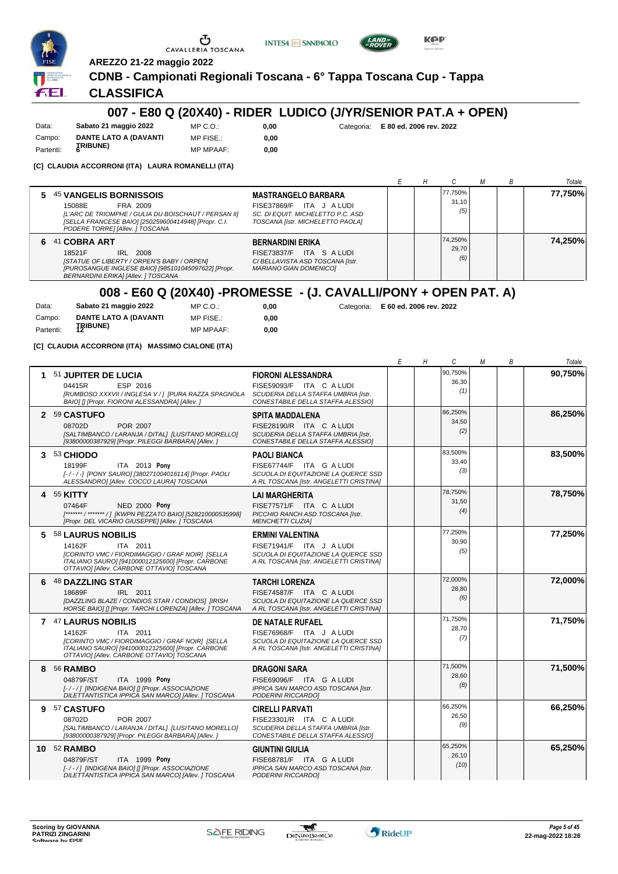





**AREZZO 21-22 maggio 2022**

#### **CDNB - Campionati Regionali Toscana - 6° Tappa Toscana Cup - Tappa**

#### **CLASSIFICA**

#### **007 - E80 Q (20X40) - RIDER LUDICO (J/YR/SENIOR PAT.A + OPEN)**

Data: **Sabato 21 maggio 2022** Campo: **DANTE LATO A (DAVANTI TRIBUNE)** Partenti: **<sup>6</sup>**  $MP C. O.$  $MP$  FISE  $\cdot$ MP MPAAF: **0,00**

**0,00**

**0,00** Categoria: **E 80 ed. 2006 rev. 2022**

**[C] CLAUDIA ACCORRONI (ITA) LAURA ROMANELLI (ITA)**

|                                                                                                                                                                                                              |                                                                                                                                    |  |                         |  | Totale  |
|--------------------------------------------------------------------------------------------------------------------------------------------------------------------------------------------------------------|------------------------------------------------------------------------------------------------------------------------------------|--|-------------------------|--|---------|
| <b>45 VANGELIS BORNISSOIS</b><br>5.<br>15088E<br>FRA 2009<br>[L'ARC DE TRIOMPHE / GULIA DU BOISCHAUT / PERSAN II]<br>[SELLA FRANCESE BAIO] [250259600414948] [Propr. C.I.<br>PODERE TORRE] [Allev. ] TOSCANA | <b>MASTRANGELO BARBARA</b><br>FISE37869/F ITA J A LUDI<br>SC. DI EQUIT. MICHELETTO P.C. ASD<br>TOSCANA [Istr. MICHELETTO PAOLA]    |  | 77,750%<br>31.10<br>(5) |  | 77,750% |
| 41 COBRA ART<br>6.<br>IRL 2008<br>18521F<br>[STATUE OF LIBERTY / ORPEN'S BABY / ORPEN]<br>[PUROSANGUE INGLESE BAIO] [985101045097622] [Propr.<br>BERNARDINI ERIKA] [Allev. ] TOSCANA                         | <b>BERNARDINI ERIKA</b><br>ITA S A LUDI<br><b>FISE73837/F</b><br>CI BELLAVISTA ASD TOSCANA [Istr.<br><b>MARIANO GIAN DOMENICO1</b> |  | 74.250%<br>29.70<br>(6) |  | 74,250% |

## **008 - E60 Q (20X40) -PROMESSE - (J. CAVALLI/PONY + OPEN PAT. A)**

| Data:     | Sabato 21 maggio 2022        | MP C. O.         | 0.00 |
|-----------|------------------------------|------------------|------|
| Campo:    | <b>DANTE LATO A (DAVANTI</b> | MP FISE.:        | 0.00 |
| Partenti: | <b>TRIBUNE)</b>              | <b>MP MPAAF:</b> | 0.00 |

**[C] CLAUDIA ACCORRONI (ITA) MASSIMO CIALONE (ITA)**

**0,00** Categoria: **E 60 ed. 2006 rev. 2022**

*E H C M B Totale* **1** 51 **JUPITER DE LUCIA** ESP 2016 **FIORONI ALESSANDRA** *[RUMBOSO XXXVII / INGLESA V / ] [PURA RAZZA SPAGNOLA* 04415R FISE59093/F ITA <sup>C</sup> A LUDI *(1) BAIO] [] [Propr. FIORONI ALESSANDRA] [Allev. ] SCUDERIA DELLA STAFFA UMBRIA [Istr. CONESTABILE DELLA STAFFA ALESSIO]* 90,750% 36,30 **90,750% 2** 59 **CASTUFO** POR 2007 **SPITA MADDALENA** *[SALTIMBANCO / LARANJA / DITAL] [LUSITANO MORELLO] [93800000387929] [Propr. PILEGGI BARBARA] [Allev. ] SCUDERIA DELLA STAFFA UMBRIA [Istr. CONESTABILE DELLA STAFFA ALESSIO]* 08702D FISE28190/R ITA <sup>C</sup> A LUDI *(2)* 86,250% 34,50 **86,250% 3** 53 **CHIODO** ITA 2013 **Pony PAOLI BIANCA** *[- / - / -] [PONY SAURO] [380271004016114] [Propr. PAOLI* 18199F FISE67744/F ITA <sup>G</sup> A LUDI *(3) ALESSANDRO] [Allev. COCCO LAURA] TOSCANA SCUOLA DI EQUITAZIONE LA QUERCE SSD A RL TOSCANA [Istr. ANGELETTI CRISTINA]* 83,500% 33,40 **83,500% 4** 55 **KITTY** NED 2000 **Pony LAI MARGHERITA** *[\*\*\*\*\*\*\* / \*\*\*\*\*\*\* / ] [KWPN PEZZATO BAIO] [528210000535998] [Propr. DEL VICARIO GIUSEPPE] [Allev. ] TOSCANA PICCHIO RANCH ASD TOSCANA [Istr. MENCHETTI CLIZIA]* 07464F FISE77571/F ITA <sup>C</sup> A LUDI *(4)* 78,750% 31,50 **78,750% 5** 58 **LAURUS NOBILIS** ITA 2011 **ERMINI VALENTINA** *[CORINTO VMC / FIORDIMAGGIO / GRAF NOIR] [SELLA ITALIANO SAURO] [941000012125600] [Propr. CARBONE OTTAVIO] [Allev. CARBONE OTTAVIO] TOSCANA SCUOLA DI EQUITAZIONE LA QUERCE SSD A RL TOSCANA [Istr. ANGELETTI CRISTINA]* 14162F FISE71941/F ITA <sup>J</sup> A LUDI *(5)* 77,250% 30,90 **77,250% 6** 48 **DAZZLING STAR** IRL 2011 **TARCHI LORENZA** *[DAZZLING BLAZE / CONDIOS STAR / CONDIOS] [IRISH HORSE BAIO] [] [Propr. TARCHI LORENZA] [Allev. ] TOSCANA SCUOLA DI EQUITAZIONE LA QUERCE SSD A RL TOSCANA [Istr. ANGELETTI CRISTINA]* 18689F FISE74587/F ITA <sup>C</sup> A LUDI *(6)* 72,000% 28,80 **72,000% 7** 47 **LAURUS NOBILIS** ITA 2011 **DE NATALE RUFAEL** *[CORINTO VMC / FIORDIMAGGIO / GRAF NOIR] [SELLA* 14162F FISE76968/F ITA <sup>J</sup> A LUDI *(7) ITALIANO SAURO] [941000012125600] [Propr. CARBONE OTTAVIO] [Allev. CARBONE OTTAVIO] TOSCANA SCUOLA DI EQUITAZIONE LA QUERCE SSD A RL TOSCANA [Istr. ANGELETTI CRISTINA]* 71,750% 28,70 **71,750% 8** 56 **RAMBO** ITA 1999 **Pony DRAGONI SARA** *[- / - / ] [INDIGENA BAIO] [] [Propr. ASSOCIAZIONE* 04879F/ST FISE69096/F ITA <sup>G</sup> A LUDI *(8) DILETTANTISTICA IPPICA SAN MARCO] [Allev. ] TOSCANA IPPICA SAN MARCO ASD TOSCANA [Istr. PODERINI RICCARDO]* 71,500% 28,60 **71,500% 9** 57 **CASTUFO** POR 2007 **CIRELLI PARVATI** *[SALTIMBANCO / LARANJA / DITAL] [LUSITANO MORELLO] [93800000387929] [Propr. PILEGGI BARBARA] [Allev. ] SCUDERIA DELLA STAFFA UMBRIA [Istr. CONESTABILE DELLA STAFFA ALESSIO]* 08702D FISE23301/R ITA <sup>C</sup> A LUDI *(9)* 66,250% 26,50 **66,250% 10** 52 **RAMBO** ITA 1999 **Pony GIUNTINI GIULIA** *[- / - / ] [INDIGENA BAIO] [] [Propr. ASSOCIAZIONE DILETTANTISTICA IPPICA SAN MARCO] [Allev. ] TOSCANA IPPICA SAN MARCO ASD TOSCANA [Istr. PODERINI RICCARDO]* 04879F/ST FISE68781/F ITA <sup>G</sup> A LUDI *(10)* 65,250% 26,10 **65,250%**

\*

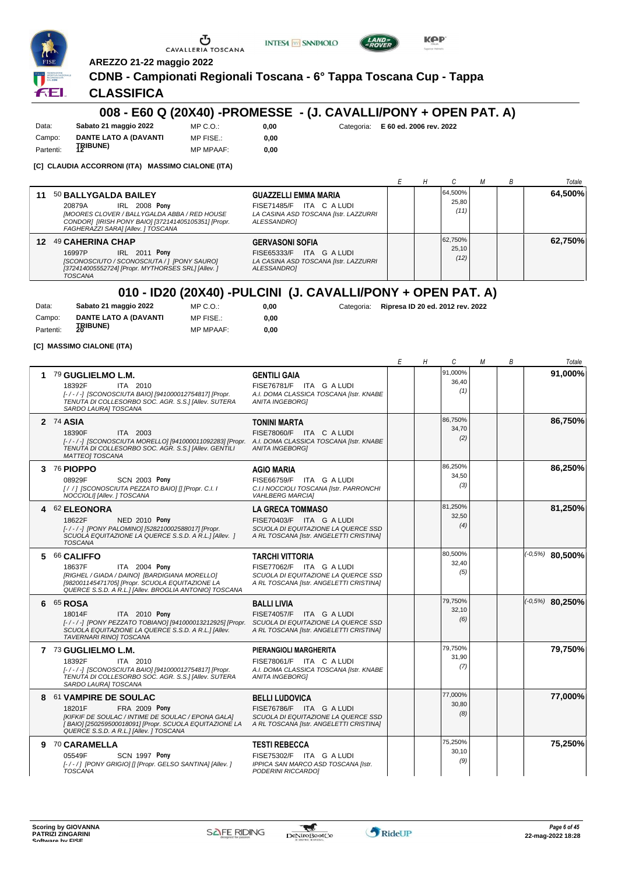





**AREZZO 21-22 maggio 2022**

#### **CDNB - Campionati Regionali Toscana - 6° Tappa Toscana Cup - Tappa**

## **CLASSIFICA**

### **008 - E60 Q (20X40) -PROMESSE - (J. CAVALLI/PONY + OPEN PAT. A)**

Data: **Sabato 21 maggio 2022** Campo: **DANTE LATO A (DAVANTI** Partenti: **12IBUNE**) MP C.O.: MP FISE.: MP MPAAF: **0,00**

**0,00**

**0,00** Categoria: **E 60 ed. 2006 rev. 2022**

**[C] CLAUDIA ACCORRONI (ITA) MASSIMO CIALONE (ITA)**

|    |                                                                                                                                                                                                                                   |                                                                                    |  |                          |  | Totale  |
|----|-----------------------------------------------------------------------------------------------------------------------------------------------------------------------------------------------------------------------------------|------------------------------------------------------------------------------------|--|--------------------------|--|---------|
| 11 | 50 BALLYGALDA BAILEY<br><b>IRL 2008 Pony</b><br>20879A<br>FISE71485/F<br>[MOORES CLOVER / BALLYGALDA ABBA / RED HOUSE<br>ALESSANDRO1<br>CONDOR1 [IRISH PONY BAIO] [372141405105351] [Propr.<br>FAGHERAZZI SARA] [Allev. ] TOSCANA | <b>GUAZZELLI EMMA MARIA</b><br>ITA CALUDI<br>LA CASINA ASD TOSCANA [Istr. LAZZURRI |  | 64.500%<br>25.80<br>(11) |  | 64.500% |
| 12 | 49 CAHERINA CHAP<br><b>GERVASONI SOFIA</b><br><b>IRL 2011 Pony</b><br>16997P<br>FISE65333/F<br>[SCONOSCIUTO / SCONOSCIUTA / ] [PONY SAURO]<br>[372414005552724] [Propr. MYTHORSES SRL] [Allev.]<br>ALESSANDRO]<br><b>TOSCANA</b>  | ITA G A LUDI<br>LA CASINA ASD TOSCANA [Istr. LAZZURRI                              |  | 62,750%<br>25.10<br>(12) |  | 62.750% |

## **010 - ID20 (20X40) -PULCINI (J. CAVALLI/PONY + OPEN PAT. A)**

| Data:     | Sabato 21 maggio 2022 | MP C. O.         | 0.00 |
|-----------|-----------------------|------------------|------|
| Campo:    | DANTE LATO A (DAVANTI | MP FISE.:        | 0.00 |
| Partenti: | <b>TRIBUNE)</b>       | <b>MP MPAAF:</b> | 0.00 |

**0,00** Categoria: **Ripresa ID 20 ed. 2012 rev. 2022**

**[C] MASSIMO CIALONE (ITA)**

|   |                                                                                                                                                                                                                               |                                                                                                                                       | Ε | Η | С                       | М | В | Totale              |
|---|-------------------------------------------------------------------------------------------------------------------------------------------------------------------------------------------------------------------------------|---------------------------------------------------------------------------------------------------------------------------------------|---|---|-------------------------|---|---|---------------------|
| 1 | 79 GUGLIELMO L.M.<br>18392F<br>ITA 2010<br>[-/-/-] [SCONOSCIUTA BAIO] [941000012754817] [Propr.<br>TENUTA DI COLLESORBO SOC. AGR. S.S.] [Allev. SUTERA<br>SARDO LAURA] TOSCANA                                                | <b>GENTILI GAIA</b><br>FISE76781/F ITA G A LUDI<br>A.I. DOMA CLASSICA TOSCANA [Istr. KNABE<br><b>ANITA INGEBORGI</b>                  |   |   | 91,000%<br>36,40<br>(1) |   |   | 91,000%             |
|   | 2 74 ASIA<br>ITA 2003<br>18390F<br>[-/-/-] [SCONOSCIUTA MORELLO] [941000011092283] [Propr. A.I. DOMA CLASSICA TOSCANA [Istr. KNABE<br>TENUTA DI COLLESORBO SOC. AGR. S.S.1 [Allev. GENTILI<br><b>MATTEOI TOSCANA</b>          | <b>TONINI MARTA</b><br>FISE78060/F ITA C A LUDI<br><b>ANITA INGEBORG1</b>                                                             |   |   | 86,750%<br>34,70<br>(2) |   |   | 86,750%             |
|   | 3 76 PIOPPO<br>08929F<br><b>SCN 2003 Pony</b><br>[/ /] [SCONOSCIUTA PEZZATO BAIO] [] [Propr. C.I. I<br>NOCCIOLI] [Allev. ] TOSCANA                                                                                            | <b>AGIO MARIA</b><br>FISE66759/F ITA G A LUDI<br>C.I.I NOCCIOLI TOSCANA [Istr. PARRONCHI<br><b>VAHLBERG MARCIA]</b>                   |   |   | 86,250%<br>34,50<br>(3) |   |   | 86,250%             |
|   | 4 62 ELEONORA<br>18622F<br><b>NED 2010 Pony</b><br>[-/-/-] [PONY PALOMINO] [528210002588017] [Propr.<br>SCUOLA EQUITAZIONE LA QUERCE S.S.D. A R.L.1 [Allev. ]<br><b>TOSCANA</b>                                               | <b>LA GRECA TOMMASO</b><br>FISE70403/F ITA G A LUDI<br>SCUOLA DI EQUITAZIONE LA QUERCE SSD<br>A RL TOSCANA [Istr. ANGELETTI CRISTINA] |   |   | 81,250%<br>32,50<br>(4) |   |   | 81,250%             |
| 5 | 66 CALIFFO<br>18637F<br>ITA 2004 Pony<br>[RIGHEL / GIADA / DAINO] [BARDIGIANA MORELLO]<br>[982001145471705] [Propr. SCUOLA EQUITAZIONE LA<br>QUERCE S.S.D. A R.L.] [Allev. BROGLIA ANTONIO] TOSCANA                           | <b>TARCHI VITTORIA</b><br>FISE77062/F ITA G A LUDI<br>SCUOLA DI EQUITAZIONE LA QUERCE SSD<br>A RL TOSCANA [Istr. ANGELETTI CRISTINA]  |   |   | 80,500%<br>32,40<br>(5) |   |   | $( -0.5\%)$ 80,500% |
|   | 6 65 ROSA<br>18014F<br><b>ITA 2010 Pony</b><br>[-/-/-] [PONY PEZZATO TOBIANO] [941000013212925] [Propr. SCUOLA DI EQUITAZIONE LA QUERCE SSD<br>SCUOLA EQUITAZIONE LA QUERCE S.S.D. A R.L.] [Allev.<br>TAVERNARI RINO] TOSCANA | <b>BALLI LIVIA</b><br>FISE74057/F ITA G A LUDI<br>A RL TOSCANA [Istr. ANGELETTI CRISTINA]                                             |   |   | 79,750%<br>32,10<br>(6) |   |   | $(-0.5%)$ 80,250%   |
|   | 7 73 GUGLIELMO L.M.<br>18392F<br>ITA 2010<br>[-/-/-] [SCONOSCIUTA BAIO] [941000012754817] [Propr.<br>TENUTA DI COLLESORBO SOC. AGR. S.S.] [Allev. SUTERA<br>SARDO LAURA] TOSCANA                                              | PIERANGIOLI MARGHERITA<br>FISE78061/F ITA C A LUDI<br>A.I. DOMA CLASSICA TOSCANA [Istr. KNABE<br><b>ANITA INGEBORGI</b>               |   |   | 79.750%<br>31,90<br>(7) |   |   | 79,750%             |
| 8 | 61 VAMPIRE DE SOULAC<br>FRA 2009 Pony<br>18201F<br>[KIFKIF DE SOULAC / INTIME DE SOULAC / EPONA GALA]<br>[BAIO] [250259500018091] [Propr. SCUOLA EQUITAZIONE LA<br>QUERCE S.S.D. A R.L.] [Allev. ] TOSCANA                    | <b>BELLI LUDOVICA</b><br>FISE76786/F ITA G A LUDI<br>SCUOLA DI EQUITAZIONE LA QUERCE SSD<br>A RL TOSCANA [Istr. ANGELETTI CRISTINA]   |   |   | 77,000%<br>30,80<br>(8) |   |   | 77,000%             |
|   | 9 70 CARAMELLA<br>05549F<br>SCN 1997 Pony<br>[-/-/] [PONY GRIGIO] [] [Propr. GELSO SANTINA] [Allev. ]<br><b>TOSCANA</b>                                                                                                       | <b>TESTI REBECCA</b><br>FISE75302/F ITA G A LUDI<br>IPPICA SAN MARCO ASD TOSCANA [Istr.<br>PODERINI RICCARDO]                         |   |   | 75,250%<br>30,10<br>(9) |   |   | 75,250%             |



 $\mathcal{L}$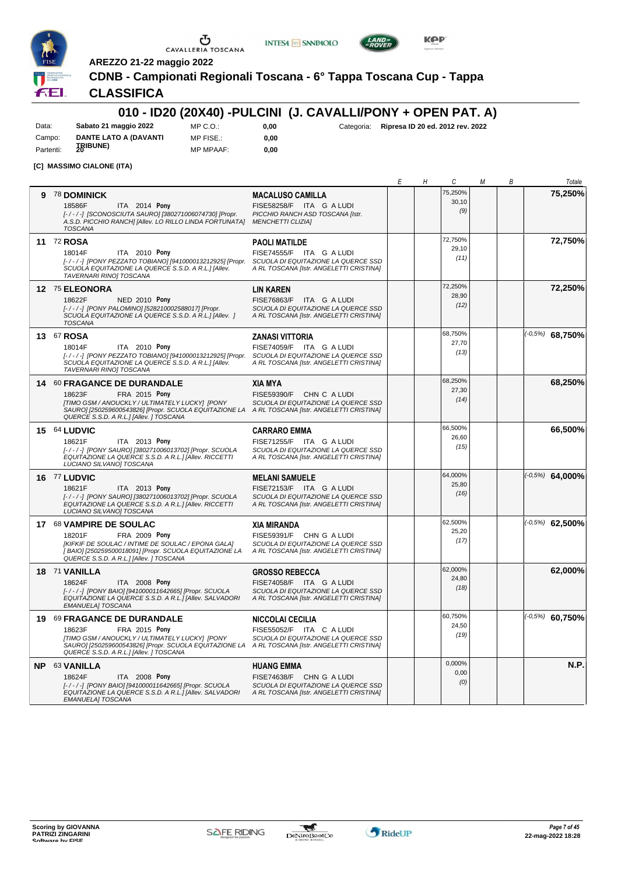





**AREZZO 21-22 maggio 2022**

**CDNB - Campionati Regionali Toscana - 6° Tappa Toscana Cup - Tappa**

## **CLASSIFICA**

#### **010 - ID20 (20X40) -PULCINI (J. CAVALLI/PONY + OPEN PAT. A) 0,00** Categoria: **Ripresa ID 20 ed. 2012 rev. 2022**

Data: **Sabato 21 maggio 2022** Campo: **DANTE LATO A (DAVANTI** Partenti: **IRIBUNE**)

MP C.O.: MP FISE.: MP MPAAF: **0,00**

**0,00**

**[C] MASSIMO CIALONE (ITA)**

|   |                                                                                                                                                                                                                                                       |                                                                                                                                      | Ε | Η | С                        | М | В | Totale            |
|---|-------------------------------------------------------------------------------------------------------------------------------------------------------------------------------------------------------------------------------------------------------|--------------------------------------------------------------------------------------------------------------------------------------|---|---|--------------------------|---|---|-------------------|
| 9 | <b>78 DOMINICK</b><br>18586F<br>ITA 2014 Pony<br>[-/-/-] [SCONOSCIUTA SAURO] [380271006074730] [Propr.<br>A.S.D. PICCHIO RANCH] [Allev. LO RILLO LINDA FORTUNATA]<br><b>TOSCANA</b>                                                                   | <b>MACALUSO CAMILLA</b><br>FISE58258/F ITA G A LUDI<br>PICCHIO RANCH ASD TOSCANA [Istr.<br><b>MENCHETTI CLIZIA]</b>                  |   |   | 75,250%<br>30,10<br>(9)  |   |   | 75,250%           |
|   | 11 72 ROSA<br>18014F<br><b>ITA</b> 2010 <b>Pony</b><br>[-/-/-] [PONY PEZZATO TOBIANO] [941000013212925] [Propr.<br>SCUOLA EQUITAZIONE LA QUERCE S.S.D. A R.L.] [Allev.<br>TAVERNARI RINO] TOSCANA                                                     | <b>PAOLI MATILDE</b><br>FISE74555/F ITA G A LUDI<br>SCUOLA DI EQUITAZIONE LA QUERCE SSD<br>A RL TOSCANA [Istr. ANGELETTI CRISTINA]   |   |   | 72,750%<br>29,10<br>(11) |   |   | 72,750%           |
|   | 12 75 ELEONORA<br>18622F<br>NED 2010 Pony<br>[-/-/-] [PONY PALOMINO] [528210002588017] [Propr.<br>SCUOLA EQUITAZIONE LA QUERCE S.S.D. A R.L.] [Allev. ]<br><b>TOSCANA</b>                                                                             | <b>LIN KAREN</b><br>FISE76863/F ITA G A LUDI<br>SCUOLA DI EQUITAZIONE LA QUERCE SSD<br>A RL TOSCANA [Istr. ANGELETTI CRISTINA]       |   |   | 72,250%<br>28.90<br>(12) |   |   | 72,250%           |
|   | 13 67 ROSA<br>18014F<br>ITA 2010 Pony<br>[-/-/-] [PONY PEZZATO TOBIANO] [941000013212925] [Propr.<br>SCUOLA EQUITAZIONE LA QUERCE S.S.D. A R.L.1 [Allev.<br>TAVERNARI RINOJ TOSCANA                                                                   | <b>ZANASI VITTORIA</b><br>FISE74059/F ITA G A LUDI<br>SCUOLA DI EQUITAZIONE LA QUERCE SSD<br>A RL TOSCANA [Istr. ANGELETTI CRISTINA] |   |   | 68,750%<br>27,70<br>(13) |   |   | $(-0.5%)$ 68,750% |
|   | 14 60 FRAGANCE DE DURANDALE<br>18623F<br>FRA 2015 Pony<br>[TIMO GSM / ANOUCKLY / ULTIMATELY LUCKY] [PONY<br>SAURO] [250259600543826] [Propr. SCUOLA EQUITAZIONE LA A RL TOSCANA [Istr. ANGELETTI CRISTINA]<br>QUERCE S.S.D. A R.L.] [Allev. ] TOSCANA | <b>XIA MYA</b><br>FISE59390/F CHN C A LUDI<br>SCUOLA DI EQUITAZIONE LA QUERCE SSD                                                    |   |   | 68,250%<br>27,30<br>(14) |   |   | 68,250%           |
|   | 15 64 LUDVIC<br>18621F<br>ITA 2013 Pony<br>[-/-/-] [PONY SAURO] [380271006013702] [Propr. SCUOLA<br>EQUITAZIONE LA QUERCE S.S.D. A R.L.] [Allev. RICCETTI<br>LUCIANO SILVANO] TOSCANA                                                                 | <b>CARRARO EMMA</b><br>FISE71255/F ITA G A LUDI<br>SCUOLA DI EQUITAZIONE LA QUERCE SSD<br>A RL TOSCANA [Istr. ANGELETTI CRISTINA]    |   |   | 66,500%<br>26,60<br>(15) |   |   | 66,500%           |
|   | 16 77 LUDVIC<br>18621F<br>ITA 2013 Pony<br>[-/-/-] [PONY SAURO] [380271006013702] [Propr. SCUOLA<br>EQUITAZIONE LA QUERCE S.S.D. A R.L.] [Allev. RICCETTI<br>LUCIANO SILVANO] TOSCANA                                                                 | <b>MELANI SAMUELE</b><br>FISE72153/F ITA G A LUDI<br>SCUOLA DI EQUITAZIONE LA QUERCE SSD<br>A RL TOSCANA [Istr. ANGELETTI CRISTINA]  |   |   | 64,000%<br>25,80<br>(16) |   |   | $(-0.5%)$ 64,000% |
|   | 17 68 VAMPIRE DE SOULAC<br>18201F<br>FRA 2009 Pony<br>[KIFKIF DE SOULAC / INTIME DE SOULAC / EPONA GALA]<br>[BAIO] [250259500018091] [Propr. SCUOLA EQUITAZIONE LA<br>QUERCE S.S.D. A R.L.] [Allev. ] TOSCANA                                         | <b>XIA MIRANDA</b><br>FISE59391/F CHN G A LUDI<br>SCUOLA DI EQUITAZIONE LA QUERCE SSD<br>A RL TOSCANA [Istr. ANGELETTI CRISTINA]     |   |   | 62,500%<br>25,20<br>(17) |   |   | $(-0.5%)$ 62,500% |
|   | 18 71 VANILLA<br>18624F<br>ITA 2008 Pony<br>[-/-/-] [PONY BAIO] [941000011642665] [Propr. SCUOLA<br>EQUITAZIONE LA QUERCE S.S.D. A R.L.] [Allev. SALVADORI<br><b>EMANUELA] TOSCANA</b>                                                                | <b>GROSSO REBECCA</b><br>FISE74058/F ITA G A LUDI<br>SCUOLA DI EQUITAZIONE LA QUERCE SSD<br>A RL TOSCANA [Istr. ANGELETTI CRISTINA]  |   |   | 62,000%<br>24,80<br>(18) |   |   | 62,000%           |
|   | 19 69 FRAGANCE DE DURANDALE<br>FRA 2015 Pony<br>18623F<br>[TIMO GSM / ANOUCKLY / ULTIMATELY LUCKY] [PONY<br>SAURO] [250259600543826] [Propr. SCUOLA EQUITAZIONE LA A RL TOSCANA [Istr. ANGELETTI CRISTINA]<br>QUERCE S.S.D. A R.L.] [Allev. ] TOSCANA | NICCOLAI CECILIA<br>FISE55052/F ITA C A LUDI<br>SCUOLA DI EQUITAZIONE LA QUERCE SSD                                                  |   |   | 60,750%<br>24,50<br>(19) |   |   | $(-0.5%)$ 60,750% |
|   | NP 63 VANILLA<br>ITA 2008 Pony<br>18624F<br>[-/-/-] [PONY BAIO] [941000011642665] [Propr. SCUOLA<br>EQUITAZIONE LA QUERCE S.S.D. A R.L.] [Allev. SALVADORI<br>EMANUELA] TOSCANA                                                                       | <b>HUANG EMMA</b><br>FISE74638/F CHN G A LUDI<br>SCUOLA DI EQUITAZIONE LA QUERCE SSD<br>A RL TOSCANA [Istr. ANGELETTI CRISTINA]      |   |   | 0,000%<br>0,00<br>(0)    |   |   | N.P.              |

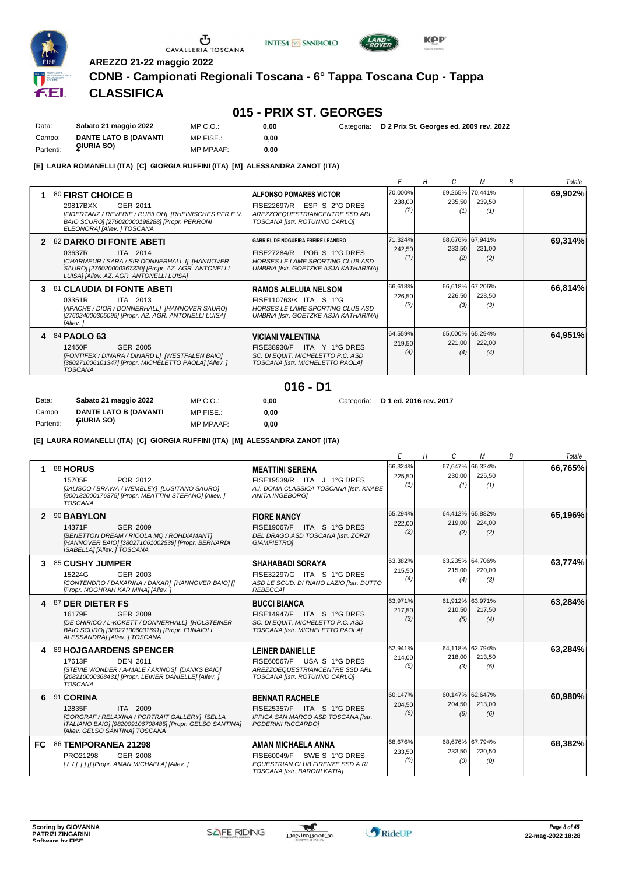

# $\begin{array}{c}\n\bullet \\
\bullet \\
\bullet \\
\bullet \\
\bullet\n\end{array}$  CAVALLERIA TOSCANA

**AREZZO 21-22 maggio 2022**

**CDNB - Campionati Regionali Toscana - 6° Tappa Toscana Cup - Tappa**

**INTESA** M SANPAOLO

# **CLASSIFICA**

## **015 - PRIX ST. GEORGES**

| Data:     | Sabato 21 maggio 2022        | MP C. O.         | 0.00 | Categoria: D 2 Prix St. Georges ed. 2009 rev. 2022 |
|-----------|------------------------------|------------------|------|----------------------------------------------------|
| Campo:    | <b>DANTE LATO B (DAVANTI</b> | MP FISE.:        | 0.00 |                                                    |
| Partenti: | GIURIA SO)                   | <b>MP MPAAF:</b> | 0.00 |                                                    |

**[E] LAURA ROMANELLI (ITA) [C] GIORGIA RUFFINI (ITA) [M] ALESSANDRA ZANOT (ITA)**

|    |                                                                                                                                                                                                                  |                                                                                                                                                      |                          |                                  |               | B | Totale  |
|----|------------------------------------------------------------------------------------------------------------------------------------------------------------------------------------------------------------------|------------------------------------------------------------------------------------------------------------------------------------------------------|--------------------------|----------------------------------|---------------|---|---------|
|    | 80 FIRST CHOICE B<br>GER 2011<br>29817BXX<br>[FIDERTANZ / REVERIE / RUBILOH] [RHEINISCHES PFR.E V.<br>BAIO SCURO] [276020000198288] [Propr. PERRONI<br>ELEONORA] [Allev. ] TOSCANA                               | ALFONSO POMARES VICTOR<br>FISE22697/R ESP S 2°G DRES<br>AREZZOEQUESTRIANCENTRE SSD ARL<br>TOSCANA [Istr. ROTUNNO CARLO]                              | 70,000%<br>238,00<br>(2) | 69,265% 70,441%<br>235,50<br>(1) | 239,50<br>(1) |   | 69,902% |
| 2  | <b>82 DARKO DI FONTE ABETI</b><br><b>ITA 2014</b><br>03637R<br>[CHARMEUR / SARA / SIR DONNERHALL I] [HANNOVER<br>SAURO] [276020000367320] [Propr. AZ. AGR. ANTONELLI<br>LUISA] [Allev. AZ. AGR. ANTONELLI LUISA] | <b>GABRIEL DE NOGUEIRA FREIRE LEANDRO</b><br>FISE27284/R POR S 1°G DRES<br>HORSES LE LAME SPORTING CLUB ASD<br>UMBRIA [Istr. GOETZKE ASJA KATHARINA] | 71,324%<br>242,50<br>(1) | 68,676% 67,941%<br>233,50<br>(2) | 231,00<br>(2) |   | 69,314% |
| З. | 81 CLAUDIA DI FONTE ABETI<br>03351R<br><b>ITA 2013</b><br>[APACHE / DIOR / DONNERHALL] [HANNOVER SAURO]<br>[276024000305095] [Propr. AZ. AGR. ANTONELLI LUISA]<br>[Allev.]                                       | <b>RAMOS ALELUIA NELSON</b><br>FISE110763/K ITA S 1°G<br>HORSES LE LAME SPORTING CLUB ASD<br>UMBRIA [Istr. GOETZKE ASJA KATHARINA]                   | 66,618%<br>226,50<br>(3) | 66,618% 67,206%<br>226,50<br>(3) | 228,50<br>(3) |   | 66,814% |
|    | 4 84 PAOLO 63<br>GER 2005<br>12450F<br>[PONTIFEX / DINARA / DINARD L] [WESTFALEN BAIO]<br>[380271006101347] [Propr. MICHELETTO PAOLA] [Allev. ]<br><b>TOSCANA</b>                                                | <b>VICIANI VALENTINA</b><br>FISE38930/F ITA Y 1°G DRES<br>SC. DI EQUIT. MICHELETTO P.C. ASD<br>TOSCANA [Istr. MICHELETTO PAOLA]                      | 64,559%<br>219,50<br>(4) | 65,000% 65,294%<br>221,00<br>(4) | 222,00<br>(4) |   | 64,951% |

#### **016 - D1**

| Data:     | Sabato 21 maggio 2022        | MP C.O.:         | 0.00 | Categoria: D 1 ed. 2016 rev. 2017 |
|-----------|------------------------------|------------------|------|-----------------------------------|
| Campo:    | <b>DANTE LATO B (DAVANTI</b> | MP FISE.:        | 0.00 |                                   |
| Partenti: | GIURIA SO)                   | <b>MP MPAAF:</b> | 0.00 |                                   |

**[E] LAURA ROMANELLI (ITA) [C] GIORGIA RUFFINI (ITA) [M] ALESSANDRA ZANOT (ITA)**

|     |                                                                                                                                                                                  |                                                                                                                            | E                        | H<br>C                   | м                                | В | Totale  |
|-----|----------------------------------------------------------------------------------------------------------------------------------------------------------------------------------|----------------------------------------------------------------------------------------------------------------------------|--------------------------|--------------------------|----------------------------------|---|---------|
|     | 88 HORUS<br>POR 2012<br>15705F<br>[JALISCO / BRAWA / WEMBLEY] [LUSITANO SAURO]<br>[900182000176375] [Propr. MEATTINI STEFANO] [Allev. ]<br><b>TOSCANA</b>                        | <b>MEATTINI SERENA</b><br>FISE19539/R ITA J 1°G DRES<br>A.I. DOMA CLASSICA TOSCANA [Istr. KNABE<br><b>ANITA INGEBORGI</b>  | 66,324%<br>225,50<br>(1) | 67,647%<br>230.00<br>(1) | 66,324%<br>225.50<br>(1)         |   | 66,765% |
|     | 2 90 BABYLON<br>14371F<br>GER 2009<br>[BENETTON DREAM / RICOLA MQ / ROHDIAMANT]<br>[HANNOVER BAIO] [380271061002539] [Propr. BERNARDI<br>ISABELLA] [Allev. ] TOSCANA             | <b>FIORE NANCY</b><br>FISE19067/F ITA S 1°G DRES<br>DEL DRAGO ASD TOSCANA [Istr. ZORZI<br>GIAMPIETRO]                      | 65,294%<br>222.00<br>(2) | 219.00<br>(2)            | 64,412% 65,882%<br>224.00<br>(2) |   | 65,196% |
| 3   | 85 CUSHY JUMPER<br>GER 2003<br>15224G<br>[CONTENDRO / DAKARINA / DAKAR] [HANNOVER BAIO] []<br>[Propr. NOGHRAH KAR MINA] [Allev. ]                                                | <b>SHAHABADI SORAYA</b><br>FISE32297/G ITA S 1°G DRES<br>ASD LE SCUD. DI RIANO LAZIO [Istr. DUTTO<br><b>REBECCA1</b>       | 63,382%<br>215,50<br>(4) | 215.00<br>(4)            | 63,235% 64,706%<br>220,00<br>(3) |   | 63,774% |
|     | 4 87 DER DIETER FS<br>16179F<br>GER 2009<br>[DE CHIRICO / L-KOKETT / DONNERHALL] [HOLSTEINER<br>BAIO SCURO] [380271006031691] [Propr. FUNAIOLI<br>ALESSANDRAI [Allev. ] TOSCANA  | <b>BUCCI BIANCA</b><br>FISE14947/F ITA S 1°G DRES<br>SC. DI EQUIT. MICHELETTO P.C. ASD<br>TOSCANA [Istr. MICHELETTO PAOLA] | 63,971%<br>217,50<br>(3) | 210,50<br>(5)            | 61,912% 63,971%<br>217,50<br>(4) |   | 63,284% |
| 4   | 89 HOJGAARDENS SPENCER<br>17613F<br><b>DEN 2011</b><br>[STEVIE WONDER / A-MALE / AKINOS] [DANKS BAIO]<br>[208210000368431] [Propr. LEINER DANIELLE] [Allev. ]<br><b>TOSCANA</b>  | LEINER DANIELLE<br>FISE60567/F USA S 1°G DRES<br>AREZZOEQUESTRIANCENTRE SSD ARL<br>TOSCANA [Istr. ROTUNNO CARLO]           | 62.941%<br>214,00<br>(5) | 218.00<br>(3)            | 64,118% 62,794%<br>213,50<br>(5) |   | 63,284% |
|     | 6 91 CORINA<br>12835F<br>ITA 2009<br>[CORGRAF / RELAXINA / PORTRAIT GALLERY] [SELLA<br>ITALIANO BAIO] [982009106708485] [Propr. GELSO SANTINA]<br>[Allev. GELSO SANTINA] TOSCANA | <b>BENNATI RACHELE</b><br>FISE25357/F ITA S 1°G DRES<br>IPPICA SAN MARCO ASD TOSCANA [Istr.<br>PODERINI RICCARDO]          | 60,147%<br>204,50<br>(6) | 204,50<br>(6)            | 60,147% 62,647%<br>213,00<br>(6) |   | 60.980% |
| FC. | 86 TEMPORANEA 21298<br>PRO21298<br>GER 2008<br>[//] [1] [Propr. AMAN MICHAELA] [Allev. ]                                                                                         | AMAN MICHAELA ANNA<br>FISE60049/F SWE S 1°G DRES<br>EQUESTRIAN CLUB FIRENZE SSD A RL<br>TOSCANA [Istr. BARONI KATIA]       | 68,676%<br>233,50<br>(0) | 233.50<br>(0)            | 68,676% 67,794%<br>230,50<br>(0) |   | 68,382% |



 $\mathcal{L}$ 

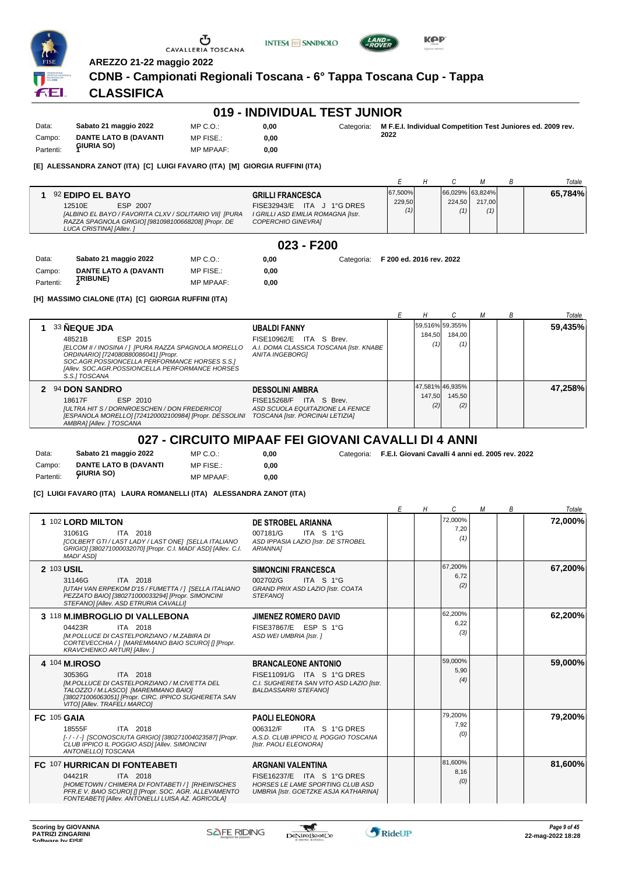





**AREZZO 21-22 maggio 2022**

**CDNB - Campionati Regionali Toscana - 6° Tappa Toscana Cup - Tappa**

## **CLASSIFICA**

#### **019 - INDIVIDUAL TEST JUNIOR**

| Data:     | Sabato 21 maggio 2022        | MP C. O.         | 0.00 | Categoria: | M F.E.I. Individual Competition Test Juniores ed. 2009 rev. |
|-----------|------------------------------|------------------|------|------------|-------------------------------------------------------------|
| Campo:    | <b>DANTE LATO B (DAVANTI</b> | MP FISE.:        | 0.00 |            | 2022                                                        |
| Partenti: | GIURIA SO)                   | <b>MP MPAAF:</b> | 0.00 |            |                                                             |

#### **[E] ALESSANDRA ZANOT (ITA) [C] LUIGI FAVARO (ITA) [M] GIORGIA RUFFINI (ITA)**

|                                                                                                                                                                                    |                                                                                                                   |                   |                                  |               | Totale  |
|------------------------------------------------------------------------------------------------------------------------------------------------------------------------------------|-------------------------------------------------------------------------------------------------------------------|-------------------|----------------------------------|---------------|---------|
| 92 EDIPO EL BAYO<br>12510E<br>ESP 2007<br>[ALBINO EL BAYO / FAVORITA CLXV / SOLITARIO VII] [PURA<br>RAZZA SPAGNOLA GRIGIO] [981098100668208] [Propr. DE<br>LUCA CRISTINA] [Allev.] | <b>GRILLI FRANCESCA</b><br>FISE32943/E ITA J 1°G DRES<br>I GRILLI ASD EMILIA ROMAGNA [Istr.<br>COPERCHIO GINEVRAI | 67,500%<br>229,50 | 66,029% 63,824%<br>224.50<br>(1) | 217.00<br>(1) | 65,784% |

#### **023 - F200**

| Data:     | Sabato 21 maggio 2022        | MP C. O.         | 0.00 |
|-----------|------------------------------|------------------|------|
| Campo:    | <b>DANTE LATO A (DAVANTI</b> | MP FISE.:        | 0.00 |
| Partenti: | <b><i>JRIBUNE</i></b>        | <b>MP MPAAF:</b> | 0.00 |

**0,00** Categoria: **F 200 ed. 2016 rev. 2022**

**[H] MASSIMO CIALONE (ITA) [C] GIORGIA RUFFINI (ITA)**

|                                                                                                                                                                                                                                                         |                                                                                                                           |               |                                  |  | Totale  |
|---------------------------------------------------------------------------------------------------------------------------------------------------------------------------------------------------------------------------------------------------------|---------------------------------------------------------------------------------------------------------------------------|---------------|----------------------------------|--|---------|
| 33 NEQUE JDA<br>ESP 2015<br>48521B<br>[ELCOM II / INOSINA / ] [PURA RAZZA SPAGNOLA MORELLO<br>ORDINARIO] [724080880086041] [Propr.<br>SOC.AGR.POSSIONCELLA PERFORMANCE HORSES S.S.1<br>[Allev. SOC.AGR.POSSIONCELLA PERFORMANCE HORSES<br>S.S.I TOSCANA | <b>UBALDI FANNY</b><br>FISE10962/E ITA S Brev.<br>A.I. DOMA CLASSICA TOSCANA [Istr. KNABE]<br><b>ANITA INGEBORGI</b>      | 184.50<br>(1) | 59,516% 59,355%<br>184.00<br>(1) |  | 59,435% |
| 2 94 DON SANDRO<br>ESP 2010<br>18617F<br>[ULTRA HIT S / DORNROESCHEN / DON FREDERICO]<br>[ESPANOLA MORELLO] [724120002100984] [Propr. DESSOLINI<br>AMBRAI [Allev. ] TOSCANA                                                                             | <b>DESSOLINI AMBRA</b><br>FISE15268/F ITA S Brev.<br>ASD SCUOLA EQUITAZIONE LA FENICE<br>TOSCANA [Istr. PORCINAI LETIZIA] | 147.50<br>(2) | 47.581% 46.935%<br>145.50<br>(2) |  | 47,258% |

#### **027 - CIRCUITO MIPAAF FEI GIOVANI CAVALLI DI 4 ANNI**

| Data:     | Sabato 21 maggio 2022        | MP C. O.         | 0.00 |
|-----------|------------------------------|------------------|------|
| Campo:    | <b>DANTE LATO B (DAVANTI</b> | MP FISE.:        | 0.00 |
| Partenti: | GIURIA SO)                   | <b>MP MPAAF:</b> | 0,00 |

**0,00** Categoria: **F.E.I. Giovani Cavalli 4 anni ed. 2005 rev. 2022**

#### MP MPAAF: **0,00 [C] LUIGI FAVARO (ITA) LAURA ROMANELLI (ITA) ALESSANDRA ZANOT (ITA)**

|                                                                                                                                                                                                                           |                                                                                                                                            | E | H | C                      | M | В | Totale  |
|---------------------------------------------------------------------------------------------------------------------------------------------------------------------------------------------------------------------------|--------------------------------------------------------------------------------------------------------------------------------------------|---|---|------------------------|---|---|---------|
| 1 102 LORD MILTON<br>ITA 2018<br>31061G<br><b>ICOLBERT GTI / LAST LADY / LAST ONE  [SELLA ITALIANO</b><br>GRIGIO] [380271000032070] [Propr. C.I. MADI' ASD] [Allev. C.I.<br><b>MADI' ASDI</b>                             | DE STROBEL ARIANNA<br>007181/G<br>ITA S 1°G<br>ASD IPPASIA LAZIO [Istr. DE STROBEL<br>ARIANNA]                                             |   |   | 72.000%<br>7.20<br>(1) |   |   | 72,000% |
| 2 103 USIL<br>ITA 2018<br>31146G<br>[UTAH VAN ERPEKOM D'15 / FUMETTA / ] [SELLA ITALIANO<br>PEZZATO BAIO] [380271000033294] [Propr. SIMONCINI<br>STEFANOI [Allev. ASD ETRURIA CAVALLI]                                    | <b>SIMONCINI FRANCESCA</b><br>002702/G<br>ITA S 1°G<br>GRAND PRIX ASD LAZIO [Istr. COATA<br><b>STEFANOI</b>                                |   |   | 67,200%<br>6,72<br>(2) |   |   | 67,200% |
| 3 118 M.IMBROGLIO DI VALLEBONA<br>04423R<br>ITA 2018<br>IM.POLLUCE DI CASTELPORZIANO / M.ZABIRA DI<br>CORTEVECCHIA / 1 [MAREMMANO BAIO SCURO] [] [Propr.<br><b>KRAVCHENKO ARTURI [Allev.]</b>                             | <b>JIMENEZ ROMERO DAVID</b><br>FISE37867/E ESP S 1°G<br>ASD WEI UMBRIA [Istr. ]                                                            |   |   | 62,200%<br>6,22<br>(3) |   |   | 62,200% |
| 4 104 M.IROSO<br>ITA 2018<br>30536G<br><b>IM.POLLUCE DI CASTELPORZIANO / M.CIVETTA DEL</b><br>TALOZZO / M.LASCO] [MAREMMANO BAIO]<br>[380271006063051] [Propr. CIRC. IPPICO SUGHERETA SAN<br>VITO] [Allev. TRAFELI MARCO] | <b>BRANCALEONE ANTONIO</b><br>FISE11091/G ITA S 1°G DRES<br>C.I. SUGHERETA SAN VITO ASD LAZIO [Istr.<br><b>BALDASSARRI STEFANOI</b>        |   |   | 59,000%<br>5,90<br>(4) |   |   | 59,000% |
| FC 105 GAIA<br>ITA 2018<br>18555F<br>[-/-/-] [SCONOSCIUTA GRIGIO] [380271004023587] [Propr.<br>CLUB IPPICO IL POGGIO ASDI [Allev. SIMONCINI<br>ANTONELLOI TOSCANA                                                         | <b>PAOLI ELEONORA</b><br>ITA S 1°G DRES<br>006312/F<br>A.S.D. CLUB IPPICO IL POGGIO TOSCANA<br>[Istr. PAOLI ELEONORA]                      |   |   | 79.200%<br>7.92<br>(0) |   |   | 79,200% |
| FC 107 HURRICAN DI FONTEABETI<br>04421R<br>ITA 2018<br>[HOMETOWN / CHIMERA DI FONTABETI / ] [RHEINISCHES<br>PFR.E V. BAIO SCUROI [] [Propr. SOC. AGR. ALLEVAMENTO<br>FONTEABETI) [Allev. ANTONELLI LUISA AZ. AGRICOLA]    | <b>ARGNANI VALENTINA</b><br>FISE16237/E ITA S 1°G DRES<br>HORSES LE LAME SPORTING CLUB ASD<br><b>UMBRIA [Istr. GOETZKE ASJA KATHARINA]</b> |   |   | 81,600%<br>8,16<br>(0) |   |   | 81,600% |

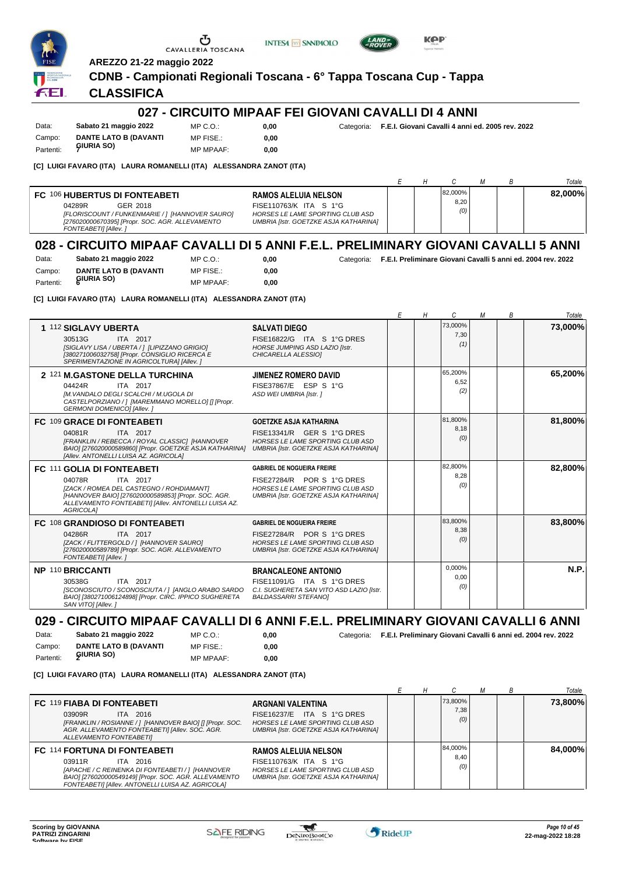





FFI.

# **AREZZO 21-22 maggio 2022 CDNB - Campionati Regionali Toscana - 6° Tappa Toscana Cup - Tappa**

**0,00**

0,00 **0,00**

## **CLASSIFICA**

### **027 - CIRCUITO MIPAAF FEI GIOVANI CAVALLI DI 4 ANNI**

Data: **Sabato 21 maggio 2022** Campo: **DANTE LATO B (DAVANTI GIURIA SO)** Partenti: **<sup>7</sup>**  $MP C. O.$ MP FISE.: MP MPAAF: **0,00**

**0,00** Categoria: **F.E.I. Giovani Cavalli 4 anni ed. 2005 rev. 2022**

#### **[C] LUIGI FAVARO (ITA) LAURA ROMANELLI (ITA) ALESSANDRA ZANOT (ITA)**

|                                                                  |                                                                                                                |                                                                                                                                    |  |                        |  | Totale  |
|------------------------------------------------------------------|----------------------------------------------------------------------------------------------------------------|------------------------------------------------------------------------------------------------------------------------------------|--|------------------------|--|---------|
| FC 106 HUBERTUS DI FONTEABETI<br>04289R<br>FONTEABETI] [Allev. ] | GER 2018<br>[FLORISCOUNT / FUNKENMARIE / ] [HANNOVER SAURO]<br>[276020000670395] [Propr. SOC. AGR. ALLEVAMENTO | <b>RAMOS ALELUIA NELSON</b><br>FISE110763/K ITA S 1°G<br>HORSES LE LAME SPORTING CLUB ASD<br>UMBRIA [Istr. GOETZKE ASJA KATHARINA] |  | 82,000%<br>8,20<br>(0) |  | 82.000% |

## **028 - CIRCUITO MIPAAF CAVALLI DI 5 ANNI F.E.L. PRELIMINARY GIOVANI CAVALLI 5 ANNI**

| Data:     | Sabato 21 maggio 2022        | MP C. O.         |
|-----------|------------------------------|------------------|
| Campo:    | <b>DANTE LATO B (DAVANTI</b> | MP FISE.:        |
| Partenti: | GIURIA SO)                   | <b>MP MPAAF:</b> |

**0,00** Categoria: **F.E.I. Preliminare Giovani Cavalli 5 anni ed. 2004 rev. 2022**

**[C] LUIGI FAVARO (ITA) LAURA ROMANELLI (ITA) ALESSANDRA ZANOT (ITA)**

|                                                                                                                                                                                                                         |                                                                                                                                                 | Е | Н | C                      | М | В | Totale  |
|-------------------------------------------------------------------------------------------------------------------------------------------------------------------------------------------------------------------------|-------------------------------------------------------------------------------------------------------------------------------------------------|---|---|------------------------|---|---|---------|
| 1 112 SIGLAVY UBERTA<br>30513G<br>ITA 2017<br>[SIGLAVY LISA / UBERTA / 1 [LIPIZZANO GRIGIO]<br>[380271006032758] [Propr. CONSIGLIO RICERCA E<br>SPERIMENTAZIONE IN AGRICOLTURA] [Allev.]                                | <b>SALVATI DIEGO</b><br>FISE16822/G ITA S 1°G DRES<br>HORSE JUMPING ASD LAZIO [Istr.<br>CHICARELLA ALESSIOI                                     |   |   | 73,000%<br>7,30<br>(1) |   |   | 73,000% |
| 2 121 M.GASTONE DELLA TURCHINA<br>04424R<br>ITA 2017<br>IM. VANDALO DEGLI SCALCHI / M.UGOLA DI<br>CASTELPORZIANO / 1 [MAREMMANO MORELLO] [] [Propr.<br><b>GERMONI DOMENICOI [Allev. ]</b>                               | <b>JIMENEZ ROMERO DAVID</b><br>FISE37867/E ESP S 1°G<br>ASD WEI UMBRIA [Istr. ]                                                                 |   |   | 65,200%<br>6,52<br>(2) |   |   | 65,200% |
| FC 109 GRACE DI FONTEABETI<br>04081R<br>ITA 2017<br>[FRANKLIN / REBECCA / ROYAL CLASSIC] [HANNOVER<br>BAIO] [276020000589860] [Propr. GOETZKE ASJA KATHARINA]<br>[Allev. ANTONELLI LUISA AZ. AGRICOLA]                  | <b>GOETZKE ASJA KATHARINA</b><br>FISE13341/R GER S 1°G DRES<br>HORSES LE LAME SPORTING CLUB ASD<br><b>UMBRIA [Istr. GOETZKE ASJA KATHARINA]</b> |   |   | 81,800%<br>8,18<br>(0) |   |   | 81,800% |
| FC 111 GOLIA DI FONTEABETI<br>04078R<br>ITA 2017<br>[ZACK / ROMEA DEL CASTEGNO / ROHDIAMANT]<br>[HANNOVER BAIO] [276020000589853] [Propr. SOC. AGR.<br>ALLEVAMENTO FONTEABETI] [Allev. ANTONELLI LUISA AZ.<br>AGRICOLA] | <b>GABRIEL DE NOGUEIRA FREIRE</b><br>FISE27284/R POR S 1°G DRES<br>HORSES LE LAME SPORTING CLUB ASD<br>UMBRIA [Istr. GOETZKE ASJA KATHARINA]    |   |   | 82,800%<br>8,28<br>(0) |   |   | 82,800% |
| FC 108 GRANDIOSO DI FONTEABETI<br>04286R<br>ITA 2017<br>[ZACK / FLITTERGOLD / ] [HANNOVER SAURO]<br>[276020000589789] [Propr. SOC. AGR. ALLEVAMENTO<br>FONTEABETI] [Allev.]                                             | <b>GABRIEL DE NOGUEIRA FREIRE</b><br>FISE27284/R POR S 1°G DRES<br>HORSES LE LAME SPORTING CLUB ASD<br>UMBRIA [Istr. GOETZKE ASJA KATHARINA]    |   |   | 83,800%<br>8,38<br>(0) |   |   | 83,800% |
| NP 110 BRICCANTI<br>30538G<br>ITA 2017<br>[SCONOSCIUTO / SCONOSCIUTA / ] [ANGLO ARABO SARDO<br>BAIO] [380271006124898] [Propr. CIRC. IPPICO SUGHERETA<br>SAN VITOI [Allev.]                                             | <b>BRANCALEONE ANTONIO</b><br>FISE11091/G ITA S 1°G DRES<br>C.I. SUGHERETA SAN VITO ASD LAZIO [Istr.<br><b>BALDASSARRI STEFANOI</b>             |   |   | 0,000%<br>0.00<br>(0)  |   |   | N.P.    |

# **029 - CIRCUITO MIPAAF CAVALLI DI 6 ANNI F.E.L. PRELIMINARY GIOVANI CAVALLI 6 ANNI**

**0,00**

Data: **Sabato 21 maggio 2022** Campo: **DANTE LATO B (DAVANTI GIURIA SO)** Partenti: **<sup>2</sup>** MP C.O.: MP FISE.: MP MPAAF: **0,00**

**0,00** Categoria: **F.E.I. Preliminary Giovani Cavalli 6 anni ed. 2004 rev. 2022**

**[C] LUIGI FAVARO (ITA) LAURA ROMANELLI (ITA) ALESSANDRA ZANOT (ITA)**

|                                                                                                                                                                                                                              |                                                                                                                                           |  |                        |  | Totale  |
|------------------------------------------------------------------------------------------------------------------------------------------------------------------------------------------------------------------------------|-------------------------------------------------------------------------------------------------------------------------------------------|--|------------------------|--|---------|
| <b>FC 119 FIABA DI FONTEABETI</b><br>03909R<br>ITA 2016<br>[FRANKLIN / ROSIANNE / ] [HANNOVER BAIO] [] [Propr. SOC.<br>AGR. ALLEVAMENTO FONTEABETI) [Allev. SOC. AGR.<br>ALLEVAMENTO FONTEABETII                             | ARGNANI VALENTINA<br>FISE16237/E ITA S 1°G DRES<br>HORSES LE LAME SPORTING CLUB ASD<br>UMBRIA [Istr. GOETZKE ASJA KATHARINA]              |  | 73,800%<br>7,38<br>(0) |  | 73,800% |
| <b>FC 114 FORTUNA DI FONTEABETI</b><br>ITA 2016<br>03911R<br>[APACHE / C REINENKA DI FONTEABETI / 1 [HANNOVER]<br>BAIO] [276020000549149] [Propr. SOC. AGR. ALLEVAMENTO<br>FONTEABETI] [Allev. ANTONELLI LUISA AZ. AGRICOLA] | <b>RAMOS ALELUIA NELSON</b><br>FISE110763/K ITA S 1°G<br>HORSES LE LAME SPORTING CLUB ASD<br><b>UMBRIA [Istr. GOETZKE ASJA KATHARINA]</b> |  | 84.000%<br>8,40<br>(0) |  | 84.000% |

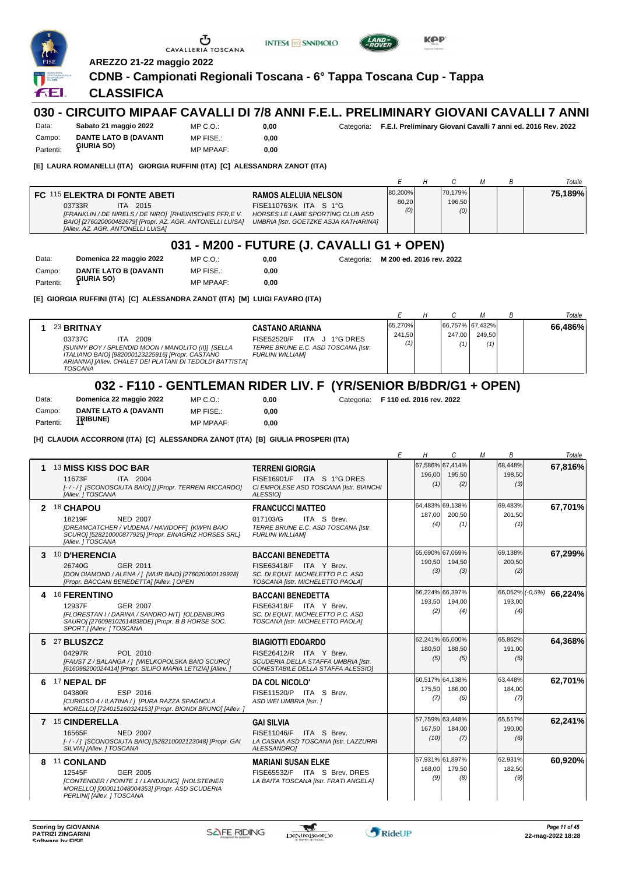

#### **7** 15 **CINDERELLA** NED 2007 **GAI SILVIA** *[- / - / ] [SCONOSCIUTA BAIO] [528210002123048] [Propr. GAI SILVIA] [Allev. ] TOSCANA LA CASINA ASD TOSCANA [Istr. LAZZURRI ALESSANDRO]* 16565F FISE11046/F ITA <sup>S</sup> Brev. *(10)* 57,759% 63,448% 167,50 *(7)* 184,00 *(6)* 65,517% 190,00 **8** 11 **CONLAND** GER 2005 **MARIANI SUSAN ELKE** *[CONTENDER / POINTE 1 / LANDJUNG] [HOLSTEINER* 12545F FISE65532/F ITA <sup>S</sup> Brev. DRES *(9) MORELLO] [000011048004353] [Propr. ASD SCUDERIA PERLINI] [Allev. ] TOSCANA LA BAITA TOSCANA [Istr. FRATI ANGELA]* 57,931% 61,897% 168,00 *(8)* 179,50 *(9)* 62,931% 182,50



-gaf

**62,241%**

**60,920%**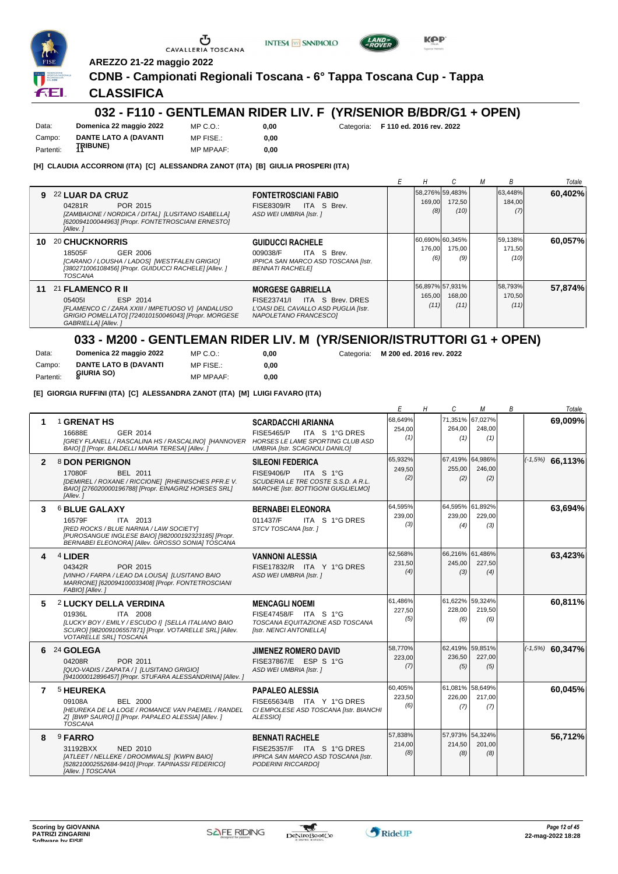





**AREZZO 21-22 maggio 2022**

#### **CDNB - Campionati Regionali Toscana - 6° Tappa Toscana Cup - Tappa**

**0,00**

**0,00**

#### **CLASSIFICA**

# **032 - F110 - GENTLEMAN RIDER LIV. F (YR/SENIOR B/BDR/G1 + OPEN)**

Data: **Domenica 22 maggio 2022** Campo: **DANTE LATO A (DAVANTI** Partenti: **TRIBUNE**)

MP C.O.: MP FISE.: MP MPAAF: **0,00**

**0,00** Categoria: **F 110 ed. 2016 rev. 2022**

**[H] CLAUDIA ACCORRONI (ITA) [C] ALESSANDRA ZANOT (ITA) [B] GIULIA PROSPERI (ITA)**

|    |                                                                                                                                                                            |                                                                                                                              | н              |                                   | м | В                         | Totale  |
|----|----------------------------------------------------------------------------------------------------------------------------------------------------------------------------|------------------------------------------------------------------------------------------------------------------------------|----------------|-----------------------------------|---|---------------------------|---------|
| g  | 22 LUAR DA CRUZ<br>POR 2015<br>04281R<br>[ZAMBAIONE / NORDICA / DITAL] [LUSITANO ISABELLA]<br>[620094100044963] [Propr. FONTETROSCIANI ERNESTO]<br>[Allev.]                | <b>FONTETROSCIANI FABIO</b><br>ITA S Brev.<br>FISE8309/R<br>ASD WEI UMBRIA [Istr. ]                                          | 169,00<br>(8)  | 58,276% 59,483%<br>172,50<br>(10) |   | 63.448%<br>184,00<br>(7)  | 60,402% |
| 10 | <b>20 CHUCKNORRIS</b><br>18505F<br>GER 2006<br>[CARANO / LOUSHA / LADOS] [WESTFALEN GRIGIO]<br>[380271006108456] [Propr. GUIDUCCI RACHELE] [Allev. ]<br>TOSCANA            | <b>GUIDUCCI RACHELE</b><br>ITA S Brev.<br>009038/F<br>IPPICA SAN MARCO ASD TOSCANA [Istr.<br><b>BENNATI RACHELEI</b>         | 176.00<br>(6)  | 60,690% 60,345%<br>175,00<br>(9)  |   | 59,138%<br>171,50<br>(10) | 60,057% |
| 11 | 21 FLAMENCO R II<br>ESP 2014<br>054051<br>[FLAMENCO C / ZARA XXIII / IMPETUOSO V] [ANDALUSO<br>GRIGIO POMELLATO] [724010150046043] [Propr. MORGESE<br>GABRIELLA] [Allev. ] | <b>MORGESE GABRIELLA</b><br>ITA S Brev, DRES<br>FISE23741/L<br>L'OASI DEL CAVALLO ASD PUGLIA [Istr.<br>NAPOLETANO FRANCESCOI | 165,00<br>(11) | 56,897% 57,931%<br>168,00<br>(11) |   | 58,793%<br>170,50<br>(11) | 57,874% |

#### **033 - M200 - GENTLEMAN RIDER LIV. M (YR/SENIOR/ISTRUTTORI G1 + OPEN)**

Data: **Domenica 22 maggio 2022** Campo: **DANTE LATO B (DAVANTI** Partenti: **8IURIA SO** MP C.O.:

MP FISE.: MP MPAAF: **0,00**

**0,00** Categoria: **M 200 ed. 2016 rev. 2022**

**[E] GIORGIA RUFFINI (ITA) [C] ALESSANDRA ZANOT (ITA) [M] LUIGI FAVARO (ITA)**

|              |                                                                                                                                                                                                                |                                                                                                                                               | E                        | H | C                                | M                                | B | Totale              |
|--------------|----------------------------------------------------------------------------------------------------------------------------------------------------------------------------------------------------------------|-----------------------------------------------------------------------------------------------------------------------------------------------|--------------------------|---|----------------------------------|----------------------------------|---|---------------------|
| 1            | <sup>1</sup> GRENAT HS<br><b>GER 2014</b><br>16688E<br><b>IGREY FLANELL / RASCALINA HS / RASCALINO] [HANNOVER</b><br>BAIO] [] [Propr. BALDELLI MARIA TERESA] [Allev. ]                                         | <b>SCARDACCHI ARIANNA</b><br><b>FISE5465/P</b><br>ITA S 1°G DRES<br>HORSES LE LAME SPORTING CLUB ASD<br>UMBRIA [Istr. SCAGNOLI DANILO]        | 68,649%<br>254,00<br>(1) |   | 264,00<br>(1)                    | 71.351% 67.027%<br>248.00<br>(1) |   | 69.009%             |
| $\mathbf{2}$ | 8 DON PERIGNON<br>17080F<br>BEL 2011<br>[DEMIREL / ROXANE / RICCIONE] [RHEINISCHES PFR.E V.<br>BAIO] [276020000196788] [Propr. EINAGRIZ HORSES SRL]<br>[Allev. 1                                               | <b>SILEONI FEDERICA</b><br><b>FISE9406/P</b><br>ITA S 1°G<br>SCUDERIA LE TRE COSTE S.S.D. A R.L.<br><b>MARCHE [Istr. BOTTIGONI GUGLIELMO]</b> | 65,932%<br>249,50<br>(2) |   | 67,419% 64,986%<br>255,00<br>(2) | 246.00<br>(2)                    |   | $( -1.5\%)$ 66,113% |
| 3            | <b>6 BLUE GALAXY</b><br>16579F<br><b>ITA 2013</b><br><b>IRED ROCKS / BLUE NARNIA / LAW SOCIETY!</b><br>[PUROSANGUE INGLESE BAIO] [982000192323185] [Propr.<br>BERNABEI ELEONORA] [Allev. GROSSO SONIA] TOSCANA | <b>BERNABEI ELEONORA</b><br>011437/F<br>ITA S 1°G DRES<br>STCV TOSCANA [Istr.]                                                                | 64,595%<br>239,00<br>(3) |   | 64,595% 61,892%<br>239,00<br>(4) | 229,00<br>(3)                    |   | 63,694%             |
| 4            | 4 LIDER<br>POR 2015<br>04342R<br>[VINHO / FARPA / LEAO DA LOUSA] [LUSITANO BAIO<br>MARRONE] [620094100033408] [Propr. FONTETROSCIANI<br>FABIO] [Allev.]                                                        | <b>VANNONI ALESSIA</b><br>FISE17832/R ITA Y 1°G DRES<br>ASD WEI UMBRIA [Istr. ]                                                               | 62.568%<br>231,50<br>(4) |   | 245,00<br>(3)                    | 66.216% 61.486%<br>227,50<br>(4) |   | 63,423%             |
| 5            | <b>2 LUCKY DELLA VERDINA</b><br>01936L<br>ITA 2008<br>[LUCKY BOY / EMILY / ESCUDO I] [SELLA ITALIANO BAIO<br>SCURO] [982009106557871] [Propr. VOTARELLE SRL] [Allev.<br>VOTARELLE SRLI TOSCANA                 | <b>MENCAGLI NOEMI</b><br>FISE47458/F ITA S 1°G<br>TOSCANA EQUITAZIONE ASD TOSCANA<br>[Istr. NENCI ANTONELLA]                                  | 61,486%<br>227,50<br>(5) |   | 61,622% 59,324%<br>228.00<br>(6) | 219.50<br>(6)                    |   | 60,811%             |
| 6            | 24 GOLEGA<br>04208R<br>POR 2011<br>[QUO-VADIS / ZAPATA /   [LUSITANO GRIGIO]<br>[941000012896457] [Propr. STUFARA ALESSANDRINA] [Allev. ]                                                                      | <b>JIMENEZ ROMERO DAVID</b><br>FISE37867/E ESP S 1°G<br>ASD WEI UMBRIA [Istr. ]                                                               | 58,770%<br>223,00<br>(7) |   | 62,419% 59,851%<br>236,50<br>(5) | 227,00<br>(5)                    |   | $(-1,5%)$ 60,347%   |
| 7            | <b>5 HEUREKA</b><br>BEL 2000<br>09108A<br><b>IHEUREKA DE LA LOGE / ROMANCE VAN PAEMEL / RANDEL</b><br>Z] [BWP SAURO] [] [Propr. PAPALEO ALESSIA] [Allev. ]<br><b>TOSCANA</b>                                   | <b>PAPALEO ALESSIA</b><br>FISE65634/B ITA Y 1°G DRES<br>CI EMPOLESE ASD TOSCANA [Istr. BIANCHI<br>ALESSIOI                                    | 60,405%<br>223,50<br>(6) |   | 61,081% 58,649%<br>226,00<br>(7) | 217.00<br>(7)                    |   | 60,045%             |
| 8            | 9 FARRO<br>31192BXX<br><b>NED 2010</b><br>[ATLEET / NELLEKE / DROOMWALS] [KWPN BAIO]<br>[528210002552684-9410] [Propr. TAPINASSI FEDERICO]<br>[Allev. ] TOSCANA                                                | <b>BENNATI RACHELE</b><br>FISE25357/F ITA S 1°G DRES<br>IPPICA SAN MARCO ASD TOSCANA [Istr.<br>PODERINI RICCARDOI                             | 57,838%<br>214,00<br>(8) |   | 57,973% 54,324%<br>214,50<br>(8) | 201,00<br>(8)                    |   | 56,712%             |

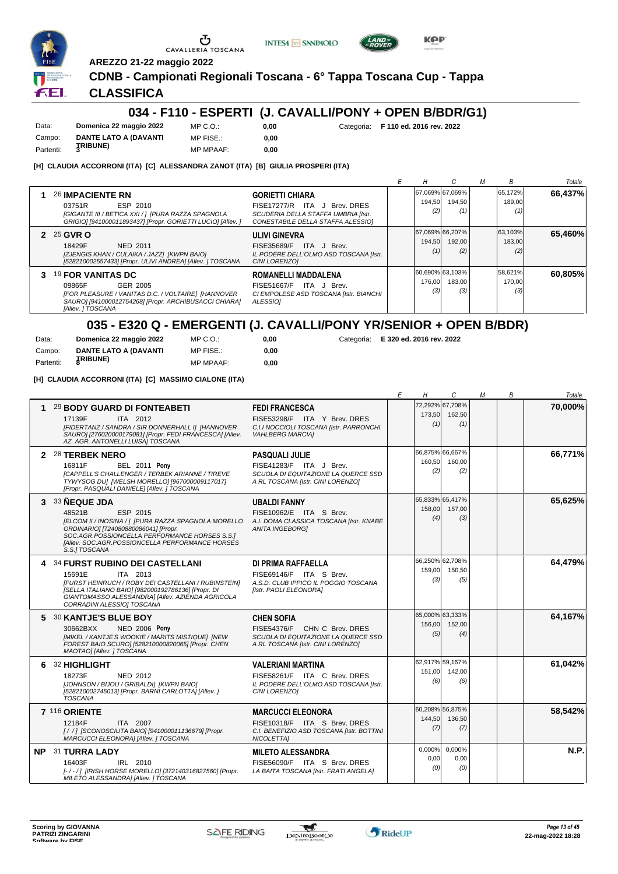

**AREZZO 21-22 maggio 2022**

### **CDNB - Campionati Regionali Toscana - 6° Tappa Toscana Cup - Tappa**

**INTESA m** SANPAOLO

**0,00**

#### **CLASSIFICA**

#### **034 - F110 - ESPERTI (J. CAVALLI/PONY + OPEN B/BDR/G1)**

Data: **Domenica 22 maggio 2022** Campo: **DANTE LATO A (DAVANTI TRIBUNE)** Partenti: **<sup>3</sup>** MP C.O.: MP FISE.: MP MPAAF: **0,00**

**0,00** Categoria: **F 110 ed. 2016 rev. 2022**

**KPP** 

**[H] CLAUDIA ACCORRONI (ITA) [C] ALESSANDRA ZANOT (ITA) [B] GIULIA PROSPERI (ITA)**

|                                                                                                                                                                                    |                                                                                                                                    |               |                                  | B                        | Totale  |
|------------------------------------------------------------------------------------------------------------------------------------------------------------------------------------|------------------------------------------------------------------------------------------------------------------------------------|---------------|----------------------------------|--------------------------|---------|
| <b>26 IMPACIENTE RN</b><br>ESP 2010<br>03751R<br>[GIGANTE III / BETICA XXI / ] [PURA RAZZA SPAGNOLA<br>GRIGIO] [941000011893437] [Propr. GORIETTI LUCIO] [Allev. ]                 | <b>GORIETTI CHIARA</b><br>FISE17277/R ITA J Brev. DRES<br>SCUDERIA DELLA STAFFA UMBRIA [Istr.<br>CONESTABILE DELLA STAFFA ALESSIOI | 194,50<br>(2) | 67,069% 67,069%<br>194,50<br>(1) | 65,172%<br>189,00        | 66,437% |
| 2 25 GVR O<br>18429F<br>NED 2011<br>[ZJENGIS KHAN / CULAIKA / JAZZ] [KWPN BAIO]<br>[528210002557433] [Propr. ULIVI ANDREA] [Allev. ] TOSCANA                                       | <b>ULIVI GINEVRA</b><br>ITA J Brev.<br>FISE35689/F<br>IL PODERE DELL'OLMO ASD TOSCANA [Istr.<br>CINI LORENZOI                      | 194,50<br>(1) | 67,069% 66,207%<br>192,00<br>(2) | 63,103%<br>183,00<br>(2, | 65,460% |
| <b>19 FOR VANITAS DC</b><br>GER 2005<br>09865F<br>[FOR PLEASURE / VANITAS D.C. / VOLTAIRE] [HANNOVER<br>SAURO] [941000012754268] [Propr. ARCHIBUSACCI CHIARA]<br>[Allev. ] TOSCANA | <b>ROMANELLI MADDALENA</b><br>ITA J Brev.<br>FISE51667/F<br>CI EMPOLESE ASD TOSCANA [Istr. BIANCHI<br>ALESSIO]                     | 176,00<br>(3) | 60,690% 63,103%<br>183,00<br>(3) | 58,621%<br>170,00<br>(3) | 60,805% |

#### **035 - E320 Q - EMERGENTI (J. CAVALLI/PONY YR/SENIOR + OPEN B/BDR)**

MP MPAAF: **0,00 0,00**

| Data:     | Domenica 22 maggio 2022 | $MP C. Q$ .:     |
|-----------|-------------------------|------------------|
| Campo:    | DANTE LATO A (DAVANTI   | MP FISE.:        |
| Partenti: | <b>JRIBUNE)</b>         | <b>MP MPAAF:</b> |

**0,00** Categoria: **E 320 ed. 2016 rev. 2022**

**[H] CLAUDIA ACCORRONI (ITA) [C] MASSIMO CIALONE (ITA)**

|   |                                                                                                                                                                                                                                                           |                                                                                                                               | Е | Н                                | C                                | М | В | Totale  |
|---|-----------------------------------------------------------------------------------------------------------------------------------------------------------------------------------------------------------------------------------------------------------|-------------------------------------------------------------------------------------------------------------------------------|---|----------------------------------|----------------------------------|---|---|---------|
| 1 | 29 BODY GUARD DI FONTEABETI<br>17139F<br>ITA 2012<br>[FIDERTANZ / SANDRA / SIR DONNERHALL I] [HANNOVER<br>SAURO] [276020000179081] [Propr. FEDI FRANCESCA] [Allev.<br>AZ. AGR. ANTONELLI LUISA] TOSCANA                                                   | <b>FEDI FRANCESCA</b><br>FISE53298/F ITA Y Brev. DRES<br>C.I.I NOCCIOLI TOSCANA [Istr. PARRONCHI<br><b>VAHLBERG MARCIA1</b>   |   | 173,50<br>(1)                    | 72.292% 67.708%<br>162,50<br>(1) |   |   | 70,000% |
|   | 2 28 TERBEK NERO<br><b>BEL 2011 Pony</b><br>16811F<br><b>ICAPPELL'S CHALLENGER / TERBEK ARIANNE / TIREVE</b><br>TYWYSOG DU] [WELSH MORELLO] [967000009117017]<br>[Propr. PASQUALI DANIELE] [Allev. ] TOSCANA                                              | <b>PASQUALI JULIE</b><br>FISE41283/F ITA J Brev.<br>SCUOLA DI EQUITAZIONE LA QUERCE SSD<br>A RL TOSCANA [Istr. CINI LORENZO]  |   | 66.875% 66.667%<br>160,50<br>(2) | 160.00<br>(2)                    |   |   | 66,771% |
|   | 3 33 NEQUE JDA<br>ESP 2015<br>48521B<br>IELCOM II / INOSINA / 1 IPURA RAZZA SPAGNOLA MORELLO<br>ORDINARIO] [724080880086041] [Propr.<br>SOC.AGR.POSSIONCELLA PERFORMANCE HORSES S.S.1<br>[Allev. SOC.AGR.POSSIONCELLA PERFORMANCE HORSES<br>S.S.I TOSCANA | <b>UBALDI FANNY</b><br>FISE10962/E ITA S Brev.<br>A.I. DOMA CLASSICA TOSCANA Ilstr. KNABE<br><b>ANITA INGEBORG1</b>           |   | 65,833% 65,417%<br>158,00<br>(4) | 157,00<br>(3)                    |   |   | 65,625% |
|   | 4 34 FURST RUBINO DEI CASTELLANI<br>15691E<br>ITA 2013<br>[FURST HEINRUCH / ROBY DEI CASTELLANI / RUBINSTEIN]<br>[SELLA ITALIANO BAIO] [982000192786136] [Propr. DI<br>GIANTOMASSO ALESSANDRA] [Allev. AZIENDA AGRICOLA<br>CORRADINI ALESSIO] TOSCANA     | DI PRIMA RAFFAELLA<br>FISE69146/F ITA S Brev.<br>A.S.D. CLUB IPPICO IL POGGIO TOSCANA<br>[Istr. PAOLI ELEONORA]               |   | 66,250% 62,708%<br>159,00<br>(3) | 150,50<br>(5)                    |   |   | 64,479% |
| 5 | <b>30 KANTJE'S BLUE BOY</b><br><b>NED 2006 Pony</b><br>30662BXX<br>[MIKEL / KANTJE'S WOOKIE / MARITS MISTIQUE] [NEW<br>FOREST BAIO SCURO] [528210000820065] [Propr. CHEN<br>MAOTAO] [Allev. ] TOSCANA                                                     | <b>CHEN SOFIA</b><br>FISE54376/F CHN C Brev. DRES<br>SCUOLA DI EQUITAZIONE LA QUERCE SSD<br>A RL TOSCANA [Istr. CINI LORENZO] |   | 65,000% 63,333%<br>156.00<br>(5) | 152,00<br>(4)                    |   |   | 64,167% |
| 6 | 32 HIGHLIGHT<br>18273F<br><b>NED 2012</b><br>[JOHNSON / BIJOU / GRIBALDI] [KWPN BAIO]<br>[528210002745013] [Propr. BARNI CARLOTTA] [Allev. ]<br><b>TOSCANA</b>                                                                                            | <b>VALERIANI MARTINA</b><br>FISE58261/F ITA C Brev. DRES<br>IL PODERE DELL'OLMO ASD TOSCANA [Istr.<br>CINI LORENZOI           |   | 62,917% 59,167%<br>151,00<br>(6) | 142,00<br>(6)                    |   |   | 61,042% |
|   | 7 116 ORIENTE<br>12184F<br>ITA 2007<br>[/ /] [SCONOSCIUTA BAIO] [941000011136679] [Propr.<br>MARCUCCI ELEONORA] [Allev. ] TOSCANA                                                                                                                         | <b>MARCUCCI ELEONORA</b><br>FISE10318/F ITA S Brev. DRES<br>C.I. BENEFIZIO ASD TOSCANA [Istr. BOTTINI<br>NICOLETTA]           |   | 60,208% 56,875%<br>144,50<br>(7) | 136,50<br>(7)                    |   |   | 58,542% |
|   | NP 31 TURRA LADY<br>16403F<br>IRL 2010<br>[-/-/] [IRISH HORSE MORELLO] [372140316827560] [Propr.<br>MILETO ALESSANDRA] [Allev.] TOSCANA                                                                                                                   | <b>MILETO ALESSANDRA</b><br>FISE56090/F ITA S Brev. DRES<br>LA BAITA TOSCANA [Istr. FRATI ANGELA]                             |   | 0,000%<br>0,00<br>(0)            | 0,000%<br>0,00<br>(0)            |   |   | N.P.    |

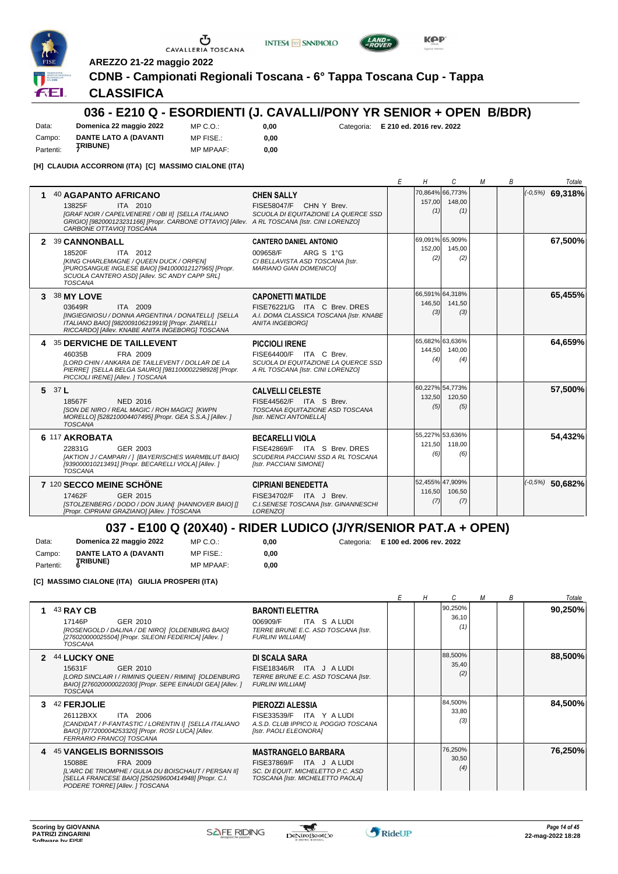

**AREZZO 21-22 maggio 2022**



**INTESA M** SANPAOLO

**0,00**

### **CLASSIFICA**

#### **036 - E210 Q - ESORDIENTI (J. CAVALLI/PONY YR SENIOR + OPEN B/BDR)**

Data: **Domenica 22 maggio 2022** Campo: **DANTE LATO A (DAVANTI TRIBUNE)** Partenti: **<sup>7</sup>** MP C.O.: MP FISE.: MP MPAAF: **0,00**

**0,00** Categoria: **E 210 ed. 2016 rev. 2022**

**KPP** 

**[H] CLAUDIA ACCORRONI (ITA) [C] MASSIMO CIALONE (ITA)**

|         |                                                                                                                                                                                                                                     |                                                                                                                               | Ε | Η             | C                                | М | B | Totale            |
|---------|-------------------------------------------------------------------------------------------------------------------------------------------------------------------------------------------------------------------------------------|-------------------------------------------------------------------------------------------------------------------------------|---|---------------|----------------------------------|---|---|-------------------|
|         | <b>40 AGAPANTO AFRICANO</b><br>ITA 2010<br>13825F<br>[GRAF NOIR / CAPELVENERE / OBI II] [SELLA ITALIANO<br>GRIGIO] [982000123231166] [Propr. CARBONE OTTAVIO] [Allev. A RL TOSCANA [Istr. CINI LORENZO]<br>CARBONE OTTAVIOI TOSCANA | <b>CHEN SALLY</b><br>FISE58047/F CHN Y Brev.<br>SCUOLA DI EQUITAZIONE LA QUERCE SSD                                           |   | 157,00<br>(1) | 70,864% 66,773%<br>148,00<br>(1) |   |   | $(-0.5%)$ 69,318% |
|         | 2 39 CANNONBALL<br>18520F<br>ITA 2012<br>[KING CHARLEMAGNE / QUEEN DUCK / ORPEN]<br>[PUROSANGUE INGLESE BAIO] [941000012127965] [Propr.<br>SCUOLA CANTERO ASDI [Allev. SC ANDY CAPP SRL]<br><b>TOSCANA</b>                          | <b>CANTERO DANIEL ANTONIO</b><br>ARG S 1°G<br>009658/F<br>CI BELLAVISTA ASD TOSCANA [Istr.<br><b>MARIANO GIAN DOMENICOI</b>   |   | 152,00<br>(2) | 69,091% 65,909%<br>145.00<br>(2) |   |   | 67,500%           |
|         | 3 38 MY LOVE<br>ITA 2009<br>03649R<br>[INGIEGNIOSU / DONNA ARGENTINA / DONATELLI] [SELLA<br>ITALIANO BAIO] [982009106219919] [Propr. ZIARELLI<br>RICCARDO] [Allev. KNABE ANITA INGEBORG] TOSCANA                                    | <b>CAPONETTI MATILDE</b><br>FISE76221/G ITA C Brev. DRES<br>A.I. DOMA CLASSICA TOSCANA [Istr. KNABE<br><b>ANITA INGEBORG1</b> |   | 146,50<br>(3) | 66,591% 64,318%<br>141,50<br>(3) |   |   | 65,455%           |
|         | <b>35 DERVICHE DE TAILLEVENT</b><br>FRA 2009<br>46035B<br>[LORD CHIN / ANKARA DE TAILLEVENT / DOLLAR DE LA<br>PIERRE] [SELLA BELGA SAURO] [981100002298928] [Propr.<br>PICCIOLI IRENE] [Allev. ] TOSCANA                            | <b>PICCIOLI IRENE</b><br>FISE64400/F ITA C Brev.<br>SCUOLA DI EQUITAZIONE LA QUERCE SSD<br>A RL TOSCANA [Istr. CINI LORENZO]  |   | 144,50<br>(4) | 65,682% 63,636%<br>140,00<br>(4) |   |   | 64,659%           |
| 5 $37L$ | 18567F<br>NED 2016<br>[SON DE NIRO / REAL MAGIC / ROH MAGIC] [KWPN<br>MORELLO] [528210004407495] [Propr. GEA S.S.A.] [Allev. ]<br><b>TOSCANA</b>                                                                                    | <b>CALVELLI CELESTE</b><br>FISE44562/F ITA S Brev.<br>TOSCANA EQUITAZIONE ASD TOSCANA<br>[Istr. NENCI ANTONELLA]              |   | 132,50<br>(5) | 60,227% 54,773%<br>120,50<br>(5) |   |   | 57,500%           |
|         | 6 117 AKROBATA<br>22831G<br>GER 2003<br>[AKTION J / CAMPARI / ] [BAYERISCHES WARMBLUT BAIO]<br>[939000010213491] [Propr. BECARELLI VIOLA] [Allev. ]<br><b>TOSCANA</b>                                                               | <b>BECARELLI VIOLA</b><br>FISE42869/F ITA S Brev. DRES<br>SCUDERIA PACCIANI SSD A RL TOSCANA<br>[Istr. PACCIANI SIMONE]       |   | 121,50<br>(6) | 55,227% 53,636%<br>118,00<br>(6) |   |   | 54,432%           |
|         | 7 120 SECCO MEINE SCHÖNE<br>GER 2015<br>17462F<br>[STOLZENBERG / DODO / DON JUAN] [HANNOVER BAIO] []<br>[Propr. CIPRIANI GRAZIANO] [Allev. ] TOSCANA                                                                                | <b>CIPRIANI BENEDETTA</b><br>FISE34702/F ITA J Brev.<br>C.I.SENESE TOSCANA [Istr. GINANNESCHI<br>LORENZO]                     |   | 116,50<br>(7) | 52,455% 47,909%<br>106,50<br>(7) |   |   | $(-0.5%)$ 50,682% |

#### **037 - E100 Q (20X40) - RIDER LUDICO (J/YR/SENIOR PAT.A + OPEN)**

**0,00**

Data: **Domenica 22 maggio 2022** Campo: **DANTE LATO A (DAVANTI** MP C.O.: **0,00** Categoria: **E 100 ed. 2006 rev. 2022**

**TRIBUNE)** Partenti: **<sup>6</sup>** MP FISE.: MP MPAAF: **0,00**

**[C] MASSIMO CIALONE (ITA) GIULIA PROSPERI (ITA)**

|    |                                                                                                                                                                                                   |                                                                                                                                |  |                         | M | В | Totale  |
|----|---------------------------------------------------------------------------------------------------------------------------------------------------------------------------------------------------|--------------------------------------------------------------------------------------------------------------------------------|--|-------------------------|---|---|---------|
|    | 43 RAY CB<br>17146P<br>GER 2010<br>[ROSENGOLD / DALINA / DE NIRO] [OLDENBURG BAIO]<br>[276020000025504] [Propr. SILEONI FEDERICA] [Allev. ]<br><b>TOSCANA</b>                                     | <b>BARONTI ELETTRA</b><br>ITA S A LUDI<br>006909/F<br>TERRE BRUNE E.C. ASD TOSCANA [Istr.<br><b>FURLINI WILLIAMI</b>           |  | 90,250%<br>36,10<br>(1) |   |   | 90,250% |
| 2  | <b>44 LUCKY ONE</b><br>15631F<br>GER 2010<br>[LORD SINCLAIR I / RIMINIS QUEEN / RIMINI] [OLDENBURG<br>BAIO] [276020000022030] [Propr. SEPE EINAUDI GEA] [Allev. ]<br><b>TOSCANA</b>               | DI SCALA SARA<br>FISE18346/R ITA J ALUDI<br>TERRE BRUNE E.C. ASD TOSCANA [Istr.<br><b>FURLINI WILLIAMI</b>                     |  | 88,500%<br>35,40<br>(2) |   |   | 88,500% |
| З. | 42 FERJOLIE<br>26112BXX<br>ITA 2006<br>[CANDIDAT / P-FANTASTIC / LORENTIN I] [SELLA ITALIANO<br>BAIO] [977200004253320] [Propr. ROSI LUCA] [Allev.<br>FERRARIO FRANCOI TOSCANA                    | PIEROZZI ALESSIA<br>FISE33539/F ITA Y A LUDI<br>A.S.D. CLUB IPPICO IL POGGIO TOSCANA<br>[Istr. PAOLI ELEONORA]                 |  | 84,500%<br>33,80<br>(3) |   |   | 84,500% |
|    | 4 45 VANGELIS BORNISSOIS<br>15088E<br>FRA 2009<br>[L'ARC DE TRIOMPHE / GULIA DU BOISCHAUT / PERSAN II]<br>[SELLA FRANCESE BAIO] [250259600414948] [Propr. C.I.<br>PODERE TORRE] [Allev. ] TOSCANA | <b>MASTRANGELO BARBARA</b><br>FISE37869/F ITA J ALUDI<br>SC. DI EQUIT. MICHELETTO P.C. ASD<br>TOSCANA [Istr. MICHELETTO PAOLA] |  | 76,250%<br>30,50<br>(4) |   |   | 76,250% |

 $\mathcal{L}$ 

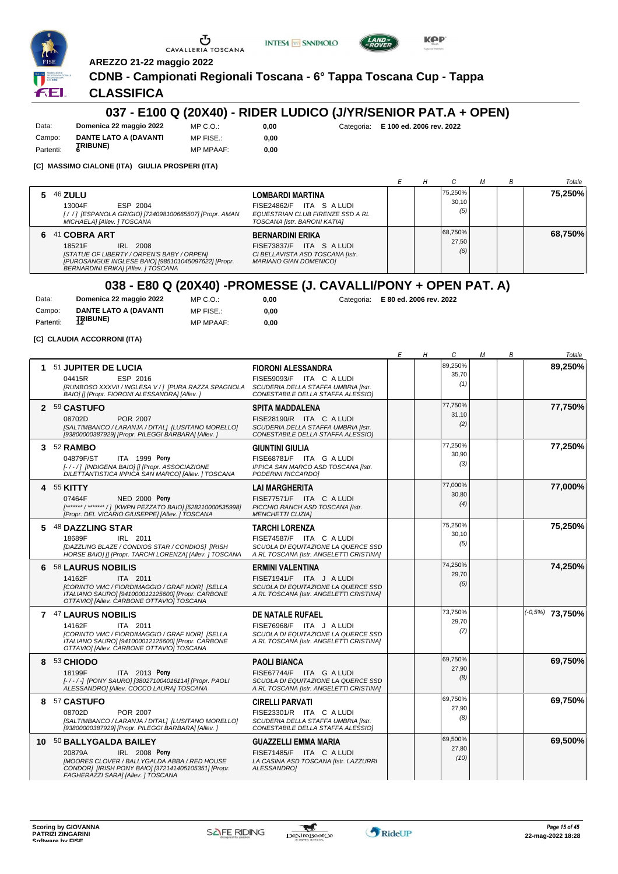





**INTESA** M SANPAOLO

#### **CLASSIFICA**

#### **037 - E100 Q (20X40) - RIDER LUDICO (J/YR/SENIOR PAT.A + OPEN)**

Data: **Domenica 22 maggio 2022** Campo: **DANTE LATO A (DAVANTI TRIBUNE)** Partenti: **<sup>6</sup>**

MP C.O.: MP FISE.: MP MPAAF: **0,00**

**0,00**

**0,00** Categoria: **E 100 ed. 2006 rev. 2022**

**KPP** 

**[C] MASSIMO CIALONE (ITA) GIULIA PROSPERI (ITA)**

|                                                                                                                                                                                                                                                                                                              |  |                         |  | Totale  |
|--------------------------------------------------------------------------------------------------------------------------------------------------------------------------------------------------------------------------------------------------------------------------------------------------------------|--|-------------------------|--|---------|
| 5 46 ZULU<br><b>LOMBARDI MARTINA</b><br>FISE24862/F ITA S A LUDI<br>13004F<br>ESP 2004<br>[/ / ] [ESPANOLA GRIGIO] [724098100665507] [Propr. AMAN<br>EQUESTRIAN CLUB FIRENZE SSD A RL<br>MICHAELA] [Allev. ] TOSCANA<br>TOSCANA [Istr. BARONI KATIA]                                                         |  | 75.250%<br>30.10<br>(5) |  | 75,250% |
| 6 41 COBRA ART<br><b>BERNARDINI ERIKA</b><br>FISE73837/F ITA S A LUDI<br>18521F<br>IRL 2008<br>[STATUE OF LIBERTY / ORPEN'S BABY / ORPEN]<br>CI BELLAVISTA ASD TOSCANA [Istr.<br>[PUROSANGUE INGLESE BAIO] [985101045097622] [Propr.<br><b>MARIANO GIAN DOMENICO]</b><br>BERNARDINI ERIKA] [Allev. ] TOSCANA |  | 68,750%<br>27.50<br>(6) |  | 68,750% |

## **038 - E80 Q (20X40) -PROMESSE (J. CAVALLI/PONY + OPEN PAT. A)**

| Data:     | Domenica 22 maggio 2022      | MP C. O.         | 0.00 |
|-----------|------------------------------|------------------|------|
| Campo:    | <b>DANTE LATO A (DAVANTI</b> | MP FISE.:        | 0.00 |
| Partenti: | <b>TRIBUNE)</b>              | <b>MP MPAAF:</b> | 0.00 |

**0,00** Categoria: **E 80 ed. 2006 rev. 2022**

**[C] CLAUDIA ACCORRONI (ITA)**

|    |                                                                                                                                                                                                        |                                                                                                                                       | Ε | Η | C                        | М | В | Totale             |
|----|--------------------------------------------------------------------------------------------------------------------------------------------------------------------------------------------------------|---------------------------------------------------------------------------------------------------------------------------------------|---|---|--------------------------|---|---|--------------------|
| 1. | 51 JUPITER DE LUCIA<br>ESP 2016<br>04415R<br>[RUMBOSO XXXVII / INGLESA V / ] [PURA RAZZA SPAGNOLA<br>BAIO] [] [Propr. FIORONI ALESSANDRA] [Allev. ]                                                    | <b>FIORONI ALESSANDRA</b><br>FISE59093/F ITA C A LUDI<br>SCUDERIA DELLA STAFFA UMBRIA [Istr.<br>CONESTABILE DELLA STAFFA ALESSIOI     |   |   | 89,250%<br>35,70<br>(1)  |   |   | 89,250%            |
|    | 2 59 CASTUFO<br>POR 2007<br>08702D<br>[SALTIMBANCO / LARANJA / DITAL] [LUSITANO MORELLO]<br>[93800000387929] [Propr. PILEGGI BARBARA] [Allev. ]                                                        | <b>SPITA MADDALENA</b><br>FISE28190/R ITA C A LUDI<br>SCUDERIA DELLA STAFFA UMBRIA [Istr.<br>CONESTABILE DELLA STAFFA ALESSIOI        |   |   | 77,750%<br>31,10<br>(2)  |   |   | 77,750%            |
| 3  | 52 RAMBO<br>ITA 1999 Pony<br>04879F/ST<br>[-/-/] [INDIGENA BAIO] [] [Propr. ASSOCIAZIONE<br>DILETTANTISTICA IPPICA SAN MARCO] [Allev. ] TOSCANA                                                        | <b>GIUNTINI GIULIA</b><br>FISE68781/F ITA G A LUDI<br>IPPICA SAN MARCO ASD TOSCANA [Istr.<br>PODERINI RICCARDO]                       |   |   | 77,250%<br>30,90<br>(3)  |   |   | 77,250%            |
|    | 4 55 KITTY<br>07464F<br><b>NED 2000 Pony</b><br>[******* / ******* / ] [KWPN PEZZATO BAIO] [528210000535998]<br>[Propr. DEL VICARIO GIUSEPPE] [Allev. ] TOSCANA                                        | <b>LAI MARGHERITA</b><br>FISE77571/F ITA C A LUDI<br>PICCHIO RANCH ASD TOSCANA [Istr.<br><b>MENCHETTI CLIZIA]</b>                     |   |   | 77,000%<br>30,80<br>(4)  |   |   | 77,000%            |
| 5  | <b>48 DAZZLING STAR</b><br>IRL 2011<br>18689F<br>[DAZZLING BLAZE / CONDIOS STAR / CONDIOS] [IRISH<br>HORSE BAIO] [] [Propr. TARCHI LORENZA] [Allev. ] TOSCANA                                          | <b>TARCHI LORENZA</b><br>FISE74587/F ITA C A LUDI<br>SCUOLA DI EQUITAZIONE LA QUERCE SSD<br>A RL TOSCANA [Istr. ANGELETTI CRISTINA]   |   |   | 75,250%<br>30,10<br>(5)  |   |   | 75,250%            |
|    | 6 58 LAURUS NOBILIS<br>14162F<br>ITA 2011<br>[CORINTO VMC / FIORDIMAGGIO / GRAF NOIR] [SELLA<br>ITALIANO SAURO] [941000012125600] [Propr. CARBONE<br>OTTAVIO] [Allev. CARBONE OTTAVIO] TOSCANA         | <b>ERMINI VALENTINA</b><br>FISE71941/F ITA J A LUDI<br>SCUOLA DI EQUITAZIONE LA QUERCE SSD<br>A RL TOSCANA [Istr. ANGELETTI CRISTINA] |   |   | 74,250%<br>29,70<br>(6)  |   |   | 74,250%            |
|    | 7 47 LAURUS NOBILIS<br>14162F<br>ITA 2011<br>[CORINTO VMC / FIORDIMAGGIO / GRAF NOIR] [SELLA<br>ITALIANO SAURO] [941000012125600] [Propr. CARBONE<br>OTTAVIOI [Allev. CARBONE OTTAVIO] TOSCANA         | <b>DE NATALE RUFAEL</b><br>FISE76968/F ITA J A LUDI<br>SCUOLA DI EQUITAZIONE LA QUERCE SSD<br>A RL TOSCANA [Istr. ANGELETTI CRISTINA] |   |   | 73,750%<br>29,70<br>(7)  |   |   | $(10.5\%)$ 73,750% |
| 8  | 53 CHIODO<br>18199F<br>ITA 2013 Pony<br>[-/-/-] [PONY SAURO] [380271004016114] [Propr. PAOLI<br>ALESSANDRO] [Allev. COCCO LAURA] TOSCANA                                                               | <b>PAOLI BIANCA</b><br>FISE67744/F ITA G A LUDI<br>SCUOLA DI EQUITAZIONE LA QUERCE SSD<br>A RL TOSCANA [Istr. ANGELETTI CRISTINA]     |   |   | 69,750%<br>27,90<br>(8)  |   |   | 69,750%            |
|    | 8 57 CASTUFO<br>POR 2007<br>08702D<br>[SALTIMBANCO / LARANJA / DITAL] [LUSITANO MORELLO]<br>[93800000387929] [Propr. PILEGGI BARBARA] [Allev.]                                                         | <b>CIRELLI PARVATI</b><br>FISE23301/R ITA C A LUDI<br>SCUDERIA DELLA STAFFA UMBRIA [Istr.<br>CONESTABILE DELLA STAFFA ALESSIOI        |   |   | 69,750%<br>27,90<br>(8)  |   |   | 69,750%            |
|    | 10 50 BALLYGALDA BAILEY<br>20879A<br>IRL 2008 Pony<br><b>IMOORES CLOVER / BALLYGALDA ABBA / RED HOUSE</b><br>CONDOR] [IRISH PONY BAIO] [372141405105351] [Propr.<br>FAGHERAZZI SARA] [Allev. ] TOSCANA | <b>GUAZZELLI EMMA MARIA</b><br>FISE71485/F ITA C A LUDI<br>LA CASINA ASD TOSCANA [Istr. LAZZURRI<br>ALESSANDROI                       |   |   | 69,500%<br>27,80<br>(10) |   |   | 69,500%            |

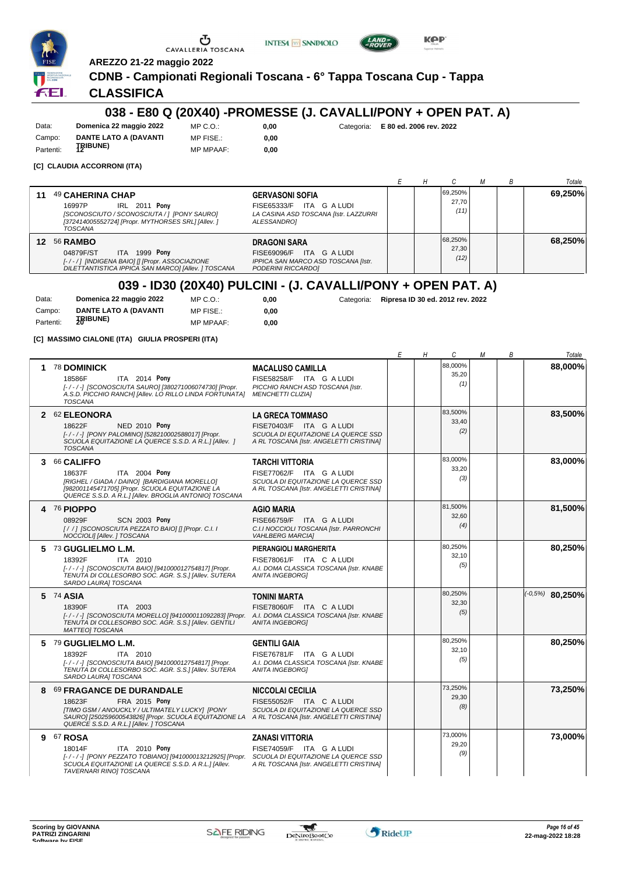





**AREZZO 21-22 maggio 2022**

## **CDNB - Campionati Regionali Toscana - 6° Tappa Toscana Cup - Tappa**

#### **CLASSIFICA**

#### **038 - E80 Q (20X40) -PROMESSE (J. CAVALLI/PONY + OPEN PAT. A)**

Data: **Domenica 22 maggio 2022** Campo: **DANTE LATO A (DAVANTI** Partenti: **12IBUNE**)

MP C.O.: MP FISE.: MP MPAAF: **0,00 0,00**

**0,00** Categoria: **E 80 ed. 2006 rev. 2022**

**[C] CLAUDIA ACCORRONI (ITA)**

|                 |                                                                                                                                                                                                                                                                                               |  |                          |  | Totale  |
|-----------------|-----------------------------------------------------------------------------------------------------------------------------------------------------------------------------------------------------------------------------------------------------------------------------------------------|--|--------------------------|--|---------|
| 11              | 49 CAHERINA CHAP<br><b>GERVASONI SOFIA</b><br><b>IRL 2011 Pony</b><br>ITA<br>G A LUDI<br>16997P<br>FISE65333/F<br>[SCONOSCIUTO / SCONOSCIUTA / ] [PONY SAURO]<br>LA CASINA ASD TOSCANA [Istr. LAZZURRI<br>[372414005552724] [Propr. MYTHORSES SRL] [Allev. ]<br>ALESSANDRO]<br><b>TOSCANA</b> |  | 69.250%<br>27,70<br>(11) |  | 69,250% |
| $12 \ \mathrm{$ | <b>56 RAMBO</b><br><b>DRAGONI SARA</b><br><b>ITA 1999 Pony</b><br>04879F/ST<br>ITA G A LUDI<br>FISE69096/F<br>IPPICA SAN MARCO ASD TOSCANA [Istr.<br>[-/-/] [INDIGENA BAIO] [] [Propr. ASSOCIAZIONE<br>DILETTANTISTICA IPPICA SAN MARCOI [Allev. ] TOSCANA<br>PODERINI RICCARDO]              |  | 68,250%<br>27,30<br>(12) |  | 68.250% |

#### **039 - ID30 (20X40) PULCINI - (J. CAVALLI/PONY + OPEN PAT. A)**

 $0,00$ **0,00**

| Data:     | Domenica 22 maggio 2022      | MP C. O.         |
|-----------|------------------------------|------------------|
| Campo:    | <b>DANTE LATO A (DAVANTI</b> | MP FISE.:        |
| Partenti: | <b>JRIBUNE)</b>              | <b>MP MPAAF:</b> |

**0,00** Categoria: **Ripresa ID 30 ed. 2012 rev. 2022**

**[C] MASSIMO CIALONE (ITA) GIULIA PROSPERI (ITA)**

|   |                                                                                                                                                                                                                                                    |                                                                                                                                       | Ε | Η | C                       | М | В | Totale            |
|---|----------------------------------------------------------------------------------------------------------------------------------------------------------------------------------------------------------------------------------------------------|---------------------------------------------------------------------------------------------------------------------------------------|---|---|-------------------------|---|---|-------------------|
| 1 | 78 DOMINICK<br>ITA 2014 Pony<br>18586F<br>[-/-/-] [SCONOSCIUTA SAURO] [380271006074730] [Propr.<br>A.S.D. PICCHIO RANCH] [Allev. LO RILLO LINDA FORTUNATA]<br><b>TOSCANA</b>                                                                       | <b>MACALUSO CAMILLA</b><br>FISE58258/F ITA G A LUDI<br>PICCHIO RANCH ASD TOSCANA [Istr.<br><b>MENCHETTI CLIZIA]</b>                   |   |   | 88.000%<br>35,20<br>(1) |   |   | 88,000%           |
|   | 2 62 ELEONORA<br>18622F<br>NED 2010 Pony<br>[-/-/-] [PONY PALOMINO] [528210002588017] [Propr.<br>SCUOLA EQUITAZIONE LA QUERCE S.S.D. A R.L.] [Allev. ]<br><b>TOSCANA</b>                                                                           | <b>LA GRECA TOMMASO</b><br>FISE70403/F ITA G A LUDI<br>SCUOLA DI EQUITAZIONE LA QUERCE SSD<br>A RL TOSCANA [Istr. ANGELETTI CRISTINA] |   |   | 83,500%<br>33,40<br>(2) |   |   | 83,500%           |
| 3 | 66 CALIFFO<br>ITA 2004 Pony<br>18637F<br>[RIGHEL / GIADA / DAINO] [BARDIGIANA MORELLO]<br>[982001145471705] [Propr. SCUOLA EQUITAZIONE LA<br>QUERCE S.S.D. A R.L.] [Allev. BROGLIA ANTONIO] TOSCANA                                                | <b>TARCHI VITTORIA</b><br>FISE77062/F ITA G A LUDI<br>SCUOLA DI EQUITAZIONE LA QUERCE SSD<br>A RL TOSCANA [Istr. ANGELETTI CRISTINA]  |   |   | 83,000%<br>33,20<br>(3) |   |   | 83,000%           |
| 4 | <b>76 PIOPPO</b><br>08929F<br><b>SCN 2003 Pony</b><br>[/ /] [SCONOSCIUTA PEZZATO BAIO] [] [Propr. C.I. I<br>NOCCIOLI] [Allev. ] TOSCANA                                                                                                            | <b>AGIO MARIA</b><br>FISE66759/F ITA G A LUDI<br>C.I.I NOCCIOLI TOSCANA [Istr. PARRONCHI<br><b>VAHLBERG MARCIAI</b>                   |   |   | 81,500%<br>32,60<br>(4) |   |   | 81,500%           |
|   | 5 73 GUGLIELMO L.M.<br>ITA 2010<br>18392F<br>[-/-/-] [SCONOSCIUTA BAIO] [941000012754817] [Propr.<br>TENUTA DI COLLESORBO SOC. AGR. S.S.1 [Allev. SUTERA<br>SARDO LAURA] TOSCANA                                                                   | PIERANGIOLI MARGHERITA<br>FISE78061/F ITA C A LUDI<br>A.I. DOMA CLASSICA TOSCANA [Istr. KNABE<br><b>ANITA INGEBORG1</b>               |   |   | 80,250%<br>32,10<br>(5) |   |   | 80,250%           |
|   | 5 74 ASIA<br>18390F<br>ITA 2003<br>[-/-/-] [SCONOSCIUTA MORELLO] [941000011092283] [Propr. A.I. DOMA CLASSICA TOSCANA [Istr. KNABE<br>TENUTA DI COLLESORBO SOC. AGR. S.S.I JAIlev. GENTILI<br><b>MATTEOI TOSCANA</b>                               | <b>TONINI MARTA</b><br>FISE78060/F ITA C A LUDI<br><b>ANITA INGEBORGI</b>                                                             |   |   | 80,250%<br>32,30<br>(5) |   |   | $(-0.5%)$ 80,250% |
|   | 5 79 GUGLIELMO L.M.<br>ITA 2010<br>18392F<br>[-/-/-] [SCONOSCIUTA BAIO] [941000012754817] [Propr.<br>TENUTA DI COLLESORBO SOC. AGR. S.S.] [Allev. SUTERA<br>SARDO LAURA] TOSCANA                                                                   | <b>GENTILI GAIA</b><br>FISE76781/F ITA G A LUDI<br>A.I. DOMA CLASSICA TOSCANA [Istr. KNABE<br><b>ANITA INGEBORG1</b>                  |   |   | 80.250%<br>32,10<br>(5) |   |   | 80,250%           |
| 8 | 69 FRAGANCE DE DURANDALE<br>FRA 2015 Pony<br>18623F<br>[TIMO GSM / ANOUCKLY / ULTIMATELY LUCKY] [PONY<br>SAURO] [250259600543826] [Propr. SCUOLA EQUITAZIONE LA A RL TOSCANA [Istr. ANGELETTI CRISTINA]<br>QUERCE S.S.D. A R.L.] [Allev. ] TOSCANA | <b>NICCOLAI CECILIA</b><br>FISE55052/F ITA C A LUDI<br>SCUOLA DI EQUITAZIONE LA QUERCE SSD                                            |   |   | 73,250%<br>29,30<br>(8) |   |   | 73,250%           |
| 9 | 67 ROSA<br>18014F<br>ITA 2010 Pony<br>[-/-/-] [PONY PEZZATO TOBIANO] [941000013212925] [Propr. SCUOLA DI EQUITAZIONE LA QUERCE SSD<br>SCUOLA EQUITAZIONE LA QUERCE S.S.D. A R.L.] [Allev.<br>TAVERNARI RINO] TOSCANA                               | <b>ZANASI VITTORIA</b><br>FISE74059/F ITA G A LUDI<br>A RL TOSCANA [Istr. ANGELETTI CRISTINA]                                         |   |   | 73,000%<br>29,20<br>(9) |   |   | 73,000%           |

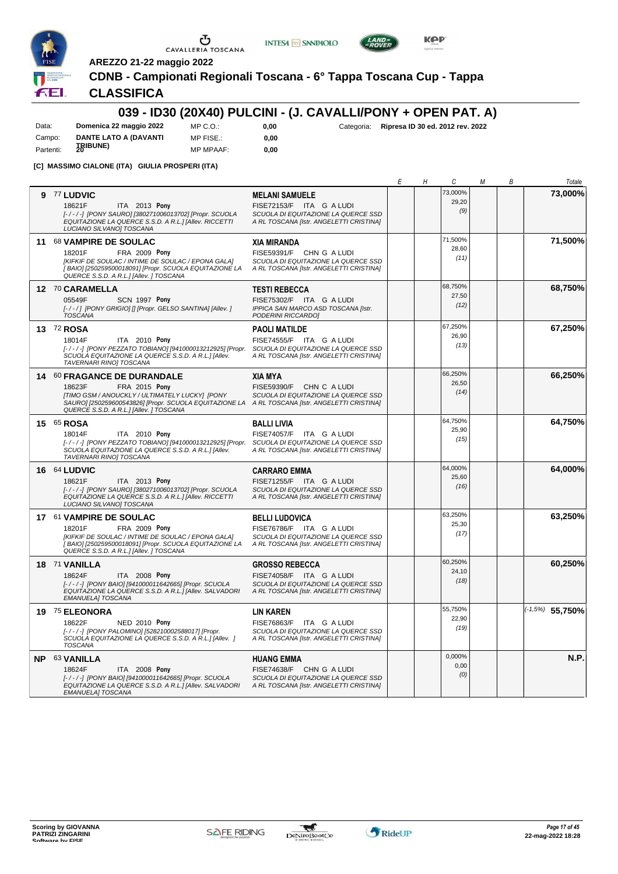

 $\sigma$  cavalleria toscana





**INTESA** M SANPAOLO

## **CLASSIFICA**

## **039 - ID30 (20X40) PULCINI - (J. CAVALLI/PONY + OPEN PAT. A)**

Data: **Domenica 22 maggio 2022** Campo: **DANTE LATO A (DAVANTI** Partenti: **20IBUNE**) MP C.O.: MP FISE.:

MP MPAAF: **0,00 0,00**

**0,00** Categoria: **Ripresa ID 30 ed. 2012 rev. 2022**

**KPP** 

**[C] MASSIMO CIALONE (ITA) GIULIA PROSPERI (ITA)**

|                                                                                                                                                                                                                                                       |                                                                                                                                     | Е | Η | С                        | М | В | Totale             |
|-------------------------------------------------------------------------------------------------------------------------------------------------------------------------------------------------------------------------------------------------------|-------------------------------------------------------------------------------------------------------------------------------------|---|---|--------------------------|---|---|--------------------|
| 9 77 LUDVIC<br>18621F<br>ITA 2013 Pony<br>[-/-/-] [PONY SAURO] [380271006013702] [Propr. SCUOLA<br>EQUITAZIONE LA QUERCE S.S.D. A R.L.] [Allev. RICCETTI<br>LUCIANO SILVANO] TOSCANA                                                                  | <b>MELANI SAMUELE</b><br>FISE72153/F ITA G A LUDI<br>SCUOLA DI EQUITAZIONE LA QUERCE SSD<br>A RL TOSCANA [Istr. ANGELETTI CRISTINA] |   |   | 73,000%<br>29,20<br>(9)  |   |   | 73,000%            |
| 11 68 VAMPIRE DE SOULAC<br>18201F<br><b>FRA 2009 Pony</b><br>[KIFKIF DE SOULAC / INTIME DE SOULAC / EPONA GALA]<br>[BAIO] [250259500018091] [Propr. SCUOLA EQUITAZIONE LA<br>QUERCE S.S.D. A R.L.] [Allev. ] TOSCANA                                  | <b>XIA MIRANDA</b><br>FISE59391/F CHN G A LUDI<br>SCUOLA DI EQUITAZIONE LA QUERCE SSD<br>A RL TOSCANA [Istr. ANGELETTI CRISTINA]    |   |   | 71,500%<br>28,60<br>(11) |   |   | 71,500%            |
| 12 70 CARAMELLA<br>05549F<br>SCN 1997 Pony<br>[-/-/] [PONY GRIGIO] [] [Propr. GELSO SANTINA] [Allev. ]<br><b>TOSCANA</b>                                                                                                                              | <b>TESTI REBECCA</b><br>FISE75302/F ITA G A LUDI<br>IPPICA SAN MARCO ASD TOSCANA [Istr.<br>PODERINI RICCARDO]                       |   |   | 68,750%<br>27,50<br>(12) |   |   | 68,750%            |
| 13 72 ROSA<br>18014F<br>ITA 2010 Pony<br>[-/-/-] [PONY PEZZATO TOBIANO] [941000013212925] [Propr. SCUOLA DI EQUITAZIONE LA QUERCE SSD<br>SCUOLA EQUITAZIONE LA QUERCE S.S.D. A R.L.] [Allev.<br>TAVERNARI RINOJ TOSCANA                               | <b>PAOLI MATILDE</b><br>FISE74555/F ITA G A LUDI<br>A RL TOSCANA [Istr. ANGELETTI CRISTINA]                                         |   |   | 67,250%<br>26,90<br>(13) |   |   | 67,250%            |
| 14 60 FRAGANCE DE DURANDALE<br>18623F<br>FRA 2015 Pony<br>[TIMO GSM / ANOUCKLY / ULTIMATELY LUCKY] [PONY<br>SAURO] [250259600543826] [Propr. SCUOLA EQUITAZIONE LA A RL TOSCANA [Istr. ANGELETTI CRISTINA]<br>QUERCE S.S.D. A R.L.] [Allev. ] TOSCANA | <b>XIA MYA</b><br>FISE59390/F CHN C A LUDI<br>SCUOLA DI EQUITAZIONE LA QUERCE SSD                                                   |   |   | 66,250%<br>26.50<br>(14) |   |   | 66,250%            |
| 15 65 ROSA<br>18014F<br><b>ITA 2010 Pony</b><br>[-/-/-] [PONY PEZZATO TOBIANO] [941000013212925] [Propr. SCUOLA DI EQUITAZIONE LA QUERCE SSD<br>SCUOLA EQUITAZIONE LA QUERCE S.S.D. A R.L.] [Allev.<br>TAVERNARI RINO] TOSCANA                        | <b>BALLI LIVIA</b><br>FISE74057/F ITA G A LUDI<br>A RL TOSCANA [Istr. ANGELETTI CRISTINA]                                           |   |   | 64,750%<br>25,90<br>(15) |   |   | 64,750%            |
| 16 64 LUDVIC<br>18621F<br>ITA 2013 Pony<br>[-/-/-] [PONY SAURO] [380271006013702] [Propr. SCUOLA<br>EQUITAZIONE LA QUERCE S.S.D. A R.L.] [Allev. RICCETTI<br>LUCIANO SILVANO] TOSCANA                                                                 | <b>CARRARO EMMA</b><br>FISE71255/F ITA G A LUDI<br>SCUOLA DI EQUITAZIONE LA QUERCE SSD<br>A RL TOSCANA [Istr. ANGELETTI CRISTINA]   |   |   | 64,000%<br>25,60<br>(16) |   |   | 64,000%            |
| 17 61 VAMPIRE DE SOULAC<br>FRA 2009 Pony<br>18201F<br>[KIFKIF DE SOULAC / INTIME DE SOULAC / EPONA GALA]<br>[BAIO] [250259500018091] [Propr. SCUOLA EQUITAZIONE LA<br>QUERCE S.S.D. A R.L.] [Allev. ] TOSCANA                                         | <b>BELLI LUDOVICA</b><br>FISE76786/F ITA G A LUDI<br>SCUOLA DI EQUITAZIONE LA QUERCE SSD<br>A RL TOSCANA [Istr. ANGELETTI CRISTINA] |   |   | 63,250%<br>25,30<br>(17) |   |   | 63,250%            |
| 18 71 VANILLA<br>18624F<br><b>ITA</b> 2008 Pony<br>[-/-/-] [PONY BAIO] [941000011642665] [Propr. SCUOLA<br>EQUITAZIONE LA QUERCE S.S.D. A R.L.] [Allev. SALVADORI<br>EMANUELA] TOSCANA                                                                | <b>GROSSO REBECCA</b><br>FISE74058/F ITA G A LUDI<br>SCUOLA DI EQUITAZIONE LA QUERCE SSD<br>A RL TOSCANA [Istr. ANGELETTI CRISTINA] |   |   | 60.250%<br>24,10<br>(18) |   |   | 60,250%            |
| 19 75 ELEONORA<br>18622F<br><b>NED 2010 Pony</b><br>[-/-/-] [PONY PALOMINO] [528210002588017] [Propr.<br>SCUOLA EQUITAZIONE LA QUERCE S.S.D. A R.L.] [Allev. ]<br><b>TOSCANA</b>                                                                      | <b>LIN KAREN</b><br>FISE76863/F ITA G A LUDI<br>SCUOLA DI EQUITAZIONE LA QUERCE SSD<br>A RL TOSCANA [Istr. ANGELETTI CRISTINA]      |   |   | 55,750%<br>22,90<br>(19) |   |   | $(-1,5\%)$ 55,750% |
| NP 63 VANILLA<br>18624F<br>ITA 2008 Pony<br>[-/-/-] [PONY BAIO] [941000011642665] [Propr. SCUOLA<br>EQUITAZIONE LA QUERCE S.S.D. A R.L.] [Allev. SALVADORI<br>EMANUELA] TOSCANA                                                                       | <b>HUANG EMMA</b><br>FISE74638/F CHN G A LUDI<br>SCUOLA DI EQUITAZIONE LA QUERCE SSD<br>A RL TOSCANA [Istr. ANGELETTI CRISTINA]     |   |   | 0,000%<br>0,00<br>(0)    |   |   | N.P.               |

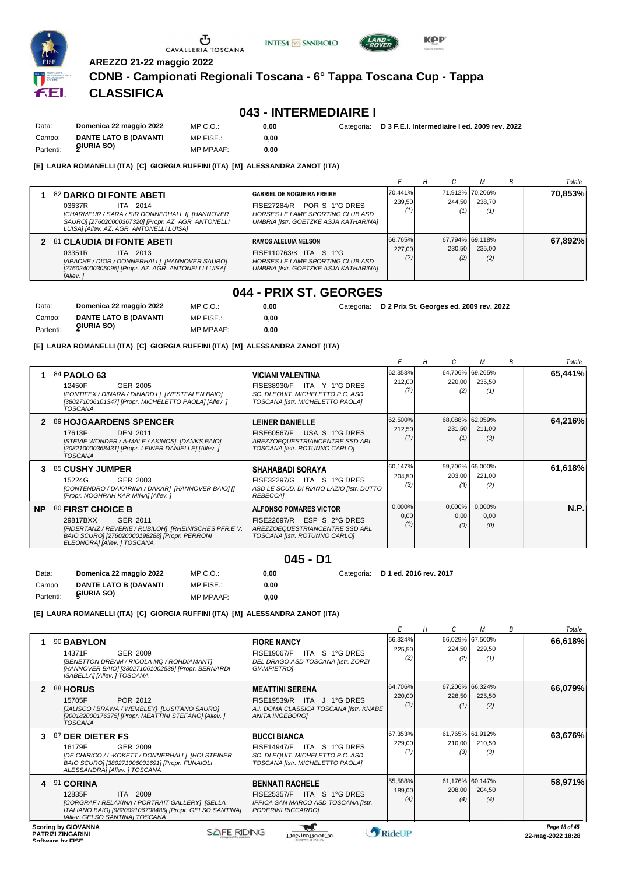

**AREZZO 21-22 maggio 2022**

**CDNB - Campionati Regionali Toscana - 6° Tappa Toscana Cup - Tappa**

**INTESA** M SANPAOLO

## **CLASSIFICA**

#### **043 - INTERMEDIAIRE I**

| Data:     | Domenica 22 maggio 2022      | MP C. O.         | 0.00 | Categoria: D 3 F.E.I. Intermediaire I ed. 2009 rev. 2022 |
|-----------|------------------------------|------------------|------|----------------------------------------------------------|
| Campo:    | <b>DANTE LATO B (DAVANTI</b> | MP FISE.:        | 0.00 |                                                          |
| Partenti: | GIURIA SO)                   | <b>MP MPAAF:</b> | 0.00 |                                                          |

#### **[E] LAURA ROMANELLI (ITA) [C] GIORGIA RUFFINI (ITA) [M] ALESSANDRA ZANOT (ITA)**

|                                                                                                                                                                                                    |                                                                                                                                                        |                          |                                    |               | B | Totale  |
|----------------------------------------------------------------------------------------------------------------------------------------------------------------------------------------------------|--------------------------------------------------------------------------------------------------------------------------------------------------------|--------------------------|------------------------------------|---------------|---|---------|
| 82 DARKO DI FONTE ABETI<br>03637R<br>ITA 2014<br>[CHARMEUR / SARA / SIR DONNERHALL I] [HANNOVER<br>SAURO] [276020000367320] [Propr. AZ. AGR. ANTONELLI<br>LUISA] [Allev. AZ. AGR. ANTONELLI LUISA] | <b>GABRIEL DE NOGUEIRA FREIRE</b><br>POR S 1°G DRES<br><b>FISE27284/R</b><br>HORSES LE LAME SPORTING CLUB ASD<br>UMBRIA [Istr. GOETZKE ASJA KATHARINA] | 70,441%<br>239.50        | 71.912% 70.206%  <br>244.50<br>(1) | 238.70<br>(1) |   | 70.853% |
| 2 81 CLAUDIA DI FONTE ABETI<br>03351R<br>ITA 2013<br>[APACHE / DIOR / DONNERHALL] [HANNOVER SAURO]<br>[276024000305095] [Propr. AZ. AGR. ANTONELLI LUISA]<br>[Allev.]                              | <b>RAMOS ALELUIA NELSON</b><br>FISE110763/K ITA S 1°G<br>HORSES LE LAME SPORTING CLUB ASD<br>UMBRIA [Istr. GOETZKE ASJA KATHARINA]                     | 66,765%<br>227.00<br>(2) | 67,794% 69,118%<br>230.50<br>(2)   | 235.00<br>(2) |   | 67.892% |

## **044 - PRIX ST. GEORGES**

| Data:     | Domenica 22 maggio 2022      | MP C. O.         | 0.00 | Categoria: D 2 Prix St. Georges ed. 2009 rev. 2022 |
|-----------|------------------------------|------------------|------|----------------------------------------------------|
| Campo:    | <b>DANTE LATO B (DAVANTI</b> | MP FISE.:        | 0.00 |                                                    |
| Partenti: | GIURIA SO)                   | <b>MP MPAAF:</b> | 0.00 |                                                    |

**[E] LAURA ROMANELLI (ITA) [C] GIORGIA RUFFINI (ITA) [M] ALESSANDRA ZANOT (ITA)**

|           |                                                                                                                                                                                    |                                                                                                                                   |                          |                       |                                  | В | Totale      |
|-----------|------------------------------------------------------------------------------------------------------------------------------------------------------------------------------------|-----------------------------------------------------------------------------------------------------------------------------------|--------------------------|-----------------------|----------------------------------|---|-------------|
|           | 84 PAOLO 63<br>GER 2005<br>12450F<br>[PONTIFEX / DINARA / DINARD L] [WESTFALEN BAIO]<br>[380271006101347] [Propr. MICHELETTO PAOLA] [Allev.]<br>TOSCANA                            | <b>VICIANI VALENTINA</b><br>FISE38930/F ITA Y 1°G DRES<br>SC. DI EQUIT. MICHELETTO P.C. ASD<br>TOSCANA [Istr. MICHELETTO PAOLA]   | 62,353%<br>212,00<br>(2) | 220,00<br>(2)         | 64,706% 69,265%<br>235,50<br>(1) |   | 65,441%     |
| 2         | 89 HOJGAARDENS SPENCER<br>17613F<br><b>DEN 2011</b><br>[STEVIE WONDER / A-MALE / AKINOS] [DANKS BAIO]<br>[208210000368431] [Propr. LEINER DANIELLE] [Allev. ]<br><b>TOSCANA</b>    | <b>LEINER DANIELLE</b><br>USA S 1°G DRES<br><b>FISE60567/F</b><br>AREZZOEQUESTRIANCENTRE SSD ARL<br>TOSCANA [Istr. ROTUNNO CARLO] | 62,500%<br>212,50<br>(1) | 231,50<br>(1)         | 68,088% 62,059%<br>211,00<br>(3) |   | 64,216%     |
| З.        | 85 CUSHY JUMPER<br>15224G<br>GER 2003<br>[CONTENDRO / DAKARINA / DAKAR] [HANNOVER BAIO] []<br>[Propr. NOGHRAH KAR MINA] [Allev. ]                                                  | <b>SHAHABADI SORAYA</b><br>FISE32297/G<br>ITA S 1°G DRES<br>ASD LE SCUD. DI RIANO LAZIO [Istr. DUTTO<br><b>REBECCAI</b>           | 60,147%<br>204,50<br>(3) | 203,00<br>(3)         | 59,706% 65,000%<br>221,00<br>(2) |   | 61,618%     |
| <b>NP</b> | 80 FIRST CHOICE B<br>29817BXX<br>GER 2011<br>[FIDERTANZ / REVERIE / RUBILOH] [RHEINISCHES PFR.E V.<br>BAIO SCURO] [276020000198288] [Propr. PERRONI<br>ELEONORA] [Allev. ] TOSCANA | <b>ALFONSO POMARES VICTOR</b><br>FISE22697/R ESP S 2°G DRES<br>AREZZOEQUESTRIANCENTRE SSD ARL<br>TOSCANA [Istr. ROTUNNO CARLO]    | 0,000%<br>0,00<br>(0)    | 0,000%<br>0,00<br>(0) | 0,000%<br>0,00<br>(0)            |   | <b>N.P.</b> |

**045 - D1**

**0,00** Categoria: **D 1 ed. 2016 rev. 2017**

**[E] LAURA ROMANELLI (ITA) [C] GIORGIA RUFFINI (ITA) [M] ALESSANDRA ZANOT (ITA)**

MP C.O.: MP FISE.:

MP MPAAF: **0,00**

**0,00**

Data: **Domenica 22 maggio 2022** Campo: **DANTE LATO B (DAVANTI**

**GIURIA SO)** Partenti: **<sup>5</sup>**

|   |                                                                                                                                                                                       |                                                                                                                                      |                          | н |               |                                  | В | Totale        |
|---|---------------------------------------------------------------------------------------------------------------------------------------------------------------------------------------|--------------------------------------------------------------------------------------------------------------------------------------|--------------------------|---|---------------|----------------------------------|---|---------------|
|   | 90 BABYLON<br>14371F<br>GER 2009<br>[BENETTON DREAM / RICOLA MQ / ROHDIAMANT]<br>[HANNOVER BAIO] [380271061002539] [Propr. BERNARDI<br>ISABELLA] [Allev. ] TOSCANA                    | <b>FIORE NANCY</b><br>ITA S 1°G DRES<br><b>FISE19067/F</b><br>DEL DRAGO ASD TOSCANA [Istr. ZORZI<br><b>GIAMPIETRO1</b>               | 66,324%<br>225,50<br>(2) |   | 224,50<br>(2) | 66,029% 67,500%<br>229,50<br>(1) |   | 66,618%       |
| 2 | <b>88 HORUS</b><br>15705F<br>POR 2012<br>[JALISCO / BRAWA / WEMBLEY] [LUSITANO SAURO]<br>[900182000176375] [Propr. MEATTINI STEFANO] [Allev.]<br><b>TOSCANA</b>                       | <b>MEATTINI SERENA</b><br>FISE19539/R ITA J 1°G DRES<br>A.I. DOMA CLASSICA TOSCANA [Istr. KNABE<br><b>ANITA INGEBORGI</b>            | 64,706%<br>220,00<br>(3) |   | 228,50<br>(1) | 67,206% 66,324%<br>225,50<br>(2) |   | 66,079%       |
|   | 87 DER DIETER FS<br>16179F<br>GER 2009<br>[DE CHIRICO / L-KOKETT / DONNERHALL] [HOLSTEINER<br>BAIO SCURO] [380271006031691] [Propr. FUNAIOLI<br>ALESSANDRAI [Allev. ] TOSCANA         | <b>BUCCI BIANCA</b><br><b>FISE14947/F</b><br>ITA S 1°G DRES<br>SC. DI EQUIT. MICHELETTO P.C. ASD<br>TOSCANA [Istr. MICHELETTO PAOLA] | 67,353%<br>229,00<br>(1) |   | 210,00<br>(3) | 61,765% 61,912%<br>210,50<br>(3) |   | 63,676%       |
| 4 | 91 CORINA<br>12835F<br><b>ITA 2009</b><br>[CORGRAF / RELAXINA / PORTRAIT GALLERY] [SELLA<br>ITALIANO BAIO] [982009106708485] [Propr. GELSO SANTINA]<br>[Allev. GELSO SANTINA] TOSCANA | <b>BENNATI RACHELE</b><br><b>FISE25357/F</b><br>ITA S 1°G DRES<br>IPPICA SAN MARCO ASD TOSCANA [Istr.<br>PODERINI RICCARDO]          | 55,588%<br>189,00<br>(4) |   | 208,00<br>(4) | 61,176% 60,147%<br>204,50<br>(4) |   | 58,971%       |
|   | <b>Scoring by GIOVANNA</b><br>SAFE RIDING                                                                                                                                             |                                                                                                                                      | <b>A</b> DIJJIID         |   |               |                                  |   | Page 18 of 45 |

**PATRIZI ZINGARINI SOFTWARE DESCRIPTION CONSUMING PROPERTY CONSUMING PROPERTY AND CONSUMING PROPERTY PROPERTY PROPERTY PROPERTY AND SUPPORTY PROPERTY PROPERTY PROPERTY PROPERTY PROPERTY PROPERTY PROPERTY PROPERTY PROPERTY PROPERTY PROPERTY** 



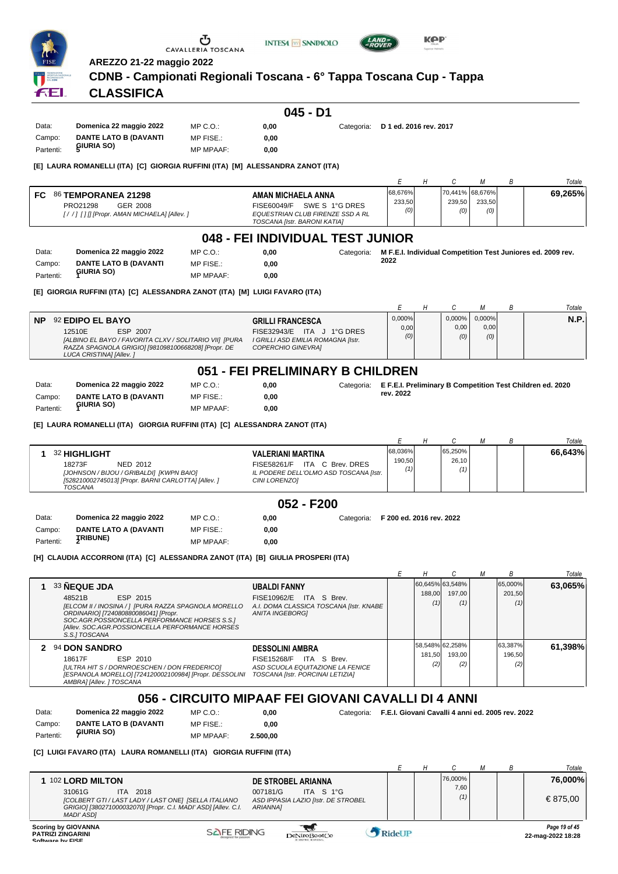

**AREZZO 21-22 maggio 2022**

### **CDNB - Campionati Regionali Toscana - 6° Tappa Toscana Cup - Tappa**

**INTESA M** SANPAOLO

## **CLASSIFICA**

| Data:     | Domenica 22 maggio 2022 | MP C.O.:         | 0.00 | Categoria: | D 1 ed. 2016 rev. 2017 |
|-----------|-------------------------|------------------|------|------------|------------------------|
| Campo:    | DANTE LATO B (DAVANTI   | MP FISE.:        | 0.00 |            |                        |
| Partenti: | GIURIA SO)              | <b>MP MPAAF:</b> | 0.00 |            |                        |

#### **[E] LAURA ROMANELLI (ITA) [C] GIORGIA RUFFINI (ITA) [M] ALESSANDRA ZANOT (ITA)**

|                                                                                                                                                                                                                                     |                          |                                    |               | Totale  |
|-------------------------------------------------------------------------------------------------------------------------------------------------------------------------------------------------------------------------------------|--------------------------|------------------------------------|---------------|---------|
| FC.<br><b>86 TEMPORANEA 21298</b><br>AMAN MICHAELA ANNA<br>SWE S 1°G DRES<br>GER 2008<br>PRO21298<br>FISE60049/F<br>EQUESTRIAN CLUB FIRENZE SSD A RL<br>[//] [] [] [Propr. AMAN MICHAELA] [Allev. ]<br>TOSCANA [Istr. BARONI KATIA] | 68,676%<br>233,50<br>(0) | [70,441% 68,676%]<br>239,50<br>(0) | 233,50<br>(0) | 69,265% |

## **048 - FEI INDIVIDUAL TEST JUNIOR**

| Data:     | Domenica 22 maggio 2022      | $MP C. O.$ :     | 0.00 | Categoria: | M F.E.I. Individual Competition Test Juniores ed. 2009 rev. |
|-----------|------------------------------|------------------|------|------------|-------------------------------------------------------------|
| Campo:    | <b>DANTE LATO B (DAVANTI</b> | MP FISE.:        | 0.00 |            | 2022                                                        |
| Partenti: | GIURIA SO)                   | <b>MP MPAAF:</b> | 0.00 |            |                                                             |

**[E] GIORGIA RUFFINI (ITA) [C] ALESSANDRA ZANOT (ITA) [M] LUIGI FAVARO (ITA)**

|           |                                                        |                                    |        |        |           | Totale |
|-----------|--------------------------------------------------------|------------------------------------|--------|--------|-----------|--------|
| <b>NP</b> | 92 EDIPO EL BAYO                                       | <b>GRILLI FRANCESCA</b>            | 0,000% | 0.000% | $0.000\%$ | N.P.   |
|           | ESP 2007<br>12510E                                     | FISE32943/E ITA J 1°G DRES         | 0,00   | 0.00   | 0,00      |        |
|           | [ALBINO EL BAYO / FAVORITA CLXV / SOLITARIO VII] [PURA | I GRILLI ASD EMILIA ROMAGNA [Istr. | (0)    | (0)    | (0)       |        |
|           | RAZZA SPAGNOLA GRIGIO] [981098100668208] [Propr. DE    | COPERCHIO GINEVRAI                 |        |        |           |        |
|           | LUCA CRISTINA] [Allev.]                                |                                    |        |        |           |        |

#### **051 - FEI PRELIMINARY B CHILDREN**

| Data:     | Domenica 22 maggio 2022      | $MP C. O.$ :     | 0.00 | Categoria: E.F.E.I. Preliminary B Competition Test Children ed. 2020 |
|-----------|------------------------------|------------------|------|----------------------------------------------------------------------|
| Campo:    | <b>DANTE LATO B (DAVANTI</b> | MP FISE.:        | 0.00 | rev. 2022                                                            |
| Partenti: | GIURIA SO)                   | <b>MP MPAAF:</b> | 0.00 |                                                                      |

**[E] LAURA ROMANELLI (ITA) GIORGIA RUFFINI (ITA) [C] ALESSANDRA ZANOT (ITA)**

|                                                                                                                                                         |                                                                                                                     |                   |                         |  | Totale  |
|---------------------------------------------------------------------------------------------------------------------------------------------------------|---------------------------------------------------------------------------------------------------------------------|-------------------|-------------------------|--|---------|
| 32 HIGHLIGHT<br>18273F<br>NED 2012<br>[JOHNSON / BIJOU / GRIBALDI] [KWPN BAIO]<br>[528210002745013] [Propr. BARNI CARLOTTA] [Allev. ]<br><b>TOSCANA</b> | <b>VALERIANI MARTINA</b><br>FISE58261/F ITA C Brev. DRES<br>IL PODERE DELL'OLMO ASD TOSCANA [Istr.<br>CINI LORENZO] | 68,036%<br>190.50 | 65,250%<br>26,10<br>(1) |  | 66,643% |

#### **052 - F200**

| Domenica 22 maggio 2022      | MP C.O.:         | 0.00 | Categoria: F 200 ed. 2016 rev. 2022 |
|------------------------------|------------------|------|-------------------------------------|
| <b>DANTE LATO A (DAVANTI</b> | MP FISE.:        | 0.00 |                                     |
|                              | <b>MP MPAAF:</b> | 0.00 |                                     |
|                              | <b>ȚRIBUNE)</b>  |      |                                     |

**[H] CLAUDIA ACCORRONI (ITA) [C] ALESSANDRA ZANOT (ITA) [B] GIULIA PROSPERI (ITA)**

|                                                                                                                                                                                                                                                         |                                                                                                                           |               |                                  | В                        | Totale  |
|---------------------------------------------------------------------------------------------------------------------------------------------------------------------------------------------------------------------------------------------------------|---------------------------------------------------------------------------------------------------------------------------|---------------|----------------------------------|--------------------------|---------|
| 33 NEQUE JDA<br>ESP 2015<br>48521B<br>[ELCOM II / INOSINA / ] [PURA RAZZA SPAGNOLA MORELLO<br>ORDINARIO] [724080880086041] [Propr.<br>SOC.AGR.POSSIONCELLA PERFORMANCE HORSES S.S.1<br>[Allev. SOC.AGR.POSSIONCELLA PERFORMANCE HORSES<br>S.S.I TOSCANA | <b>UBALDI FANNY</b><br>FISE10962/E ITA S Brev.<br>A.I. DOMA CLASSICA TOSCANA [Istr. KNABE]<br><b>ANITA INGEBORGI</b>      | 188,00<br>(1) | 60.645% 63.548%<br>197.00<br>(1) | 65,000%<br>201.50<br>(1) | 63,065% |
| 2 94 DON SANDRO<br>ESP 2010<br>18617F<br>[ULTRA HIT S / DORNROESCHEN / DON FREDERICO]<br>[ESPANOLA MORELLO] [724120002100984] [Propr. DESSOLINI<br>AMBRAI [Allev. ] TOSCANA                                                                             | <b>DESSOLINI AMBRA</b><br>FISE15268/F ITA S Brev.<br>ASD SCUOLA EQUITAZIONE LA FENICE<br>TOSCANA [Istr. PORCINAI LETIZIA] | 181.50<br>(2) | 58,548% 62,258%<br>193.00<br>(2) | 63,387%<br>196.50<br>(2) | 61.398% |

#### **056 - CIRCUITO MIPAAF FEI GIOVANI CAVALLI DI 4 ANNI**

| Data:     | Domenica 22 maggio 2022 | MP C. O.         | 0.00     |
|-----------|-------------------------|------------------|----------|
| Campo:    | DANTE LATO B (DAVANTI   | MP FISE.:        | 0.00     |
| Partenti: | GIURIA SO)              | <b>MP MPAAF:</b> | 2.500,00 |

**0,00** Categoria: **F.E.I. Giovani Cavalli 4 anni ed. 2005 rev. 2022**

#### **[C] LUIGI FAVARO (ITA) LAURA ROMANELLI (ITA) GIORGIA RUFFINI (ITA)**

|                                                                                                                                                                                                                                                                                                  |  |                        |  | Totale                             |
|--------------------------------------------------------------------------------------------------------------------------------------------------------------------------------------------------------------------------------------------------------------------------------------------------|--|------------------------|--|------------------------------------|
| 102 LORD MILTON<br>DE STROBEL ARIANNA<br>31061G<br>ITA 2018<br>ITA S $1^{\circ}$ G<br>007181/G<br>[COLBERT GTI / LAST LADY / LAST ONE] [SELLA ITALIANO<br>ASD IPPASIA LAZIO [Istr. DE STROBEL<br>GRIGIO] [380271000032070] [Propr. C.I. MADI' ASD] [Allev. C.I.<br><b>ARIANNAI</b><br>MADI' ASDI |  | 76.000%<br>7,60<br>(1) |  | 76,000%<br>€ 875,00                |
| <b>Scoring by GIOVANNA</b><br><b>SAFE RIDING</b><br>RideUP<br><b>PATRIZI ZINGARINI</b><br>DeNiroBootCo<br>Software by FISE                                                                                                                                                                       |  |                        |  | Page 19 of 45<br>22-mag-2022 18:28 |

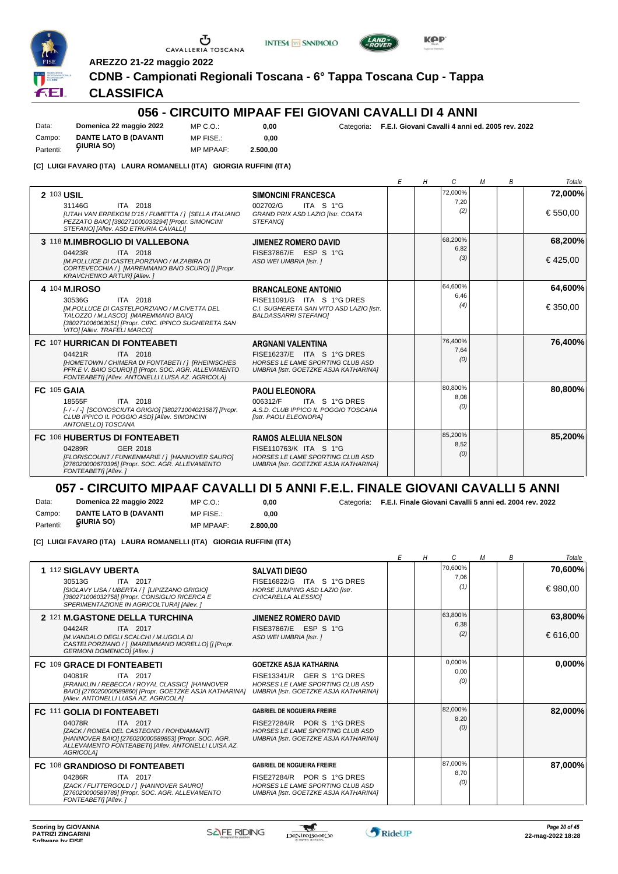

**AREZZO 21-22 maggio 2022**



**INTESA** M SANPAOLO

## **CLASSIFICA**

### **056 - CIRCUITO MIPAAF FEI GIOVANI CAVALLI DI 4 ANNI**

Data: **Domenica 22 maggio 2022** Campo: **DANTE LATO B (DAVANTI** Partenti: *GIURIA SO* MP C.O.: MP FISE.:

**0,00 0,00** Categoria: **F.E.I. Giovani Cavalli 4 anni ed. 2005 rev. 2022**

MP MPAAF: **2.500,00**

**[C] LUIGI FAVARO (ITA) LAURA ROMANELLI (ITA) GIORGIA RUFFINI (ITA)**

|                                                                                                                                                                                                                                                                                                                                                           | E | Η | C                      | М | B | Totale              |
|-----------------------------------------------------------------------------------------------------------------------------------------------------------------------------------------------------------------------------------------------------------------------------------------------------------------------------------------------------------|---|---|------------------------|---|---|---------------------|
| 2 103 USIL<br><b>SIMONCINI FRANCESCA</b><br>ITA 2018<br>ITA S 1°G<br>31146G<br>002702/G<br>[UTAH VAN ERPEKOM D'15 / FUMETTA / ] [SELLA ITALIANO<br>GRAND PRIX ASD LAZIO [Istr. COATA<br>PEZZATO BAIO] [380271000033294] [Propr. SIMONCINI<br><b>STEFANOI</b><br>STEFANOI [Allev. ASD ETRURIA CAVALLI]                                                     |   |   | 72,000%<br>7.20<br>(2) |   |   | 72,000%<br>€ 550,00 |
| 3 118 M.IMBROGLIO DI VALLEBONA<br><b>JIMENEZ ROMERO DAVID</b><br>FISE37867/E ESP S 1°G<br>04423R<br>ITA 2018<br>IM.POLLUCE DI CASTELPORZIANO / M.ZABIRA DI<br>ASD WEI UMBRIA [Istr. ]<br>CORTEVECCHIA / 1 [MAREMMANO BAIO SCURO] [] [Propr.<br><b>KRAVCHENKO ARTURI [Allev.]</b>                                                                          |   |   | 68,200%<br>6,82<br>(3) |   |   | 68,200%<br>€425,00  |
| 4 104 M.IROSO<br><b>BRANCALEONE ANTONIO</b><br>30536G<br>ITA 2018<br>FISE11091/G ITA S 1°G DRES<br>[M.POLLUCE DI CASTELPORZIANO / M.CIVETTA DEL<br>C.I. SUGHERETA SAN VITO ASD LAZIO IIstr.<br>TALOZZO / M.LASCO] [MAREMMANO BAIO]<br><b>BALDASSARRI STEFANOI</b><br>[380271006063051] [Propr. CIRC. IPPICO SUGHERETA SAN<br>VITO] [Allev. TRAFELI MARCO] |   |   | 64.600%<br>6.46<br>(4) |   |   | 64,600%<br>€350,00  |
| FC 107 HURRICAN DI FONTEABETI<br>ARGNANI VALENTINA<br>FISE16237/E ITA S 1°G DRES<br>04421R<br>ITA 2018<br>[HOMETOWN / CHIMERA DI FONTABETI / ] [RHEINISCHES<br>HORSES LE LAME SPORTING CLUB ASD<br>PFR.E V. BAIO SCURO] [] [Propr. SOC. AGR. ALLEVAMENTO<br>UMBRIA [Istr. GOETZKE ASJA KATHARINA]<br>FONTEABETI] [Allev. ANTONELLI LUISA AZ. AGRICOLA]    |   |   | 76,400%<br>7.64<br>(0) |   |   | 76,400%             |
| FC 105 GAIA<br><b>PAOLI ELEONORA</b><br>ITA 2018<br>ITA S 1°G DRES<br>18555F<br>006312/F<br>A.S.D. CLUB IPPICO IL POGGIO TOSCANA<br>[-/-/-] [SCONOSCIUTA GRIGIO] [380271004023587] [Propr.<br>CLUB IPPICO IL POGGIO ASDI [Allev. SIMONCINI<br>[Istr. PAOLI ELEONORA]<br>ANTONELLOI TOSCANA                                                                |   |   | 80,800%<br>8.08<br>(0) |   |   | 80,800%             |
| FC 106 HUBERTUS DI FONTEABETI<br><b>RAMOS ALELUIA NELSON</b><br>GER 2018<br>FISE110763/K ITA S 1°G<br>04289R<br>[FLORISCOUNT / FUNKENMARIE / ] [HANNOVER SAURO]<br>HORSES LE LAME SPORTING CLUB ASD<br>[276020000670395] [Propr. SOC. AGR. ALLEVAMENTO<br>UMBRIA [Istr. GOETZKE ASJA KATHARINA]<br>FONTEABETI] [Allev.]                                   |   |   | 85,200%<br>8,52<br>(0) |   |   | 85,200%             |

#### **057 - CIRCUITO MIPAAF CAVALLI DI 5 ANNI F.E.L. FINALE GIOVANI CAVALLI 5 ANNI**

Data: **Domenica 22 maggio 2022** Campo: **DANTE LATO B (DAVANTI** MP C.O.: MP FISE.:

MP MPAAF: **2.800,00 0,00**

**0,00** Categoria: **F.E.I. Finale Giovani Cavalli 5 anni ed. 2004 rev. 2022**

**[C] LUIGI FAVARO (ITA) LAURA ROMANELLI (ITA) GIORGIA RUFFINI (ITA)**

|                                                                                                                                                                                           |                                                                                                                       | Η           | C.              | M | В | Totale  |
|-------------------------------------------------------------------------------------------------------------------------------------------------------------------------------------------|-----------------------------------------------------------------------------------------------------------------------|-------------|-----------------|---|---|---------|
| 1 112 SIGLAVY UBERTA                                                                                                                                                                      | <b>SALVATI DIEGO</b>                                                                                                  |             | 70.600%<br>7,06 |   |   | 70,600% |
| 30513G<br>ITA 2017<br>[SIGLAVY LISA / UBERTA / 1 [LIPIZZANO GRIGIO]<br>[380271006032758] [Propr. CONSIGLIO RICERCA E<br>SPERIMENTAZIONE IN AGRICOLTURA] [Allev. ]                         | FISE16822/G ITA S 1°G DRES<br>HORSE JUMPING ASD LAZIO [Istr.<br>CHICARELLA ALESSIOI                                   |             | (1)             |   |   | €980,00 |
| 2 121 M.GASTONE DELLA TURCHINA                                                                                                                                                            | <b>JIMENEZ ROMERO DAVID</b>                                                                                           |             | 63.800%         |   |   | 63,800% |
| ITA 2017<br>04424R<br>IM. VANDALO DEGLI SCALCHI / M.UGOLA DI<br>CASTELPORZIANO / 1 [MAREMMANO MORELLO] [] [Propr.<br><b>GERMONI DOMENICOI [Allev. ]</b>                                   | FISE37867/E ESP S 1°G<br>ASD WEI UMBRIA [Istr. ]                                                                      |             | 6,38<br>(2)     |   |   | €616,00 |
| FC 109 GRACE DI FONTEABETI                                                                                                                                                                | <b>GOETZKE ASJA KATHARINA</b>                                                                                         |             | 0.000%          |   |   | 0,000%  |
| 04081R<br>ITA 2017<br>[FRANKLIN / REBECCA / ROYAL CLASSIC] [HANNOVER<br>BAIO] [276020000589860] [Propr. GOETZKE ASJA KATHARINA]<br>[Allev. ANTONELLI LUISA AZ. AGRICOLA]                  | FISE13341/R GER S 1°G DRES<br>HORSES LE LAME SPORTING CLUB ASD<br><b>UMBRIA [Istr. GOETZKE ASJA KATHARINA]</b>        | 0,00<br>(0) |                 |   |   |         |
| <b>FC 111 GOLIA DI FONTEABETI</b>                                                                                                                                                         | <b>GABRIEL DE NOGUEIRA FREIRE</b>                                                                                     |             | 82,000%         |   |   | 82,000% |
| 04078R<br>ITA 2017<br>[ZACK / ROMEA DEL CASTEGNO / ROHDIAMANT]<br>[HANNOVER BAIO] [276020000589853] [Propr. SOC. AGR.<br>ALLEVAMENTO FONTEABETI] [Allev. ANTONELLI LUISA AZ.<br>AGRICOLA] | FISE27284/R POR S 1°G DRES<br>HORSES LE LAME SPORTING CLUB ASD<br>UMBRIA [Istr. GOETZKE ASJA KATHARINA]               |             | 8,20<br>(0)     |   |   |         |
| FC 108 GRANDIOSO DI FONTEABETI                                                                                                                                                            | <b>GABRIEL DE NOGUEIRA FREIRE</b>                                                                                     |             | 87.000%         |   |   | 87,000% |
| 04286R<br>ITA 2017<br>[ZACK / FLITTERGOLD / ] [HANNOVER SAURO]<br>[276020000589789] [Propr. SOC. AGR. ALLEVAMENTO<br>FONTEABETI] [Allev.]                                                 | FISE27284/R POR S 1°G DRES<br><b>HORSES LE LAME SPORTING CLUB ASD</b><br><b>UMBRIA [Istr. GOETZKE ASJA KATHARINA]</b> |             | 8.70<br>(0)     |   |   |         |

 $\mathcal{L}$ 

Partenti: **5IURIA SO**)



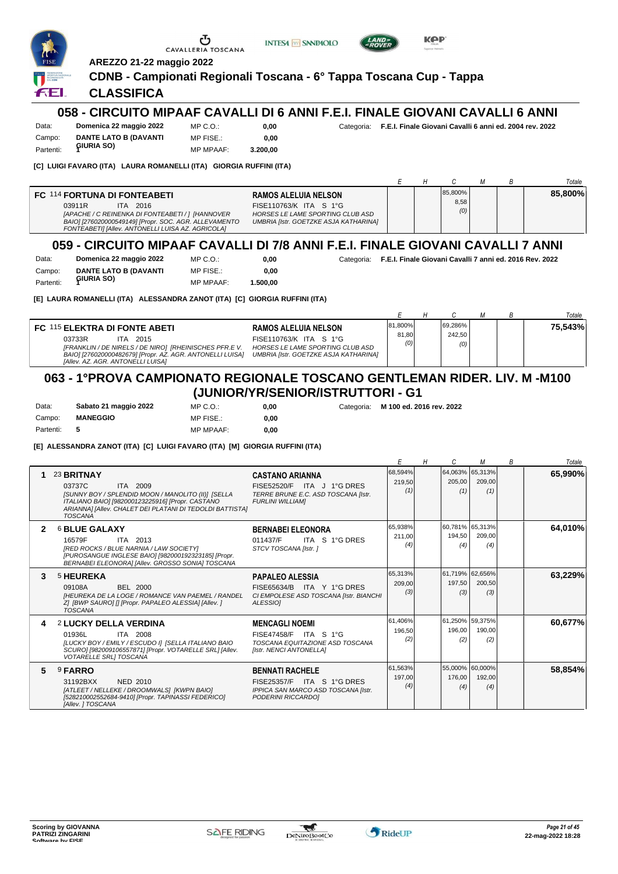|                              |                                                                                                                                                                                                                             | Œ<br>CAVALLERIA TOSCANA                   | <b>INTESA M SANPAOLO</b>                                                                                                                  |                                                                    | KPP                                                     |               |                   |
|------------------------------|-----------------------------------------------------------------------------------------------------------------------------------------------------------------------------------------------------------------------------|-------------------------------------------|-------------------------------------------------------------------------------------------------------------------------------------------|--------------------------------------------------------------------|---------------------------------------------------------|---------------|-------------------|
|                              | AREZZO 21-22 maggio 2022                                                                                                                                                                                                    |                                           |                                                                                                                                           |                                                                    |                                                         |               |                   |
|                              |                                                                                                                                                                                                                             |                                           | CDNB - Campionati Regionali Toscana - 6° Tappa Toscana Cup - Tappa                                                                        |                                                                    |                                                         |               |                   |
| fEl                          | <b>CLASSIFICA</b>                                                                                                                                                                                                           |                                           |                                                                                                                                           |                                                                    |                                                         |               |                   |
|                              |                                                                                                                                                                                                                             |                                           | 058 - CIRCUITO MIPAAF CAVALLI DI 6 ANNI F.E.I. FINALE GIOVANI CAVALLI 6 ANNI                                                              |                                                                    |                                                         |               |                   |
| Data:<br>Campo:              | Domenica 22 maggio 2022<br><b>DANTE LATO B (DAVANTI</b>                                                                                                                                                                     | MP C.O.:<br>MP FISE.:                     | 0,00<br>0,00                                                                                                                              | Categoria: F.E.I. Finale Giovani Cavalli 6 anni ed. 2004 rev. 2022 |                                                         |               |                   |
| Partenti:                    | GIURIA SO)                                                                                                                                                                                                                  | <b>MP MPAAF:</b>                          | 3.200.00                                                                                                                                  |                                                                    |                                                         |               |                   |
|                              | [C]  LUIGI FAVARO (ITA)   LAURA ROMANELLI (ITA)   GIORGIA RUFFINI (ITA)                                                                                                                                                     |                                           |                                                                                                                                           |                                                                    |                                                         |               |                   |
|                              |                                                                                                                                                                                                                             |                                           |                                                                                                                                           | Е                                                                  | H<br>С                                                  | М<br>В        | Totale            |
|                              | <b>FC 114 FORTUNA DI FONTEABETI</b><br>03911R<br>ITA 2016<br>[APACHE / C REINENKA DI FONTEABETI / ] [HANNOVER<br>BAIO] [276020000549149] [Propr. SOC. AGR. ALLEVAMENTO<br>FONTEABETI] [Allev. ANTONELLI LUISA AZ. AGRICOLA] |                                           | <b>RAMOS ALELUIA NELSON</b><br>FISE110763/K ITA S 1°G<br>HORSES LE LAME SPORTING CLUB ASD<br><b>UMBRIA [Istr. GOETZKE ASJA KATHARINA]</b> |                                                                    | 85,800%<br>8,58<br>(0)                                  |               | 85,800%           |
|                              |                                                                                                                                                                                                                             |                                           | 059 - CIRCUITO MIPAAF CAVALLI DI 7/8 ANNI F.E.I. FINALE GIOVANI CAVALLI 7 ANNI                                                            |                                                                    |                                                         |               |                   |
| Data:                        | Domenica 22 maggio 2022                                                                                                                                                                                                     | MP C.O.:                                  | 0,00                                                                                                                                      | Categoria:                                                         | F.E.I. Finale Giovani Cavalli 7 anni ed. 2016 Rev. 2022 |               |                   |
| Campo:                       | <b>DANTE LATO B (DAVANTI</b><br><b>GIURIA SO)</b>                                                                                                                                                                           | MP FISE.:                                 | 0,00                                                                                                                                      |                                                                    |                                                         |               |                   |
| Partenti:                    |                                                                                                                                                                                                                             | <b>MP MPAAF:</b>                          | 1.500,00                                                                                                                                  |                                                                    |                                                         |               |                   |
|                              | [E] LAURA ROMANELLI (ITA)   ALESSANDRA ZANOT (ITA)  [C]  GIORGIA RUFFINI (ITA)                                                                                                                                              |                                           |                                                                                                                                           |                                                                    |                                                         |               |                   |
|                              |                                                                                                                                                                                                                             |                                           |                                                                                                                                           | Е<br>81,800%                                                       | Н<br>С<br>69,286%                                       | В<br>М        | Totale<br>75,543% |
|                              | FC 115 ELEKTRA DI FONTE ABETI<br>03733R<br>ITA 2015<br>[FRANKLIN / DE NIRELS / DE NIRO] [RHEINISCHES PFR.E V.<br>BAIO] [276020000482679] [Propr. AZ. AGR. ANTONELLI LUISA]<br>[Allev. AZ. AGR. ANTONELLI LUISA]             |                                           | <b>RAMOS ALELUIA NELSON</b><br>FISE110763/K ITA S 1°G<br>HORSES LE LAME SPORTING CLUB ASD<br>UMBRIA [Istr. GOETZKE ASJA KATHARINA]        | 81,80<br>(0)                                                       | 242,50<br>(0)                                           |               |                   |
| Data:<br>Campo:<br>Partenti: | Sabato 21 maggio 2022<br><b>MANEGGIO</b><br>5                                                                                                                                                                               | MP C. O.<br>MP FISE.:<br><b>MP MPAAF:</b> | 063 - 1ºPROVA CAMPIONATO REGIONALE TOSCANO GENTLEMAN RIDER. LIV. M -M100<br>(JUNIOR/YR/SENIOR/ISTRUTTORI - G1<br>0,00<br>0,00<br>0,00     | Categoria:                                                         | M 100 ed. 2016 rev. 2022                                |               |                   |
|                              | [E]  ALESSANDRA ZANOT (ITA)  [C]  LUIGI FAVARO (ITA)  [M]  GIORGIA RUFFINI (ITA)                                                                                                                                            |                                           |                                                                                                                                           |                                                                    |                                                         |               |                   |
|                              |                                                                                                                                                                                                                             |                                           |                                                                                                                                           | Е                                                                  | С<br>Н                                                  | М<br>В        | Totale            |
| 1.                           | 23 BRITNAY                                                                                                                                                                                                                  |                                           | <b>CASTANO ARIANNA</b>                                                                                                                    | 68,594%                                                            | 64,063%                                                 | 65,313%       | 65,990%           |
|                              | 03737C<br>ITA 2009<br>[SUNNY BOY / SPLENDID MOON / MANOLITO (II)]  [SELLA<br>ITALIANO BAIO] [982000123225916] [Propr. CASTANO<br>ARIANNA] [Allev. CHALET DEI PLATANI DI TEDOLDI BATTISTA]<br><b>TOSCANA</b>                 |                                           | FISE52520/F ITA J 1°G DRES<br>TERRE BRUNE E.C. ASD TOSCANA [Istr.<br><b>FURLINI WILLIAM]</b>                                              | 219,50<br>(1)                                                      | 205,00<br>(1)                                           | 209,00<br>(1) |                   |
| $\mathbf{2}$                 | <b>6 BLUE GALAXY</b>                                                                                                                                                                                                        |                                           | <b>BERNABEI ELEONORA</b>                                                                                                                  | 65,938%                                                            | 60,781% 65,313%                                         |               | 64,010%           |
|                              | 16579F<br>ITA 2013<br>[RED ROCKS / BLUE NARNIA / LAW SOCIETY]<br>[PUROSANGUE INGLESE BAIO] [982000192323185] [Propr.<br>BERNABEI ELEONORA] [Allev. GROSSO SONIA] TOSCANA                                                    |                                           | 011437/F<br>ITA S 1°G DRES<br>STCV TOSCANA [Istr. ]                                                                                       | 211,00<br>(4)                                                      | 194,50<br>(4)                                           | 209,00<br>(4) |                   |
| 3                            | <b>5 HEUREKA</b>                                                                                                                                                                                                            |                                           | <b>PAPALEO ALESSIA</b>                                                                                                                    | 65,313%<br>209,00                                                  | 61,719% 62,656%<br>197,50                               | 200,50        | 63,229%           |
|                              | 09108A<br><b>BEL 2000</b><br>[HEUREKA DE LA LOGE / ROMANCE VAN PAEMEL / RANDEL<br>Z] [BWP SAURO] [] [Propr. PAPALEO ALESSIA] [Allev. ]<br><b>TOSCANA</b>                                                                    |                                           | FISE65634/B ITA Y 1°G DRES<br>CI EMPOLESE ASD TOSCANA IIstr. BIANCHI<br>ALESSIO]                                                          | (3)                                                                | (3)                                                     | (3)           |                   |
| 4                            | <b>2 LUCKY DELLA VERDINA</b>                                                                                                                                                                                                |                                           | <b>MENCAGLI NOEMI</b>                                                                                                                     | 61.406%<br>196,50                                                  | 61,250% 59,375%<br>196,00                               | 190,00        | 60,677%           |
|                              | 01936L<br>ITA 2008<br>[LUCKY BOY / EMILY / ESCUDO I] [SELLA ITALIANO BAIO<br>SCURO] [982009106557871] [Propr. VOTARELLE SRL] [Allev.<br>VOTARELLE SRL] TOSCANA                                                              |                                           | FISE47458/F ITA S 1°G<br>TOSCANA EQUITAZIONE ASD TOSCANA<br>[Istr. NENCI ANTONELLA]                                                       | (2)                                                                | (2)                                                     | (2)           |                   |
| 5.                           | <sup>9</sup> FARRO                                                                                                                                                                                                          |                                           | <b>BENNATI RACHELE</b>                                                                                                                    | 61,563%                                                            | 55,000%                                                 | 60,000%       |                   |
|                              | 31192BXX<br><b>NED 2010</b>                                                                                                                                                                                                 |                                           | FISE25357/F ITA S 1°G DRES                                                                                                                | 197,00                                                             | 176,00                                                  | 192,00        | 58,854%           |

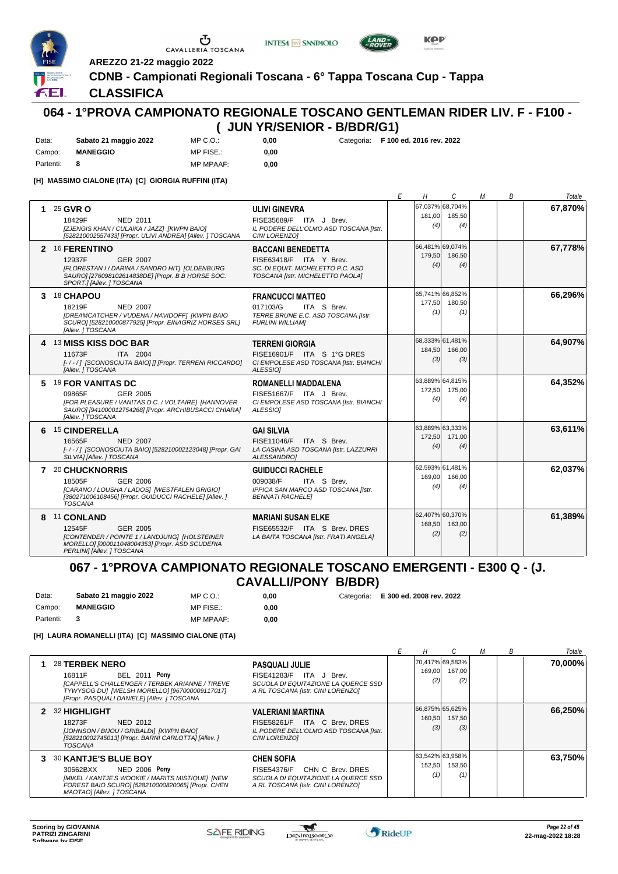

FEI.

U CAVALLERIA TOSCANA





**AREZZO 21-22 maggio 2022**

## **CDNB - Campionati Regionali Toscana - 6° Tappa Toscana Cup - Tappa**

0,00 **0,00**

#### **CLASSIFICA**

## **064 - 1°PROVA CAMPIONATO REGIONALE TOSCANO GENTLEMAN RIDER LIV. F - F100 - ( JUN YR/SENIOR - B/BDR/G1)**

| Data:     | Sabato 21 maggio 2022 | MP C. O.         |
|-----------|-----------------------|------------------|
| Campo:    | <b>MANEGGIO</b>       | MP FISE.:        |
| Partenti: |                       | <b>MP MPAAF:</b> |

**0,00** Categoria: **F 100 ed. 2016 rev. 2022**

**[H] MASSIMO CIALONE (ITA) [C] GIORGIA RUFFINI (ITA)**

|             |                                                                                                                                                                                 |                                                                                                                              | Е | H             | C                                | М | В | Totale  |
|-------------|---------------------------------------------------------------------------------------------------------------------------------------------------------------------------------|------------------------------------------------------------------------------------------------------------------------------|---|---------------|----------------------------------|---|---|---------|
| $\mathbf 1$ | 25 GVR O<br>NED 2011<br>18429F<br>[ZJENGIS KHAN / CULAIKA / JAZZ] [KWPN BAIO]<br>[528210002557433] [Propr. ULIVI ANDREA] [Allev. ] TOSCANA                                      | <b>ULIVI GINEVRA</b><br>FISE35689/F ITA J Brev.<br>IL PODERE DELL'OLMO ASD TOSCANA [Istr.<br><b>CINI LORENZO1</b>            |   | 181,00<br>(4) | 67,037% 68,704%<br>185,50<br>(4) |   |   | 67,870% |
|             | 2 16 FERENTINO<br>12937F<br><b>GER 2007</b><br>[FLORESTAN I / DARINA / SANDRO HIT] [OLDENBURG<br>SAURO] [276098102614838DE] [Propr. B B HORSE SOC.<br>SPORT.] [Allev. ] TOSCANA | <b>BACCANI BENEDETTA</b><br>FISE63418/F ITA Y Brev.<br>SC. DI EQUIT. MICHELETTO P.C. ASD<br>TOSCANA [Istr. MICHELETTO PAOLA] |   | 179,50<br>(4) | 66.481% 69.074%<br>186.50<br>(4) |   |   | 67,778% |
|             | 3 18 CHAPOU<br>18219F<br><b>NED 2007</b><br>[DREAMCATCHER / VUDENA / HAVIDOFF] [KWPN BAIO<br>SCURO] [528210000877925] [Propr. EINAGRIZ HORSES SRL]<br>[Allev. ] TOSCANA         | <b>FRANCUCCI MATTEO</b><br>017103/G<br>ITA S Brev.<br>TERRE BRUNE E.C. ASD TOSCANA [Istr.<br><b>FURLINI WILLIAMI</b>         |   | 177,50<br>(1) | 65,741% 66,852%<br>180,50<br>(1) |   |   | 66,296% |
|             | 4 13 MISS KISS DOC BAR<br>11673F<br>ITA 2004<br>[-/-/] [SCONOSCIUTA BAIO] [] [Propr. TERRENI RICCARDO]<br>[Allev.] TOSCANA                                                      | <b>TERRENI GIORGIA</b><br>FISE16901/F ITA S 1°G DRES<br>CI EMPOLESE ASD TOSCANA [Istr. BIANCHI<br>ALESSIO1                   |   | 184,50<br>(3) | 68,333% 61,481%<br>166.00<br>(3) |   |   | 64,907% |
| 5           | 19 FOR VANITAS DC<br>GER 2005<br>09865F<br>[FOR PLEASURE / VANITAS D.C. / VOLTAIRE] [HANNOVER<br>SAURO] [941000012754268] [Propr. ARCHIBUSACCI CHIARA]<br>[Allev. ] TOSCANA     | <b>ROMANELLI MADDALENA</b><br>FISE51667/F ITA J Brev.<br>CI EMPOLESE ASD TOSCANA [Istr. BIANCHI<br>ALESSIO1                  |   | 172.50<br>(4) | 63,889% 64,815%<br>175.00<br>(4) |   |   | 64,352% |
| 6           | <b>15 CINDERELLA</b><br>16565F<br><b>NED 2007</b><br>[-/-/] [SCONOSCIUTA BAIO] [528210002123048] [Propr. GAI<br>SILVIA] [Allev. ] TOSCANA                                       | <b>GAI SILVIA</b><br>FISE11046/F ITA S Brev.<br>LA CASINA ASD TOSCANA [Istr. LAZZURRI<br><b>ALESSANDROI</b>                  |   | 172,50<br>(4) | 63,889% 63,333%<br>171,00<br>(4) |   |   | 63,611% |
|             | 7 20 CHUCKNORRIS<br>18505F<br>GER 2006<br>[CARANO / LOUSHA / LADOS] [WESTFALEN GRIGIO]<br>[380271006108456] [Propr. GUIDUCCI RACHELE] [Allev. ]<br>TOSCANA                      | <b>GUIDUCCI RACHELE</b><br>009038/F<br>ITA S Brev.<br>IPPICA SAN MARCO ASD TOSCANA [Istr.<br><b>BENNATI RACHELEI</b>         |   | 169,00<br>(4) | 62.593% 61.481%<br>166,00<br>(4) |   |   | 62,037% |
| 8           | 11 CONLAND<br>12545F<br>GER 2005<br>[CONTENDER / POINTE 1 / LANDJUNG] [HOLSTEINER<br>MORELLO] [000011048004353] [Propr. ASD SCUDERIA<br>PERLINII [Allev. ] TOSCANA              | <b>MARIANI SUSAN ELKE</b><br>FISE65532/F ITA S Brev. DRES<br>LA BAITA TOSCANA [Istr. FRATI ANGELA]                           |   | 168,50<br>(2) | 62,407% 60,370%<br>163.00<br>(2) |   |   | 61,389% |

#### **067 - 1°PROVA CAMPIONATO REGIONALE TOSCANO EMERGENTI - E300 Q - (J. CAVALLI/PONY B/BDR)**

| Data:     | Sabato 21 maggio 2022   | MP C.O.:         | 0.00 | Categoria: E 300 ed. 2008 rev. 2022 |
|-----------|-------------------------|------------------|------|-------------------------------------|
| Campo:    | <b>MANEGGIO</b>         | MP FISE.:        | 0.00 |                                     |
| Partenti: | $\overline{\mathbf{3}}$ | <b>MP MPAAF:</b> | 0.00 |                                     |

**[H] LAURA ROMANELLI (ITA) [C] MASSIMO CIALONE (ITA)**

|   |                                                                                                                                                                                                      |                                                                                                                                  |               |                                  | B | Totale  |
|---|------------------------------------------------------------------------------------------------------------------------------------------------------------------------------------------------------|----------------------------------------------------------------------------------------------------------------------------------|---------------|----------------------------------|---|---------|
|   | 28 TERBEK NERO<br><b>BEL 2011 Pony</b><br>16811F<br>[CAPPELL'S CHALLENGER / TERBEK ARIANNE / TIREVE<br>TYWYSOG DU] [WELSH MORELLO] [967000009117017]<br>[Propr. PASQUALI DANIELE] [Allev. ] TOSCANA  | <b>PASQUALI JULIE</b><br>FISE41283/F ITA J Brev.<br>SCUOLA DI EQUITAZIONE LA QUERCE SSD<br>A RL TOSCANA [Istr. CINI LORENZO]     | 169,00<br>(2) | 70,417% 69,583%<br>167.00<br>(2) |   | 70,000% |
|   | 2 32 HIGHLIGHT<br>NED 2012<br>18273F<br>[JOHNSON / BIJOU / GRIBALDI] [KWPN BAIO]<br>[528210002745013] [Propr. BARNI CARLOTTA] [Allev. ]<br><b>TOSCANA</b>                                            | <b>VALERIANI MARTINA</b><br>FISE58261/F ITA C Brev. DRES<br>IL PODERE DELL'OLMO ASD TOSCANA [Istr.<br>CINI LORENZOI              | 160,50<br>(3) | 66,875% 65,625%<br>157,50<br>(3) |   | 66,250% |
| 3 | <b>30 KANTJE'S BLUE BOY</b><br><b>NED 2006 Pony</b><br>30662BXX<br>[MIKEL / KANTJE'S WOOKIE / MARITS MISTIQUE] [NEW<br>FOREST BAIO SCUROI [528210000820065] [Propr. CHEN<br>MAOTAOJ [Allev.] TOSCANA | <b>CHEN SOFIA</b><br>CHN C Brev. DRES<br>FISE54376/F<br>SCUOLA DI EQUITAZIONE LA QUERCE SSD<br>A RL TOSCANA [Istr. CINI LORENZO] | 152,50<br>(1) | 63.542%163.958%<br>153,50<br>(1) |   | 63,750% |

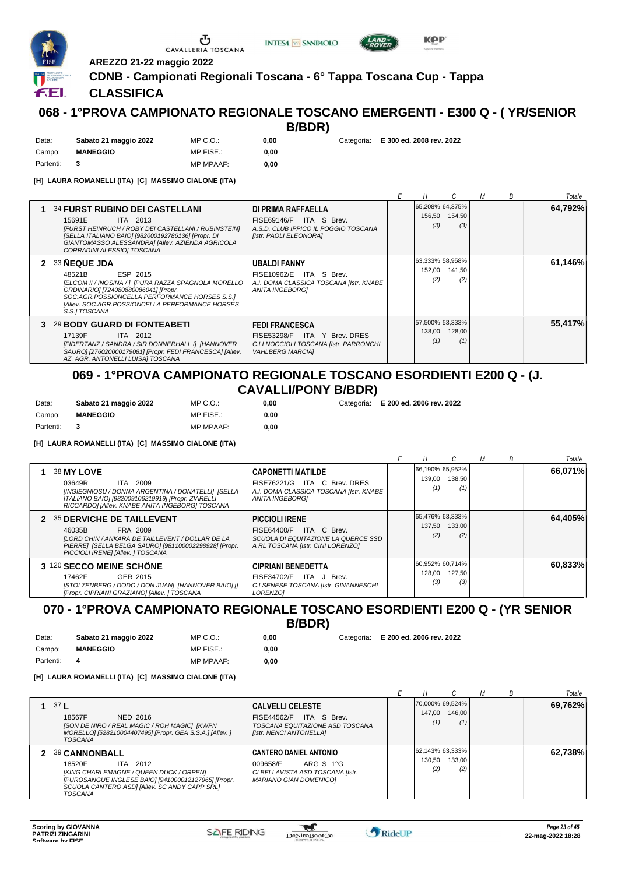





ÆL.

## **CDNB - Campionati Regionali Toscana - 6° Tappa Toscana Cup - Tappa CLASSIFICA**

**AREZZO 21-22 maggio 2022**

G

CAVALLERIA TOSCANA

## **068 - 1°PROVA CAMPIONATO REGIONALE TOSCANO EMERGENTI - E300 Q - ( YR/SENIOR B/BDR)**

| Data:     | Sabato 21 maggio 2022 | MP C. O.         |
|-----------|-----------------------|------------------|
| Campo:    | <b>MANEGGIO</b>       | MP FISE.:        |
| Partenti: |                       | <b>MP MPAAF:</b> |

**0,00**

0,00

**0,00** Categoria: **E 300 ed. 2008 rev. 2022**

**[H] LAURA ROMANELLI (ITA) [C] MASSIMO CIALONE (ITA)**

|    |                                                                                                                                                                                                                                                            |                                                                                                                             |               |                                  | B | Totale  |
|----|------------------------------------------------------------------------------------------------------------------------------------------------------------------------------------------------------------------------------------------------------------|-----------------------------------------------------------------------------------------------------------------------------|---------------|----------------------------------|---|---------|
|    | <b>34 FURST RUBINO DEI CASTELLANI</b><br>15691E<br>ITA 2013<br>[FURST HEINRUCH / ROBY DEI CASTELLANI / RUBINSTEIN]<br>[SELLA ITALIANO BAIO] [982000192786136] [Propr. DI<br>GIANTOMASSO ALESSANDRA] [Allev. AZIENDA AGRICOLA<br>CORRADINI ALESSIO] TOSCANA | DI PRIMA RAFFAELLA<br>FISE69146/F ITA S Brev.<br>A.S.D. CLUB IPPICO IL POGGIO TOSCANA<br>[Istr. PAOLI ELEONORA]             | 156,50<br>(3) | 65,208% 64,375%<br>154,50<br>(3) |   | 64,792% |
|    | 2 33 NEQUE JDA<br>ESP 2015<br>48521B<br>[ELCOM II / INOSINA / ]  [PURA RAZZA SPAGNOLA MORELLO<br>ORDINARIO] [724080880086041] [Propr.<br>SOC.AGR.POSSIONCELLA PERFORMANCE HORSES S.S.1<br>[Allev. SOC.AGR.POSSIONCELLA PERFORMANCE HORSES<br>S.S.I TOSCANA | <b>UBALDI FANNY</b><br>FISE10962/E ITA S Brev.<br>A.I. DOMA CLASSICA TOSCANA [Istr. KNABE<br><b>ANITA INGEBORGI</b>         | 152,00<br>(2) | 63,333% 58,958%<br>141,50<br>(2) |   | 61,146% |
| з. | 29 BODY GUARD DI FONTEABETI<br>17139F<br>ITA 2012<br>[FIDERTANZ / SANDRA / SIR DONNERHALL I] [HANNOVER<br>SAURO] [276020000179081] [Propr. FEDI FRANCESCA] [Allev.<br>AZ. AGR. ANTONELLI LUISA] TOSCANA                                                    | <b>FEDI FRANCESCA</b><br>FISE53298/F ITA Y Brev. DRES<br>C.I.I NOCCIOLI TOSCANA [Istr. PARRONCHI<br><b>VAHLBERG MARCIAI</b> | 138,00<br>(1) | 57,500% 53,333%<br>128,00<br>(1) |   | 55,417% |

#### **069 - 1°PROVA CAMPIONATO REGIONALE TOSCANO ESORDIENTI E200 Q - (J. CAVALLI/PONY B/BDR)**

| Data:     | Sabato 21 maggio 2022 | MP C. O.         | 0.00 |
|-----------|-----------------------|------------------|------|
| Campo:    | <b>MANEGGIO</b>       | MP FISE.:        | 0.00 |
| Partenti: |                       | <b>MP MPAAF:</b> | 0.00 |

**[H] LAURA ROMANELLI (ITA) [C] MASSIMO CIALONE (ITA)**

|                                                                                                                                                                                                     |                                                                                                                              |               |                                  | м | B | Totale  |
|-----------------------------------------------------------------------------------------------------------------------------------------------------------------------------------------------------|------------------------------------------------------------------------------------------------------------------------------|---------------|----------------------------------|---|---|---------|
| 38 MY LOVE<br>03649R<br>ITA 2009<br>[INGIEGNIOSU / DONNA ARGENTINA / DONATELLI] [SELLA<br>ITALIANO BAIO] [982009106219919] [Propr. ZIARELLI<br>RICCARDO] [Allev. KNABE ANITA INGEBORG] TOSCANA      | <b>CAPONETTI MATILDE</b><br>FISE76221/G ITA C Brev. DRES<br>A.I. DOMA CLASSICA TOSCANA [Istr. KNABE<br>ANITA INGEBORGI       | 139,00<br>(1) | 66,190% 65,952%<br>138,50<br>(1) |   |   | 66.071% |
| 2 35 DERVICHE DE TAILLEVENT<br>46035B<br>FRA 2009<br>[LORD CHIN / ANKARA DE TAILLEVENT / DOLLAR DE LA<br>PIERRE] [SELLA BELGA SAURO] [981100002298928] [Propr.<br>PICCIOLI IRENE] [Allev. ] TOSCANA | <b>PICCIOLI IRENE</b><br>FISE64400/F ITA C Brev.<br>SCUOLA DI EQUITAZIONE LA QUERCE SSD<br>A RL TOSCANA [Istr. CINI LORENZO] | 137,50<br>(2) | 65,476% 63,333%<br>133,00<br>(2) |   |   | 64,405% |
| 3 120 SECCO MEINE SCHÖNE<br>GER 2015<br>17462F<br>[STOLZENBERG / DODO / DON JUAN] [HANNOVER BAIO] []<br>[Propr. CIPRIANI GRAZIANO] [Allev. ] TOSCANA                                                | <b>CIPRIANI BENEDETTA</b><br>FISE34702/F<br>ITA J Brev.<br>C.I.SENESE TOSCANA [Istr. GINANNESCHI<br><b>LORENZOI</b>          | 128,00<br>(3) | 60,952% 60,714%<br>127,50<br>(3) |   |   | 60,833% |

#### **070 - 1°PROVA CAMPIONATO REGIONALE TOSCANO ESORDIENTI E200 Q - (YR SENIOR B/BDR)**

| Data:     | Sabato 21 maggio 2022 | $MP C. Q$ .:     | 0.00 |
|-----------|-----------------------|------------------|------|
| Campo:    | <b>MANEGGIO</b>       | MP FISE.:        | 0.00 |
| Partenti: |                       | <b>MP MPAAF:</b> | 0.00 |

**0,00**

**0,00** Categoria: **E 200 ed. 2006 rev. 2022**

**0,00** Categoria: **E 200 ed. 2006 rev. 2022**

#### **[H] LAURA ROMANELLI (ITA) [C] MASSIMO CIALONE (ITA)**

|                 |                                                                                                                                                                                                                 |                                                                                                                             |               |                                  |  | Totale  |
|-----------------|-----------------------------------------------------------------------------------------------------------------------------------------------------------------------------------------------------------------|-----------------------------------------------------------------------------------------------------------------------------|---------------|----------------------------------|--|---------|
| 37 <sub>1</sub> | 18567F<br>NED 2016<br>[SON DE NIRO / REAL MAGIC / ROH MAGIC] [KWPN<br>MORELLO] [528210004407495] [Propr. GEA S.S.A.] [Allev. ]<br>TOSCANA                                                                       | <b>CALVELLI CELESTE</b><br>FISE44562/F ITA S Brev.<br>TOSCANA EQUITAZIONE ASD TOSCANA<br>[Istr. NENCI ANTONELLA]            | 147.00<br>(1) | 70.000%169.524%<br>146.00<br>(1) |  | 69,762% |
|                 | <b>39 CANNONBALL</b><br>18520F<br>ITA 2012<br>[KING CHARLEMAGNE / QUEEN DUCK / ORPEN]<br>[PUROSANGUE INGLESE BAIO] [941000012127965] [Propr.<br>SCUOLA CANTERO ASDI [Allev. SC ANDY CAPP SRL]<br><b>TOSCANA</b> | <b>CANTERO DANIEL ANTONIO</b><br>ARG S 1°G<br>009658/F<br>CI BELLAVISTA ASD TOSCANA [Istr.<br><b>MARIANO GIAN DOMENICOI</b> | 130,50<br>(2) | 62.143% 63.333%<br>133.00<br>(2) |  | 62,738% |

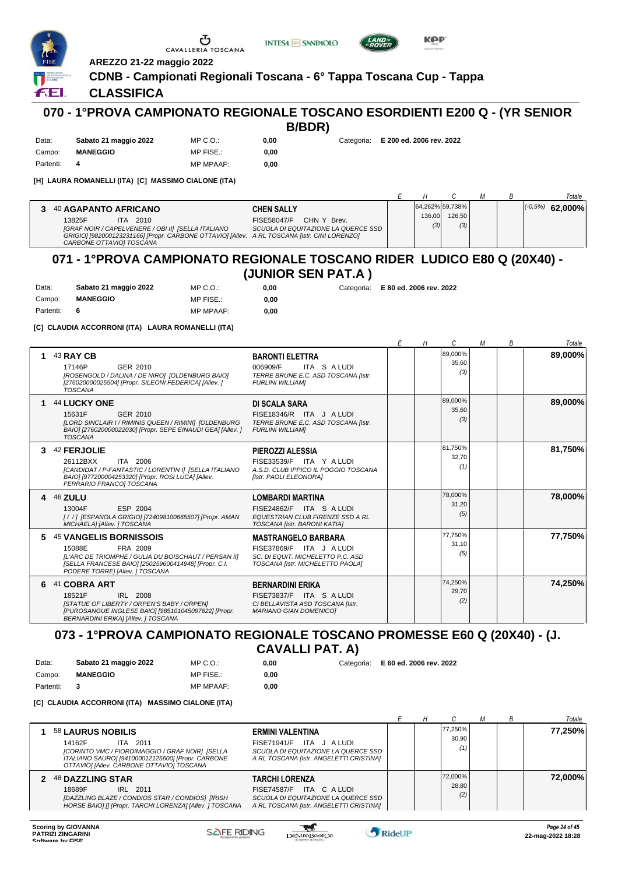

MP C.O.: MP FISE.:





ÆL.

## **CLASSIFICA**

Data: **Sabato 21 maggio 2022**

Campo: **MANEGGIO**

# **070 - 1°PROVA CAMPIONATO REGIONALE TOSCANO ESORDIENTI E200 Q - (YR SENIOR**

**CDNB - Campionati Regionali Toscana - 6° Tappa Toscana Cup - Tappa**

**0,00**

**0,00** Categoria: **E 200 ed. 2006 rev. 2022**

Partenti: **4** MP MPAAF: **0,00 [H] LAURA ROMANELLI (ITA) [C] MASSIMO CIALONE (ITA)**

**AREZZO 21-22 maggio 2022**

|                                                                                                                                                                                                                                  |                                                                                        |               |                                  |  | Totale               |
|----------------------------------------------------------------------------------------------------------------------------------------------------------------------------------------------------------------------------------|----------------------------------------------------------------------------------------|---------------|----------------------------------|--|----------------------|
| 40 AGAPANTO AFRICANO<br>13825F<br>2010<br>ITA.<br>[GRAF NOIR / CAPELVENERE / OBI II] [SELLA ITALIANO<br>GRIGIO] [982000123231166] [Propr. CARBONE OTTAVIO] [Allev. A RL TOSCANA [Istr. CINI LORENZO]<br>CARBONE OTTAVIOI TOSCANA | <b>CHEN SALLY</b><br>CHN Y Brev.<br>FISE58047/F<br>SCUOLA DI EQUITAZIONE LA QUERCE SSD | 136,00<br>(3) | 64.262% 59.738%<br>126.50<br>(3) |  | $(-0.5%)$<br>62.000% |

## **071 - 1°PROVA CAMPIONATO REGIONALE TOSCANO RIDER LUDICO E80 Q (20X40) - (JUNIOR SEN PAT.A )**

| Data:       | Sabato 21 maggio 2022 | MP C.O.:         | 0.00 | Categoria: E 80 ed. 2006 rev. 2022 |
|-------------|-----------------------|------------------|------|------------------------------------|
| Campo:      | <b>MANEGGIO</b>       | MP FISE.:        | 0.00 |                                    |
| Partenti: 6 |                       | <b>MP MPAAF:</b> | 0.00 |                                    |

**[C] CLAUDIA ACCORRONI (ITA) LAURA ROMANELLI (ITA)**

|   |                                                                                                                                                                                                        |                                                                                                                                 | F | Н | C                       | M | B | Totale  |
|---|--------------------------------------------------------------------------------------------------------------------------------------------------------------------------------------------------------|---------------------------------------------------------------------------------------------------------------------------------|---|---|-------------------------|---|---|---------|
| 1 | 43 RAY CB<br>17146P<br>GER 2010<br>[ROSENGOLD / DALINA / DE NIRO] [OLDENBURG BAIO]<br>[276020000025504] [Propr. SILEONI FEDERICA] [Allev. ]<br><b>TOSCANA</b>                                          | <b>BARONTI ELETTRA</b><br>006909/F<br>ITA S A LUDI<br>TERRE BRUNE E.C. ASD TOSCANA [Istr.<br><b>FURLINI WILLIAMI</b>            |   |   | 89,000%<br>35,60<br>(3) |   |   | 89,000% |
| 1 | 44 LUCKY ONE<br>GER 2010<br>15631F<br>[LORD SINCLAIR I / RIMINIS QUEEN / RIMINI] [OLDENBURG<br>BAIO] [276020000022030] [Propr. SEPE EINAUDI GEA] [Allev. ]<br><b>TOSCANA</b>                           | <b>DI SCALA SARA</b><br>FISE18346/R ITA J A LUDI<br>TERRE BRUNE E.C. ASD TOSCANA [Istr.<br><b>FURLINI WILLIAMI</b>              |   |   | 89,000%<br>35,60<br>(3) |   |   | 89,000% |
| 3 | 42 FERJOLIE<br>ITA 2006<br>26112BXX<br>[CANDIDAT / P-FANTASTIC / LORENTIN I] [SELLA ITALIANO<br>BAIO] [977200004253320] [Propr. ROSI LUCA] [Allev.<br>FERRARIO FRANCOI TOSCANA                         | PIEROZZI ALESSIA<br>FISE33539/F ITA Y A LUDI<br>A.S.D. CLUB IPPICO IL POGGIO TOSCANA<br>[Istr. PAOLI ELEONORA]                  |   |   | 81,750%<br>32,70<br>(1) |   |   | 81,750% |
|   | 4 46 ZULU<br>13004F<br>ESP 2004<br>[/ /] [ESPANOLA GRIGIO] [724098100665507] [Propr. AMAN<br>MICHAELA] [Allev. ] TOSCANA                                                                               | <b>LOMBARDI MARTINA</b><br>FISE24862/F ITA S A LUDI<br><b>EQUESTRIAN CLUB FIRENZE SSD A RL</b><br>TOSCANA [Istr. BARONI KATIA]  |   |   | 78,000%<br>31.20<br>(5) |   |   | 78,000% |
| 5 | <b>45 VANGELIS BORNISSOIS</b><br>FRA 2009<br>15088E<br>[L'ARC DE TRIOMPHE / GULIA DU BOISCHAUT / PERSAN II]<br>[SELLA FRANCESE BAIO] [250259600414948] [Propr. C.I.<br>PODERE TORRE] [Allev. ] TOSCANA | <b>MASTRANGELO BARBARA</b><br>FISE37869/F ITA J A LUDI<br>SC. DI EQUIT. MICHELETTO P.C. ASD<br>TOSCANA [Istr. MICHELETTO PAOLA] |   |   | 77,750%<br>31.10<br>(5) |   |   | 77,750% |
| 6 | 41 COBRA ART<br>IRL 2008<br>18521F<br><b>ISTATUE OF LIBERTY / ORPEN'S BABY / ORPENI</b><br>[PUROSANGUE INGLESE BAIO] [985101045097622] [Propr.<br><b>BERNARDINI ERIKA] [Allev. ] TOSCANA</b>           | <b>BERNARDINI ERIKA</b><br>FISE73837/F ITA S A LUDI<br>CI BELLAVISTA ASD TOSCANA [Istr.<br><b>MARIANO GIAN DOMENICO]</b>        |   |   | 74,250%<br>29,70<br>(2) |   |   | 74,250% |

# **073 - 1°PROVA CAMPIONATO REGIONALE TOSCANO PROMESSE E60 Q (20X40) - (J.**

**CAVALLI PAT. A)**

**0,00**

**0,00** Categoria: **E 60 ed. 2006 rev. 2022**

Campo: **MANEGGIO** Partenti: **3** MP FISE.: MP MPAAF: **0,00**

MP C.O.:

**[C] CLAUDIA ACCORRONI (ITA) MASSIMO CIALONE (ITA)**

Data: **Sabato 21 maggio 2022**

|                                                                                                                                                                                              |                                                                                                                                |  |                         |  | Totale  |
|----------------------------------------------------------------------------------------------------------------------------------------------------------------------------------------------|--------------------------------------------------------------------------------------------------------------------------------|--|-------------------------|--|---------|
| 58 LAURUS NOBILIS<br>14162F<br>ITA 2011<br>[CORINTO VMC / FIORDIMAGGIO / GRAF NOIR] [SELLA<br>ITALIANO SAURO] [941000012125600] [Propr. CARBONE<br>OTTAVIOI [Allev. CARBONE OTTAVIO] TOSCANA | ERMINI VALENTINA<br>FISE71941/F ITA J A LUDI<br>SCUOLA DI EQUITAZIONE LA QUERCE SSD<br>A RL TOSCANA [Istr. ANGELETTI CRISTINA] |  | 77,250%<br>30.90<br>(1) |  | 77.250% |
| 2 48 DAZZLING STAR<br>IRL 2011<br>18689F<br>[DAZZLING BLAZE / CONDIOS STAR / CONDIOS] [IRISH<br>HORSE BAIO] [] [Propr. TARCHI LORENZA] [Allev. ] TOSCANA                                     | TARCHI LORENZA<br>FISE74587/F ITA C A LUDI<br>SCUOLA DI EQUITAZIONE LA QUERCE SSD<br>A RL TOSCANA [Istr. ANGELETTI CRISTINA]   |  | 72.000%<br>28,80<br>(2) |  | 72,000% |

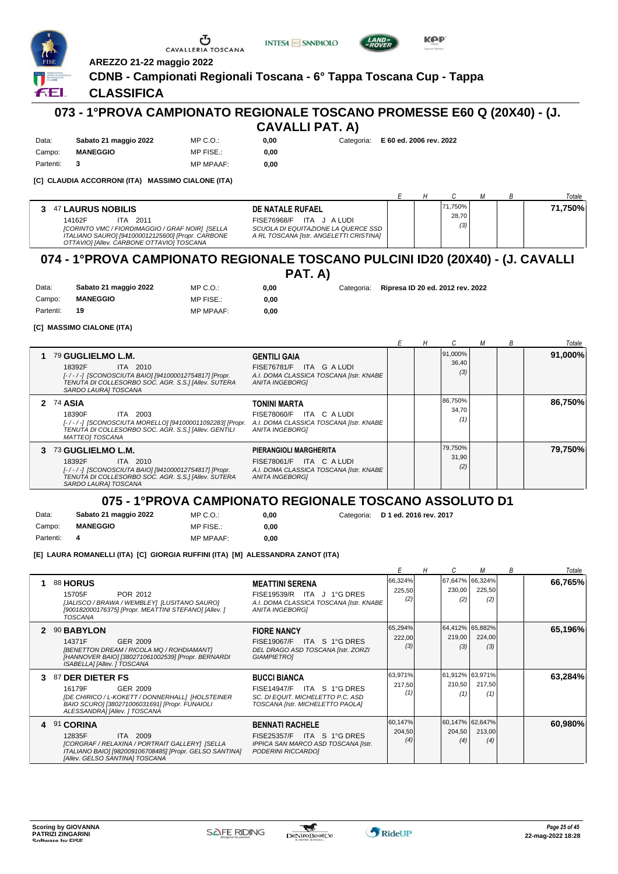

#### **CLASSIFICA**

Data: **Sabato 21 maggio 2022**

ÆL.

# **073 - 1°PROVA CAMPIONATO REGIONALE TOSCANO PROMESSE E60 Q (20X40) - (J.**

| <b>CAVALLI PAT. A)</b> |  |  |
|------------------------|--|--|
|------------------------|--|--|

**0,00** Categoria: **E 60 ed. 2006 rev. 2022**

Campo: **MANEGGIO** Partenti: **3** MP MPAAF: **0,00**

MP FISE.:

MP C.O.:

MP C.O.:

**0,00**

**[C] CLAUDIA ACCORRONI (ITA) MASSIMO CIALONE (ITA)**

|                                                                                                                                                                                                                                                            |                                                                                |                         |  | Totale  |
|------------------------------------------------------------------------------------------------------------------------------------------------------------------------------------------------------------------------------------------------------------|--------------------------------------------------------------------------------|-------------------------|--|---------|
| <b>47 LAURUS NOBILIS</b><br>DE NATALE RUFAEL<br>3<br>FISE76968/F ITA J ALUDI<br>14162F<br>2011<br>ITA<br>[CORINTO VMC / FIORDIMAGGIO / GRAF NOIR] [SELLA<br>ITALIANO SAURO] [941000012125600] [Propr. CARBONE<br>OTTAVIOI [Allev. CARBONE OTTAVIO] TOSCANA | SCUOLA DI EQUITAZIONE LA QUERCE SSD<br>A RL TOSCANA [Istr. ANGELETTI CRISTINA] | 71,750%<br>28,70<br>(3) |  | 71.750% |

# **074 - 1°PROVA CAMPIONATO REGIONALE TOSCANO PULCINI ID20 (20X40) - (J. CAVALLI**

**PAT. A)**

 $0,00$ **0,00**

**0,00** Categoria: **Ripresa ID 20 ed. 2012 rev. 2022**

| Campo:    | <b>MANEGGIO</b> | MP FISE.:        |
|-----------|-----------------|------------------|
| Partenti: | 19              | <b>MP MPAAF:</b> |

**[C] MASSIMO CIALONE (ITA)**

Data: **Sabato 21 maggio 2022**

|                                                                                                                                                                                  |                                                                                                                         |  |                              | B | Totale  |
|----------------------------------------------------------------------------------------------------------------------------------------------------------------------------------|-------------------------------------------------------------------------------------------------------------------------|--|------------------------------|---|---------|
| 1 79 GUGLIELMO L.M.<br>ITA 2010<br>18392F<br>[-/-/-] [SCONOSCIUTA BAIO] [941000012754817] [Propr.<br>TENUTA DI COLLESORBO SOC. AGR. S.S.] [Allev. SUTERA<br>SARDO LAURA] TOSCANA | <b>GENTILI GAIA</b><br>FISE76781/F ITA G A LUDI<br>A.I. DOMA CLASSICA TOSCANA [Istr. KNABE<br><b>ANITA INGEBORGI</b>    |  | 91,000%<br>36,40<br>(3)      |   | 91,000% |
| 2 74 ASIA<br>18390F<br>ITA 2003<br>[-/-/-] [SCONOSCIUTA MORELLO] [941000011092283] [Propr.<br>TENUTA DI COLLESORBO SOC. AGR. S.S.] [Allev. GENTILI<br><b>MATTEOI TOSCANA</b>     | <b>TONINI MARTA</b><br>FISE78060/F ITA C A LUDI<br>A.I. DOMA CLASSICA TOSCANA [Istr. KNABE<br>ANITA INGEBORGI           |  | 86,750%<br>34.70<br>$^{(1)}$ |   | 86.750% |
| 3 73 GUGLIELMO L.M.<br>ITA 2010<br>18392F<br>[-/-/-] [SCONOSCIUTA BAIO] [941000012754817] [Propr.<br>TENUTA DI COLLESORBO SOC. AGR. S.S.] [Allev. SUTERA<br>SARDO LAURAI TOSCANA | PIERANGIOLI MARGHERITA<br>FISE78061/F ITA C A LUDI<br>A.I. DOMA CLASSICA TOSCANA [Istr. KNABE<br><b>ANITA INGEBORGI</b> |  | 79,750%<br>31,90<br>(2)      |   | 79,750% |

## **075 - 1°PROVA CAMPIONATO REGIONALE TOSCANO ASSOLUTO D1**

Data: **Sabato 21 maggio 2022** Campo: **MANEGGIO**

MP C.O.: MP FISE.:

MP MPAAF: **0,00 0,00**

**0,00** Categoria: **D 1 ed. 2016 rev. 2017**

Partenti: **4**

**[E] LAURA ROMANELLI (ITA) [C] GIORGIA RUFFINI (ITA) [M] ALESSANDRA ZANOT (ITA)**

|                                                                                                                                                                                            |                                                                                                                                      |                          | Н |                                    | М             | B | Totale  |
|--------------------------------------------------------------------------------------------------------------------------------------------------------------------------------------------|--------------------------------------------------------------------------------------------------------------------------------------|--------------------------|---|------------------------------------|---------------|---|---------|
| 88 HORUS<br>POR 2012<br>15705F<br>[JALISCO / BRAWA / WEMBLEY] [LUSITANO SAURO]<br>[900182000176375] [Propr. MEATTINI STEFANO] [Allev.]<br><b>TOSCANA</b>                                   | <b>MEATTINI SERENA</b><br>FISE19539/R ITA J 1°G DRES<br>A.I. DOMA CLASSICA TOSCANA [Istr. KNABE<br><b>ANITA INGEBORGI</b>            | 66,324%<br>225,50<br>(2) |   | 67,647%  66,324% <br>230,00<br>(2) | 225,50<br>(2) |   | 66,765% |
| 2 90 BABYLON<br>14371F<br>GER 2009<br>[BENETTON DREAM / RICOLA MQ / ROHDIAMANT]<br>[HANNOVER BAIO] [380271061002539] [Propr. BERNARDI<br>ISABELLAI [Allev. ] TOSCANA                       | <b>FIORE NANCY</b><br>ITA S 1°G DRES<br><b>FISE19067/F</b><br>DEL DRAGO ASD TOSCANA [Istr. ZORZI<br><b>GIAMPIETRO1</b>               | 65,294%<br>222,00<br>(3) |   | 64,412% 65,882%<br>219,00<br>(3)   | 224,00<br>(3) |   | 65,196% |
| 3 87 DER DIETER FS<br>GER 2009<br>16179F<br>[DE CHIRICO / L-KOKETT / DONNERHALL] [HOLSTEINER<br>BAIO SCURO] [380271006031691] [Propr. FUNAIOLI<br>ALESSANDRAI [Allev. ] TOSCANA            | <b>BUCCI BIANCA</b><br>ITA S 1°G DRES<br><b>FISE14947/F</b><br>SC. DI EQUIT. MICHELETTO P.C. ASD<br>TOSCANA [Istr. MICHELETTO PAOLA] | 63,971%<br>217,50<br>(1, |   | 61,912% 63,971%<br>210,50<br>(1)   | 217,50<br>(1) |   | 63,284% |
| <b>CORINA</b><br>4 91<br>ITA 2009<br>12835F<br>[CORGRAF / RELAXINA / PORTRAIT GALLERY] [SELLA<br>ITALIANO BAIO] [982009106708485] [Propr. GELSO SANTINA]<br>[Allev. GELSO SANTINA] TOSCANA | <b>BENNATI RACHELE</b><br>FISE25357/F ITA S 1°G DRES<br>IPPICA SAN MARCO ASD TOSCANA [Istr.<br>PODERINI RICCARDO]                    | 60,147%<br>204,50<br>(4) |   | 60,147% 62,647%<br>204,50<br>(4)   | 213,00<br>(4) |   | 60,980% |

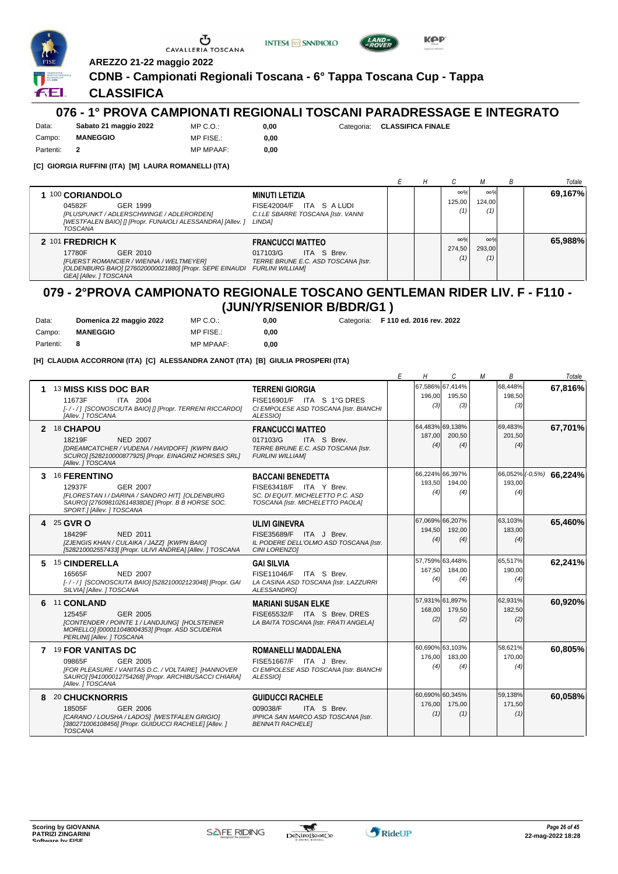

Partenti: **2**

Ⴠ CAVALLERIA TOSCANA





**AREZZO 21-22 maggio 2022**

#### **CDNB - Campionati Regionali Toscana - 6° Tappa Toscana Cup - Tappa**

### **CLASSIFICA**

## **076 - 1° PROVA CAMPIONATI REGIONALI TOSCANI PARADRESSAGE E INTEGRATO**

Data: **Sabato 21 maggio 2022** Campo: **MANEGGIO** MP C.O.: MP FISE.:

0,00 **0,00**

**0,00** Categoria: **CLASSIFICA FINALE**

| MP FISE.:        |
|------------------|
| <b>MP MPAAF:</b> |

**[C] GIORGIA RUFFINI (ITA) [M] LAURA ROMANELLI (ITA)**

|                                                                                                                                                                                         |                                                                                                                  |  |                             |                             | <b>B</b> | Totale  |
|-----------------------------------------------------------------------------------------------------------------------------------------------------------------------------------------|------------------------------------------------------------------------------------------------------------------|--|-----------------------------|-----------------------------|----------|---------|
| 1 100 CORIANDOLO<br>GER 1999<br>04582F<br>[PLUSPUNKT / ADLERSCHWINGE / ADLERORDEN]<br>[WESTFALEN BAIO] [] [Propr. FUNAIOLI ALESSANDRA] [Allev. ]<br><b>TOSCANA</b>                      | <b>MINUTI LETIZIA</b><br>ITA SALUDI<br><b>FISE42004/F</b><br>C.I.LE SBARRE TOSCANA [Istr. VANNI<br><b>LINDA1</b> |  | $\infty\%$<br>125.00<br>(1) | $\infty\%$<br>124.00<br>(1) |          | 69,167% |
| 2 101 FREDRICH K<br>GER 2010<br>17780F<br>[FUERST ROMANCIER / WIENNA / WELTMEYER]<br>[OLDENBURG BAIO] [276020000021880] [Propr. SEPE EINAUDI FURLINI WILLIAM]<br>GEAI [Allev. ] TOSCANA | <b>FRANCUCCI MATTEO</b><br>ITA S Brev.<br>017103/G<br>TERRE BRUNE E.C. ASD TOSCANA [Istr.                        |  | $\infty\%$<br>274.50<br>(1) | $\infty\%$<br>293.00<br>(1) |          | 65,988% |

## **079 - 2°PROVA CAMPIONATO REGIONALE TOSCANO GENTLEMAN RIDER LIV. F - F110 - (JUN/YR/SENIOR B/BDR/G1 )**

| Data:     | Domenica 22 maggio 2022 | MP C.O.:         | 0.00 |
|-----------|-------------------------|------------------|------|
| Campo:    | <b>MANEGGIO</b>         | MP FISE.:        | 0.00 |
| Partenti: |                         | <b>MP MPAAF:</b> | 0,00 |

**0,00** Categoria: **F 110 ed. 2016 rev. 2022**

**[H] CLAUDIA ACCORRONI (ITA) [C] ALESSANDRA ZANOT (ITA) [B] GIULIA PROSPERI (ITA)**

|   |                                                                                                                                                                                      |                                                                                                                              | F | Н             | C                                | М | В                        | Totale                             |
|---|--------------------------------------------------------------------------------------------------------------------------------------------------------------------------------------|------------------------------------------------------------------------------------------------------------------------------|---|---------------|----------------------------------|---|--------------------------|------------------------------------|
|   | 13 MISS KISS DOC BAR<br>11673F<br>ITA 2004<br>[-/-/] [SCONOSCIUTA BAIO] [] [Propr. TERRENI RICCARDO]<br>[Allev. ] TOSCANA                                                            | <b>TERRENI GIORGIA</b><br>FISE16901/F ITA S 1°G DRES<br>CI EMPOLESE ASD TOSCANA [Istr. BIANCHI<br>ALESSIOI                   |   | 196,00<br>(3) | 67.586% 67.414%<br>195,50<br>(3) |   | 68.448%<br>198.50<br>(3) | 67,816%                            |
|   | 2 18 CHAPOU<br><b>NED 2007</b><br>18219F<br>[DREAMCATCHER / VUDENA / HAVIDOFF] [KWPN BAIO<br>SCURO] [528210000877925] [Propr. EINAGRIZ HORSES SRL]<br><b>IAllev. 1 TOSCANA</b>       | <b>FRANCUCCI MATTEO</b><br>017103/G<br>ITA S Brev.<br>TERRE BRUNE E.C. ASD TOSCANA [Istr.<br><b>FURLINI WILLIAM]</b>         |   | 187.00<br>(4) | 64.483% 69.138%<br>200.50<br>(4) |   | 69.483%<br>201.50<br>(4) | 67,701%                            |
| 3 | <sup>16</sup> FERENTINO<br>12937F<br>GER 2007<br>[FLORESTAN I / DARINA / SANDRO HIT] [OLDENBURG<br>SAURO] [276098102614838DE] [Propr. B B HORSE SOC.<br>SPORT.] [Allev. ] TOSCANA    | <b>BACCANI BENEDETTA</b><br>FISE63418/F ITA Y Brev.<br>SC. DI EQUIT. MICHELETTO P.C. ASD<br>TOSCANA [Istr. MICHELETTO PAOLA] |   | 193.50<br>(4) | 66,224% 66,397%<br>194.00<br>(4) |   | 193.00<br>(4)            | $\sqrt{66,052\%}/(-0.5\%)$ 66,224% |
|   | 4 25 GVR O<br>NED 2011<br>18429F<br>[ZJENGIS KHAN / CULAIKA / JAZZ] [KWPN BAIO]<br>[528210002557433] [Propr. ULIVI ANDREA] [Allev. ] TOSCANA                                         | <b>ULIVI GINEVRA</b><br>FISE35689/F ITA J Brev.<br>IL PODERE DELL'OLMO ASD TOSCANA [Istr.<br>CINI LORENZO1                   |   | 194,50<br>(4) | 67,069% 66,207%<br>192,00<br>(4) |   | 63,103%<br>183,00<br>(4) | 65,460%                            |
| 5 | 15 CINDERELLA<br>16565F<br><b>NED 2007</b><br>[-/-/] [SCONOSCIUTA BAIO] [528210002123048] [Propr. GAI<br>SILVIA] [Allev. ] TOSCANA                                                   | <b>GAI SILVIA</b><br>FISE11046/F ITA S Brev.<br>LA CASINA ASD TOSCANA [Istr. LAZZURRI<br>ALESSANDRO1                         |   | 167,50<br>(4) | 57,759% 63,448%<br>184,00<br>(4) |   | 65,517%<br>190,00<br>(4) | 62,241%                            |
|   | 6 11 CONLAND<br>12545F<br>GER 2005<br><b>ICONTENDER / POINTE 1 / LANDJUNG1 IHOLSTEINER</b><br>MORELLO] [000011048004353] [Propr. ASD SCUDERIA<br>PERLINI) [Allev. ] TOSCANA          | <b>MARIANI SUSAN ELKE</b><br>FISE65532/F ITA S Brev. DRES<br>LA BAITA TOSCANA [Istr. FRATI ANGELA]                           |   | 168.00<br>(2) | 57,931% 61,897%<br>179.50<br>(2) |   | 62,931%<br>182,50<br>(2) | 60,920%                            |
|   | 7 19 FOR VANITAS DC<br><b>GER 2005</b><br>09865F<br>[FOR PLEASURE / VANITAS D.C. / VOLTAIRE] [HANNOVER<br>SAURO] [941000012754268] [Propr. ARCHIBUSACCI CHIARA]<br>[Allev. ] TOSCANA | <b>ROMANELLI MADDALENA</b><br>FISE51667/F ITA J Brev.<br>CI EMPOLESE ASD TOSCANA [Istr. BIANCHI<br>ALESSIO]                  |   | 176,00<br>(4) | 60,690% 63,103%<br>183,00<br>(4) |   | 58,621%<br>170,00<br>(4) | 60,805%                            |
| 8 | <b>20 CHUCKNORRIS</b><br>18505F<br><b>GER 2006</b><br>[CARANO / LOUSHA / LADOS] [WESTFALEN GRIGIO]<br>[380271006108456] [Propr. GUIDUCCI RACHELE] [Allev. ]<br><b>TOSCANA</b>        | <b>GUIDUCCI RACHELE</b><br>009038/F<br>ITA S Brev.<br>IPPICA SAN MARCO ASD TOSCANA [Istr.<br><b>BENNATI RACHELEI</b>         |   | 176,00<br>(1) | 60,690% 60,345%<br>175,00<br>(1) |   | 59,138%<br>171,50<br>(1) | 60,058%                            |

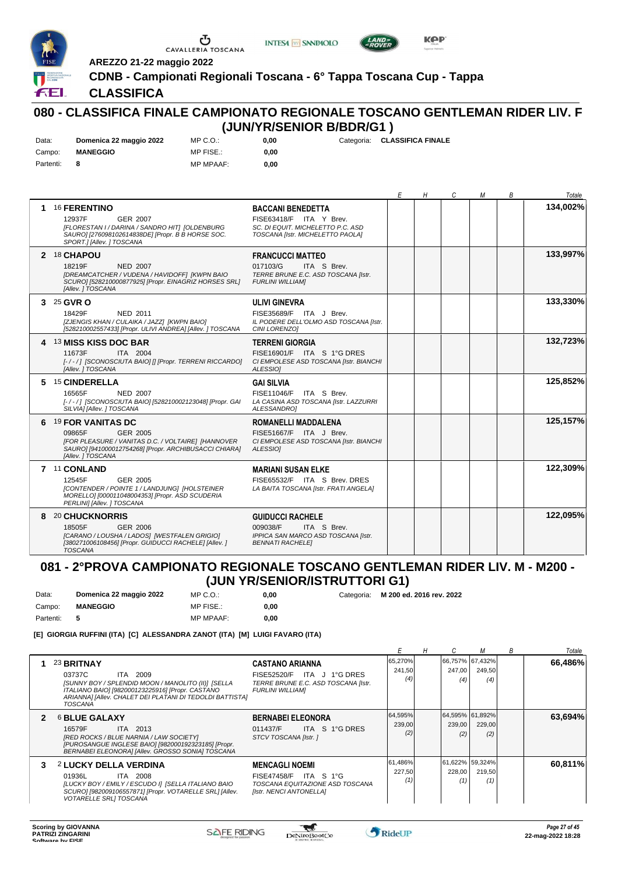





**KPP** 

**AREZZO 21-22 maggio 2022**

**CDNB - Campionati Regionali Toscana - 6° Tappa Toscana Cup - Tappa**

## **CLASSIFICA**

## **080 - CLASSIFICA FINALE CAMPIONATO REGIONALE TOSCANO GENTLEMAN RIDER LIV. F (JUN/YR/SENIOR B/BDR/G1 )**

| Data:     | Domenica 22 maggio 2022 | $MP C. O.$ :     | 0.00 | Categoria: CLASSIFICA FINALE |
|-----------|-------------------------|------------------|------|------------------------------|
| Campo:    | <b>MANEGGIO</b>         | MP FISE.:        | 0.00 |                              |
| Partenti: | - 8                     | <b>MP MPAAF:</b> | 0.00 |                              |

|   |                                                                                                                                                                                      |                                                                                                                              | E | Н | C | М | В | Totale   |
|---|--------------------------------------------------------------------------------------------------------------------------------------------------------------------------------------|------------------------------------------------------------------------------------------------------------------------------|---|---|---|---|---|----------|
| 1 | <b>16 FERENTINO</b><br><b>GER 2007</b><br>12937F<br>[FLORESTAN I / DARINA / SANDRO HIT] [OLDENBURG<br>SAURO] [276098102614838DE] [Propr. B B HORSE SOC.<br>SPORT.] [Allev. ] TOSCANA | <b>BACCANI BENEDETTA</b><br>FISE63418/F ITA Y Brev.<br>SC. DI EQUIT. MICHELETTO P.C. ASD<br>TOSCANA [Istr. MICHELETTO PAOLA] |   |   |   |   |   | 134,002% |
|   | 2 18 CHAPOU<br>18219F<br><b>NED 2007</b><br>[DREAMCATCHER / VUDENA / HAVIDOFF] [KWPN BAIO<br>SCURO] [528210000877925] [Propr. EINAGRIZ HORSES SRL]<br>[Allev. ] TOSCANA              | <b>FRANCUCCI MATTEO</b><br>017103/G<br>ITA S Brev.<br>TERRE BRUNE E.C. ASD TOSCANA [Istr.<br><b>FURLINI WILLIAMI</b>         |   |   |   |   |   | 133,997% |
|   | 3 25 GVR O<br>NED 2011<br>18429F<br>[ZJENGIS KHAN / CULAIKA / JAZZ] [KWPN BAIO]<br>[528210002557433] [Propr. ULIVI ANDREA] [Allev. ] TOSCANA                                         | <b>ULIVI GINEVRA</b><br>FISE35689/F ITA J Brev.<br>IL PODERE DELL'OLMO ASD TOSCANA [Istr.<br>CINI LORENZO1                   |   |   |   |   |   | 133,330% |
|   | 4 13 MISS KISS DOC BAR<br>11673F<br><b>ITA 2004</b><br>[-/-/] [SCONOSCIUTA BAIO] [] [Propr. TERRENI RICCARDO]<br>[Allev. ] TOSCANA                                                   | <b>TERRENI GIORGIA</b><br>FISE16901/F ITA S 1°G DRES<br>CI EMPOLESE ASD TOSCANA [Istr. BIANCHI<br>ALESSIO1                   |   |   |   |   |   | 132,723% |
| 5 | 15 CINDERELLA<br>16565F<br><b>NED 2007</b><br>[-/-/] [SCONOSCIUTA BAIO] [528210002123048] [Propr. GAI<br>SILVIAI [Allev. ] TOSCANA                                                   | <b>GAI SILVIA</b><br>FISE11046/F ITA S Brev.<br>LA CASINA ASD TOSCANA [Istr. LAZZURRI<br>ALESSANDROI                         |   |   |   |   |   | 125,852% |
| 6 | <b>19 FOR VANITAS DC</b><br>GER 2005<br>09865F<br>[FOR PLEASURE / VANITAS D.C. / VOLTAIRE] [HANNOVER<br>SAURO] [941000012754268] [Propr. ARCHIBUSACCI CHIARA]<br>[Allev. ] TOSCANA   | <b>ROMANELLI MADDALENA</b><br>FISE51667/F ITA J Brev.<br>CI EMPOLESE ASD TOSCANA [Istr. BIANCHI<br>ALESSIO]                  |   |   |   |   |   | 125,157% |
|   | 7 11 CONLAND<br><b>GER 2005</b><br>12545F<br>[CONTENDER / POINTE 1 / LANDJUNG] [HOLSTEINER<br>MORELLO] [000011048004353] [Propr. ASD SCUDERIA<br>PERLINI) [Allev. ] TOSCANA          | <b>MARIANI SUSAN ELKE</b><br>FISE65532/F ITA S Brev. DRES<br>LA BAITA TOSCANA [Istr. FRATI ANGELA]                           |   |   |   |   |   | 122,309% |
|   | 8 20 CHUCKNORRIS<br>18505F<br>GER 2006<br>[CARANO / LOUSHA / LADOS] [WESTFALEN GRIGIO]<br>[380271006108456] [Propr. GUIDUCCI RACHELE] [Allev. ]<br><b>TOSCANA</b>                    | <b>GUIDUCCI RACHELE</b><br>009038/F<br>ITA S Brev.<br>IPPICA SAN MARCO ASD TOSCANA [Istr.<br><b>BENNATI RACHELEI</b>         |   |   |   |   |   | 122,095% |

### **081 - 2°PROVA CAMPIONATO REGIONALE TOSCANO GENTLEMAN RIDER LIV. M - M200 - (JUN YR/SENIOR/ISTRUTTORI G1)**

| Data:     | Domenica 22 maggio 2022 | $MP C. O.$ :     | 0.00 | Categoria: M 200 ed. 2016 rev. 2022 |
|-----------|-------------------------|------------------|------|-------------------------------------|
| Campo:    | <b>MANEGGIO</b>         | MP FISE.:        | 0.00 |                                     |
| Partenti: |                         | <b>MP MPAAF:</b> | 0.00 |                                     |

**[E] GIORGIA RUFFINI (ITA) [C] ALESSANDRA ZANOT (ITA) [M] LUIGI FAVARO (ITA)**

|                |                                                                                                                                                                                                                          |                                                                                                                 |                          |               |                                  | В | Totale  |
|----------------|--------------------------------------------------------------------------------------------------------------------------------------------------------------------------------------------------------------------------|-----------------------------------------------------------------------------------------------------------------|--------------------------|---------------|----------------------------------|---|---------|
|                | 23 BRITNAY<br>ITA 2009<br>03737C<br>[SUNNY BOY / SPLENDID MOON / MANOLITO (II)] [SELLA<br>ITALIANO BAIO] [982000123225916] [Propr. CASTANO<br>ARIANNA] [Allev. CHALET DEI PLATANI DI TEDOLDI BATTISTA]<br><b>TOSCANA</b> | <b>CASTANO ARIANNA</b><br>FISE52520/F ITA J 1°G DRES<br>TERRE BRUNE E.C. ASD TOSCANA [Istr.<br>FURLINI WILLIAM] | 65,270%<br>241,50<br>(4) | 247,00<br>(4) | 66,757% 67,432%<br>249,50<br>(4) |   | 66,486% |
| $\overline{2}$ | <b>6 BLUE GALAXY</b><br>16579F<br>ITA 2013<br>[RED ROCKS / BLUE NARNIA / LAW SOCIETY]<br>[PUROSANGUE INGLESE BAIO] [982000192323185] [Propr.<br>BERNABEI ELEONORA] [Allev. GROSSO SONIA] TOSCANA                         | <b>BERNABEI ELEONORA</b><br>ITA S 1°G DRES<br>011437/F<br>STCV TOSCANA [Istr.]                                  | 64,595%<br>239,00<br>(2) | 239,00<br>(2) | 64,595% 61,892%<br>229,00<br>(2) |   | 63,694% |
| 3              | <b>2 LUCKY DELLA VERDINA</b><br>01936L<br>ITA 2008<br>[LUCKY BOY / EMILY / ESCUDO I] [SELLA ITALIANO BAIO<br>SCURO] [982009106557871] [Propr. VOTARELLE SRL] [Allev.<br>VOTARELLE SRLI TOSCANA                           | <b>MENCAGLI NOEMI</b><br>$FISE47458/F$ ITA S 1°G<br>TOSCANA EQUITAZIONE ASD TOSCANA<br>[Istr. NENCI ANTONELLA]  | 61,486%<br>227,50        | 228,00<br>(1) | 61,622% 59,324%<br>219,50<br>(1) |   | 60.811% |

 $\mathcal{L}$ 

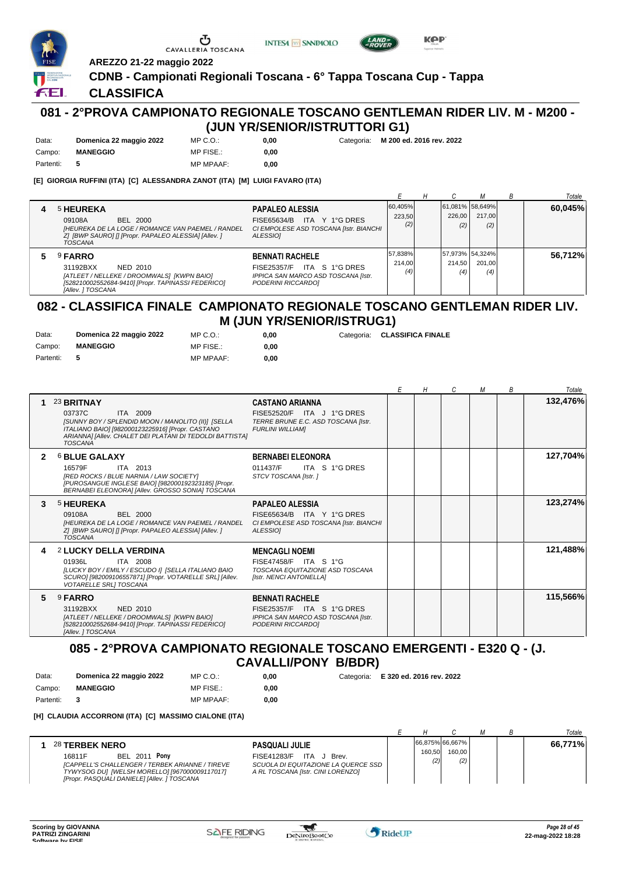





**AREZZO 21-22 maggio 2022**

## **CDNB - Campionati Regionali Toscana - 6° Tappa Toscana Cup - Tappa**

0,00 **0,00**

**CLASSIFICA**

FEI.

## **081 - 2°PROVA CAMPIONATO REGIONALE TOSCANO GENTLEMAN RIDER LIV. M - M200 - (JUN YR/SENIOR/ISTRUTTORI G1)**

| Data:     | Domenica 22 maggio 2022 | MP C. O.         |
|-----------|-------------------------|------------------|
| Campo:    | <b>MANEGGIO</b>         | MP FISE.:        |
| Partenti: |                         | <b>MP MPAAF:</b> |

**0,00** Categoria: **M 200 ed. 2016 rev. 2022**

**[E] GIORGIA RUFFINI (ITA) [C] ALESSANDRA ZANOT (ITA) [M] LUIGI FAVARO (ITA)**

|   |                                                                                                                                                                       |                                                                                                                      |                          |               |                                   | Totale  |
|---|-----------------------------------------------------------------------------------------------------------------------------------------------------------------------|----------------------------------------------------------------------------------------------------------------------|--------------------------|---------------|-----------------------------------|---------|
| 4 | <b>5 HEUREKA</b><br>BEL 2000<br>09108A<br>[HEUREKA DE LA LOGE / ROMANCE VAN PAEMEL / RANDEL<br>Z] [BWP SAURO] [] [Propr. PAPALEO ALESSIA] [Allev. ]<br><b>TOSCANA</b> | <b>PAPALEO ALESSIA</b><br>ITA Y 1°G DRES<br>FISE65634/B<br>CI EMPOLESE ASD TOSCANA [Istr. BIANCHI<br><b>ALESSIO1</b> | 60,405%<br>223.50<br>(2) | 226.00<br>(2) | 61,081% 58,649%<br>217.00<br>(2)  | 60,045% |
| 5 | <sup>9</sup> FARRO<br>31192BXX<br>NED 2010<br>[ATLEET / NELLEKE / DROOMWALS] [KWPN BAIO]<br>[528210002552684-9410] [Propr. TAPINASSI FEDERICO]<br>[Allev. ] TOSCANA   | <b>BENNATI RACHELE</b><br>ITA S 1°G DRES<br>FISE25357/F<br>IPPICA SAN MARCO ASD TOSCANA [Istr.<br>PODERINI RICCARDO] | 57,838%<br>214.00<br>(4) | 214.50<br>(4) | 157.973% 54.324%<br>201.00<br>(4) | 56.712% |

#### **082 - CLASSIFICA FINALE CAMPIONATO REGIONALE TOSCANO GENTLEMAN RIDER LIV. M (JUN YR/SENIOR/ISTRUG1)**

| Data:     | Domenica 22 maggio 2022 | MP C. O.         | 0.00 | Categoria: CLASSIFICA FINALE |
|-----------|-------------------------|------------------|------|------------------------------|
| Campo:    | <b>MANEGGIO</b>         | MP FISE.:        | 0.00 |                              |
| Partenti: | - 5                     | <b>MP MPAAF:</b> | 0.00 |                              |

|              |                                                                                                                                                                                                                                 |                                                                                                                        | Н | C | М | В | Totale   |
|--------------|---------------------------------------------------------------------------------------------------------------------------------------------------------------------------------------------------------------------------------|------------------------------------------------------------------------------------------------------------------------|---|---|---|---|----------|
|              | 23 BRITNAY<br>03737C<br>ITA 2009<br><b>ISUNNY BOY / SPLENDID MOON / MANOLITO (II)1 ISELLA</b><br>ITALIANO BAIO] [982000123225916] [Propr. CASTANO<br>ARIANNA] [Allev. CHALET DEI PLATANI DI TEDOLDI BATTISTA]<br><b>TOSCANA</b> | <b>CASTANO ARIANNA</b><br>FISE52520/F ITA J 1°G DRES<br>TERRE BRUNE E.C. ASD TOSCANA [Istr.<br><b>FURLINI WILLIAMI</b> |   |   |   |   | 132,476% |
| $\mathbf{2}$ | <b>6 BLUE GALAXY</b><br>16579F<br>ITA 2013<br>[RED ROCKS / BLUE NARNIA / LAW SOCIETY]<br>[PUROSANGUE INGLESE BAIO] [982000192323185] [Propr.<br>BERNABEI ELEONORA] [Allev. GROSSO SONIA] TOSCANA                                | <b>BERNABEI ELEONORA</b><br>ITA S 1°G DRES<br>011437/F<br>STCV TOSCANA [Istr.]                                         |   |   |   |   | 127,704% |
| 3            | <sup>5</sup> HEUREKA<br>09108A<br><b>BEL 2000</b><br>IHEUREKA DE LA LOGE / ROMANCE VAN PAEMEL / RANDEL<br>ZI [BWP SAURO] [] [Propr. PAPALEO ALESSIA] [Allev. ]<br><b>TOSCANA</b>                                                | <b>PAPALEO ALESSIA</b><br>FISE65634/B ITA Y 1°G DRES<br>CI EMPOLESE ASD TOSCANA [Istr. BIANCHI<br>ALESSIO]             |   |   |   |   | 123,274% |
| 4            | 2 LUCKY DELLA VERDINA<br>01936L<br>ITA 2008<br>[LUCKY BOY / EMILY / ESCUDO I] [SELLA ITALIANO BAIO<br>SCURO] [982009106557871] [Propr. VOTARELLE SRL] [Allev.<br>VOTARELLE SRL] TOSCANA                                         | <b>MENCAGLI NOEMI</b><br>FISE47458/F ITA S 1°G<br>TOSCANA EQUITAZIONE ASD TOSCANA<br>[Istr. NENCI ANTONELLA]           |   |   |   |   | 121,488% |
| 5.           | <sup>9</sup> FARRO<br>31192BXX<br>NED 2010<br>[ATLEET / NELLEKE / DROOMWALS] [KWPN BAIO]<br>[528210002552684-9410] [Propr. TAPINASSI FEDERICO]<br>[Allev. ] TOSCANA                                                             | <b>BENNATI RACHELE</b><br>FISE25357/F ITA S 1°G DRES<br>IPPICA SAN MARCO ASD TOSCANA [Istr.<br>PODERINI RICCARDOI      |   |   |   |   | 115,566% |

**085 - 2°PROVA CAMPIONATO REGIONALE TOSCANO EMERGENTI - E320 Q - (J. CAVALLI/PONY B/BDR)**

| Data:     | Domenica 22 maggio 2022 | MP C.O.:         | 0.00 | Categoria: E 320 ed. 2016 rev. 2022 |
|-----------|-------------------------|------------------|------|-------------------------------------|
| Campo:    | <b>MANEGGIO</b>         | MP FISE.:        | 0.00 |                                     |
| Partenti: | - 3                     | <b>MP MPAAF:</b> | 0.00 |                                     |

**[H] CLAUDIA ACCORRONI (ITA) [C] MASSIMO CIALONE (ITA)**

|                                                                                                                                                                                                                                                                                                                                              |               |                                  |  | Totale  |
|----------------------------------------------------------------------------------------------------------------------------------------------------------------------------------------------------------------------------------------------------------------------------------------------------------------------------------------------|---------------|----------------------------------|--|---------|
| 28 TERBEK NERO<br><b>PASQUALI JULIE</b><br>Ponv<br>BEL 2011<br><b>FISE41283/F</b><br>16811F<br>ITA J<br>Brev.<br>[CAPPELL'S CHALLENGER / TERBEK ARIANNE / TIREVE<br>SCUOLA DI EQUITAZIONE LA QUERCE SSD<br>TYWYSOG DU] [WELSH MORELLO] [967000009117017]<br>A RL TOSCANA [Istr. CINI LORENZO]<br>[Propr. PASQUALI DANIELE] [Allev. ] TOSCANA | 160.50<br>(2) | 66,875% 66,667%<br>160.00<br>(2) |  | 66,771% |

 $\mathcal{L}$ 

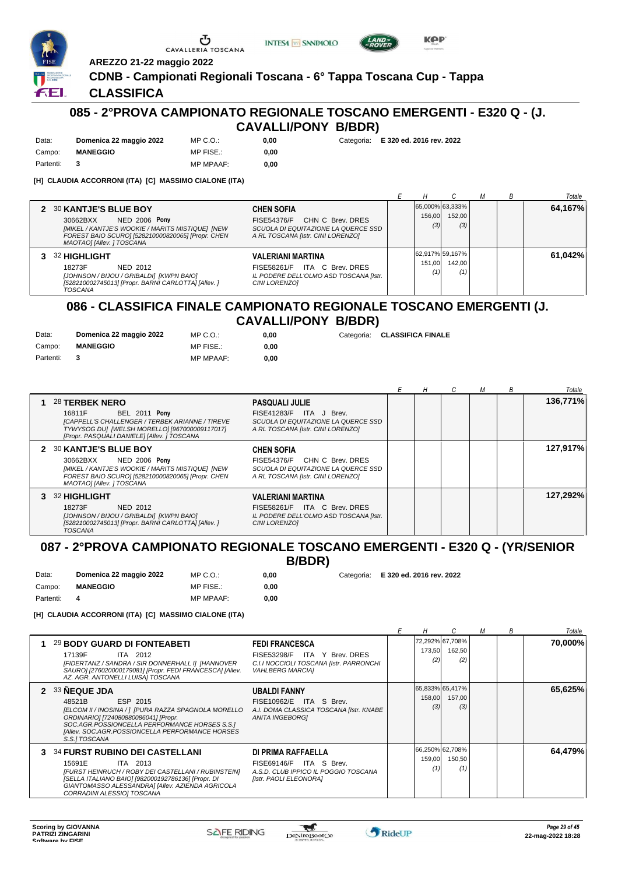

**CDNB - Campionati Regionali Toscana - 6° Tappa Toscana Cup - Tappa**



**0,00** Categoria: **E 320 ed. 2016 rev. 2022**

ÆL.

## **CLASSIFICA**

## **085 - 2°PROVA CAMPIONATO REGIONALE TOSCANO EMERGENTI - E320 Q - (J. CAVALLI/PONY B/BDR)**

| Data:     | Domenica 22 maggio 2022 | MP C. O.         | 0.00 |
|-----------|-------------------------|------------------|------|
| Campo:    | <b>MANEGGIO</b>         | MP FISE.:        | 0.00 |
| Partenti: |                         | <b>MP MPAAF:</b> | 0.00 |

**AREZZO 21-22 maggio 2022**

Ⴠ

CAVALLERIA TOSCANA

**[H] CLAUDIA ACCORRONI (ITA) [C] MASSIMO CIALONE (ITA)**

|                                                                                                                                                                                                                                                                                                                                             |               |                                  |  | Totale  |
|---------------------------------------------------------------------------------------------------------------------------------------------------------------------------------------------------------------------------------------------------------------------------------------------------------------------------------------------|---------------|----------------------------------|--|---------|
| 2 30 KANTJE'S BLUE BOY<br><b>CHEN SOFIA</b><br><b>NED 2006 Pony</b><br>CHN C Brev. DRES<br>30662BXX<br><b>FISE54376/F</b><br>[MIKEL / KANTJE'S WOOKIE / MARITS MISTIQUE] [NEW<br>SCUOLA DI EQUITAZIONE LA QUERCE SSD<br>FOREST BAIO SCUROI [528210000820065] [Propr. CHEN<br>A RL TOSCANA [Istr. CINI LORENZO]<br>MAOTAO] [Allev. ] TOSCANA | 156.00<br>(3) | 65,000% 63,333%<br>152.00<br>(3) |  | 64,167% |
| 32 HIGHLIGHT<br><b>VALERIANI MARTINA</b><br>ITA C Brev. DRES<br>18273F<br>NED 2012<br>FISE58261/F<br>[JOHNSON / BIJOU / GRIBALDI] [KWPN BAIO]<br>IL PODERE DELL'OLMO ASD TOSCANA [Istr.<br>[528210002745013] [Propr. BARNI CARLOTTA] [Allev. ]<br><b>CINI LORENZO1</b><br>TOSCANA                                                           | 151.00        | 62.917% 59.167%<br>142.00<br>(1) |  | 61.042% |

#### **086 - CLASSIFICA FINALE CAMPIONATO REGIONALE TOSCANO EMERGENTI (J. CAVALLI/PONY B/BDR)**

| Data:       | Domenica 22 maggio 2022 | MP C.O.:         | 0.00 | Categoria: CLASSIFICA FINALE |
|-------------|-------------------------|------------------|------|------------------------------|
| Campo:      | <b>MANEGGIO</b>         | MP FISE.:        | 0.00 |                              |
| Partenti: 3 |                         | <b>MP MPAAF:</b> | 0.00 |                              |

|                                                                                                                                                                                                                                                                                                                                            | н | М | B | Totale   |
|--------------------------------------------------------------------------------------------------------------------------------------------------------------------------------------------------------------------------------------------------------------------------------------------------------------------------------------------|---|---|---|----------|
| <b>28 TERBEK NERO</b><br><b>PASQUALI JULIE</b><br><b>BEL 2011 Pony</b><br>FISE41283/F ITA J Brev.<br>16811F<br>[CAPPELL'S CHALLENGER / TERBEK ARIANNE / TIREVE<br>SCUOLA DI EQUITAZIONE LA QUERCE SSD<br>TYWYSOG DU] [WELSH MORELLO] [967000009117017]<br>A RL TOSCANA [Istr. CINI LORENZO]<br>[Propr. PASQUALI DANIELE] [Allev. ] TOSCANA |   |   |   | 136,771% |
| 2 30 KANTJE'S BLUE BOY<br><b>CHEN SOFIA</b><br><b>NED 2006 Pony</b><br>30662BXX<br>FISE54376/F CHN C Brev. DRES<br>[MIKEL / KANTJE'S WOOKIE / MARITS MISTIQUE] [NEW<br>SCUOLA DI EQUITAZIONE LA QUERCE SSD<br>FOREST BAIO SCUROI [528210000820065] [Propr. CHEN<br>A RL TOSCANA [Istr. CINI LORENZO]<br>MAOTAO] [Allev. ] TOSCANA          |   |   |   | 127,917% |
| 3 32 HIGHLIGHT<br>VALERIANI MARTINA<br>FISE58261/F ITA C Brev. DRES<br>18273F<br>NED 2012<br>[JOHNSON / BIJOU / GRIBALDI] [KWPN BAIO]<br>IL PODERE DELL'OLMO ASD TOSCANA [Istr.<br>[528210002745013] [Propr. BARNI CARLOTTA] [Allev.]<br>CINI LORENZOI<br><b>TOSCANA</b>                                                                   |   |   |   | 127,292% |

## **087 - 2°PROVA CAMPIONATO REGIONALE TOSCANO EMERGENTI - E320 Q - (YR/SENIOR**

**B/BDR)**

**0,00** Categoria: **E 320 ed. 2016 rev. 2022**

Campo: **MANEGGIO** Partenti: **4** MP FISE.: MP MPAAF: **0,00 0,00**

MP C.O.:

**[H] CLAUDIA ACCORRONI (ITA) [C] MASSIMO CIALONE (ITA)**

Data: **Domenica 22 maggio 2022**

|    |                                                                                                                                                                                                                                                            |                                                                                                                             | Н             |                                  | М | В | Totale  |
|----|------------------------------------------------------------------------------------------------------------------------------------------------------------------------------------------------------------------------------------------------------------|-----------------------------------------------------------------------------------------------------------------------------|---------------|----------------------------------|---|---|---------|
|    | 29 BODY GUARD DI FONTEABETI<br>17139F<br>ITA 2012<br>[FIDERTANZ / SANDRA / SIR DONNERHALL I] [HANNOVER<br>SAURO] [276020000179081] [Propr. FEDI FRANCESCA] [Allev.<br>AZ. AGR. ANTONELLI LUISA] TOSCANA                                                    | <b>FEDI FRANCESCA</b><br>FISE53298/F ITA Y Brev. DRES<br>C.I.I NOCCIOLI TOSCANA [Istr. PARRONCHI<br><b>VAHLBERG MARCIAI</b> | 173,50<br>(2) | 72,292% 67,708%<br>162,50<br>(2) |   |   | 70,000% |
|    | 2 33 NEQUE JDA<br>ESP 2015<br>48521B<br>[ELCOM II / INOSINA / ] [PURA RAZZA SPAGNOLA MORELLO<br>ORDINARIO] [724080880086041] [Propr.<br>SOC.AGR.POSSIONCELLA PERFORMANCE HORSES S.S.1<br>[Allev. SOC.AGR.POSSIONCELLA PERFORMANCE HORSES<br>S.S.I TOSCANA  | <b>UBALDI FANNY</b><br>ITA S Brev.<br>FISE10962/E<br>A.I. DOMA CLASSICA TOSCANA [Istr. KNABE<br><b>ANITA INGEBORGI</b>      | 158,00<br>(3) | 65,833% 65,417%<br>157,00<br>(3) |   |   | 65,625% |
| З. | <b>34 FURST RUBINO DEI CASTELLANI</b><br>15691E<br>ITA 2013<br>[FURST HEINRUCH / ROBY DEI CASTELLANI / RUBINSTEIN]<br>[SELLA ITALIANO BAIO] [982000192786136] [Propr. DI<br>GIANTOMASSO ALESSANDRA] [Allev. AZIENDA AGRICOLA<br>CORRADINI ALESSIO] TOSCANA | DI PRIMA RAFFAELLA<br>FISE69146/F ITA S Brev.<br>A.S.D. CLUB IPPICO IL POGGIO TOSCANA<br>[Istr. PAOLI ELEONORA]             | 159,00<br>(1) | 66,250% 62,708%<br>150,50<br>(1) |   |   | 64,479% |

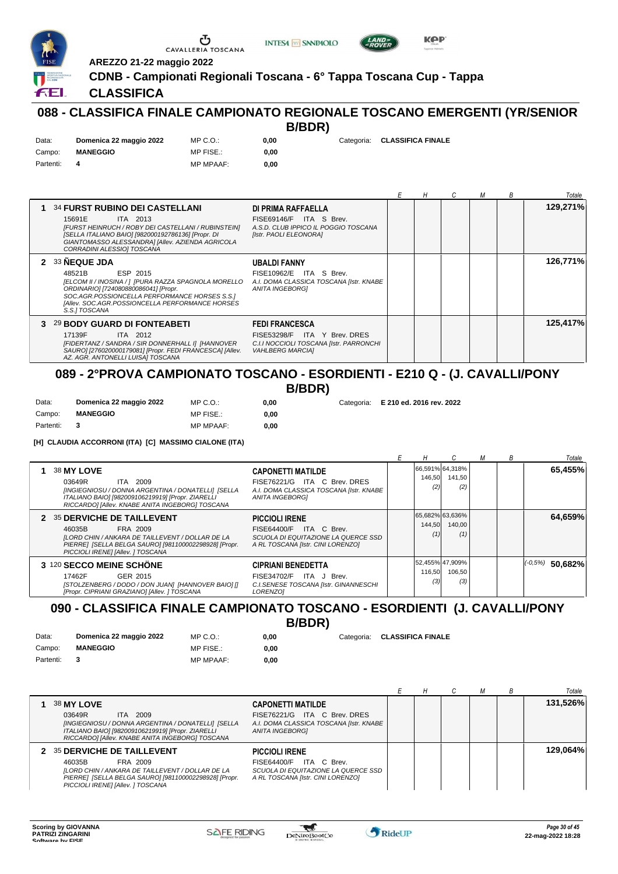





**0,00** Categoria: **E 210 ed. 2016 rev. 2022**

**AREZZO 21-22 maggio 2022**

**CDNB - Campionati Regionali Toscana - 6° Tappa Toscana Cup - Tappa**

## **CLASSIFICA**

#### **088 - CLASSIFICA FINALE CAMPIONATO REGIONALE TOSCANO EMERGENTI (YR/SENIOR B/BDR)**

| Data:     | Domenica 22 maggio 2022 | MP C.O.:         | 0.00 | Categoria: CLASSIFICA FINALE |
|-----------|-------------------------|------------------|------|------------------------------|
| Campo:    | <b>MANEGGIO</b>         | <b>MP FISE.:</b> | 0.00 |                              |
| Partenti: | 4                       | <b>MP MPAAF:</b> | 0.00 |                              |

|                                                                                                                                                                                                                                                            |                                                                                                                             | Е | Н | М | B | Totale   |
|------------------------------------------------------------------------------------------------------------------------------------------------------------------------------------------------------------------------------------------------------------|-----------------------------------------------------------------------------------------------------------------------------|---|---|---|---|----------|
| <b>34 FURST RUBINO DEI CASTELLANI</b><br>15691E<br>ITA 2013<br>[FURST HEINRUCH / ROBY DEI CASTELLANI / RUBINSTEIN]<br>[SELLA ITALIANO BAIO] [982000192786136] [Propr. DI<br>GIANTOMASSO ALESSANDRA] [Allev. AZIENDA AGRICOLA<br>CORRADINI ALESSIO] TOSCANA | DI PRIMA RAFFAELLA<br>FISE69146/F ITA S Brev.<br>A.S.D. CLUB IPPICO IL POGGIO TOSCANA<br>[Istr. PAOLI ELEONORA]             |   |   |   |   | 129.271% |
| 2 33 NEQUE JDA<br>ESP 2015<br>48521B<br>[ELCOM II / INOSINA / ] [PURA RAZZA SPAGNOLA MORELLO<br>ORDINARIO] [724080880086041] [Propr.<br>SOC.AGR.POSSIONCELLA PERFORMANCE HORSES S.S.]<br>[Allev. SOC.AGR.POSSIONCELLA PERFORMANCE HORSES<br>S.S.I TOSCANA  | <b>UBALDI FANNY</b><br>FISE10962/E ITA S Brev.<br>A.I. DOMA CLASSICA TOSCANA [Istr. KNABE<br>ANITA INGEBORGI                |   |   |   |   | 126,771% |
| 3 29 BODY GUARD DI FONTEABETI<br>17139F<br>ITA 2012<br>[FIDERTANZ / SANDRA / SIR DONNERHALL I] [HANNOVER<br>SAURO] [276020000179081] [Propr. FEDI FRANCESCA] [Allev.<br>AZ. AGR. ANTONELLI LUISA] TOSCANA                                                  | <b>FEDI FRANCESCA</b><br>FISE53298/F ITA Y Brev. DRES<br>C.I.I NOCCIOLI TOSCANA [Istr. PARRONCHI<br><b>VAHLBERG MARCIA1</b> |   |   |   |   | 125,417% |

## **089 - 2°PROVA CAMPIONATO TOSCANO - ESORDIENTI - E210 Q - (J. CAVALLI/PONY B/BDR)**

| Data:     | Domenica 22 maggio 2022 | MP C. O.         | 0.00 |
|-----------|-------------------------|------------------|------|
| Campo:    | <b>MANEGGIO</b>         | MP FISE.:        | 0.00 |
| Partenti: |                         | <b>MP MPAAF:</b> | 0.00 |

**[H] CLAUDIA ACCORRONI (ITA) [C] MASSIMO CIALONE (ITA)**

|                                                                                                                                                                                                                                                                                                                                        | н             |                                  | м | В | Totale              |
|----------------------------------------------------------------------------------------------------------------------------------------------------------------------------------------------------------------------------------------------------------------------------------------------------------------------------------------|---------------|----------------------------------|---|---|---------------------|
| 38 MY LOVE<br><b>CAPONETTI MATILDE</b><br>ITA C Brev. DRES<br>ITA 2009<br>03649R<br>FISE76221/G<br>A.I. DOMA CLASSICA TOSCANA [Istr. KNABE<br>[INGIEGNIOSU / DONNA ARGENTINA / DONATELLI] [SELLA<br>ITALIANO BAIO] [982009106219919] [Propr. ZIARELLI<br><b>ANITA INGEBORGI</b><br>RICCARDO] [Allev. KNABE ANITA INGEBORG] TOSCANA     | 146,50<br>(2) | 66,591% 64,318%<br>141,50<br>(2) |   |   | 65,455%             |
| 35 DERVICHE DE TAILLEVENT<br><b>PICCIOLI IRENE</b><br>2<br>FRA 2009<br>FISE64400/F ITA C Brev.<br>46035B<br>[LORD CHIN / ANKARA DE TAILLEVENT / DOLLAR DE LA<br>SCUOLA DI EQUITAZIONE LA QUERCE SSD<br>PIERRE] [SELLA BELGA SAURO] [981100002298928] [Propr.<br>A RL TOSCANA [Istr. CINI LORENZO]<br>PICCIOLI IRENE] [Allev. ] TOSCANA | 144,50<br>(1) | 65,682% 63,636%<br>140,00<br>(1) |   |   | 64,659%             |
| 3 120 SECCO MEINE SCHÖNE<br><b>CIPRIANI BENEDETTA</b><br>17462F<br>GER 2015<br>ITA J Brev.<br><b>FISE34702/F</b><br>[STOLZENBERG / DODO / DON JUAN] [HANNOVER BAIO] []<br>C.I.SENESE TOSCANA [Istr. GINANNESCHI<br>[Propr. CIPRIANI GRAZIANO] [Allev. ] TOSCANA<br>LORENZO1                                                            | 116.50<br>(3) | 52.455% 47.909%<br>106,50<br>(3) |   |   | $ (-0.5\%)$ 50,682% |

### **090 - CLASSIFICA FINALE CAMPIONATO TOSCANO - ESORDIENTI (J. CAVALLI/PONY B/BDR)**

| Data:     | Domenica 22 maggio 2022 | MP C.O.:         | 0.00 | Categoria: CLASSIFICA FINALE |
|-----------|-------------------------|------------------|------|------------------------------|
| Campo:    | <b>MANEGGIO</b>         | MP FISE.:        | 0.00 |                              |
| Partenti: | $\mathbf{3}$            | <b>MP MPAAF:</b> | 0.00 |                              |

|                                                                                                                                                                                                                                      |                                                                          |  |  | Totale   |
|--------------------------------------------------------------------------------------------------------------------------------------------------------------------------------------------------------------------------------------|--------------------------------------------------------------------------|--|--|----------|
| 38 MY LOVE<br><b>CAPONETTI MATILDE</b>                                                                                                                                                                                               |                                                                          |  |  | 131,526% |
| ITA 2009<br>03649R<br>[INGIEGNIOSU / DONNA ARGENTINA / DONATELLI] [SELLA<br>ITALIANO BAIO] [982009106219919] [Propr. ZIARELLI<br>ANITA INGEBORGI<br>RICCARDO] [Allev. KNABE ANITA INGEBORG] TOSCANA                                  | FISE76221/G ITA C Brev. DRES<br>A.I. DOMA CLASSICA TOSCANA [Istr. KNABE] |  |  |          |
| 2 35 DERVICHE DE TAILLEVENT<br><b>PICCIOLI IRENE</b>                                                                                                                                                                                 |                                                                          |  |  | 129,064% |
| FISE64400/F ITA C Brev.<br>FRA 2009<br>46035B<br>[LORD CHIN / ANKARA DE TAILLEVENT / DOLLAR DE LA<br>PIERRE] [SELLA BELGA SAURO] [981100002298928] [Propr.<br>A RL TOSCANA [Istr. CINI LORENZO]<br>PICCIOLI IRENE] [Allev. ] TOSCANA | SCUOLA DI EQUITAZIONE LA QUERCE SSD                                      |  |  |          |

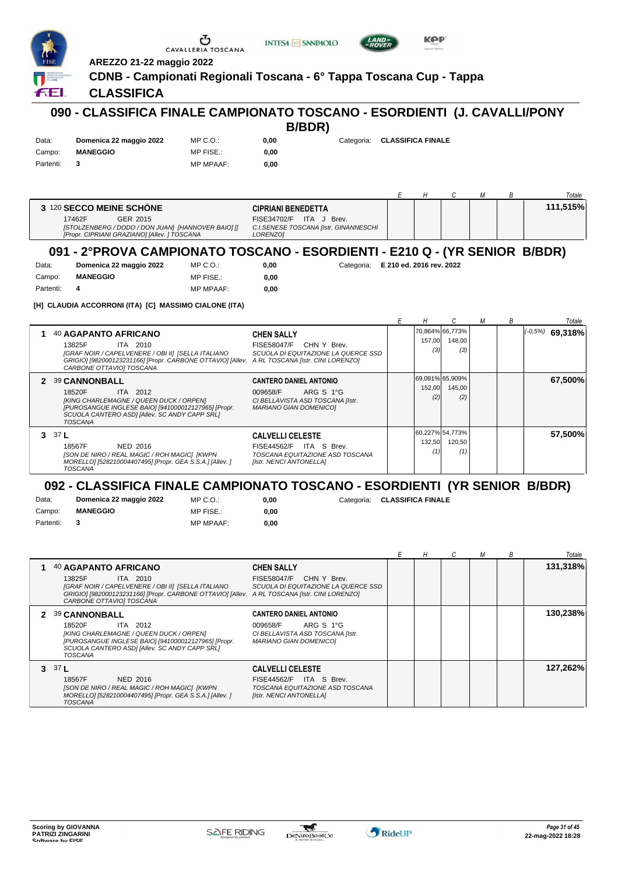|                              | AREZZO 21-22 maggio 2022                                                                                                                                                                                                     | Œ<br>CAVALLERIA TOSCANA                                            | <b>INTESA M SANPAOLO</b>                                                                                             |                                     |                          | KAP           |                                  |   |   |                     |
|------------------------------|------------------------------------------------------------------------------------------------------------------------------------------------------------------------------------------------------------------------------|--------------------------------------------------------------------|----------------------------------------------------------------------------------------------------------------------|-------------------------------------|--------------------------|---------------|----------------------------------|---|---|---------------------|
| £ЕI                          | <b>CLASSIFICA</b>                                                                                                                                                                                                            | CDNB - Campionati Regionali Toscana - 6° Tappa Toscana Cup - Tappa |                                                                                                                      |                                     |                          |               |                                  |   |   |                     |
|                              | 090 - CLASSIFICA FINALE CAMPIONATO TOSCANO - ESORDIENTI (J. CAVALLI/PONY                                                                                                                                                     |                                                                    | B/BDR)                                                                                                               |                                     |                          |               |                                  |   |   |                     |
| Data:<br>Campo:<br>Partenti: | Domenica 22 maggio 2022<br><b>MANEGGIO</b><br>3                                                                                                                                                                              | MP C.O.:<br>MP FISE.:<br><b>MP MPAAF:</b>                          | 0,00<br>0,00<br>0,00                                                                                                 | Categoria:                          | <b>CLASSIFICA FINALE</b> |               |                                  |   |   |                     |
|                              |                                                                                                                                                                                                                              |                                                                    |                                                                                                                      |                                     | Е                        | Η             | С                                | М | В | Totale              |
|                              | 3 120 SECCO MEINE SCHÖNE<br>17462F<br>GER 2015<br>[STOLZENBERG / DODO / DON JUAN] [HANNOVER BAIO] []<br>[Propr. CIPRIANI GRAZIANO] [Allev. ] TOSCANA                                                                         |                                                                    | <b>CIPRIANI BENEDETTA</b><br>FISE34702/F ITA J Brev.<br>C.I.SENESE TOSCANA [Istr. GINANNESCHI<br>LORENZO]            |                                     |                          |               |                                  |   |   | 111,515%            |
|                              | 091 - 2ºPROVA CAMPIONATO TOSCANO - ESORDIENTI - E210 Q - (YR SENIOR B/BDR)                                                                                                                                                   |                                                                    |                                                                                                                      |                                     |                          |               |                                  |   |   |                     |
| Data:<br>Campo:<br>Partenti: | Domenica 22 maggio 2022<br><b>MANEGGIO</b><br>4<br>[H] CLAUDIA ACCORRONI (ITA) [C] MASSIMO CIALONE (ITA)                                                                                                                     | $MP C. O.$ :<br>MP FISE.:<br><b>MP MPAAF:</b>                      | 0,00<br>0,00<br>0,00                                                                                                 | Categoria: E 210 ed. 2016 rev. 2022 |                          |               |                                  |   |   |                     |
|                              |                                                                                                                                                                                                                              |                                                                    |                                                                                                                      |                                     | Е                        | Η             | С                                | М | В | Totale              |
|                              | 40 AGAPANTO AFRICANO<br>13825F<br>ITA 2010<br>[GRAF NOIR / CAPELVENERE / OBI II] [SELLA ITALIANO<br>GRIGIO] [982000123231166] [Propr. CARBONE OTTAVIO] [Allev. A RL TOSCANA [Istr. CINI LORENZO]<br>CARBONE OTTAVIO] TOSCANA |                                                                    | <b>CHEN SALLY</b><br>FISE58047/F CHN Y Brev.<br>SCUOLA DI EQUITAZIONE LA QUERCE SSD                                  |                                     |                          | 157,00<br>(3) | 70,864% 66,773%<br>148,00<br>(3) |   |   | $ (-0.5\%)$ 69,318% |
|                              | 2 39 CANNONBALL<br>18520F<br>ITA 2012<br>[KING CHARLEMAGNE / QUEEN DUCK / ORPEN]<br>[PUROSANGUE INGLESE BAIO] [941000012127965] [Propr.<br>SCUOLA CANTERO ASDI [Allev. SC ANDY CAPP SRL]<br><b>TOSCANA</b>                   |                                                                    | <b>CANTERO DANIEL ANTONIO</b><br>009658/F<br>ARG S 1°G<br>CI BELLAVISTA ASD TOSCANA [Istr.<br>MARIANO GIAN DOMENICO] |                                     |                          | 152,00<br>(2) | 69,091% 65,909%<br>145,00<br>(2) |   |   | 67,500%             |
| 3 $37L$                      | 18567F<br>NED 2016<br>[SON DE NIRO / REAL MAGIC / ROH MAGIC] [KWPN<br>MORELLO] [528210004407495] [Propr. GEA S.S.A.] [Allev.]<br><b>TOSCANA</b>                                                                              |                                                                    | <b>CALVELLI CELESTE</b><br>FISE44562/F ITA S Brev.<br>TOSCANA EQUITAZIONE ASD TOSCANA<br>[Istr. NENCI ANTONELLA]     |                                     |                          | 132,50<br>(1) | 60,227% 54,773%<br>120,50<br>(1) |   |   | 57,500%             |
|                              | 092 - CLASSIFICA FINALE CAMPIONATO TOSCANO - ESORDIENTI (YR SENIOR B/BDR)                                                                                                                                                    |                                                                    |                                                                                                                      |                                     |                          |               |                                  |   |   |                     |
| Data:<br>Campo:<br>Partenti: | Domenica 22 maggio 2022<br><b>MANEGGIO</b><br>3                                                                                                                                                                              | MP C. O.<br>MP FISE.:<br><b>MP MPAAF:</b>                          | 0,00<br>0,00<br>0,00                                                                                                 | Categoria:                          | <b>CLASSIFICA FINALE</b> |               |                                  |   |   |                     |
|                              |                                                                                                                                                                                                                              |                                                                    |                                                                                                                      |                                     | Е                        | Н             | С                                | М | В | Totale              |
| 1.                           | 40 AGAPANTO AFRICANO<br>13825F<br>ITA 2010<br>[GRAF NOIR / CAPELVENERE / OBI II] [SELLA ITALIANO<br>GRIGIO] [982000123231166] [Propr. CARBONE OTTAVIO] [Allev. A RL TOSCANA [Istr. CINI LORENZO]<br>CARBONE OTTAVIO] TOSCANA |                                                                    | <b>CHEN SALLY</b><br>FISE58047/F CHN Y Brev.<br>SCUOLA DI EQUITAZIONE LA QUERCE SSD                                  |                                     |                          |               |                                  |   |   | 131,318%            |
|                              | 2 39 CANNONBALL<br>18520F<br>ITA 2012<br>[KING CHARLEMAGNE / QUEEN DUCK / ORPEN]<br>[PUROSANGUE INGLESE BAIO] [941000012127965] [Propr.<br>SCUOLA CANTERO ASDI [Allev. SC ANDY CAPP SRL]<br>TOSCANA                          |                                                                    | <b>CANTERO DANIEL ANTONIO</b><br>009658/F<br>ARG S 1°G<br>CI BELLAVISTA ASD TOSCANA [Istr.<br>MARIANO GIAN DOMENICO] |                                     |                          |               |                                  |   |   | 130,238%            |
| 3 $37L$                      | 18567F<br><b>NED 2016</b><br>[SON DE NIRO / REAL MAGIC / ROH MAGIC] [KWPN<br>MORELLO] [528210004407495] [Propr. GEA S.S.A.] [Allev.]<br><b>TOSCANA</b>                                                                       |                                                                    | <b>CALVELLI CELESTE</b><br>FISE44562/F ITA S Brev.<br>TOSCANA EQUITAZIONE ASD TOSCANA<br>[Istr. NENCI ANTONELLA]     |                                     |                          |               |                                  |   |   | 127,262%            |
|                              |                                                                                                                                                                                                                              |                                                                    |                                                                                                                      |                                     |                          |               |                                  |   |   |                     |

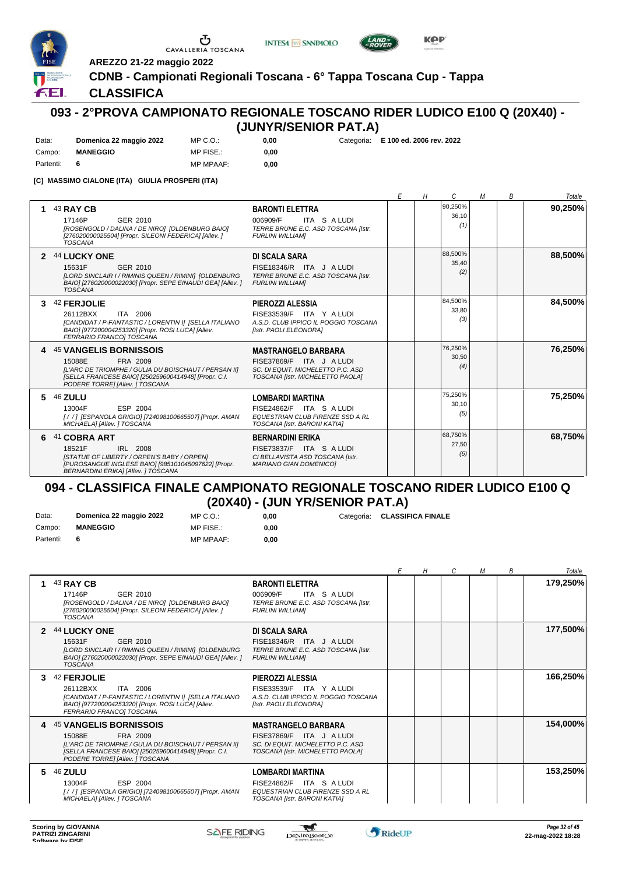



**0,00** Categoria: **E 100 ed. 2006 rev. 2022**



**AREZZO 21-22 maggio 2022**

## **CDNB - Campionati Regionali Toscana - 6° Tappa Toscana Cup - Tappa**

## **CLASSIFICA**

FEI.

## **093 - 2°PROVA CAMPIONATO REGIONALE TOSCANO RIDER LUDICO E100 Q (20X40) - (JUNYR/SENIOR PAT.A)**

| Data:     | Domenica 22 maggio 2022 | MP C. O.         | 0.00 |
|-----------|-------------------------|------------------|------|
| Campo:    | <b>MANEGGIO</b>         | MP FISE.:        | 0.00 |
| Partenti: |                         | <b>MP MPAAF:</b> | 0.00 |

Ⴠ

**[C] MASSIMO CIALONE (ITA) GIULIA PROSPERI (ITA)**

|               |                                                                                                                                                                                                        |                                                                                                                                 | F | Н | C                       | M | B | Totale  |
|---------------|--------------------------------------------------------------------------------------------------------------------------------------------------------------------------------------------------------|---------------------------------------------------------------------------------------------------------------------------------|---|---|-------------------------|---|---|---------|
|               | 43 RAY CB<br>17146P<br>GER 2010<br>[ROSENGOLD / DALINA / DE NIRO] [OLDENBURG BAIO]<br>[276020000025504] [Propr. SILEONI FEDERICA] [Allev. ]<br><b>TOSCANA</b>                                          | <b>BARONTI ELETTRA</b><br>ITA S A LUDI<br>006909/F<br>TERRE BRUNE E.C. ASD TOSCANA [Istr.<br><b>FURLINI WILLIAMI</b>            |   |   | 90,250%<br>36,10<br>(1) |   |   | 90,250% |
| $\mathcal{P}$ | 44 LUCKY ONE<br>15631F<br>GER 2010<br>[LORD SINCLAIR I / RIMINIS QUEEN / RIMINI] [OLDENBURG<br>BAIO] [276020000022030] [Propr. SEPE EINAUDI GEA] [Allev. ]<br><b>TOSCANA</b>                           | <b>DI SCALA SARA</b><br>FISE18346/R ITA J ALUDI<br>TERRE BRUNE E.C. ASD TOSCANA [Istr.<br><b>FURLINI WILLIAMI</b>               |   |   | 88,500%<br>35,40<br>(2) |   |   | 88,500% |
|               | 42 FERJOLIE<br>ITA 2006<br>26112BXX<br>[CANDIDAT / P-FANTASTIC / LORENTIN I] [SELLA ITALIANO<br>BAIO] [977200004253320] [Propr. ROSI LUCA] [Allev.<br>FERRARIO FRANCO] TOSCANA                         | PIEROZZI ALESSIA<br>FISE33539/F ITA Y A LUDI<br>A.S.D. CLUB IPPICO IL POGGIO TOSCANA<br>[Istr. PAOLI ELEONORA]                  |   |   | 84,500%<br>33.80<br>(3) |   |   | 84,500% |
|               | <b>45 VANGELIS BORNISSOIS</b><br>15088E<br>FRA 2009<br>IL'ARC DE TRIOMPHE / GULIA DU BOISCHAUT / PERSAN III<br>[SELLA FRANCESE BAIO] [250259600414948] [Propr. C.I.<br>PODERE TORRE] [Allev. ] TOSCANA | <b>MASTRANGELO BARBARA</b><br>FISE37869/F ITA J A LUDI<br>SC. DI EQUIT. MICHELETTO P.C. ASD<br>TOSCANA [Istr. MICHELETTO PAOLA] |   |   | 76,250%<br>30.50<br>(4) |   |   | 76,250% |
| 5.            | <b>46 ZULU</b><br>ESP 2004<br>13004F<br>[/ /] [ESPANOLA GRIGIO] [724098100665507] [Propr. AMAN<br>MICHAELA] [Allev. ] TOSCANA                                                                          | <b>LOMBARDI MARTINA</b><br>FISE24862/F ITA S A LUDI<br>EQUESTRIAN CLUB FIRENZE SSD A RL<br>TOSCANA [Istr. BARONI KATIA]         |   |   | 75,250%<br>30,10<br>(5) |   |   | 75,250% |
| 6             | 41 COBRA ART<br>18521F<br>IRL 2008<br><b>ISTATUE OF LIBERTY / ORPEN'S BABY / ORPENI</b><br>[PUROSANGUE INGLESE BAIO] [985101045097622] [Propr.<br><b>BERNARDINI ERIKA] [Allev. ] TOSCANA</b>           | <b>BERNARDINI ERIKA</b><br>FISE73837/F ITA S A LUDI<br>CI BELLAVISTA ASD TOSCANA [Istr.<br><b>MARIANO GIAN DOMENICO]</b>        |   |   | 68,750%<br>27,50<br>(6) |   |   | 68,750% |

## **094 - CLASSIFICA FINALE CAMPIONATO REGIONALE TOSCANO RIDER LUDICO E100 Q (20X40) - (JUN YR/SENIOR PAT.A)**

**0,00** Categoria: **CLASSIFICA FINALE**

0,00 **0,00**

| Data:     | Domenica 22 maggio 2022 | MP C. O.         |
|-----------|-------------------------|------------------|
| Campo:    | <b>MANEGGIO</b>         | MP FISE.:        |
| Partenti: |                         | <b>MP MPAAF:</b> |

*E H C M B Totale* **1** 43 **RAY CB** GER 2010 **BARONTI ELETTRA** *[ROSENGOLD / DALINA / DE NIRO] [OLDENBURG BAIO] [276020000025504] [Propr. SILEONI FEDERICA] [Allev. ] TOSCANA TERRE BRUNE E.C. ASD TOSCANA [Istr. FURLINI WILLIAM]* 17146P 006909/F ITA S A LUDI **179,250% 2** 44 **LUCKY ONE** GER 2010 **DI SCALA SARA** *[LORD SINCLAIR I / RIMINIS QUEEN / RIMINI] [OLDENBURG BAIO] [276020000022030] [Propr. SEPE EINAUDI GEA] [Allev. ] TOSCANA TERRE BRUNE E.C. ASD TOSCANA [Istr. FURLINI WILLIAM]* 15631F GER 2010 C FISE18346/R ITA J A LUDI **177,500% 3** 42 **FERJOLIE** ITA 2006 **PIEROZZI ALESSIA** *[CANDIDAT / P-FANTASTIC / LORENTIN I] [SELLA ITALIANO BAIO] [977200004253320] [Propr. ROSI LUCA] [Allev. FERRARIO FRANCO] TOSCANA A.S.D. CLUB IPPICO IL POGGIO TOSCANA [Istr. PAOLI ELEONORA]* 26112BXX FISE33539/F ITA Y A LUDI **166,250% 4** 45 **VANGELIS BORNISSOIS** FRA 2009 *[L'ARC DE TRIOMPHE / GULIA DU BOISCHAUT / PERSAN II]* 15088E FISE37869/F ITA J A LUDI **MASTRANGELO BARBARA** *[SELLA FRANCESE BAIO] [250259600414948] [Propr. C.I. PODERE TORRE] [Allev. ] TOSCANA SC. DI EQUIT. MICHELETTO P.C. ASD TOSCANA [Istr. MICHELETTO PAOLA]* **154,000% 5** 46 **ZULU** ESP 2004 **LOMBARDI MARTINA** *[ / / ] [ESPANOLA GRIGIO] [724098100665507] [Propr. AMAN MICHAELA] [Allev. ] TOSCANA EQUESTRIAN CLUB FIRENZE SSD A RL TOSCANA [Istr. BARONI KATIA]* 13004F FISE24862/F ITA S A LUDI **153,250%**

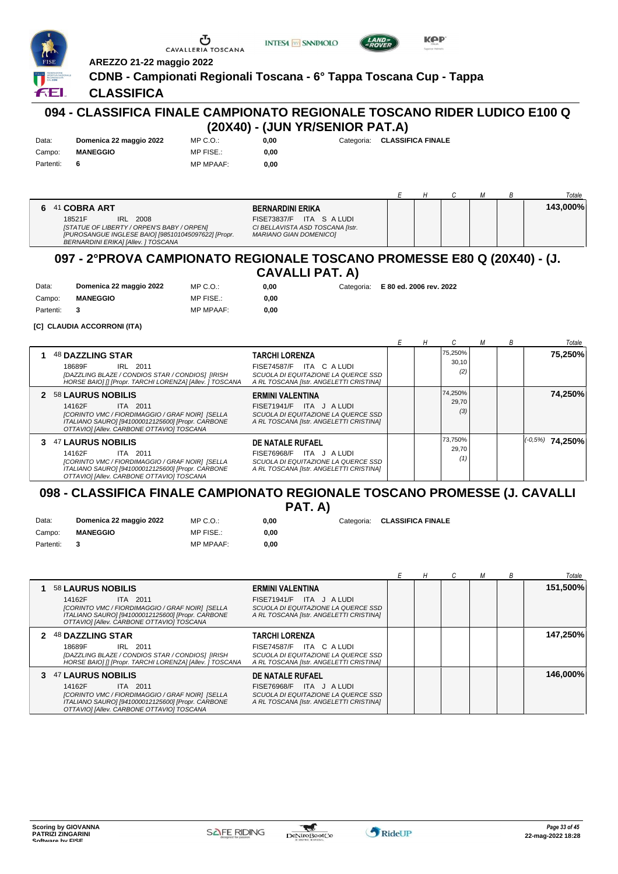| <b>FISE</b><br><b>FRUENCIA NAZIONALE</b><br>RICONOSCIUTA<br>DAL <b>CON</b> I | AREZZO 21-22 maggio 2022<br>CDNB - Campionati Regionali Toscana - 6° Tappa Toscana Cup - Tappa                                                                    | C'a<br>CAVALLERIA TOSCANA | <b>INTESA M SNNPAOLO</b>                                                         |              | AND>                     | <b>KOP</b><br>saterior Helmet |   |   |   |          |
|------------------------------------------------------------------------------|-------------------------------------------------------------------------------------------------------------------------------------------------------------------|---------------------------|----------------------------------------------------------------------------------|--------------|--------------------------|-------------------------------|---|---|---|----------|
| <b>FEL</b>                                                                   | <b>CLASSIFICA</b>                                                                                                                                                 |                           |                                                                                  |              |                          |                               |   |   |   |          |
|                                                                              | 094 - CLASSIFICA FINALE CAMPIONATO REGIONALE TOSCANO RIDER LUDICO E100 Q                                                                                          |                           | (20X40) - (JUN YR/SENIOR PAT.A)                                                  |              |                          |                               |   |   |   |          |
| Data:                                                                        | Domenica 22 maggio 2022                                                                                                                                           | MP C. O.                  | 0,00                                                                             | Categoria:   | <b>CLASSIFICA FINALE</b> |                               |   |   |   |          |
| Campo:                                                                       | <b>MANEGGIO</b>                                                                                                                                                   | MP FISE.:                 | 0,00                                                                             |              |                          |                               |   |   |   |          |
| Partenti:                                                                    | 6                                                                                                                                                                 | <b>MP MPAAF:</b>          | 0,00                                                                             |              |                          |                               |   |   |   |          |
|                                                                              |                                                                                                                                                                   |                           |                                                                                  |              | E                        | Н                             | C | М | В | Totale   |
| 6<br>41                                                                      | <b>COBRA ART</b>                                                                                                                                                  |                           | <b>BERNARDINI ERIKA</b>                                                          |              |                          |                               |   |   |   | 143,000% |
|                                                                              | 18521F<br>2008<br>IRL<br>[STATUE OF LIBERTY / ORPEN'S BABY / ORPEN]<br>[PUROSANGUE INGLESE BAIO] [985101045097622] [Propr.<br>BERNARDINI ERIKA] [Allev. ] TOSCANA |                           | FISE73837/F<br>CI BELLAVISTA ASD TOSCANA [Istr.<br><b>MARIANO GIAN DOMENICO]</b> | ITA S A LUDI |                          |                               |   |   |   |          |
|                                                                              | 097 - 2°PROVA CAMPIONATO REGIONALE TOSCANO PROMESSE E80 O (20X40) - (1                                                                                            |                           |                                                                                  |              |                          |                               |   |   |   |          |

#### **097 - 2°PROVA CAMPIONATO REGIONALE TOSCANO PROMESSE E80 Q (20X40) - (J. CAVALLI PAT. A)**

| <b>CAVALLI PAT.</b> |
|---------------------|
|---------------------|

| Data:       | Domenica 22 maggio 2022 | $MP C. O.$ :     | 0.00 | Categoria: E 80 ed. 2006 rev. 2022 |
|-------------|-------------------------|------------------|------|------------------------------------|
| Campo:      | <b>MANEGGIO</b>         | MP FISE.:        | 0.00 |                                    |
| Partenti: 3 |                         | <b>MP MPAAF:</b> | 0.00 |                                    |

**[C] CLAUDIA ACCORRONI (ITA)**

|                                                                                                                                                                                                          |                                                                                                                                |  |                         | В | Totale              |
|----------------------------------------------------------------------------------------------------------------------------------------------------------------------------------------------------------|--------------------------------------------------------------------------------------------------------------------------------|--|-------------------------|---|---------------------|
| <b>48 DAZZLING STAR</b><br>18689F<br>IRL 2011<br>[DAZZLING BLAZE / CONDIOS STAR / CONDIOS] [IRISH<br>HORSE BAIO] [] [Propr. TARCHI LORENZA] [Allev. ] TOSCANA                                            | TARCHI LORENZA<br>FISE74587/F ITA C A LUDI<br>SCUOLA DI EQUITAZIONE LA QUERCE SSD<br>A RL TOSCANA [Istr. ANGELETTI CRISTINA]   |  | 75,250%<br>30.10<br>(2) |   | 75,250%             |
| 2 58 LAURUS NOBILIS<br>14162F<br>ITA 2011<br>[CORINTO VMC / FIORDIMAGGIO / GRAF NOIR] [SELLA<br>ITALIANO SAURO] [941000012125600] [Propr. CARBONE<br>OTTAVIOI [Allev. CARBONE OTTAVIO] TOSCANA           | ERMINI VALENTINA<br>FISE71941/F ITA J ALUDI<br>SCUOLA DI EQUITAZIONE LA QUERCE SSD<br>A RL TOSCANA [Istr. ANGELETTI CRISTINA]  |  | 74,250%<br>29.70<br>(3) |   | 74,250%             |
| <b>47 LAURUS NOBILIS</b><br>3<br>14162F<br>ITA 2011<br>[CORINTO VMC / FIORDIMAGGIO / GRAF NOIR] [SELLA<br>ITALIANO SAURO] [941000012125600] [Propr. CARBONE<br>OTTAVIOI [Allev. CARBONE OTTAVIO] TOSCANA | DE NATALE RUFAEL<br>FISE76968/F ITA J A LUDI<br>SCUOLA DI EQUITAZIONE LA QUERCE SSD<br>A RL TOSCANA [Istr. ANGELETTI CRISTINA] |  | 73,750%<br>29,70<br>(1) |   | $ (-0.5\%)$ 74,250% |

#### **098 - CLASSIFICA FINALE CAMPIONATO REGIONALE TOSCANO PROMESSE (J. CAVALLI PAT. A)**

| Data:       | Domenica 22 maggio 2022 | MP C. O.         | 0.00 | Categoria: CLASSIFICA FINALE |
|-------------|-------------------------|------------------|------|------------------------------|
| Campo:      | <b>MANEGGIO</b>         | MP FISE.:        | 0.00 |                              |
| Partenti: 3 |                         | <b>MP MPAAF:</b> | 0.00 |                              |

|                                                                                                                                                                                                     |                                                                                                                                     |  |  | В | Totale   |
|-----------------------------------------------------------------------------------------------------------------------------------------------------------------------------------------------------|-------------------------------------------------------------------------------------------------------------------------------------|--|--|---|----------|
| <b>58 LAURUS NOBILIS</b><br>14162F<br>ITA 2011<br>[CORINTO VMC / FIORDIMAGGIO / GRAF NOIR] [SELLA<br>ITALIANO SAURO] [941000012125600] [Propr. CARBONE<br>OTTAVIOI [Allev. CARBONE OTTAVIO] TOSCANA | ERMINI VALENTINA<br>FISE71941/F ITA J A LUDI<br>SCUOLA DI EQUITAZIONE LA QUERCE SSD<br>A RL TOSCANA [Istr. ANGELETTI CRISTINA]      |  |  |   | 151,500% |
| 2 48 DAZZLING STAR<br>18689F<br>IRL 2011<br>[DAZZLING BLAZE / CONDIOS STAR / CONDIOS] [IRISH<br>HORSE BAIO] [] [Propr. TARCHI LORENZA] [Allev. ] TOSCANA                                            | <b>TARCHI LORENZA</b><br>FISE74587/F ITA C A LUDI<br>SCUOLA DI EQUITAZIONE LA QUERCE SSD<br>A RL TOSCANA [Istr. ANGELETTI CRISTINA] |  |  |   | 147,250% |
| 3 47 LAURUS NOBILIS<br>14162F<br>ITA 2011<br>[CORINTO VMC / FIORDIMAGGIO / GRAF NOIR] [SELLA<br>ITALIANO SAURO] [941000012125600] [Propr. CARBONE<br>OTTAVIOI [Allev. CARBONE OTTAVIO] TOSCANA      | DE NATALE RUFAEL<br>FISE76968/F ITA J A LUDI<br>SCUOLA DI EQUITAZIONE LA QUERCE SSD<br>A RL TOSCANA [Istr. ANGELETTI CRISTINA]      |  |  |   | 146,000% |

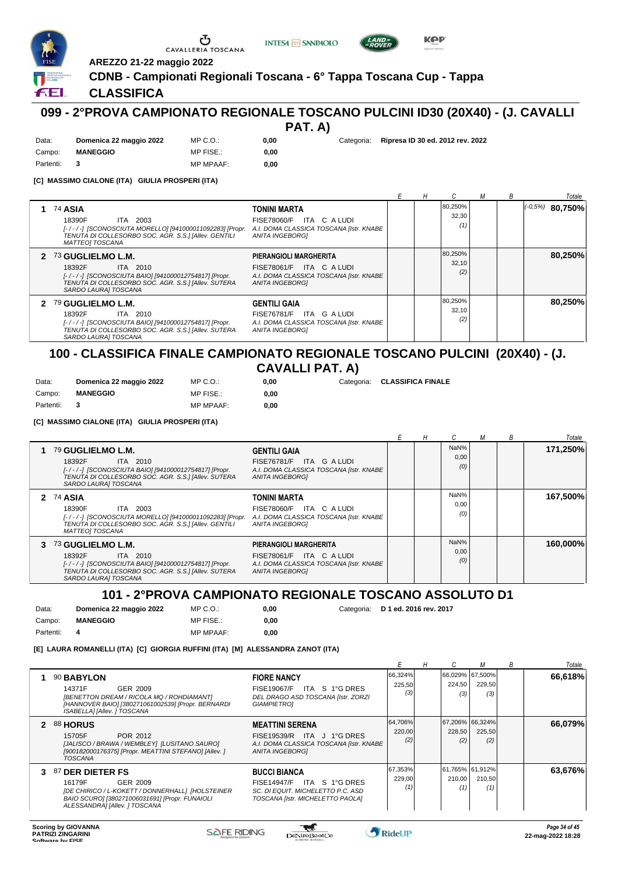





**AREZZO 21-22 maggio 2022**

## **CDNB - Campionati Regionali Toscana - 6° Tappa Toscana Cup - Tappa**

## **CLASSIFICA**

Data: **Domenica 22 maggio 2022**

ÆL.

# **099 - 2°PROVA CAMPIONATO REGIONALE TOSCANO PULCINI ID30 (20X40) - (J. CAVALLI**

**PAT. A)**

**0,00**

**0,00** Categoria: **Ripresa ID 30 ed. 2012 rev. 2022**

Campo: **MANEGGIO** Partenti: **3** MP FISE.: MP MPAAF: **0,00 [C] MASSIMO CIALONE (ITA) GIULIA PROSPERI (ITA)**

MP C.O.:

CAVALLERIA TOSCANA

|                                                                                                                                                                                   |                                                                                                                         | Н |                         | м | B | Totale              |
|-----------------------------------------------------------------------------------------------------------------------------------------------------------------------------------|-------------------------------------------------------------------------------------------------------------------------|---|-------------------------|---|---|---------------------|
| <b>74 ASIA</b><br>ITA 2003<br>18390F<br>[-/-/-] [SCONOSCIUTA MORELLO] [941000011092283] [Propr.<br>TENUTA DI COLLESORBO SOC. AGR. S.S.] [Allev. GENTILI<br><b>MATTEOI TOSCANA</b> | <b>TONINI MARTA</b><br>ITA CALUDI<br><b>FISE78060/F</b><br>A.I. DOMA CLASSICA TOSCANA [Istr. KNABE<br>ANITA INGEBORGI   |   | 80,250%<br>32,30<br>(1) |   |   | $(10, 5\%)$ 80.750% |
| 2 73 GUGLIELMO L.M.<br>18392F<br>ITA 2010<br>[-/-/-] [SCONOSCIUTA BAIO] [941000012754817] [Propr.<br>TENUTA DI COLLESORBO SOC. AGR. S.S.] [Allev. SUTERA<br>SARDO LAURA] TOSCANA  | PIERANGIOLI MARGHERITA<br>FISE78061/F ITA C A LUDI<br>A.I. DOMA CLASSICA TOSCANA [Istr. KNABE<br><b>ANITA INGEBORGI</b> |   | 80,250%<br>32.10<br>(2) |   |   | 80.250%             |
| 2 79 GUGLIELMO L.M.<br>ITA 2010<br>18392F<br>[-/-/-] [SCONOSCIUTA BAIO] [941000012754817] [Propr.<br>TENUTA DI COLLESORBO SOC. AGR. S.S.] [Allev. SUTERA<br>SARDO LAURA] TOSCANA  | <b>GENTILI GAIA</b><br>FISE76781/F ITA G A LUDI<br>A.I. DOMA CLASSICA TOSCANA [Istr. KNABE<br><b>ANITA INGEBORGI</b>    |   | 80,250%<br>32.10<br>(2) |   |   | 80.250%             |

## **100 - CLASSIFICA FINALE CAMPIONATO REGIONALE TOSCANO PULCINI (20X40) - (J. CAVALLI PAT. A)**

0.00 **0,00**

| Data:     | Domenica 22 maggio 2022 | MP C. O.  |
|-----------|-------------------------|-----------|
| Campo:    | <b>MANEGGIO</b>         | MP FISE.: |
| Partenti: |                         | MP MPAAF: |

**[C] MASSIMO CIALONE (ITA) GIULIA PROSPERI (ITA)**

**0,00** Categoria: **CLASSIFICA FINALE**

*E H C M B Totale* **1** 79 **GUGLIELMO L.M.** ITA 2010 **GENTILI GAIA**<br>FISE76781/F ITA G A LUDI *[- / - / -] [SCONOSCIUTA BAIO] [941000012754817] [Propr. TENUTA DI COLLESORBO SOC. AGR. S.S.] [Allev. SUTERA SARDO LAURA] TOSCANA A.I. DOMA CLASSICA TOSCANA [Istr. KNABE ANITA INGEBORG]* 18392F FISE76781/F ITA <sup>G</sup> A LUDI *(0)* NaN% 0,00 **171,250% 2** 74 **ASIA** ITA 2003 *[- / - / -] [SCONOSCIUTA MORELLO] [941000011092283] [Propr. TENUTA DI COLLESORBO SOC. AGR. S.S.] [Allev. GENTILI* **TONINI MARTA** *MATTEO] TOSCANA A.I. DOMA CLASSICA TOSCANA [Istr. KNABE ANITA INGEBORG]* 18390F FISE78060/F ITA <sup>C</sup> A LUDI *(0)* NaN% 0,00 **167,500% 3** 73 **GUGLIELMO L.M.** ITA 2010 **PIERANGIOLI MARGHERITA** *[- / - / -] [SCONOSCIUTA BAIO] [941000012754817] [Propr. TENUTA DI COLLESORBO SOC. AGR. S.S.] [Allev. SUTERA SARDO LAURA] TOSCANA A.I. DOMA CLASSICA TOSCANA [Istr. KNABE ANITA INGEBORG]* 18392F FISE78061/F ITA <sup>C</sup> A LUDI *(0)* NaN% 0,00 **160,000%**

## **101 - 2°PROVA CAMPIONATO REGIONALE TOSCANO ASSOLUTO D1**

Data: **Domenica 22 maggio 2022** Campo: **MANEGGIO** Partenti: **4** MP C.O.: MP FISE.: MP MPAAF: **0,00 0,00**

**0,00** Categoria: **D 1 ed. 2016 rev. 2017**

**[E] LAURA ROMANELLI (ITA) [C] GIORGIA RUFFINI (ITA) [M] ALESSANDRA ZANOT (ITA)**

|    |                                                                                                                                                                               |                                                                                                                            |                          | н | U             | м                                  | B | Totale  |
|----|-------------------------------------------------------------------------------------------------------------------------------------------------------------------------------|----------------------------------------------------------------------------------------------------------------------------|--------------------------|---|---------------|------------------------------------|---|---------|
|    | 90 BABYLON<br>14371F<br>GER 2009<br>[BENETTON DREAM / RICOLA MQ / ROHDIAMANT]<br>[HANNOVER BAIO] [380271061002539] [Propr. BERNARDI<br>ISABELLA] [Allev. ] TOSCANA            | <b>FIORE NANCY</b><br>FISE19067/F ITA S 1°G DRES<br>DEL DRAGO ASD TOSCANA [Istr. ZORZI<br>GIAMPIETRO]                      | 66,324%<br>225,50<br>(3) |   | 224,50<br>(3) | 66,029%  67,500% <br>229,50<br>(3) |   | 66,618% |
| 2  | <b>88 HORUS</b><br>POR 2012<br>15705F<br>[JALISCO / BRAWA / WEMBLEY]  [LUSITANO SAURO]<br>[900182000176375] [Propr. MEATTINI STEFANO] [Allev. ]<br><b>TOSCANA</b>             | <b>MEATTINI SERENA</b><br>FISE19539/R ITA J 1°G DRES<br>A.I. DOMA CLASSICA TOSCANA [Istr. KNABE<br><b>ANITA INGEBORGI</b>  | 64,706%<br>220,00<br>(2) |   | 228,50<br>(2) | 67,206% 66,324%<br>225,50<br>(2)   |   | 66,079% |
| З. | 87 DER DIETER FS<br>GER 2009<br>16179F<br>[DE CHIRICO / L-KOKETT / DONNERHALL] [HOLSTEINER<br>BAIO SCURO] [380271006031691] [Propr. FUNAIOLI<br>ALESSANDRA] [Allev. ] TOSCANA | <b>BUCCI BIANCA</b><br>FISE14947/F ITA S 1°G DRES<br>SC. DI EQUIT. MICHELETTO P.C. ASD<br>TOSCANA [Istr. MICHELETTO PAOLA] | 67,353%<br>229,00        |   | 210.00<br>(1) | 61,765% 61,912%<br>210,50<br>(1)   |   | 63,676% |

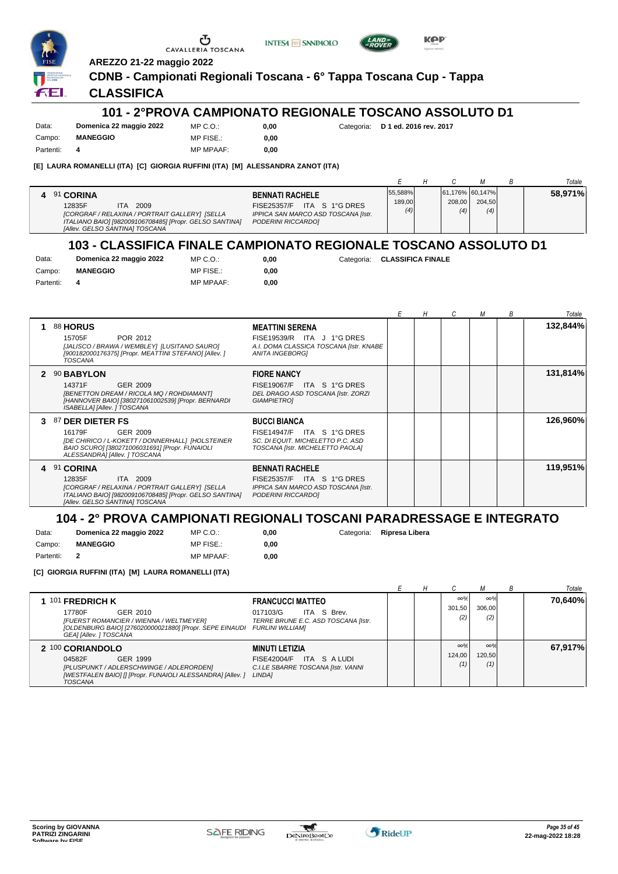





#### **AREZZO 21-22 maggio 2022 CDNB - Campionati Regionali Toscana - 6° Tappa Toscana Cup - Tappa**

#### **CLASSIFICA**

#### **101 - 2°PROVA CAMPIONATO REGIONALE TOSCANO ASSOLUTO D1**

| Data:     | Domenica 22 maggio 2022 | MP C. O.         |
|-----------|-------------------------|------------------|
| Campo:    | <b>MANEGGIO</b>         | MP FISE.:        |
| Partenti: |                         | <b>MP MPAAF:</b> |

**0,00** Categoria: **D 1 ed. 2016 rev. 2017**

**KPP** 

0.00 **0,00**

**[E] LAURA ROMANELLI (ITA) [C] GIORGIA RUFFINI (ITA) [M] ALESSANDRA ZANOT (ITA)**

|                                                                                             |                                                                                             |                          |                                  |               | Totale  |
|---------------------------------------------------------------------------------------------|---------------------------------------------------------------------------------------------|--------------------------|----------------------------------|---------------|---------|
| 91 CORINA<br>12835F<br>2009<br><b>ITA</b><br>[CORGRAF / RELAXINA / PORTRAIT GALLERY] [SELLA | <b>BENNATI RACHELE</b><br>FISE25357/F ITA S 1°G DRES<br>IPPICA SAN MARCO ASD TOSCANA [Istr. | 55,588%<br>189,00<br>(4) | 61,176% 60,147%<br>208.00<br>(4) | 204.50<br>(4) | 58,971% |
| ITALIANO BAIO] [982009106708485] [Propr. GELSO SANTINA]<br>[Allev. GELSO SANTINA] TOSCANA   | PODERINI RICCARDOI                                                                          |                          |                                  |               |         |

## **103 - CLASSIFICA FINALE CAMPIONATO REGIONALE TOSCANO ASSOLUTO D1**

| Data:     | Domenica 22 maggio 2022 | $MP C. Q$ .:     | 0.00 |
|-----------|-------------------------|------------------|------|
| Campo:    | <b>MANEGGIO</b>         | MP FISE.:        | 0.00 |
| Partenti: |                         | <b>MP MPAAF:</b> | 0,00 |

**0,00** Categoria: **CLASSIFICA FINALE**

**0,00** Categoria: **Ripresa Libera**

|    |                                                                                                                                                                                                                                  |                                                                                         | Н | C | М | В | Totale   |
|----|----------------------------------------------------------------------------------------------------------------------------------------------------------------------------------------------------------------------------------|-----------------------------------------------------------------------------------------|---|---|---|---|----------|
|    | <b>88 HORUS</b><br><b>MEATTINI SERENA</b><br>POR 2012<br>15705F<br>[JALISCO / BRAWA / WEMBLEY] [LUSITANO SAURO]<br>[900182000176375] [Propr. MEATTINI STEFANO] [Allev. ]<br>ANITA INGEBORGI<br><b>TOSCANA</b>                    | FISE19539/R ITA J 1°G DRES<br>A.I. DOMA CLASSICA TOSCANA [Istr. KNABE                   |   |   |   |   | 132,844% |
| 2  | 90 BABYLON<br><b>FIORE NANCY</b><br>14371F<br>GER 2009<br>[BENETTON DREAM / RICOLA MQ / ROHDIAMANT]<br>[HANNOVER BAIO] [380271061002539] [Propr. BERNARDI<br>GIAMPIETRO]<br>ISABELLA] [Allev. ] TOSCANA                          | FISE19067/F ITA S 1°G DRES<br>DEL DRAGO ASD TOSCANA [Istr. ZORZI                        |   |   |   |   | 131,814% |
| З. | 87 DER DIETER FS<br><b>BUCCI BIANCA</b><br>16179F<br>GER 2009<br><b>FISE14947/F</b><br>[DE CHIRICO / L-KOKETT / DONNERHALL] [HOLSTEINER<br>BAIO SCURO] [380271006031691] [Propr. FUNAIOLI<br>ALESSANDRAI [Allev. ] TOSCANA       | ITA S 1°G DRES<br>SC. DI EQUIT. MICHELETTO P.C. ASD<br>TOSCANA [Istr. MICHELETTO PAOLA] |   |   |   |   | 126,960% |
|    | 4 91 CORINA<br><b>BENNATI RACHELE</b><br>12835F<br>ITA 2009<br>[CORGRAF / RELAXINA / PORTRAIT GALLERY] [SELLA<br>ITALIANO BAIO] [982009106708485] [Propr. GELSO SANTINA]<br>PODERINI RICCARDO]<br>[Allev. GELSO SANTINA] TOSCANA | FISE25357/F ITA S 1°G DRES<br>IPPICA SAN MARCO ASD TOSCANA [Istr.                       |   |   |   |   | 119,951% |

# **104 - 2° PROVA CAMPIONATI REGIONALI TOSCANI PARADRESSAGE E INTEGRATO**

| Data:     | Domenica 22 maggio 2022 | MP C. O.         | 0.00 |
|-----------|-------------------------|------------------|------|
| Campo:    | <b>MANEGGIO</b>         | MP FISE.:        | 0.00 |
| Partenti: |                         | <b>MP MPAAF:</b> | 0.00 |

**[C] GIORGIA RUFFINI (ITA) [M] LAURA ROMANELLI (ITA)**

|                                                                                                                                                                                         |                                                                                                             |  |                             |                             | Totale  |
|-----------------------------------------------------------------------------------------------------------------------------------------------------------------------------------------|-------------------------------------------------------------------------------------------------------------|--|-----------------------------|-----------------------------|---------|
| 1 101 FREDRICH K<br>GER 2010<br>17780F<br>[FUERST ROMANCIER / WIENNA / WELTMEYER]<br>[OLDENBURG BAIO] [276020000021880] [Propr. SEPE EINAUDI FURLINI WILLIAM]<br>GEA] [Allev. ] TOSCANA | <b>FRANCUCCI MATTEO</b><br>ITA S Brev.<br>017103/G<br>TERRE BRUNE E.C. ASD TOSCANA [Istr.                   |  | $\infty\%$<br>301.50<br>(2) | $\infty\%$<br>306.00<br>(2) | 70.640% |
| 2 100 CORIANDOLO<br>GER 1999<br>04582F<br>[PLUSPUNKT / ADLERSCHWINGE / ADLERORDEN]<br>[WESTFALEN BAIO] [] [Propr. FUNAIOLI ALESSANDRA] [Allev. ]<br>TOSCANA                             | <b>MINUTI LETIZIA</b><br>ITA S A LUDI<br>FISE42004/F<br>C.I.LE SBARRE TOSCANA [Istr. VANNI<br><b>LINDA1</b> |  | $\infty\%$<br>124.00<br>(1) | $\infty\%$<br>120.50<br>(1) | 67,917% |

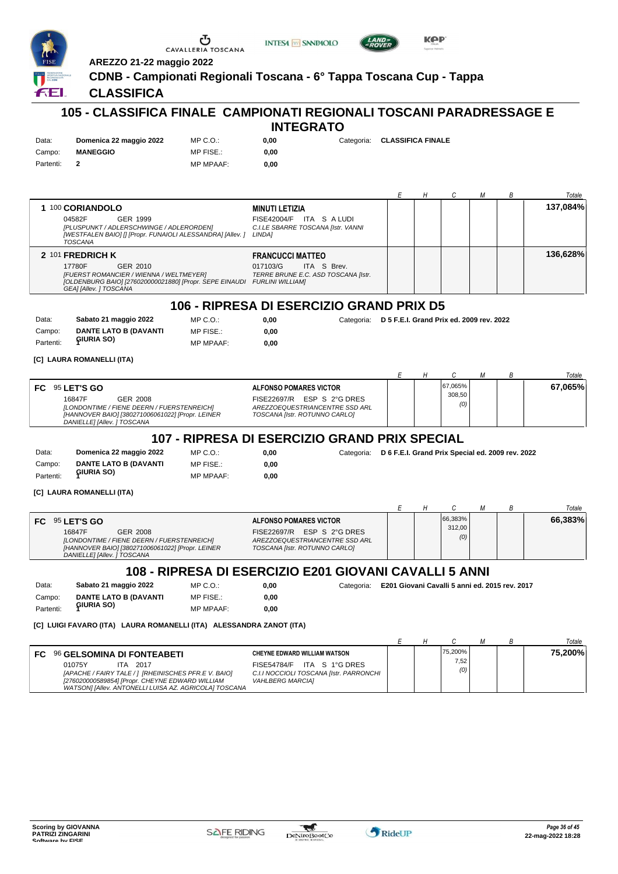

Data: **Sabato 21 maggio 2022** Campo: **DANTE LATO B (DAVANTI GIURIA SO)** Partenti: **<sup>1</sup>** MP FISE.: MP MPAAF: **0,00**

**[C] LUIGI FAVARO (ITA) LAURA ROMANELLI (ITA) ALESSANDRA ZANOT (ITA)**

|                                                                                                                                                                                            |                                                                                                  |  |             |  | Totale  |
|--------------------------------------------------------------------------------------------------------------------------------------------------------------------------------------------|--------------------------------------------------------------------------------------------------|--|-------------|--|---------|
| FC 96 GELSOMINA DI FONTEABETI                                                                                                                                                              | <b>CHEYNE EDWARD WILLIAM WATSON</b>                                                              |  | 75,200%     |  | 75,200% |
| 01075Y<br>2017<br>ITA.<br>[APACHE / FAIRY TALE / ] [RHEINISCHES PFR.E V. BAIO]<br>[276020000589854] [Propr. CHEYNE EDWARD WILLIAM<br>WATSON] [Allev. ANTONELLI LUISA AZ. AGRICOLA] TOSCANA | FISE54784/F ITA S 1°G DRES<br>C.I.I NOCCIOLI TOSCANA [Istr. PARRONCHI<br><b>VAHLBERG MARCIA]</b> |  | 7,52<br>(0) |  |         |

**0,00**

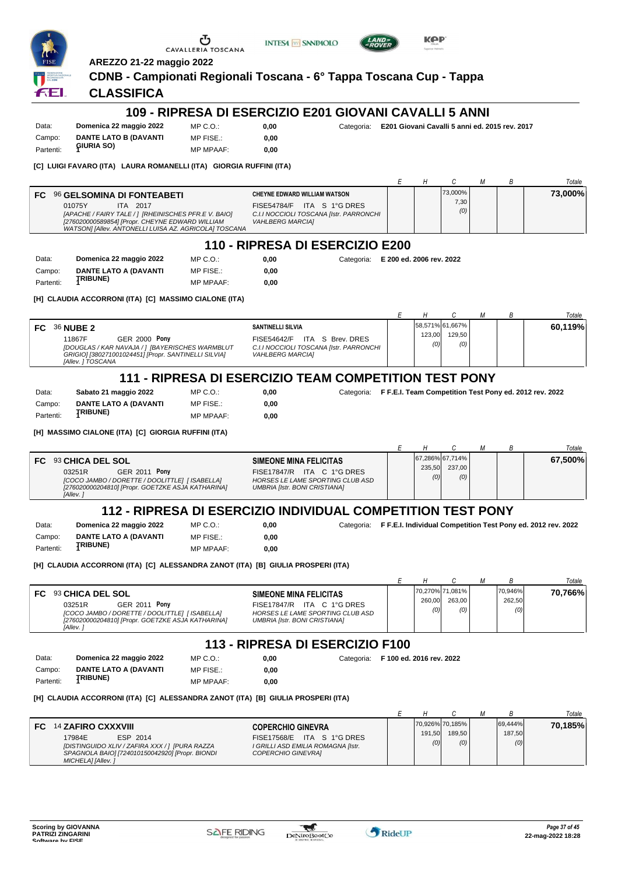|           | AREZZO 21-22 maggio 2022                                                                                                                                                               | CAVALLERIA TOSCANA | <b>INTESA M SANPAOLO</b>                                                                         |                                                                   |   | KPP    |                      |   |              |                                                                         |
|-----------|----------------------------------------------------------------------------------------------------------------------------------------------------------------------------------------|--------------------|--------------------------------------------------------------------------------------------------|-------------------------------------------------------------------|---|--------|----------------------|---|--------------|-------------------------------------------------------------------------|
|           |                                                                                                                                                                                        |                    | CDNB - Campionati Regionali Toscana - 6° Tappa Toscana Cup - Tappa                               |                                                                   |   |        |                      |   |              |                                                                         |
| fЕl       | <b>CLASSIFICA</b>                                                                                                                                                                      |                    |                                                                                                  |                                                                   |   |        |                      |   |              |                                                                         |
|           |                                                                                                                                                                                        |                    |                                                                                                  |                                                                   |   |        |                      |   |              |                                                                         |
|           |                                                                                                                                                                                        |                    | 109 - RIPRESA DI ESERCIZIO E201 GIOVANI CAVALLI 5 ANNI                                           |                                                                   |   |        |                      |   |              |                                                                         |
| Data:     | Domenica 22 maggio 2022                                                                                                                                                                | MP C.O.:           | 0,00                                                                                             | Categoria: E201 Giovani Cavalli 5 anni ed. 2015 rev. 2017         |   |        |                      |   |              |                                                                         |
| Campo:    | <b>DANTE LATO B (DAVANTI</b>                                                                                                                                                           | MP FISE.:          | 0,00                                                                                             |                                                                   |   |        |                      |   |              |                                                                         |
| Partenti: | GIURIA SO)                                                                                                                                                                             | <b>MP MPAAF:</b>   | 0,00                                                                                             |                                                                   |   |        |                      |   |              |                                                                         |
|           | [C]  LUIGI FAVARO (ITA)   LAURA ROMANELLI (ITA)   GIORGIA RUFFINI (ITA)                                                                                                                |                    |                                                                                                  |                                                                   |   |        |                      |   |              |                                                                         |
|           |                                                                                                                                                                                        |                    |                                                                                                  |                                                                   | Е | H      | С                    | М | В            | Totale                                                                  |
|           | FC 96 GELSOMINA DI FONTEABETI                                                                                                                                                          |                    | <b>CHEYNE EDWARD WILLIAM WATSON</b>                                                              |                                                                   |   |        | 73,000%              |   |              | 73,000%                                                                 |
|           | 01075Y<br>ITA 2017<br>[APACHE / FAIRY TALE / ] [RHEINISCHES PFR.E V. BAIO]<br>[276020000589854] [Propr. CHEYNE EDWARD WILLIAM<br>WATSON] [Allev. ANTONELLI LUISA AZ. AGRICOLA] TOSCANA |                    | FISE54784/F ITA S 1°G DRES<br>C.I.I NOCCIOLI TOSCANA [Istr. PARRONCHI<br><b>VAHLBERG MARCIA]</b> |                                                                   |   |        | 7,30<br>(0)          |   |              |                                                                         |
|           |                                                                                                                                                                                        |                    | 110 - RIPRESA DI ESERCIZIO E200                                                                  |                                                                   |   |        |                      |   |              |                                                                         |
| Data:     | Domenica 22 maggio 2022                                                                                                                                                                | MP C.O.:           | 0,00                                                                                             | Categoria: E 200 ed. 2006 rev. 2022                               |   |        |                      |   |              |                                                                         |
| Campo:    | <b>DANTE LATO A (DAVANTI</b>                                                                                                                                                           | MP FISE.:          | 0,00                                                                                             |                                                                   |   |        |                      |   |              |                                                                         |
| Partenti: | <b>TRIBUNE)</b>                                                                                                                                                                        | <b>MP MPAAF:</b>   | 0,00                                                                                             |                                                                   |   |        |                      |   |              |                                                                         |
|           | [H] CLAUDIA ACCORRONI (ITA) [C] MASSIMO CIALONE (ITA)                                                                                                                                  |                    |                                                                                                  |                                                                   |   |        |                      |   |              |                                                                         |
|           |                                                                                                                                                                                        |                    |                                                                                                  |                                                                   |   |        |                      |   |              |                                                                         |
|           |                                                                                                                                                                                        |                    |                                                                                                  |                                                                   | Е | Η      | С<br>58,571% 61,667% | М | В            | Totale                                                                  |
| FC.       | <b>36 NUBE 2</b><br>11867F<br><b>GER 2000 Pony</b>                                                                                                                                     |                    | <b>SANTINELLI SILVIA</b><br>FISE54642/F ITA S Brev. DRES                                         |                                                                   |   | 123,00 | 129,50               |   |              | 60,119%                                                                 |
|           | [DOUGLAS / KAR NAVAJA / ] [BAYERISCHES WARMBLUT<br>GRIGIO] [380271001024451] [Propr. SANTINELLI SILVIA]<br>[Allev.] TOSCANA                                                            |                    | C.I.I NOCCIOLI TOSCANA [Istr. PARRONCHI<br><b>VAHLBERG MARCIA]</b>                               |                                                                   |   | (0)    | (0)                  |   |              |                                                                         |
|           |                                                                                                                                                                                        |                    | 111 - RIPRESA DI ESERCIZIO TEAM COMPETITION TEST PONY                                            |                                                                   |   |        |                      |   |              |                                                                         |
| Data:     | Sabato 21 maggio 2022                                                                                                                                                                  | MP C.O.:           | 0,00                                                                                             | Categoria: F F.E.I. Team Competition Test Pony ed. 2012 rev. 2022 |   |        |                      |   |              |                                                                         |
| Campo:    | <b>DANTE LATO A (DAVANTI</b>                                                                                                                                                           | MP FISE.:          | 0,00                                                                                             |                                                                   |   |        |                      |   |              |                                                                         |
| Partenti: | <b>TRIBUNE)</b>                                                                                                                                                                        | <b>MP MPAAF:</b>   | 0,00                                                                                             |                                                                   |   |        |                      |   |              |                                                                         |
|           |                                                                                                                                                                                        |                    |                                                                                                  |                                                                   |   |        |                      |   |              |                                                                         |
|           | [H]  MASSIMO CIALONE (ITA)  [C]  GIORGIA RUFFINI (ITA)                                                                                                                                 |                    |                                                                                                  |                                                                   |   |        |                      |   |              |                                                                         |
|           |                                                                                                                                                                                        |                    |                                                                                                  |                                                                   | Е | Н      | C<br>67,286% 67,714% | М | В            | Totale<br>67,500%                                                       |
|           | FC 93 CHICA DEL SOL<br>03251R<br><b>GER 2011 Pony</b>                                                                                                                                  |                    | <b>SIMEONE MINA FELICITAS</b><br>FISE17847/R ITA C 1°G DRES                                      |                                                                   |   | 235,50 | 237,00               |   |              |                                                                         |
|           | [COCO JAMBO / DORETTE / DOOLITTLE] [ ISABELLA]<br>[276020000204810] [Propr. GOETZKE ASJA KATHARINA]<br>[Allev.]                                                                        |                    | HORSES LE LAME SPORTING CLUB ASD<br><b>UMBRIA [Istr. BONI CRISTIANA]</b>                         |                                                                   |   | (0)    | (0)                  |   |              |                                                                         |
|           |                                                                                                                                                                                        |                    | 112 - RIPRESA DI ESERCIZIO INDIVIDUAL COMPETITION TEST PONY                                      |                                                                   |   |        |                      |   |              |                                                                         |
| Data:     | Domenica 22 maggio 2022                                                                                                                                                                | MP C.O.            | 0,00                                                                                             |                                                                   |   |        |                      |   |              | Categoria: F F.E.I. Individual Competition Test Pony ed. 2012 rev. 2022 |
| Campo:    | DANTE LATO A (DAVANTI                                                                                                                                                                  | MP FISE.:          | 0,00                                                                                             |                                                                   |   |        |                      |   |              |                                                                         |
| Partenti: | <b>TRIBUNE)</b>                                                                                                                                                                        | <b>MP MPAAF:</b>   | 0,00                                                                                             |                                                                   |   |        |                      |   |              |                                                                         |
|           | [H]  CLAUDIA ACCORRONI (ITA)  [C]  ALESSANDRA ZANOT (ITA)  [B]  GIULIA PROSPERI (ITA)                                                                                                  |                    |                                                                                                  |                                                                   |   |        |                      |   |              |                                                                         |
|           |                                                                                                                                                                                        |                    |                                                                                                  |                                                                   |   |        |                      |   |              |                                                                         |
| FC        | 93 CHICA DEL SOL                                                                                                                                                                       |                    | <b>SIMEONE MINA FELICITAS</b>                                                                    |                                                                   | Е | H      | С<br>70,270% 71,081% | М | В<br>70,946% | Totale<br>70,766%                                                       |
|           | 03251R<br><b>GER 2011 Pony</b>                                                                                                                                                         |                    | FISE17847/R ITA C 1°G DRES                                                                       |                                                                   |   | 260,00 | 263,00               |   | 262,50       |                                                                         |
|           | [COCO JAMBO / DORETTE / DOOLITTLE] [ ISABELLA]<br>[276020000204810] [Propr. GOETZKE ASJA KATHARINA]<br>[Allev.]                                                                        |                    | <b>HORSES LE LAME SPORTING CLUB ASD</b><br><b>UMBRIA [Istr. BONI CRISTIANA]</b>                  |                                                                   |   | (0)    | (0)                  |   | (0)          |                                                                         |
|           |                                                                                                                                                                                        |                    | 113 - RIPRESA DI ESERCIZIO F100                                                                  |                                                                   |   |        |                      |   |              |                                                                         |
| Data:     | Domenica 22 maggio 2022                                                                                                                                                                | $MP C. O.$ :       | 0,00                                                                                             | Categoria: F 100 ed. 2016 rev. 2022                               |   |        |                      |   |              |                                                                         |
| Campo:    | <b>DANTE LATO A (DAVANTI</b>                                                                                                                                                           | MP FISE.:          | 0,00                                                                                             |                                                                   |   |        |                      |   |              |                                                                         |
| Partenti: | <b>TRIBUNE)</b>                                                                                                                                                                        | <b>MP MPAAF:</b>   | 0,00                                                                                             |                                                                   |   |        |                      |   |              |                                                                         |
|           | [H]  CLAUDIA ACCORRONI (ITA)  [C]  ALESSANDRA ZANOT (ITA)  [B]  GIULIA PROSPERI (ITA)                                                                                                  |                    |                                                                                                  |                                                                   |   |        |                      |   |              |                                                                         |
|           |                                                                                                                                                                                        |                    |                                                                                                  |                                                                   | Е | Η      | С                    | М | Β            | Totale                                                                  |
|           | FC 14 ZAFIRO CXXXVIII                                                                                                                                                                  |                    | <b>COPERCHIO GINEVRA</b>                                                                         |                                                                   |   |        | 70,926% 70,185%      |   | 69,444%      | 70,185%                                                                 |
|           | 17984E<br>ESP 2014                                                                                                                                                                     |                    | FISE17568/E ITA S 1°G DRES                                                                       |                                                                   |   | 191,50 | 189,50               |   | 187,50       |                                                                         |
|           | [DISTINGUIDO XLIV / ZAFIRA XXX / ] [PURA RAZZA<br>SPAGNOLA BAIO] [724010150042920] [Propr. BIONDI<br>MICHELA] [Allev.]                                                                 |                    | I GRILLI ASD EMILIA ROMAGNA [Istr.<br>COPERCHIO GINEVRA]                                         |                                                                   |   | (0)    | (0)                  |   | (0)          |                                                                         |

 $\frac{1}{2}$ 

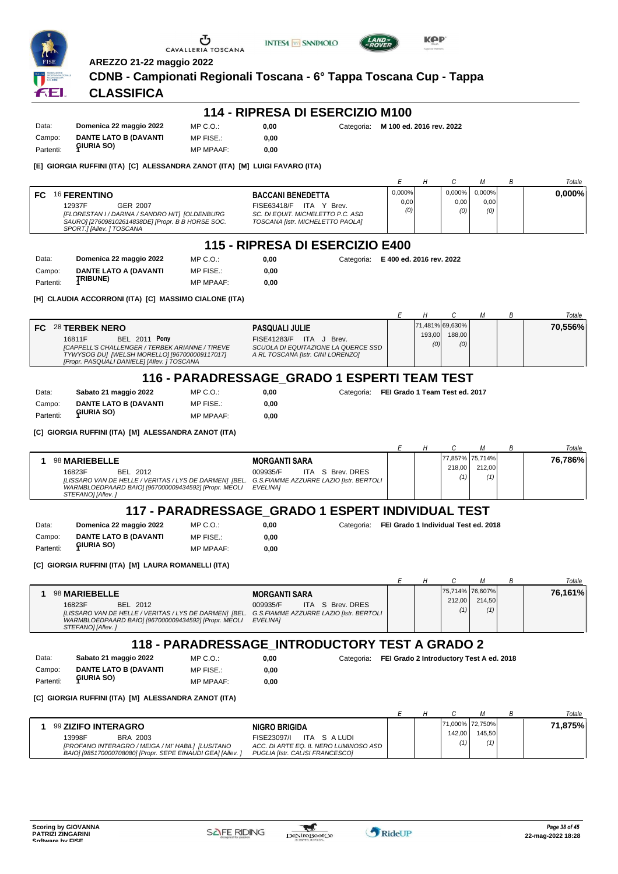

**INTESA** M SANPAOLO



**AREZZO 21-22 maggio 2022**

#### **CDNB - Campionati Regionali Toscana - 6° Tappa Toscana Cup - Tappa**

## **CLASSIFICA**

| Data:     | Domenica 22 maggio 2022      | MP C.O.:         | 0.00 | Categoria: M 100 ed. 2016 rev. 2022 |
|-----------|------------------------------|------------------|------|-------------------------------------|
| Campo:    | <b>DANTE LATO B (DAVANTI</b> | MP FISE.:        | 0.00 |                                     |
| Partenti: | <b>GIURIA SO)</b>            | <b>MP MPAAF:</b> | 0.00 |                                     |

#### **[E] GIORGIA RUFFINI (ITA) [C] ALESSANDRA ZANOT (ITA) [M] LUIGI FAVARO (ITA)**

|     |                                                                                                                                                  |                                                                                                                                 |                       |                          |                          | Totale |
|-----|--------------------------------------------------------------------------------------------------------------------------------------------------|---------------------------------------------------------------------------------------------------------------------------------|-----------------------|--------------------------|--------------------------|--------|
| FC. | <b>16 FERENTINO</b><br>12937F<br>GER 2007<br>[FLORESTAN I / DARINA / SANDRO HIT] [OLDENBURG<br>SAURO] [276098102614838DE] [Propr. B B HORSE SOC. | <b>BACCANI BENEDETTA</b><br>ITA Y Brev.<br>FISE63418/F<br>SC. DI EQUIT. MICHELETTO P.C. ASD<br>TOSCANA [Istr. MICHELETTO PAOLA] | 0,000%<br>0.00<br>(0) | $0.000\%$<br>0.00<br>(0) | $0.000\%$<br>0,00<br>(0) | 0.000% |
|     | SPORT.] [Allev. ] TOSCANA                                                                                                                        |                                                                                                                                 |                       |                          |                          |        |

#### **115 - RIPRESA DI ESERCIZIO E400**

0,00 **0,00**

**0,00**

**0,00**

 $0,00$ **0,00**

| Data:     | Domenica 22 maggio 2022 | MP C. O.         |
|-----------|-------------------------|------------------|
| Campo:    | DANTE LATO A (DAVANTI   | MP FISE.:        |
| Partenti: | <b>TRIBUNE)</b>         | <b>MP MPAAF:</b> |

**0,00** Categoria: **E 400 ed. 2016 rev. 2022**

**[H] CLAUDIA ACCORRONI (ITA) [C] MASSIMO CIALONE (ITA)**

|     |                                                 |                                     |        |                 |  | Totale  |
|-----|-------------------------------------------------|-------------------------------------|--------|-----------------|--|---------|
| FC. | 28 TERBEK NERO                                  | <b>PASQUALI JULIE</b>               |        | 71,481% 69,630% |  | 70,556% |
|     | <b>BEL 2011 Pony</b><br>16811F                  | ITA J Brev.<br>FISE41283/F          | 193.00 | 188.00          |  |         |
|     | [CAPPELL'S CHALLENGER / TERBEK ARIANNE / TIREVE | SCUOLA DI EQUITAZIONE LA QUERCE SSD | (0)    | (0)             |  |         |
|     | TYWYSOG DUI [WELSH MORELLO] [967000009117017]   | A RL TOSCANA [Istr. CINI LORENZO]   |        |                 |  |         |
|     | [Propr. PASQUALI DANIELE] [Allev. ] TOSCANA     |                                     |        |                 |  |         |

#### **116 - PARADRESSAGE\_GRADO 1 ESPERTI TEAM TEST**

Data: **Sabato 21 maggio 2022** Campo: **DANTE LATO B (DAVANTI** MP C.O.: MP FISE.: **0,00** Categoria: **FEI Grado 1 Team Test ed. 2017**

**GIURIA SO)** Partenti: **<sup>1</sup>** MP MPAAF: **0,00**

**[C] GIORGIA RUFFINI (ITA) [M] ALESSANDRA ZANOT (ITA)**

|                                                                                                                                                                             |                                                      |  |                            |        | Totale  |
|-----------------------------------------------------------------------------------------------------------------------------------------------------------------------------|------------------------------------------------------|--|----------------------------|--------|---------|
| 98 MARIEBELLE<br>16823F<br>BEL 2012                                                                                                                                         | <b>MORGANTI SARA</b><br>ITA S Brev. DRES<br>009935/F |  | 177.857% 75.714%<br>218.00 | 212.00 | 76.786% |
| [LISSARO VAN DE HELLE / VERITAS / LYS DE DARMEN] [BEL. G.S.FIAMME AZZURRE LAZIO [Istr. BERTOLI<br>WARMBLOEDPAARD BAIO] [967000009434592] [Propr. MEOLI<br>STEFANO] [Allev.] | <b>EVELINA1</b>                                      |  | '1)                        |        |         |

#### **117 - PARADRESSAGE\_GRADO 1 ESPERT INDIVIDUAL TEST**

Data: **Domenica 22 maggio 2022** Campo: **DANTE LATO B (DAVANTI** Partenti: **FIURIA SO)** 

MP C.O.: MP FISE.: **0,00** Categoria: **FEI Grado 1 Individual Test ed. 2018**

MP MPAAF: **0,00**

**[C] GIORGIA RUFFINI (ITA) [M] LAURA ROMANELLI (ITA)**

|                                                                                                                                                                                                                                                                                                         |  |                                  |               | Totale  |
|---------------------------------------------------------------------------------------------------------------------------------------------------------------------------------------------------------------------------------------------------------------------------------------------------------|--|----------------------------------|---------------|---------|
| 98 MARIEBELLE<br><b>MORGANTI SARA</b><br>16823F<br>BEL 2012<br>ITA S Brev. DRES<br>009935/F<br><b>G.S.FIAMME AZZURRE LAZIO IIstr. BERTOLI</b><br>[LISSARO VAN DE HELLE / VERITAS / LYS DE DARMEN] [BEL.<br>WARMBLOEDPAARD BAIO] [967000009434592] [Propr. MEOLI<br><b>EVELINAI</b><br>STEFANO] [Allev.] |  | 75,714% 76,607%<br>212.00<br>(1) | 214.50<br>(1) | 76,161% |

## **118 - PARADRESSAGE\_INTRODUCTORY TEST A GRADO 2**

| Data:     | Sabato 21 maggio 2022 | MP C. O.         |
|-----------|-----------------------|------------------|
| Campo:    | DANTE LATO B (DAVANTI | MP FISE.:        |
| Partenti: | <b>GIURIA SO)</b>     | <b>MP MPAAF:</b> |

**0,00** Categoria: **FEI Grado 2 Introductory Test A ed. 2018**

**[C] GIORGIA RUFFINI (ITA) [M] ALESSANDRA ZANOT (ITA)**

|                                                             |                                       |  |        |                  | Totale  |
|-------------------------------------------------------------|---------------------------------------|--|--------|------------------|---------|
| 99 ZIZIFO INTERAGRO                                         | <b>NIGRO BRIGIDA</b>                  |  |        | 171.000% 72.750% | 71,875% |
| BRA 2003<br>13998F                                          | ITA SALUDI<br>FISE23097/L             |  | 142.00 | 145.50           |         |
| [PROFANO INTERAGRO / MEIGA / MI' HABIL] [LUSITANO           | ACC. DI ARTE EQ. IL NERO LUMINOSO ASD |  | (1)    |                  |         |
| BAIO] [985170000708080] [Propr. SEPE EINAUDI GEA] [Allev. ] | PUGLIA [Istr. CALISI FRANCESCO]       |  |        |                  |         |

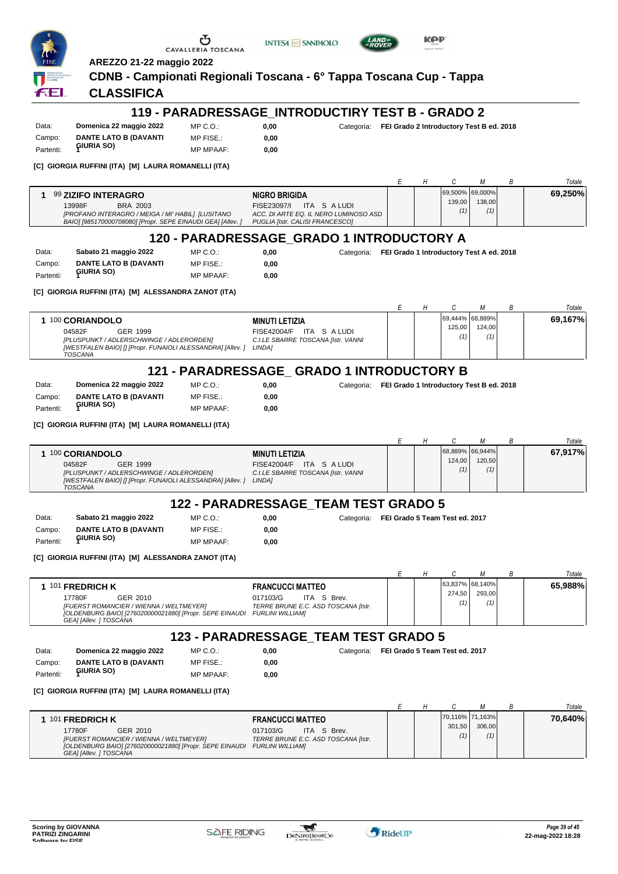



**0,00** Categoria: **FEI Grado 2 Introductory Test B ed. 2018**



**AREZZO 21-22 maggio 2022**

## **CDNB - Campionati Regionali Toscana - 6° Tappa Toscana Cup - Tappa**

**CLASSIFICA**

## **119 - PARADRESSAGE\_INTRODUCTIRY TEST B - GRADO 2**

| Data:     | Domenica 22 maggio 2022      |
|-----------|------------------------------|
| Campo:    | <b>DANTE LATO B (DAVANTI</b> |
| Partenti: | <b>GIURIA SO)</b>            |

3 E I

 $MP C. O.$ MP FISE.: MP MPAAF: **0,00**

**0,00**

 $0,00$ **0,00**

**[C] GIORGIA RUFFINI (ITA) [M] LAURA ROMANELLI (ITA)**

|                                                                                                                                                                      |                                                                                                                               |  |                                  |               | Totale  |
|----------------------------------------------------------------------------------------------------------------------------------------------------------------------|-------------------------------------------------------------------------------------------------------------------------------|--|----------------------------------|---------------|---------|
| <b>99 ZIZIFO INTERAGRO</b><br>13998F<br>BRA 2003<br>[PROFANO INTERAGRO / MEIGA / MI' HABIL] [LUSITANO<br>BAIO] [985170000708080] [Propr. SEPE EINAUDI GEA] [Allev. ] | <b>NIGRO BRIGIDA</b><br>ITA SALUDI<br>FISE23097/L<br>ACC. DI ARTE EQ. IL NERO LUMINOSO ASD<br>PUGLIA [Istr. CALISI FRANCESCO] |  | 69.500% 69.000%<br>139.00<br>(1) | 138.00<br>(1) | 69.250% |
|                                                                                                                                                                      |                                                                                                                               |  |                                  |               |         |

#### **120 - PARADRESSAGE\_GRADO 1 INTRODUCTORY A**

| Data:     | Sabato 21 maggio 2022        | MP C. O.         |
|-----------|------------------------------|------------------|
| Campo:    | <b>DANTE LATO B (DAVANTI</b> | MP FISE.:        |
| Partenti: | <b>GIURIA SO)</b>            | <b>MP MPAAF:</b> |

**[C] GIORGIA RUFFINI (ITA) [M] ALESSANDRA ZANOT (ITA)**

**0,00** Categoria: **FEI Grado 1 Introductory Test A ed. 2018**

*E H C M B Totale* **1** 100 **CORIANDOLO MINUTI LETIZIA**

MP C.O.:

| 100 CORIANDOLO                                                                                                                          | <b>MINUTI LETIZIA</b>                                                     |               | 69.444% 68.889% | 69.167% |
|-----------------------------------------------------------------------------------------------------------------------------------------|---------------------------------------------------------------------------|---------------|-----------------|---------|
| 04582F<br>GER 1999<br>[PLUSPUNKT / ADLERSCHWINGE / ADLERORDEN]<br>[WESTFALEN BAIO] [] [Propr. FUNAIOLI ALESSANDRA] [Allev. ]<br>TOSCANA | ITA SALUDI<br>FISE42004/F<br>C.I.LE SBARRE TOSCANA [Istr. VANNI<br>LINDA1 | 125,00<br>(1) | 124.00<br>(1)   |         |

## **121 - PARADRESSAGE\_ GRADO 1 INTRODUCTORY B**

| Data:     | Domenica 22 maggio 2022      |
|-----------|------------------------------|
| Campo:    | <b>DANTE LATO B (DAVANTI</b> |
| Partenti: | <b>GIURIA SO)</b>            |

MP FISE.: MP MPAAF: **0,00**

**0,00** Categoria: **FEI Grado 1 Introductory Test B ed. 2018**

**0,00**

**[C] GIORGIA RUFFINI (ITA) [M] LAURA ROMANELLI (ITA)**

|                                                                                                                                                               |  |                 |        | Totale  |
|---------------------------------------------------------------------------------------------------------------------------------------------------------------|--|-----------------|--------|---------|
| 100 CORIANDOLO<br><b>MINUTI LETIZIA</b>                                                                                                                       |  | 68,889% 66,944% |        | 67,917% |
| TAS ALUDI<br>04582F<br>GER 1999<br>FISE42004/F                                                                                                                |  | 124.00          | 120,50 |         |
| [PLUSPUNKT / ADLERSCHWINGE / ADLERORDEN]<br>C.I.LE SBARRE TOSCANA [Istr. VANNI<br><b>LINDA1</b><br>[WESTFALEN BAIO] [] [Propr. FUNAIOLI ALESSANDRA] [Allev. ] |  | (1)             | (1)    |         |
| TOSCANA                                                                                                                                                       |  |                 |        |         |

## **122 - PARADRESSAGE\_TEAM TEST GRADO 5**

Data: **Sabato 21 maggio 2022** Campo: **DANTE LATO B (DAVANTI GIURIA SO)** Partenti: **<sup>1</sup>**

MP C.O.: MP FISE.:

 $MP C. O.$ 

MP MPAAF: **0,00 0,00**

**0,00** Categoria: **FEI Grado 5 Team Test ed. 2017**

**[C] GIORGIA RUFFINI (ITA) [M] ALESSANDRA ZANOT (ITA)**

|                                                                                                                                                                                       |                                                                                           |  |                           |               | Totale  |
|---------------------------------------------------------------------------------------------------------------------------------------------------------------------------------------|-------------------------------------------------------------------------------------------|--|---------------------------|---------------|---------|
| 101 FREDRICH K<br>17780F<br>GER 2010<br>[FUERST ROMANCIER / WIENNA / WELTMEYER]<br>[OLDENBURG BAIO] [276020000021880] [Propr. SEPE EINAUDI FURLINI WILLIAM]<br>GEAI [Allev. ] TOSCANA | <b>FRANCUCCI MATTEO</b><br>017103/G<br>ITA S Brev.<br>TERRE BRUNE E.C. ASD TOSCANA [Istr. |  | 63,837% 68,140%<br>274.50 | 293.00<br>(1) | 65.988% |

## **123 - PARADRESSAGE\_TEAM TEST GRADO 5**

**0,00**

Data: **Domenica 22 maggio 2022** Campo: **DANTE LATO B (DAVANTI GIURIA SO)** Partenti: **<sup>1</sup>** MP FISE. MP MPAAF: **0,00**

**0,00** Categoria: **FEI Grado 5 Team Test ed. 2017**

**[C] GIORGIA RUFFINI (ITA) [M] LAURA ROMANELLI (ITA)**

|                                                         |                                     |  |                 |        | Totale  |
|---------------------------------------------------------|-------------------------------------|--|-----------------|--------|---------|
| 101 FREDRICH K                                          | <b>FRANCUCCI MATTEO</b>             |  | 70,116% 71,163% |        | 70,640% |
| 17780F<br>GER 2010                                      | 017103/G<br>ITA S Brev.             |  | 301.50          | 306.00 |         |
| [FUERST ROMANCIER / WIENNA / WELTMEYER]                 | TERRE BRUNE E.C. ASD TOSCANA [Istr. |  | (1)             | (1)    |         |
| [OLDENBURG BAIO] [276020000021880] [Propr. SEPE EINAUDI | FURLINI WILLIAMI                    |  |                 |        |         |
| GEAI [Allev. ] TOSCANA                                  |                                     |  |                 |        |         |

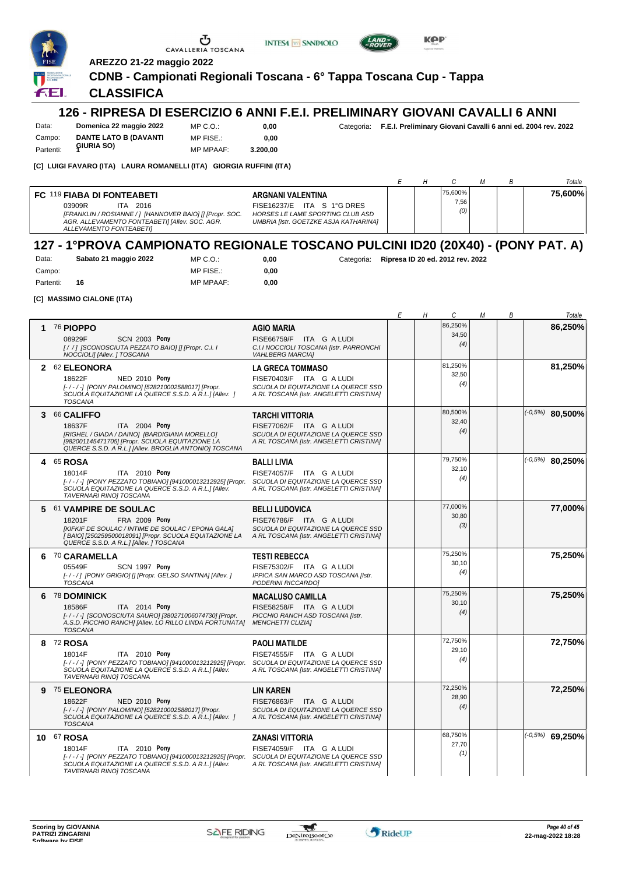

**INTESA** M SANPAOLO



**KPP** 

**AREZZO 21-22 maggio 2022**

#### **CDNB - Campionati Regionali Toscana - 6° Tappa Toscana Cup - Tappa**

#### **CLASSIFICA**

#### **126 - RIPRESA DI ESERCIZIO 6 ANNI F.E.I. PRELIMINARY GIOVANI CAVALLI 6 ANNI**

Data: **Domenica 22 maggio 2022** Campo: **DANTE LATO B (DAVANTI** MP C.O.: MP FISE.:

**0,00 0,00** Categoria: **F.E.I. Preliminary Giovani Cavalli 6 anni ed. 2004 rev. 2022**

MP MPAAF: **3.200,00**

**[C] LUIGI FAVARO (ITA) LAURA ROMANELLI (ITA) GIORGIA RUFFINI (ITA)**

|                                                                                                                                                                                                  |                                                                                                                              |  |                        |  | Totale  |
|--------------------------------------------------------------------------------------------------------------------------------------------------------------------------------------------------|------------------------------------------------------------------------------------------------------------------------------|--|------------------------|--|---------|
| <b>FC 119 FIABA DI FONTEABETI</b><br>03909R<br>ITA 2016<br>[FRANKLIN / ROSIANNE / 1 [HANNOVER BAIO] [] [Propr. SOC.<br>AGR. ALLEVAMENTO FONTEABETII [Allev. SOC. AGR.<br>ALLEVAMENTO FONTEABETII | ARGNANI VALENTINA<br>FISE16237/E ITA S 1°G DRES<br>HORSES LE LAME SPORTING CLUB ASD<br>UMBRIA [Istr. GOETZKE ASJA KATHARINA] |  | 75,600%<br>7,56<br>(0) |  | 75.600% |

## **127 - 1°PROVA CAMPIONATO REGIONALE TOSCANO PULCINI ID20 (20X40) - (PONY PAT. A)**

| Data:     | Sabato 21 maggio 2022 | MP C. O.         | 0.00 |
|-----------|-----------------------|------------------|------|
| Campo:    |                       | MP FISE.:        | 0.00 |
| Partenti: | 16                    | <b>MP MPAAF:</b> | 0,00 |

**0,00** Categoria: **Ripresa ID 20 ed. 2012 rev. 2022**

**[C] MASSIMO CIALONE (ITA)**

Partenti: **6**IURIA SO)

|                                                                                                                                                                                                                                |                                                                                                                                       | Е | Н | C                       | М | В | Totale             |
|--------------------------------------------------------------------------------------------------------------------------------------------------------------------------------------------------------------------------------|---------------------------------------------------------------------------------------------------------------------------------------|---|---|-------------------------|---|---|--------------------|
| 1 76 PIOPPO<br><b>SCN 2003 Pony</b><br>08929F<br>[/ /] [SCONOSCIUTA PEZZATO BAIO] [] [Propr. C.I. I<br>NOCCIOLI] [Allev. ] TOSCANA                                                                                             | <b>AGIO MARIA</b><br>FISE66759/F ITA G A LUDI<br>C.I.I NOCCIOLI TOSCANA [Istr. PARRONCHI<br><b>VAHLBERG MARCIA1</b>                   |   |   | 86,250%<br>34,50<br>(4) |   |   | 86,250%            |
| 2 62 ELEONORA<br>18622F<br><b>NED 2010 Pony</b><br>[-/-/-] [PONY PALOMINO] [528210002588017] [Propr.<br>SCUOLA EQUITAZIONE LA QUERCE S.S.D. A R.L.1 [Allev. ]<br><b>TOSCANA</b>                                                | <b>LA GRECA TOMMASO</b><br>FISE70403/F ITA G A LUDI<br>SCUOLA DI EQUITAZIONE LA QUERCE SSD<br>A RL TOSCANA [Istr. ANGELETTI CRISTINA] |   |   | 81,250%<br>32,50<br>(4) |   |   | 81,250%            |
| 3 66 CALIFFO<br>ITA 2004 Pony<br>18637F<br>[RIGHEL / GIADA / DAINO] [BARDIGIANA MORELLO]<br>[982001145471705] [Propr. SCUOLA EQUITAZIONE LA<br>QUERCE S.S.D. A R.L.] [Allev. BROGLIA ANTONIO] TOSCANA                          | <b>TARCHI VITTORIA</b><br>FISE77062/F ITA G A LUDI<br>SCUOLA DI EQUITAZIONE LA QUERCE SSD<br>A RL TOSCANA [Istr. ANGELETTI CRISTINA]  |   |   | 80,500%<br>32,40<br>(4) |   |   | $(-0.5%)$ 80,500%  |
| 4 65 ROSA<br>18014F<br>ITA 2010 Pony<br>[-/-/-] [PONY PEZZATO TOBIANO] [941000013212925] [Propr.<br>SCUOLA EQUITAZIONE LA QUERCE S.S.D. A R.L.] [Allev.<br><b>TAVERNARI RINOI TOSCANA</b>                                      | <b>BALLI LIVIA</b><br>FISE74057/F ITA G A LUDI<br>SCUOLA DI EQUITAZIONE LA QUERCE SSD<br>A RL TOSCANA [Istr. ANGELETTI CRISTINA]      |   |   | 79,750%<br>32,10<br>(4) |   |   | $(10.5\%)$ 80,250% |
| 5 61 VAMPIRE DE SOULAC<br>FRA 2009 Pony<br>18201F<br>[KIFKIF DE SOULAC / INTIME DE SOULAC / EPONA GALA]<br>[BAIO] [250259500018091] [Propr. SCUOLA EQUITAZIONE LA<br>QUERCE S.S.D. A R.L.] [Allev. ] TOSCANA                   | <b>BELLI LUDOVICA</b><br>FISE76786/F ITA G A LUDI<br>SCUOLA DI EQUITAZIONE LA QUERCE SSD<br>A RL TOSCANA [Istr. ANGELETTI CRISTINA]   |   |   | 77,000%<br>30,80<br>(3) |   |   | 77,000%            |
| 6 70 CARAMELLA<br>SCN 1997 Pony<br>05549F<br>[-/-/] [PONY GRIGIO] [] [Propr. GELSO SANTINA] [Allev. ]<br><b>TOSCANA</b>                                                                                                        | <b>TESTI REBECCA</b><br>FISE75302/F ITA G A LUDI<br>IPPICA SAN MARCO ASD TOSCANA [Istr.<br>PODERINI RICCARDO]                         |   |   | 75,250%<br>30,10<br>(4) |   |   | 75,250%            |
| 6 78 DOMINICK<br>18586F<br>ITA 2014 Pony<br>[-/-/-] [SCONOSCIUTA SAURO] [380271006074730] [Propr.<br>A.S.D. PICCHIO RANCHI [Allev. LO RILLO LINDA FORTUNATA]<br><b>TOSCANA</b>                                                 | <b>MACALUSO CAMILLA</b><br>FISE58258/F ITA G A LUDI<br>PICCHIO RANCH ASD TOSCANA [Istr.<br><b>MENCHETTI CLIZIA]</b>                   |   |   | 75,250%<br>30,10<br>(4) |   |   | 75,250%            |
| 8 72 ROSA<br>18014F<br>ITA 2010 Pony<br>[-/-/-] [PONY PEZZATO TOBIANO] [941000013212925] [Propr. SCUOLA DI EQUITAZIONE LA QUERCE SSD<br>SCUOLA EQUITAZIONE LA QUERCE S.S.D. A R.L.] [Allev.<br><b>TAVERNARI RINOI TOSCANA</b>  | <b>PAOLI MATILDE</b><br>FISE74555/F ITA G A LUDI<br>A RL TOSCANA [Istr. ANGELETTI CRISTINA]                                           |   |   | 72,750%<br>29,10<br>(4) |   |   | 72,750%            |
| 9 75 ELEONORA<br>18622F<br><b>NED 2010 Pony</b><br>[-/-/-] [PONY PALOMINO] [528210002588017] [Propr.<br>SCUOLA EQUITAZIONE LA QUERCE S.S.D. A R.L.1 [Allev. 1<br><b>TOSCANA</b>                                                | <b>LIN KAREN</b><br>FISE76863/F ITA G A LUDI<br>SCUOLA DI EQUITAZIONE LA QUERCE SSD<br>A RL TOSCANA [Istr. ANGELETTI CRISTINA]        |   |   | 72,250%<br>28,90<br>(4) |   |   | 72,250%            |
| 10 67 ROSA<br>ITA 2010 Pony<br>18014F<br>[-/-/-] [PONY PEZZATO TOBIANO] [941000013212925] [Propr. SCUOLA DI EQUITAZIONE LA QUERCE SSD<br>SCUOLA EQUITAZIONE LA QUERCE S.S.D. A R.L.] [Allev.<br><b>TAVERNARI RINOI TOSCANA</b> | <b>ZANASI VITTORIA</b><br>FISE74059/F ITA G A LUDI<br>A RL TOSCANA [Istr. ANGELETTI CRISTINA]                                         |   |   | 68,750%<br>27,70<br>(1) |   |   | $(-0.5%)$ 69,250%  |

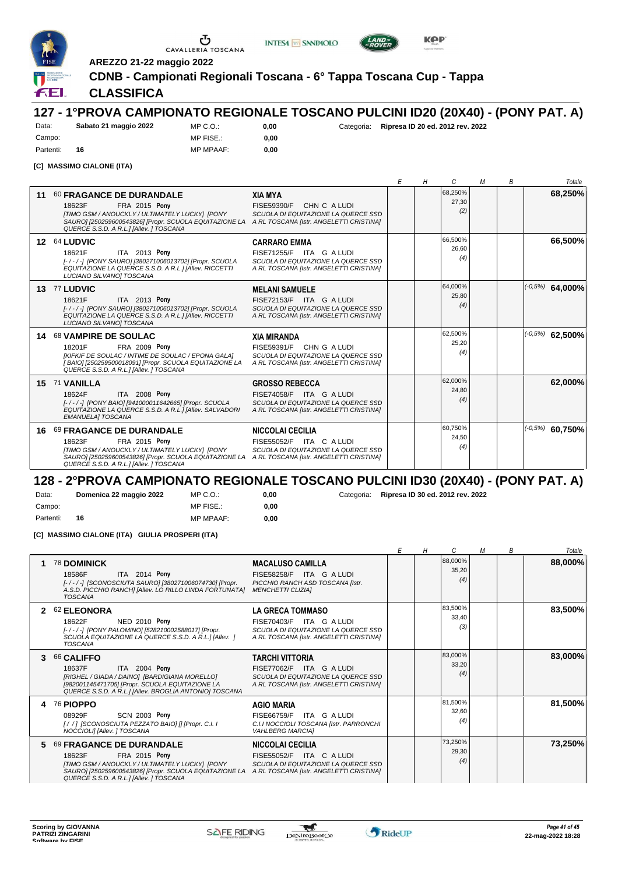

Campo: Partenti: **16**





**AREZZO 21-22 maggio 2022**

**CDNB - Campionati Regionali Toscana - 6° Tappa Toscana Cup - Tappa**

## **CLASSIFICA**

#### **127 - 1°PROVA CAMPIONATO REGIONALE TOSCANO PULCINI ID20 (20X40) - (PONY PAT. A)** Data: **Sabato 21 maggio 2022**

MP C.O.: MP FISE.:

MP MPAAF: **0,00 0,00**

**0,00** Categoria: **Ripresa ID 20 ed. 2012 rev. 2022**

**[C] MASSIMO CIALONE (ITA)**

|    |                                                                                                                                                                                                                          |                                                                                                                                        | H | C                       | м | B | Totale              |
|----|--------------------------------------------------------------------------------------------------------------------------------------------------------------------------------------------------------------------------|----------------------------------------------------------------------------------------------------------------------------------------|---|-------------------------|---|---|---------------------|
| 11 | <b>60 FRAGANCE DE DURANDALE</b><br><b>FRA 2015 Pony</b><br>18623F<br>[TIMO GSM / ANOUCKLY / ULTIMATELY LUCKY] [PONY<br>SAURO] [250259600543826] [Propr. SCUOLA EQUITAZIONE LA<br>QUERCE S.S.D. A R.L.] [Allev. ] TOSCANA | <b>XIA MYA</b><br>CHN C A LUDI<br><b>FISE59390/F</b><br>SCUOLA DI EQUITAZIONE LA QUERCE SSD<br>A RL TOSCANA [Istr. ANGELETTI CRISTINA] |   | 68,250%<br>27,30<br>(2) |   |   | 68,250%             |
|    | 12 64 LUDVIC<br>ITA 2013 Pony<br>18621F<br>[-/-/-] [PONY SAURO] [380271006013702] [Propr. SCUOLA<br>EQUITAZIONE LA QUERCE S.S.D. A R.L.] [Allev. RICCETTI<br>LUCIANO SILVANO] TOSCANA                                    | <b>CARRARO EMMA</b><br>FISE71255/F ITA G A LUDI<br>SCUOLA DI EQUITAZIONE LA QUERCE SSD<br>A RL TOSCANA [Istr. ANGELETTI CRISTINA]      |   | 66,500%<br>26.60<br>(4) |   |   | 66,500%             |
|    | 13 77 LUDVIC<br>ITA 2013 Pony<br>18621F<br>[-/-/-] [PONY SAURO] [380271006013702] [Propr. SCUOLA<br>EQUITAZIONE LA QUERCE S.S.D. A R.L.] [Allev. RICCETTI<br>LUCIANO SILVANO] TOSCANA                                    | <b>MELANI SAMUELE</b><br>FISE72153/F ITA G A LUDI<br>SCUOLA DI EQUITAZIONE LA QUERCE SSD<br>A RL TOSCANA [Istr. ANGELETTI CRISTINA]    |   | 64,000%<br>25.80<br>(4) |   |   | $( -0.5\%)$ 64,000% |
|    | 14 68 VAMPIRE DE SOULAC<br><b>FRA 2009 Pony</b><br>18201F<br>[KIFKIF DE SOULAC / INTIME DE SOULAC / EPONA GALA]<br>[BAIO] [250259500018091] [Propr. SCUOLA EQUITAZIONE LA<br>QUERCE S.S.D. A R.L.] [Allev. ] TOSCANA     | <b>XIA MIRANDA</b><br>FISE59391/F<br>CHN G A LUDI<br>SCUOLA DI EQUITAZIONE LA QUERCE SSD<br>A RL TOSCANA [Istr. ANGELETTI CRISTINA]    |   | 62,500%<br>25,20<br>(4) |   |   | $( -0.5\%)$ 62,500% |
|    | 15 71 VANILLA<br>ITA 2008 Pony<br>18624F<br>[-/-/-] [PONY BAIO] [941000011642665] [Propr. SCUOLA<br>EQUITAZIONE LA QUERCE S.S.D. A R.L.] [Allev. SALVADORI<br>EMANUELA] TOSCANA                                          | <b>GROSSO REBECCA</b><br>FISE74058/F ITA G A LUDI<br>SCUOLA DI EQUITAZIONE LA QUERCE SSD<br>A RL TOSCANA [Istr. ANGELETTI CRISTINA]    |   | 62.000%<br>24,80<br>(4) |   |   | 62,000%             |
|    | 16 69 FRAGANCE DE DURANDALE<br><b>FRA 2015 Pony</b><br>18623F<br>[TIMO GSM / ANOUCKLY / ULTIMATELY LUCKY] [PONY<br>SAURO] [250259600543826] [Propr. SCUOLA EQUITAZIONE LA<br>QUERCE S.S.D. A R.L.] [Allev. ] TOSCANA     | <b>NICCOLAI CECILIA</b><br>FISE55052/F ITA C A LUDI<br>SCUOLA DI EQUITAZIONE LA QUERCE SSD<br>A RL TOSCANA [Istr. ANGELETTI CRISTINA]  |   | 60.750%<br>24,50<br>(4) |   |   | $(1-0.5\%)$ 60,750% |

#### **128 - 2°PROVA CAMPIONATO REGIONALE TOSCANO PULCINI ID30 (20X40) - (PONY PAT. A)**

Data: **Domenica 22 maggio 2022** Campo: Partenti: **16** MP C.O.: MP FISE.:

MP MPAAF: **0,00 0,00**

**0,00** Categoria: **Ripresa ID 30 ed. 2012 rev. 2022**

#### **[C] MASSIMO CIALONE (ITA) GIULIA PROSPERI (ITA)**

|                            |                                                                                                                                                                                                                          |                                                                                                                                       |  | C.                      | М | В | Totale  |
|----------------------------|--------------------------------------------------------------------------------------------------------------------------------------------------------------------------------------------------------------------------|---------------------------------------------------------------------------------------------------------------------------------------|--|-------------------------|---|---|---------|
| 1                          | 78 DOMINICK<br>ITA 2014 Pony<br>18586F<br>[-/-/-] ISCONOSCIUTA SAUROI [380271006074730] [Propr.<br>A.S.D. PICCHIO RANCHI [Allev. LO RILLO LINDA FORTUNATA]<br><b>TOSCANA</b>                                             | <b>MACALUSO CAMILLA</b><br>FISE58258/F ITA G A LUDI<br>PICCHIO RANCH ASD TOSCANA [Istr.<br><b>MENCHETTI CLIZIAI</b>                   |  | 88.000%<br>35,20<br>(4) |   |   | 88,000% |
| $\boldsymbol{\mathcal{P}}$ | <b>62 ELEONORA</b><br><b>NED 2010 Pony</b><br>18622F<br>[-/-/-] [PONY PALOMINO] [528210002588017] [Propr.<br>SCUOLA EQUITAZIONE LA QUERCE S.S.D. A R.L.] [Allev. ]<br><b>TOSCANA</b>                                     | <b>LA GRECA TOMMASO</b><br>FISE70403/F ITA G A LUDI<br>SCUOLA DI EQUITAZIONE LA QUERCE SSD<br>A RL TOSCANA [Istr. ANGELETTI CRISTINA] |  | 83,500%<br>33,40<br>(3) |   |   | 83,500% |
| 3                          | <b>66 CALIFFO</b><br>ITA 2004 Pony<br>18637F<br>[RIGHEL / GIADA / DAINO] [BARDIGIANA MORELLO]<br>[982001145471705] [Propr. SCUOLA EQUITAZIONE LA<br>QUERCE S.S.D. A R.L.] [Allev. BROGLIA ANTONIO] TOSCANA               | <b>TARCHI VITTORIA</b><br>FISE77062/F ITA G A LUDI<br>SCUOLA DI EQUITAZIONE LA QUERCE SSD<br>A RL TOSCANA [Istr. ANGELETTI CRISTINA]  |  | 83.000%<br>33,20<br>(4) |   |   | 83,000% |
| 4                          | <b>76 PIOPPO</b><br><b>SCN 2003 Pony</b><br>08929F<br>[/ /] [SCONOSCIUTA PEZZATO BAIO] [] [Propr. C.I. I<br>NOCCIOLI] [Allev. ] TOSCANA                                                                                  | <b>AGIO MARIA</b><br>FISE66759/F ITA G A LUDI<br>C.I.I NOCCIOLI TOSCANA [Istr. PARRONCHI<br><b>VAHLBERG MARCIAI</b>                   |  | 81,500%<br>32,60<br>(4) |   |   | 81,500% |
| 5.                         | <b>69 FRAGANCE DE DURANDALE</b><br><b>FRA 2015 Pony</b><br>18623F<br>[TIMO GSM / ANOUCKLY / ULTIMATELY LUCKY] [PONY<br>SAURO] [250259600543826] [Propr. SCUOLA EQUITAZIONE LA<br>QUERCE S.S.D. A R.L.] [Allev. ] TOSCANA | <b>NICCOLAI CECILIA</b><br>FISE55052/F ITA C A LUDI<br>SCUOLA DI EQUITAZIONE LA QUERCE SSD<br>A RL TOSCANA [Istr. ANGELETTI CRISTINA] |  | 73,250%<br>29,30<br>(4) |   |   | 73,250% |

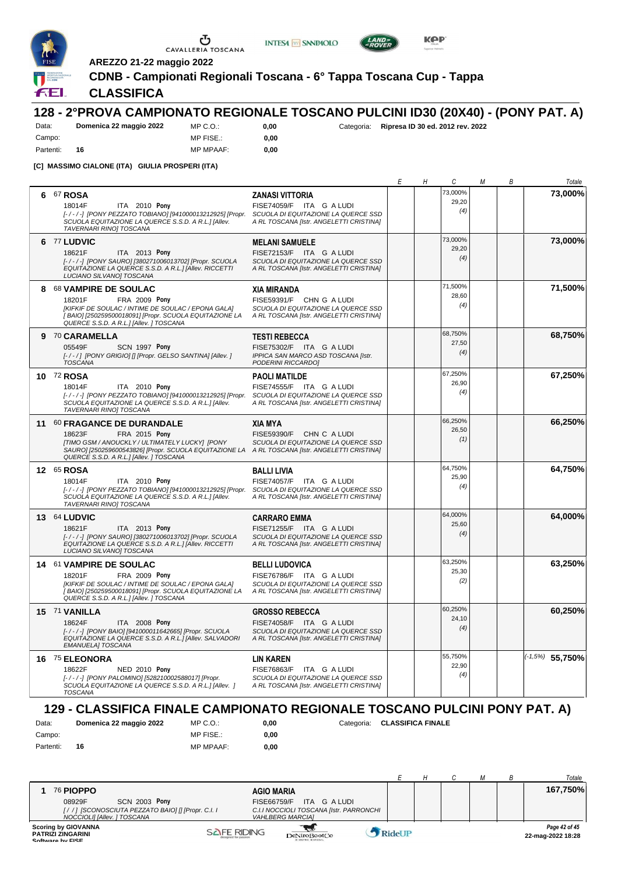

Campo: Partenti: **16**

Ⴠ CAVALLERIA TOSCANA

**INTESA M** SANPAOLO



**AREZZO 21-22 maggio 2022**

**CDNB - Campionati Regionali Toscana - 6° Tappa Toscana Cup - Tappa**

### **CLASSIFICA**

#### **128 - 2°PROVA CAMPIONATO REGIONALE TOSCANO PULCINI ID30 (20X40) - (PONY PAT. A)** Data: **Domenica 22 maggio 2022**

MP C.O.: MP FISE.: MP MPAAF: **0,00**

**0,00**

**0,00** Categoria: **Ripresa ID 30 ed. 2012 rev. 2022**

**[C] MASSIMO CIALONE (ITA) GIULIA PROSPERI (ITA)**

|   |                                                                                                                                                                                                                                                      |                                                                                                                                     | Е | Н | С                       | М | В | Totale            |
|---|------------------------------------------------------------------------------------------------------------------------------------------------------------------------------------------------------------------------------------------------------|-------------------------------------------------------------------------------------------------------------------------------------|---|---|-------------------------|---|---|-------------------|
| 6 | 67 ROSA<br>ITA 2010 Pony<br>18014F<br>[-/-/-] [PONY PEZZATO TOBIANO] [941000013212925] [Propr. SCUOLA DI EQUITAZIONE LA QUERCE SSD<br>SCUOLA EQUITAZIONE LA QUERCE S.S.D. A R.L.] [Allev.<br>TAVERNARI RINO] TOSCANA                                 | <b>ZANASI VITTORIA</b><br>FISE74059/F ITA G A LUDI<br>A RL TOSCANA [Istr. ANGELETTI CRISTINA]                                       |   |   | 73,000%<br>29,20<br>(4) |   |   | 73,000%           |
|   | 6 77 LUDVIC<br>18621F<br>ITA 2013 Pony<br>[-/-/-] [PONY SAURO] [380271006013702] [Propr. SCUOLA<br>EQUITAZIONE LA QUERCE S.S.D. A R.L.] [Allev. RICCETTI<br>LUCIANO SILVANO] TOSCANA                                                                 | <b>MELANI SAMUELE</b><br>FISE72153/F ITA G A LUDI<br>SCUOLA DI EQUITAZIONE LA QUERCE SSD<br>A RL TOSCANA [Istr. ANGELETTI CRISTINA] |   |   | 73,000%<br>29,20<br>(4) |   |   | 73,000%           |
|   | 8 68 VAMPIRE DE SOULAC<br>18201F<br>FRA 2009 Pony<br>[KIFKIF DE SOULAC / INTIME DE SOULAC / EPONA GALA]<br>[BAIO] [250259500018091] [Propr. SCUOLA EQUITAZIONE LA<br>QUERCE S.S.D. A R.L.] [Allev. ] TOSCANA                                         | <b>XIA MIRANDA</b><br>FISE59391/F CHN G A LUDI<br>SCUOLA DI EQUITAZIONE LA QUERCE SSD<br>A RL TOSCANA [Istr. ANGELETTI CRISTINA]    |   |   | 71,500%<br>28,60<br>(4) |   |   | 71,500%           |
| 9 | 70 CARAMELLA<br>05549F<br>SCN 1997 Pony<br>[-/-/] [PONY GRIGIO] [] [Propr. GELSO SANTINA] [Allev.]<br><b>TOSCANA</b>                                                                                                                                 | <b>TESTI REBECCA</b><br>FISE75302/F ITA G A LUDI<br>IPPICA SAN MARCO ASD TOSCANA [Istr.<br>PODERINI RICCARDO]                       |   |   | 68,750%<br>27,50<br>(4) |   |   | 68,750%           |
|   | 10 72 ROSA<br>18014F<br>ITA 2010 Pony<br>[-/-/-] [PONY PEZZATO TOBIANO] [941000013212925] [Propr.<br>SCUOLA EQUITAZIONE LA QUERCE S.S.D. A R.L.1 [Allev.<br>TAVERNARI RINO] TOSCANA                                                                  | <b>PAOLI MATILDE</b><br>FISE74555/F ITA G A LUDI<br>SCUOLA DI EQUITAZIONE LA QUERCE SSD<br>A RL TOSCANA [Istr. ANGELETTI CRISTINA]  |   |   | 67,250%<br>26,90<br>(4) |   |   | 67.250%           |
|   | 11 60 FRAGANCE DE DURANDALE<br>18623F<br>FRA 2015 Pony<br>[TIMO GSM / ANOUCKLY / ULTIMATELY LUCKY] [PONY<br>SAURO] [250259600543826] [Propr. SCUOLA EQUITAZIONE LA ARL TOSCANA [Istr. ANGELETTI CRISTINA]<br>QUERCE S.S.D. A R.L.] [Allev. ] TOSCANA | <b>XIA MYA</b><br>FISE59390/F CHN C A LUDI<br>SCUOLA DI EQUITAZIONE LA QUERCE SSD                                                   |   |   | 66,250%<br>26,50<br>(1) |   |   | 66,250%           |
|   | 12 65 ROSA<br>18014F<br>ITA 2010 Pony<br>[-/-/-] [PONY PEZZATO TOBIANO] [941000013212925] [Propr. SCUOLA DI EQUITAZIONE LA QUERCE SSD<br>SCUOLA EQUITAZIONE LA QUERCE S.S.D. A R.L.] [Allev.<br>TAVERNARI RINO] TOSCANA                              | <b>BALLI LIVIA</b><br>FISE74057/F ITA G A LUDI<br>A RL TOSCANA [Istr. ANGELETTI CRISTINA]                                           |   |   | 64,750%<br>25,90<br>(4) |   |   | 64,750%           |
|   | 13 64 LUDVIC<br>18621F<br>ITA 2013 Pony<br>[-/-/-] [PONY SAURO] [380271006013702] [Propr. SCUOLA<br>EQUITAZIONE LA QUERCE S.S.D. A R.L.] [Allev. RICCETTI<br>LUCIANO SILVANO] TOSCANA                                                                | <b>CARRARO EMMA</b><br>FISE71255/F ITA G A LUDI<br>SCUOLA DI EQUITAZIONE LA QUERCE SSD<br>A RL TOSCANA [Istr. ANGELETTI CRISTINA]   |   |   | 64,000%<br>25,60<br>(4) |   |   | 64,000%           |
|   | 14 61 VAMPIRE DE SOULAC<br>FRA 2009 Pony<br>18201F<br>[KIFKIF DE SOULAC / INTIME DE SOULAC / EPONA GALA]<br>[BAIO] [250259500018091] [Propr. SCUOLA EQUITAZIONE LA<br>QUERCE S.S.D. A R.L.] [Allev. ] TOSCANA                                        | <b>BELLI LUDOVICA</b><br>FISE76786/F ITA G A LUDI<br>SCUOLA DI EQUITAZIONE LA QUERCE SSD<br>A RL TOSCANA [Istr. ANGELETTI CRISTINA] |   |   | 63,250%<br>25,30<br>(2) |   |   | 63,250%           |
|   | 15 71 VANILLA<br>18624F<br>ITA 2008 Pony<br>[-/-/-] [PONY BAIO] [941000011642665] [Propr. SCUOLA<br>EQUITAZIONE LA QUERCE S.S.D. A R.L.] [Allev. SALVADORI<br>EMANUELA] TOSCANA                                                                      | <b>GROSSO REBECCA</b><br>FISE74058/F ITA G A LUDI<br>SCUOLA DI EQUITAZIONE LA QUERCE SSD<br>A RL TOSCANA [Istr. ANGELETTI CRISTINA] |   |   | 60,250%<br>24,10<br>(4) |   |   | 60,250%           |
|   | 16 75 ELEONORA<br>18622F<br>NED 2010 Pony<br>[-/-/-] [PONY PALOMINO] [528210002588017] [Propr.<br>SCUOLA EQUITAZIONE LA QUERCE S.S.D. A R.L.1 [Allev. 1<br><b>TOSCANA</b>                                                                            | <b>LIN KAREN</b><br>FISE76863/F ITA G A LUDI<br>SCUOLA DI EQUITAZIONE LA QUERCE SSD<br>A RL TOSCANA [Istr. ANGELETTI CRISTINA]      |   |   | 55,750%<br>22,90<br>(4) |   |   | $(-1,5%)$ 55,750% |

## **129 - CLASSIFICA FINALE CAMPIONATO REGIONALE TOSCANO PULCINI PONY PAT. A)**

| Data:     | Domenica 22 maggio 2022 | MP C. O.         | 0.00 |  |  |
|-----------|-------------------------|------------------|------|--|--|
| Campo:    |                         | MP FISE.:        | 0.00 |  |  |
| Partenti: | 16                      | <b>MP MPAAF:</b> | 0.00 |  |  |

**0,00** Categoria: **CLASSIFICA FINALE**

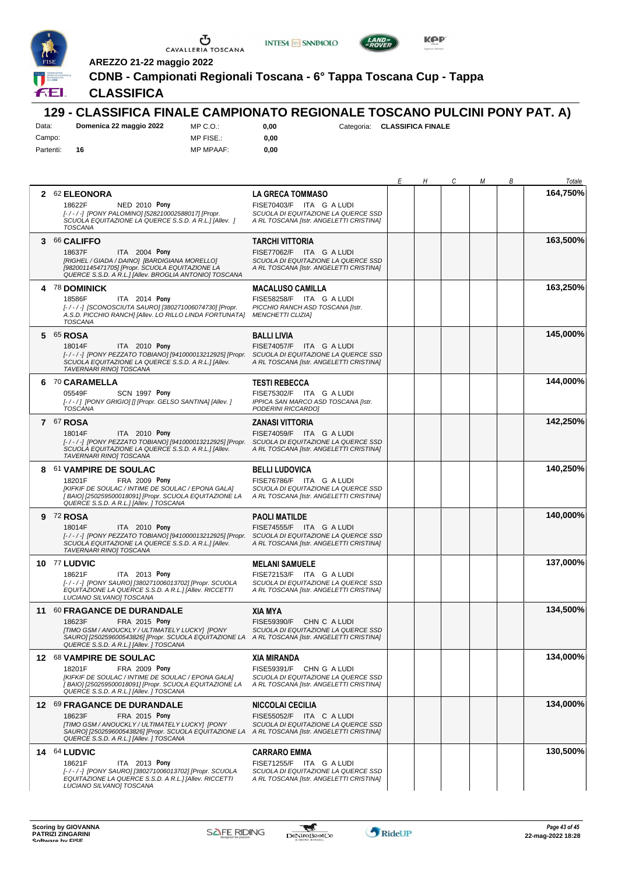

 $\sqrt{ }$ 





*E H C M B Totale*

**164,750%**

**AREZZO 21-22 maggio 2022**

**CDNB - Campionati Regionali Toscana - 6° Tappa Toscana Cup - Tappa**

## **CLASSIFICA**

#### **129 - CLASSIFICA FINALE CAMPIONATO REGIONALE TOSCANO PULCINI PONY PAT. A)** Data: **Domenica 22 maggio 2022**

| Dala.     | DOMENICA ZZ MAGOJIO ZUZZ |
|-----------|--------------------------|
| Campo:    |                          |
| Partenti: | 16                       |

MP C.O.: MP FISE.: MP MPAAF: **0,00**

**0,00**

**0,00** Categoria: **CLASSIFICA FINALE**

|   | 2 62 ELEONORA<br>18622F<br>NED 2010 Pony<br>[-/-/-] [PONY PALOMINO] [528210002588017] [Propr.<br>SCUOLA EQUITAZIONE LA QUERCE S.S.D. A R.L.] [Allev. ]<br><b>TOSCANA</b>                                                                              | <b>LA GRECA TOMMASO</b><br>FISE70403/F ITA G A LUDI<br>SCUOLA DI EQUITAZIONE LA QUERCE SSD<br>A RL TOSCANA [Istr. ANGELETTI CRISTINA] |  | 164,750% |
|---|-------------------------------------------------------------------------------------------------------------------------------------------------------------------------------------------------------------------------------------------------------|---------------------------------------------------------------------------------------------------------------------------------------|--|----------|
|   | 3 66 CALIFFO<br>ITA 2004 Pony<br>18637F<br>[RIGHEL / GIADA / DAINO] [BARDIGIANA MORELLO]<br>[982001145471705] [Propr. SCUOLA EQUITAZIONE LA<br>QUERCE S.S.D. A R.L.] [Allev. BROGLIA ANTONIO] TOSCANA                                                 | <b>TARCHI VITTORIA</b><br>FISE77062/F ITA G A LUDI<br>SCUOLA DI EQUITAZIONE LA QUERCE SSD<br>A RL TOSCANA [Istr. ANGELETTI CRISTINA]  |  | 163,500% |
| 4 | <b>78 DOMINICK</b><br>18586F<br>ITA 2014 Pony<br>[-/-/-] [SCONOSCIUTA SAURO] [380271006074730] [Propr.<br>A.S.D. PICCHIO RANCH] [Allev. LO RILLO LINDA FORTUNATA]<br><b>TOSCANA</b>                                                                   | <b>MACALUSO CAMILLA</b><br>FISE58258/F ITA G A LUDI<br>PICCHIO RANCH ASD TOSCANA [Istr.<br><b>MENCHETTI CLIZIAI</b>                   |  | 163,250% |
|   | 5 65 ROSA<br>ITA 2010 Pony<br>18014F<br>[-/-/-] [PONY PEZZATO TOBIANO] [941000013212925] [Propr. SCUOLA DI EQUITAZIONE LA QUERCE SSD<br>SCUOLA EQUITAZIONE LA QUERCE S.S.D. A R.L.] [Allev.<br>TAVERNARI RINO] TOSCANA                                | <b>BALLI LIVIA</b><br>FISE74057/F ITA G A LUDI<br>A RL TOSCANA [Istr. ANGELETTI CRISTINA]                                             |  | 145,000% |
|   | 6 70 CARAMELLA<br>05549F<br><b>SCN 1997 Pony</b><br>[-/-/] [PONY GRIGIO] [] [Propr. GELSO SANTINA] [Allev. ]<br><b>TOSCANA</b>                                                                                                                        | <b>TESTI REBECCA</b><br>FISE75302/F ITA G A LUDI<br>IPPICA SAN MARCO ASD TOSCANA [Istr.<br>PODERINI RICCARDO]                         |  | 144,000% |
|   | 7 67 ROSA<br>18014F<br>ITA 2010 Pony<br>[-/-/-] [PONY PEZZATO TOBIANO] [941000013212925] [Propr. SCUOLA DI EQUITAZIONE LA QUERCE SSD<br>SCUOLA EQUITAZIONE LA QUERCE S.S.D. A R.L.] [Allev.<br><b>TAVERNARI RINOI TOSCANA</b>                         | <b>ZANASI VITTORIA</b><br>FISE74059/F ITA G A LUDI<br>A RL TOSCANA [Istr. ANGELETTI CRISTINA]                                         |  | 142,250% |
|   | 8 61 VAMPIRE DE SOULAC<br>FRA 2009 Pony<br>18201F<br>[KIFKIF DE SOULAC / INTIME DE SOULAC / EPONA GALA]<br>[BAIO] [250259500018091] [Propr. SCUOLA EQUITAZIONE LA<br>QUERCE S.S.D. A R.L.] [Allev. ] TOSCANA                                          | <b>BELLI LUDOVICA</b><br>FISE76786/F ITA G A LUDI<br>SCUOLA DI EQUITAZIONE LA QUERCE SSD<br>A RL TOSCANA [Istr. ANGELETTI CRISTINA]   |  | 140,250% |
|   | 9 72 ROSA<br>18014F<br>ITA 2010 Pony<br>[-/-/-] [PONY PEZZATO TOBIANO] [941000013212925] [Propr. SCUOLA DI EQUITAZIONE LA QUERCE SSD<br>SCUOLA EQUITAZIONE LA QUERCE S.S.D. A R.L.] [Allev.<br>TAVERNARI RINO] TOSCANA                                | <b>PAOLI MATILDE</b><br>FISE74555/F ITA G A LUDI<br>A RL TOSCANA [Istr. ANGELETTI CRISTINA]                                           |  | 140,000% |
|   | 10 77 LUDVIC<br>18621F<br>ITA 2013 Pony<br>[-/-/-] [PONY SAURO] [380271006013702] [Propr. SCUOLA<br>EQUITAZIONE LA QUERCE S.S.D. A R.L.] [Allev. RICCETTI<br>LUCIANO SILVANOJ TOSCANA                                                                 | <b>MELANI SAMUELE</b><br>FISE72153/F ITA G A LUDI<br>SCUOLA DI EQUITAZIONE LA QUERCE SSD<br>A RL TOSCANA [Istr. ANGELETTI CRISTINA]   |  | 137,000% |
|   | 11 60 FRAGANCE DE DURANDALE<br>18623F<br>FRA 2015 Pony<br>[TIMO GSM / ANOUCKLY / ULTIMATELY LUCKY] [PONY<br>SAURO] [250259600543826] [Propr. SCUOLA EQUITAZIONE LA A RL TOSCANA [Istr. ANGELETTI CRISTINA]<br>QUERCE S.S.D. A R.L.] [Allev. ] TOSCANA | <b>XIA MYA</b><br>FISE59390/F CHN C A LUDI<br>SCUOLA DI EQUITAZIONE LA QUERCE SSD                                                     |  | 134,500% |
|   | 12 68 VAMPIRE DE SOULAC<br>18201F<br>FRA 2009 Pony<br>[KIFKIF DE SOULAC / INTIME DE SOULAC / EPONA GALA]<br>[BAIO] [250259500018091] [Propr. SCUOLA EQUITAZIONE LA<br>QUERCE S.S.D. A R.L.] [Allev. ] TOSCANA                                         | <b>XIA MIRANDA</b><br>FISE59391/F CHN G A LUDI<br>SCUOLA DI EQUITAZIONE LA QUERCE SSD<br>A RL TOSCANA [Istr. ANGELETTI CRISTINA]      |  | 134,000% |
|   | 12 69 FRAGANCE DE DURANDALE<br>18623F<br>FRA 2015 Pony<br>[TIMO GSM / ANOUCKLY / ULTIMATELY LUCKY] [PONY<br>SAURO] [250259600543826] [Propr. SCUOLA EQUITAZIONE LA<br>QUERCE S.S.D. A R.L.] [Allev. ] TOSCANA                                         | <b>NICCOLAI CECILIA</b><br>FISE55052/F ITA C A LUDI<br>SCUOLA DI EQUITAZIONE LA QUERCE SSD<br>A RL TOSCANA [Istr. ANGELETTI CRISTINA] |  | 134,000% |
|   | 14 64 LUDVIC<br>ITA 2013 Pony<br>18621F<br>[-/-/-] [PONY SAURO] [380271006013702] [Propr. SCUOLA<br>EQUITAZIONE LA QUERCE S.S.D. A R.L.] [Allev. RICCETTI<br>LUCIANO SILVANOJ TOSCANA                                                                 | <b>CARRARO EMMA</b><br>FISE71255/F ITA G A LUDI<br>SCUOLA DI EQUITAZIONE LA QUERCE SSD<br>A RL TOSCANA [Istr. ANGELETTI CRISTINA]     |  | 130,500% |

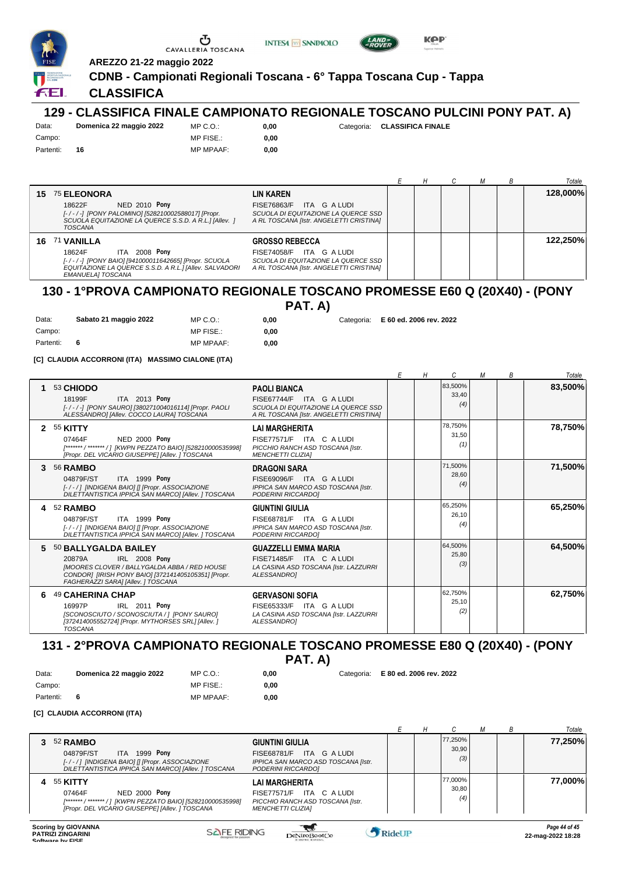





**AREZZO 21-22 maggio 2022**

**CDNB - Campionati Regionali Toscana - 6° Tappa Toscana Cup - Tappa**

## **CLASSIFICA**

#### **129 - CLASSIFICA FINALE CAMPIONATO REGIONALE TOSCANO PULCINI PONY PAT. A)** Data: **Domenica 22 maggio 2022**

Campo: Partenti: **16**

Campo:

MP C.O.: MP FISE.:

MP C.O.: MP FISE.:

MP C.O.: MP FISE.:

MP MPAAF: **0,00**

**0,00**

**0,00** Categoria: **CLASSIFICA FINALE**

MP MPAAF: **0,00**

|     |                                                                                                                                                                    |                                                                                                                      |  |  | Totale   |
|-----|--------------------------------------------------------------------------------------------------------------------------------------------------------------------|----------------------------------------------------------------------------------------------------------------------|--|--|----------|
| 15  | 75 ELEONORA                                                                                                                                                        | LIN KAREN                                                                                                            |  |  | 128,000% |
|     | <b>NED 2010 Pony</b><br>18622F<br>[-/-/-] [PONY PALOMINO] [528210002588017] [Propr.<br>SCUOLA EQUITAZIONE LA QUERCE S.S.D. A R.L.] [Allev. ]<br><b>TOSCANA</b>     | ITA G A LUDI<br><b>FISE76863/F</b><br>SCUOLA DI EQUITAZIONE LA QUERCE SSD<br>A RL TOSCANA [Istr. ANGELETTI CRISTINA] |  |  |          |
| 16. | <b>71 VANILLA</b>                                                                                                                                                  | <b>GROSSO REBECCA</b>                                                                                                |  |  | 122.250% |
|     | 2008 Pony<br>18624F<br>ITA.<br>[-/-/-] [PONY BAIO] [941000011642665] [Propr. SCUOLA<br>EQUITAZIONE LA QUERCE S.S.D. A R.L.] [Allev. SALVADORI<br>EMANUELAI TOSCANA | ITA GALUDI<br><b>FISE74058/F</b><br>SCUOLA DI EQUITAZIONE LA QUERCE SSD<br>A RL TOSCANA [Istr. ANGELETTI CRISTINA]   |  |  |          |

# **130 - 1°PROVA CAMPIONATO REGIONALE TOSCANO PROMESSE E60 Q (20X40) - (PONY**

**PAT. A)**

**0,00**

**0,00** Categoria: **E 60 ed. 2006 rev. 2022**

Partenti: **6** MP MPAAF: **0,00 [C] CLAUDIA ACCORRONI (ITA) MASSIMO CIALONE (ITA)**

Data: **Sabato 21 maggio 2022**

|                |                                                                                                                                                                                                     |                                                                                                                                   | Н | C                       | М | В | Totale  |
|----------------|-----------------------------------------------------------------------------------------------------------------------------------------------------------------------------------------------------|-----------------------------------------------------------------------------------------------------------------------------------|---|-------------------------|---|---|---------|
|                | 53 CHIODO<br>ITA 2013 Pony<br>18199F<br>[-/-/-] [PONY SAURO] [380271004016114] [Propr. PAOLI<br>ALESSANDRO] [Allev. COCCO LAURA] TOSCANA                                                            | <b>PAOLI BIANCA</b><br>FISE67744/F ITA G A LUDI<br>SCUOLA DI EQUITAZIONE LA QUERCE SSD<br>A RL TOSCANA [Istr. ANGELETTI CRISTINA] |   | 83,500%<br>33,40<br>(4) |   |   | 83,500% |
| $\overline{2}$ | 55 KITTY<br><b>NED 2000 Pony</b><br>07464F<br>[******* / ******* / ] [KWPN PEZZATO BAIO] [528210000535998]<br>[Propr. DEL VICARIO GIUSEPPE] [Allev. ] TOSCANA                                       | <b>LAI MARGHERITA</b><br>FISE77571/F ITA C A LUDI<br>PICCHIO RANCH ASD TOSCANA [Istr.<br><b>MENCHETTI CLIZIAI</b>                 |   | 78,750%<br>31,50<br>(1) |   |   | 78,750% |
| 3              | <b>56 RAMBO</b><br>ITA 1999 Pony<br>04879F/ST<br>[-/-/] [INDIGENA BAIO] [] [Propr. ASSOCIAZIONE<br>DILETTANTISTICA IPPICA SAN MARCOI [Allev. ] TOSCANA                                              | <b>DRAGONI SARA</b><br>FISE69096/F ITA G A LUDI<br>IPPICA SAN MARCO ASD TOSCANA [Istr.<br>PODERINI RICCARDOI                      |   | 71,500%<br>28,60<br>(4) |   |   | 71,500% |
|                | 4 52 RAMBO<br>ITA 1999 Pony<br>04879F/ST<br>[-/-/] [INDIGENA BAIO] [] [Propr. ASSOCIAZIONE<br>DILETTANTISTICA IPPICA SAN MARCOI [Allev. ] TOSCANA                                                   | <b>GIUNTINI GIULIA</b><br>FISE68781/F ITA G A LUDI<br>IPPICA SAN MARCO ASD TOSCANA [Istr.<br>PODERINI RICCARDOI                   |   | 65.250%<br>26.10<br>(4) |   |   | 65,250% |
| 5.             | 50 BALLYGALDA BAILEY<br>IRL 2008 Pony<br>20879A<br><b>IMOORES CLOVER / BALLYGALDA ABBA / RED HOUSE</b><br>CONDOR] [IRISH PONY BAIO] [372141405105351] [Propr.<br>FAGHERAZZI SARA] [Allev. ] TOSCANA | <b>GUAZZELLI EMMA MARIA</b><br>FISE71485/F ITA C A LUDI<br>LA CASINA ASD TOSCANA [Istr. LAZZURRI<br><b>ALESSANDROI</b>            |   | 64,500%<br>25,80<br>(3) |   |   | 64,500% |
| 6              | 49 CAHERINA CHAP<br>IRL 2011 Pony<br>16997P<br>[SCONOSCIUTO / SCONOSCIUTA / ] [PONY SAURO]<br>[372414005552724] [Propr. MYTHORSES SRL] [Allev. ]<br><b>TOSCANA</b>                                  | <b>GERVASONI SOFIA</b><br>FISE65333/F ITA G A LUDI<br>LA CASINA ASD TOSCANA [Istr. LAZZURRI<br><b>ALESSANDROI</b>                 |   | 62,750%<br>25,10<br>(2) |   |   | 62,750% |

#### **131 - 2°PROVA CAMPIONATO REGIONALE TOSCANO PROMESSE E80 Q (20X40) - (PONY PAT. A)**

**0,00**

**0,00** Categoria: **E 80 ed. 2006 rev. 2022**

**[C] CLAUDIA ACCORRONI (ITA)**

Data: **Domenica 22 maggio 2022**

|                                                                                                                                                                                                                                                                                |  |                         |  | Totale        |
|--------------------------------------------------------------------------------------------------------------------------------------------------------------------------------------------------------------------------------------------------------------------------------|--|-------------------------|--|---------------|
| $352$ RAMBO<br><b>GIUNTINI GIULIA</b><br>ITA 1999 Pony<br>04879F/ST<br>FISE68781/F ITA G A LUDI<br>[-/-/] [INDIGENA BAIO] [] [Propr. ASSOCIAZIONE<br>IPPICA SAN MARCO ASD TOSCANA [Istr.<br>DILETTANTISTICA IPPICA SAN MARCOI [Allev. ] TOSCANA<br>PODERINI RICCARDO1          |  | 77,250%<br>30,90<br>(3) |  | 77,250%       |
| 4 55 KITTY<br>LAI MARGHERITA<br><b>NED 2000 Pony</b><br>07464F<br>FISE77571/F ITA C A LUDI<br>[******* / ******* / ]  [KWPN PEZZATO BAIO] [528210000535998]<br>PICCHIO RANCH ASD TOSCANA [Istr.<br>[Propr. DEL VICARIO GIUSEPPE] [Allev. ] TOSCANA<br><b>MENCHETTI CLIZIAI</b> |  | 77,000%<br>30,80<br>(4) |  | 77,000%       |
| Scoring by GIOVANNA                                                                                                                                                                                                                                                            |  |                         |  | Page 44 of 45 |

Campo: Partenti: **6**

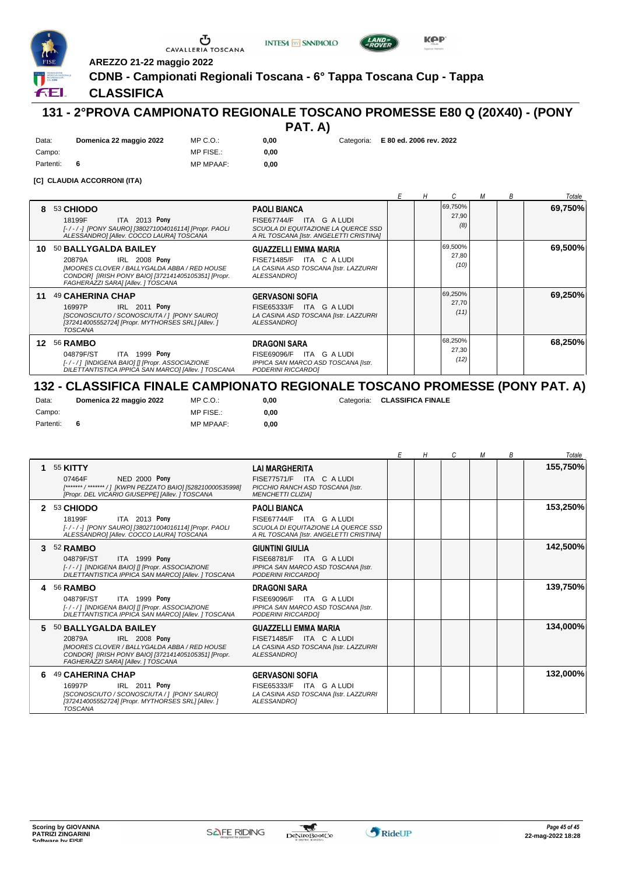





**INTESA** M SANPAOLO

#### **CLASSIFICA**

# **131 - 2°PROVA CAMPIONATO REGIONALE TOSCANO PROMESSE E80 Q (20X40) - (PONY**

| PAT. | A) |
|------|----|
|------|----|

**0,00** Categoria: **E 80 ed. 2006 rev. 2022**

**KPP** 

| Data:     | Domenica 22 maggio 2022 | $MP C. Q$ .      | 0.00 |
|-----------|-------------------------|------------------|------|
| Campo:    |                         | MP FISE.:        | 0.00 |
| Partenti: |                         | <b>MP MPAAF:</b> | 0.00 |

#### **[C] CLAUDIA ACCORRONI (ITA)**

|     |                                                                                                                                                                                                     |                                                                                                                                   |  |                          | М | В | Totale  |
|-----|-----------------------------------------------------------------------------------------------------------------------------------------------------------------------------------------------------|-----------------------------------------------------------------------------------------------------------------------------------|--|--------------------------|---|---|---------|
| 8   | 53 CHIODO<br>ITA 2013 Pony<br>18199F<br>[-/-/-] [PONY SAURO] [380271004016114] [Propr. PAOLI<br>ALESSANDROI [Allev. COCCO LAURA] TOSCANA                                                            | <b>PAOLI BIANCA</b><br>FISE67744/F ITA G A LUDI<br>SCUOLA DI EQUITAZIONE LA QUERCE SSD<br>A RL TOSCANA [Istr. ANGELETTI CRISTINA] |  | 69,750%<br>27,90<br>(8)  |   |   | 69,750% |
| 10. | 50 BALLYGALDA BAILEY<br>IRL 2008 Pony<br>20879A<br><b>IMOORES CLOVER / BALLYGALDA ABBA / RED HOUSE</b><br>CONDOR1 [IRISH PONY BAIO] [372141405105351] [Propr.<br>FAGHERAZZI SARA] [Allev. ] TOSCANA | <b>GUAZZELLI EMMA MARIA</b><br>FISE71485/F ITA C A LUDI<br>LA CASINA ASD TOSCANA [Istr. LAZZURRI<br>ALESSANDRO]                   |  | 69,500%<br>27,80<br>(10) |   |   | 69,500% |
| 11  | 49 CAHERINA CHAP<br>IRL 2011 Pony<br>16997P<br>[SCONOSCIUTO / SCONOSCIUTA / ] [PONY SAURO]<br>[372414005552724] [Propr. MYTHORSES SRL] [Allev. ]<br><b>TOSCANA</b>                                  | <b>GERVASONI SOFIA</b><br>FISE65333/F ITA G A LUDI<br>LA CASINA ASD TOSCANA [Istr. LAZZURRI<br>ALESSANDROI                        |  | 69,250%<br>27,70<br>(11) |   |   | 69,250% |
| 12  | <b>56 RAMBO</b><br>ITA 1999 Pony<br>04879F/ST<br>[-/-/] [INDIGENA BAIO] [] [Propr. ASSOCIAZIONE<br>DILETTANTISTICA IPPICA SAN MARCOI [Allev. ] TOSCANA                                              | <b>DRAGONI SARA</b><br>FISE69096/F ITA G A LUDI<br>IPPICA SAN MARCO ASD TOSCANA [Istr.<br>PODERINI RICCARDO]                      |  | 68,250%<br>27,30<br>(12) |   |   | 68,250% |

## **132 - CLASSIFICA FINALE CAMPIONATO REGIONALE TOSCANO PROMESSE (PONY PAT. A)**

 $0,00$ **0,00**

| Data:     | Domenica 22 maggio 2022 | MP C. O.         |
|-----------|-------------------------|------------------|
| Campo:    |                         | MP FISE.:        |
| Partenti: |                         | <b>MP MPAAF:</b> |

**0,00** Categoria: **CLASSIFICA FINALE**

|    |                                                                                                                                                                                                              |                                                                                                                                   | Н | C | М | B | Totale   |
|----|--------------------------------------------------------------------------------------------------------------------------------------------------------------------------------------------------------------|-----------------------------------------------------------------------------------------------------------------------------------|---|---|---|---|----------|
| 1. | 55 KITTY<br><b>NED 2000 Pony</b><br>07464F<br>[******* / ******* / ] [KWPN PEZZATO BAIO] [528210000535998]<br>[Propr. DEL VICARIO GIUSEPPE] [Allev. ] TOSCANA                                                | <b>LAI MARGHERITA</b><br>FISE77571/F ITA C A LUDI<br>PICCHIO RANCH ASD TOSCANA [Istr.<br><b>MENCHETTI CLIZIAI</b>                 |   |   |   |   | 155,750% |
| 2  | 53 CHIODO<br>ITA 2013 Pony<br>18199F<br>[-/-/-] [PONY SAURO] [380271004016114] [Propr. PAOLI<br>ALESSANDROI [Allev. COCCO LAURA] TOSCANA                                                                     | <b>PAOLI BIANCA</b><br>FISE67744/F ITA G A LUDI<br>SCUOLA DI EQUITAZIONE LA QUERCE SSD<br>A RL TOSCANA [Istr. ANGELETTI CRISTINA] |   |   |   |   | 153,250% |
| 3. | 52 RAMBO<br><b>ITA 1999 Pony</b><br>04879F/ST<br>[-/-/] [INDIGENA BAIO] [] [Propr. ASSOCIAZIONE<br>DILETTANTISTICA IPPICA SAN MARCOI [Allev. ] TOSCANA                                                       | <b>GIUNTINI GIULIA</b><br>FISE68781/F ITA G A LUDI<br>IPPICA SAN MARCO ASD TOSCANA [Istr.<br>PODERINI RICCARDOI                   |   |   |   |   | 142,500% |
| 4  | <b>56 RAMBO</b><br>ITA 1999 Pony<br>04879F/ST<br>[-/-/] [INDIGENA BAIO] [] [Propr. ASSOCIAZIONE<br>DILETTANTISTICA IPPICA SAN MARCOI [Allev. ] TOSCANA                                                       | <b>DRAGONI SARA</b><br>FISE69096/F ITA G A LUDI<br>IPPICA SAN MARCO ASD TOSCANA [Istr.<br>PODERINI RICCARDOI                      |   |   |   |   | 139,750% |
|    | 5 50 BALLYGALDA BAILEY<br><b>IRL 2008 Pony</b><br>20879A<br><b>IMOORES CLOVER / BALLYGALDA ABBA / RED HOUSE</b><br>CONDOR1 [IRISH PONY BAIO] [372141405105351] [Propr.<br>FAGHERAZZI SARA] [Allev. ] TOSCANA | <b>GUAZZELLI EMMA MARIA</b><br>FISE71485/F ITA C A LUDI<br>LA CASINA ASD TOSCANA [Istr. LAZZURRI<br>ALESSANDRO]                   |   |   |   |   | 134,000% |
| 6  | 49 CAHERINA CHAP<br>IRL 2011 Pony<br>16997P<br>[SCONOSCIUTO / SCONOSCIUTA / ] [PONY SAURO]<br>[372414005552724] [Propr. MYTHORSES SRL] [Allev. ]<br><b>TOSCANA</b>                                           | <b>GERVASONI SOFIA</b><br>FISE65333/F ITA G A LUDI<br>LA CASINA ASD TOSCANA [Istr. LAZZURRI<br><b>ALESSANDROI</b>                 |   |   |   |   | 132,000% |

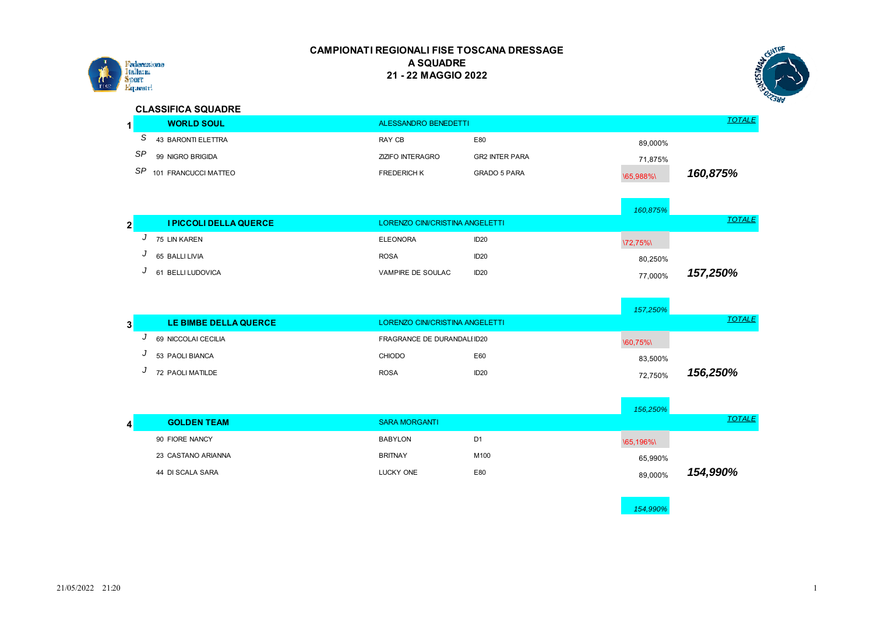



#### **CLASSIFICA SQUADRE**

|     | <b>WORLD SOUL</b>    | ALESSANDRO BENEDETTI    |                       |           | TOTALE   |
|-----|----------------------|-------------------------|-----------------------|-----------|----------|
|     | 43 BARONTI ELETTRA   | RAY CB                  | E80                   | 89.000%   |          |
| SP  | 99 NIGRO BRIGIDA     | <b>ZIZIFO INTERAGRO</b> | <b>GR2 INTER PARA</b> | 71.875%   |          |
| SP. | 101 FRANCUCCI MATTEO | <b>FREDERICH K</b>      | GRADO 5 PARA          | \65.988%\ | 160,875% |

|              |   |                        |                                 |                  | 160,875% |               |
|--------------|---|------------------------|---------------------------------|------------------|----------|---------------|
| $\mathbf{2}$ |   | I PICCOLI DELLA QUERCE | LORENZO CINI/CRISTINA ANGELETTI |                  |          | <b>TOTALE</b> |
|              | ັ | 75 LIN KAREN           | <b>ELEONORA</b>                 | ID <sub>20</sub> | 172,75%  |               |
|              | J | 65 BALLI LIVIA         | <b>ROSA</b>                     | ID <sub>20</sub> | 80,250%  |               |
|              | υ | 61 BELLI LUDOVICA      | VAMPIRE DE SOULAC               | ID <sub>20</sub> | 77.000%  | 157,250%      |

|          |                       |             |                                 | 157,250% |               |
|----------|-----------------------|-------------|---------------------------------|----------|---------------|
|          | LE BIMBE DELLA QUERCE |             | LORENZO CINI/CRISTINA ANGELETTI |          | <b>TOTALE</b> |
| <b>v</b> | 69 NICCOLAI CECILIA   |             | FRAGRANCE DE DURANDALI ID20     | 160,75%  |               |
|          | 53 PAOLI BIANCA       | CHIODO      | E60                             | 83,500%  |               |
|          | 72 PAOLI MATILDE      | <b>ROSA</b> | ID <sub>20</sub>                | 72,750%  | 156,250%      |

|                    |                      |                | 156,250% |               |
|--------------------|----------------------|----------------|----------|---------------|
| <b>GOLDEN TEAM</b> | <b>SARA MORGANTI</b> |                |          | <b>TOTALE</b> |
| 90 FIORE NANCY     | <b>BABYLON</b>       | D <sub>1</sub> | 165,196% |               |
| 23 CASTANO ARIANNA | <b>BRITNAY</b>       | M100           | 65,990%  |               |
| 44 DI SCALA SARA   | LUCKY ONE            | E80            | 89,000%  | 154,990%      |
|                    |                      |                |          |               |

*154,990%*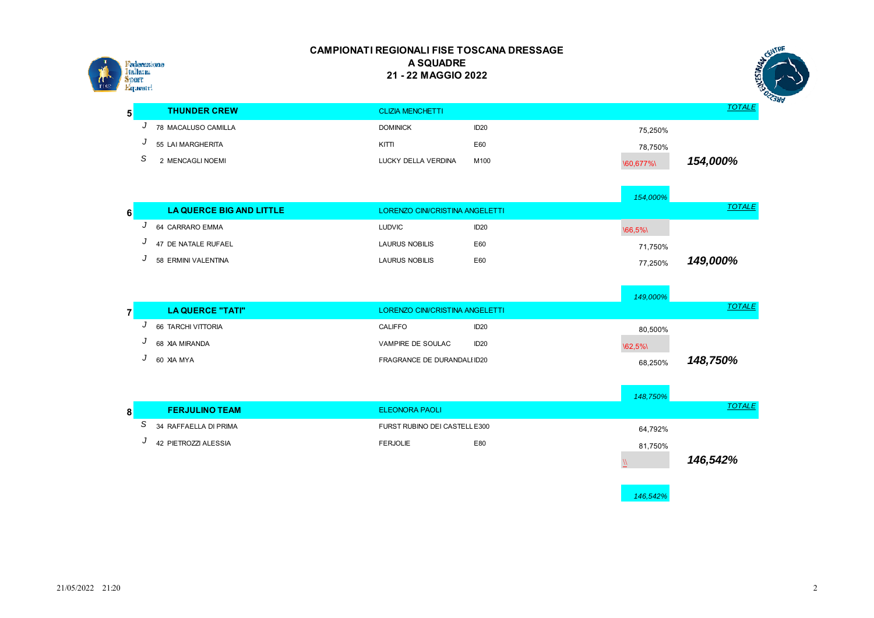

|               | <b>NTRE</b><br>♦ |
|---------------|------------------|
|               |                  |
|               |                  |
|               |                  |
|               | OZZJUV           |
| <b>TOTALE</b> |                  |

|                     |                         |                  |                      | ∽ |
|---------------------|-------------------------|------------------|----------------------|---|
| <b>THUNDER CREW</b> | <b>CLIZIA MENCHETTI</b> |                  | TOTALE               |   |
| 78 MACALUSO CAMILLA | <b>DOMINICK</b>         | ID <sub>20</sub> | 75,250%              |   |
| 55 LAI MARGHERITA   | KITTI                   | E60              | 78,750%              |   |
| 2 MENCAGLI NOEMI    | LUCKY DELLA VERDINA     | M100             | 154,000%<br>160,677% |   |

|        |                          |                                 |                  | 154,000% |               |
|--------|--------------------------|---------------------------------|------------------|----------|---------------|
| c<br>o | LA QUERCE BIG AND LITTLE | LORENZO CINI/CRISTINA ANGELETTI |                  |          | <b>TOTALE</b> |
| u      | 64 CARRARO EMMA          | <b>LUDVIC</b>                   | ID <sub>20</sub> | 166,5%   |               |
| u      | 47 DE NATALE RUFAEL      | LAURUS NOBILIS                  | E60              | 71.750%  |               |
|        | 58 ERMINI VALENTINA      | <b>LAURUS NOBILIS</b>           | E60              | 77.250%  | 149,000%      |

|                    |                                 |                  | 149,000% |               |
|--------------------|---------------------------------|------------------|----------|---------------|
| LA QUERCE "TATI"   | LORENZO CINI/CRISTINA ANGELETTI |                  |          | <b>TOTALE</b> |
| 66 TARCHI VITTORIA | <b>CALIFFO</b>                  | ID <sub>20</sub> | 80,500%  |               |
| 68 XIA MIRANDA     | VAMPIRE DE SOULAC               | ID <sub>20</sub> | 162,5%   |               |
| 60 XIA MYA         | FRAGRANCE DE DURANDALI ID20     |                  | 68.250%  | 148,750%      |

|                             |                               |     | 148,750% |               |
|-----------------------------|-------------------------------|-----|----------|---------------|
| <b>FERJULINO TEAM</b><br>o  | <b>ELEONORA PAOLI</b>         |     |          | <b>TOTALE</b> |
| S.<br>34 RAFFAELLA DI PRIMA | FURST RUBINO DEI CASTELL E300 |     | 64,792%  |               |
| 42 PIETROZZI ALESSIA        | <b>FERJOLIE</b>               | E80 | 81,750%  |               |
|                             |                               |     |          | 146,542%      |
|                             |                               |     |          |               |

*146,542%*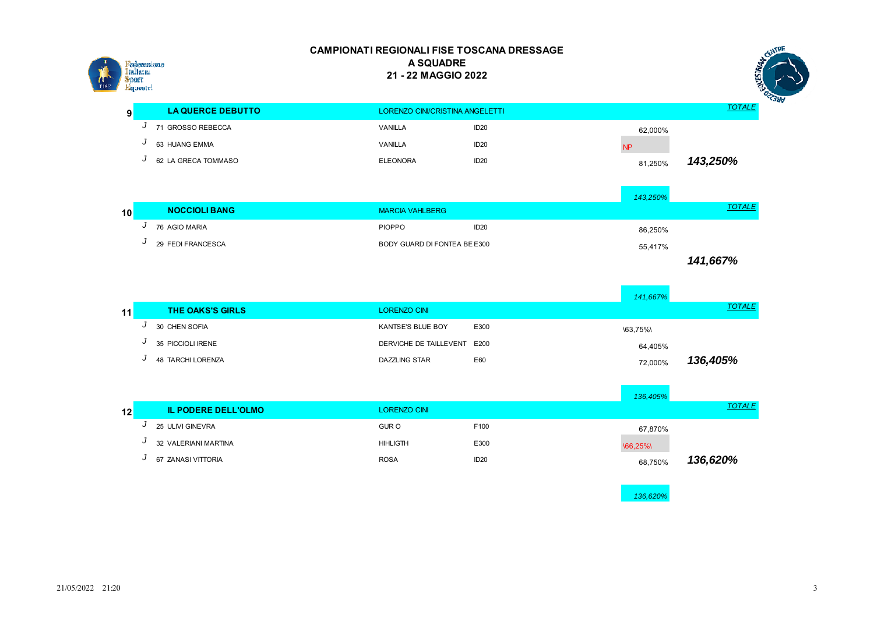

|   |                          |                 |                                 |                     | - 3   |
|---|--------------------------|-----------------|---------------------------------|---------------------|-------|
| 9 | <b>LA QUERCE DEBUTTO</b> |                 | LORENZO CINI/CRISTINA ANGELETTI |                     | TOTAL |
|   | 71 GROSSO REBECCA        | VANILLA         | ID <sub>20</sub>                | 62,000%             |       |
|   | 63 HUANG EMMA            | VANILLA         | ID <sub>20</sub>                |                     |       |
|   | 62 LA GRECA TOMMASO      | <b>ELEONORA</b> | ID <sub>20</sub>                | 143,250%<br>81.250% |       |

|    |                      |                              |                  | 143,250% |               |
|----|----------------------|------------------------------|------------------|----------|---------------|
| 10 | <b>NOCCIOLI BANG</b> | <b>MARCIA VAHLBERG</b>       |                  |          | <b>TOTALE</b> |
|    | 76 AGIO MARIA        | <b>PIOPPO</b>                | ID <sub>20</sub> | 86.250%  |               |
|    | 29 FEDI FRANCESCA    | BODY GUARD DI FONTEA BE E300 |                  | 55,417%  |               |
|    |                      |                              |                  |          | 141,667%      |

|    |   |                            |                        |      | 141,667% |               |
|----|---|----------------------------|------------------------|------|----------|---------------|
| 11 |   | <b>THE OAKS'S GIRLS</b>    | <b>LORENZO CINI</b>    |      |          | <b>TOTALE</b> |
|    | ◡ | 30 CHEN SOFIA              | KANTSE'S BLUE BOY      | E300 | \63,75%\ |               |
|    | J | 35 PICCIOLI IRENE          | DERVICHE DE TAILLEVENT | E200 | 64,405%  |               |
|    | J | <b>48 TARCHI LORENZA</b>   | <b>DAZZLING STAR</b>   | E60  | 72,000%  | 136,405%      |
|    |   |                            |                        |      |          |               |
|    |   |                            |                        |      | 136,405% |               |
| 12 |   | <b>IL PODERE DELL'OLMO</b> | <b>LORENZO CINI</b>    |      |          | <b>TOTALE</b> |
|    | J | 25 ULIVI GINEVRA           | <b>GUR O</b>           | F100 | 67,870%  |               |

**J** 32 VALERIANI MARTINA **ARREST AND A HIGHANG HIMLIGTH** E300 **CONTACTER E300** *J* 67 ZANASI VITTORIA 68.750% ROSA ROSA ID20 ID20 68.750% *136,620%*

*136,620%*

FENTRE